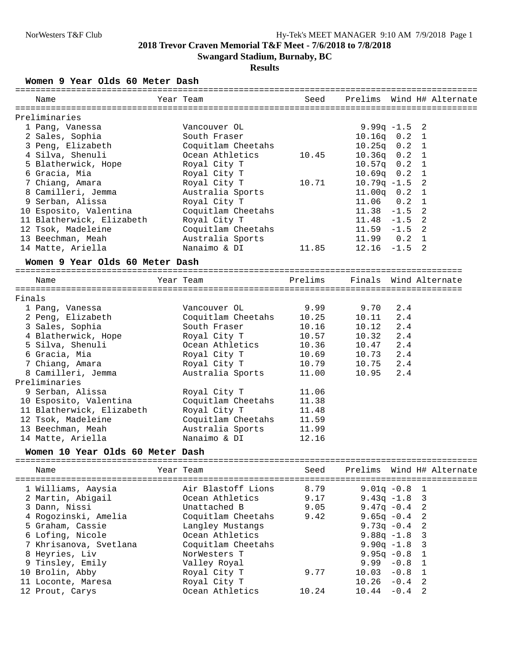## **Results**

**Women 9 Year Olds 60 Meter Dash**

| Year Team<br>Prelims Wind H# Alternate<br>Name<br>Seed<br>Preliminaries<br>1 Pang, Vanessa<br>Vancouver OL<br>9.99 $q$ -1.5<br>2<br>$10.16q$ $0.2$ 1<br>2 Sales, Sophia<br>South Fraser<br>3 Peng, Elizabeth<br>Coquitlam Cheetahs<br>$10.25q$ 0.2 1<br>4 Silva, Shenuli<br>Ocean Athletics<br>10.45<br>$10.36q$ $0.2$ 1<br>5 Blatherwick, Hope<br>Royal City T<br>$10.57q$ 0.2 1<br>6 Gracia, Mia<br>Royal City T<br>$10.69q$ $0.2$ 1<br>2<br>7 Chiang, Amara<br>Royal City T<br>10.71<br>$10.79q - 1.5$<br>11.00q  0.2  1<br>8 Camilleri, Jemma<br>Australia Sports<br>9 Serban, Alissa<br>11.06<br>$0.2 \quad 1$<br>Royal City T<br>10 Esposito, Valentina<br>$11.38 - 1.5$ 2<br>Coquitlam Cheetahs<br>11 Blatherwick, Elizabeth<br>Royal City T<br>2<br>$11.48 - 1.5$<br>Coquitlam Cheetahs<br>$11.59 - 1.5$ 2<br>12 Tsok, Madeleine<br>11.99  0.2  1<br>13 Beechman, Meah<br>Australia Sports<br>14 Matte, Ariella<br>Nanaimo & DI<br>$12.16 - 1.5$<br>2<br>11.85<br>Women 9 Year Olds 60 Meter Dash<br>Year Team<br>Prelims<br>Finals Wind Alternate<br>Name<br>9.99<br>9.70<br>1 Pang, Vanessa<br>Vancouver OL<br>2.4<br>2 Peng, Elizabeth<br>Coquitlam Cheetahs<br>10.25<br>2.4<br>10.11<br>3 Sales, Sophia<br>South Fraser<br>10.16<br>10.12<br>2.4<br>Royal City T<br>10.32<br>4 Blatherwick, Hope<br>10.57<br>2.4<br>5 Silva, Shenuli<br>Ocean Athletics<br>2.4<br>10.36<br>10.47<br>6 Gracia, Mia<br>Royal City T<br>10.69<br>10.73<br>2.4<br>10.75<br>2.4<br>7 Chiang, Amara<br>Royal City T<br>10.79<br>8 Camilleri, Jemma<br>Australia Sports<br>11.00<br>10.95<br>2.4<br>Preliminaries<br>9 Serban, Alissa<br>Royal City T<br>11.06<br>10 Esposito, Valentina<br>Coquitlam Cheetahs<br>11.38<br>Royal City T<br>11 Blatherwick, Elizabeth<br>11.48<br>Coquitlam Cheetahs<br>12 Tsok, Madeleine<br>11.59<br>13 Beechman, Meah<br>Australia Sports<br>11.99<br>Nanaimo & DI<br>12.16<br>14 Matte, Ariella<br>Women 10 Year Olds 60 Meter Dash<br>Year Team<br>Seed<br>Prelims<br>Wind H# Alternate<br>Name<br>===========<br>8.79<br>Air Blastoff Lions<br>$9.01q - 0.8$<br>1 Williams, Aaysia<br>1<br>9.17<br>2 Martin, Abigail<br>Ocean Athletics<br>$9.43q -1.8$<br>3<br>2<br>3 Dann, Nissi<br>Unattached B<br>9.05<br>$9.47q - 0.4$<br>2<br>4 Rogozinski, Amelia<br>Coquitlam Cheetahs<br>9.42<br>$9.65q - 0.4$<br>5 Graham, Cassie<br>Langley Mustangs<br>2<br>9.73q $-0.4$<br>6 Lofing, Nicole<br>Ocean Athletics<br>$9.88q -1.8$<br>3<br>Coquitlam Cheetahs<br>3<br>7 Khrisanova, Svetlana<br>$9.90q -1.8$<br>8 Heyries, Liv<br>$9.95q - 0.8$<br>NorWesters T<br>1<br>9 Tinsley, Emily<br>9.99<br>$-0.8$<br>$\mathbf 1$<br>Valley Royal<br>10 Brolin, Abby<br>9.77<br>10.03<br>$-0.8$<br>$\mathbf 1$<br>Royal City T<br>11 Loconte, Maresa<br>Royal City T<br>10.26<br>$-0.4$<br>2<br>12 Prout, Carys<br>Ocean Athletics<br>10.24<br>10.44<br>$-0.4$<br>2 |        |  |  |
|--------------------------------------------------------------------------------------------------------------------------------------------------------------------------------------------------------------------------------------------------------------------------------------------------------------------------------------------------------------------------------------------------------------------------------------------------------------------------------------------------------------------------------------------------------------------------------------------------------------------------------------------------------------------------------------------------------------------------------------------------------------------------------------------------------------------------------------------------------------------------------------------------------------------------------------------------------------------------------------------------------------------------------------------------------------------------------------------------------------------------------------------------------------------------------------------------------------------------------------------------------------------------------------------------------------------------------------------------------------------------------------------------------------------------------------------------------------------------------------------------------------------------------------------------------------------------------------------------------------------------------------------------------------------------------------------------------------------------------------------------------------------------------------------------------------------------------------------------------------------------------------------------------------------------------------------------------------------------------------------------------------------------------------------------------------------------------------------------------------------------------------------------------------------------------------------------------------------------------------------------------------------------------------------------------------------------------------------------------------------------------------------------------------------------------------------------------------------------------------------------------------------------------------------------------------------------------------------------------------------------------------------------------------------------------------------------------------------------------------------------------------------------------------------------------------------------------------------------------------------------------|--------|--|--|
|                                                                                                                                                                                                                                                                                                                                                                                                                                                                                                                                                                                                                                                                                                                                                                                                                                                                                                                                                                                                                                                                                                                                                                                                                                                                                                                                                                                                                                                                                                                                                                                                                                                                                                                                                                                                                                                                                                                                                                                                                                                                                                                                                                                                                                                                                                                                                                                                                                                                                                                                                                                                                                                                                                                                                                                                                                                                                |        |  |  |
|                                                                                                                                                                                                                                                                                                                                                                                                                                                                                                                                                                                                                                                                                                                                                                                                                                                                                                                                                                                                                                                                                                                                                                                                                                                                                                                                                                                                                                                                                                                                                                                                                                                                                                                                                                                                                                                                                                                                                                                                                                                                                                                                                                                                                                                                                                                                                                                                                                                                                                                                                                                                                                                                                                                                                                                                                                                                                |        |  |  |
|                                                                                                                                                                                                                                                                                                                                                                                                                                                                                                                                                                                                                                                                                                                                                                                                                                                                                                                                                                                                                                                                                                                                                                                                                                                                                                                                                                                                                                                                                                                                                                                                                                                                                                                                                                                                                                                                                                                                                                                                                                                                                                                                                                                                                                                                                                                                                                                                                                                                                                                                                                                                                                                                                                                                                                                                                                                                                |        |  |  |
|                                                                                                                                                                                                                                                                                                                                                                                                                                                                                                                                                                                                                                                                                                                                                                                                                                                                                                                                                                                                                                                                                                                                                                                                                                                                                                                                                                                                                                                                                                                                                                                                                                                                                                                                                                                                                                                                                                                                                                                                                                                                                                                                                                                                                                                                                                                                                                                                                                                                                                                                                                                                                                                                                                                                                                                                                                                                                |        |  |  |
|                                                                                                                                                                                                                                                                                                                                                                                                                                                                                                                                                                                                                                                                                                                                                                                                                                                                                                                                                                                                                                                                                                                                                                                                                                                                                                                                                                                                                                                                                                                                                                                                                                                                                                                                                                                                                                                                                                                                                                                                                                                                                                                                                                                                                                                                                                                                                                                                                                                                                                                                                                                                                                                                                                                                                                                                                                                                                |        |  |  |
|                                                                                                                                                                                                                                                                                                                                                                                                                                                                                                                                                                                                                                                                                                                                                                                                                                                                                                                                                                                                                                                                                                                                                                                                                                                                                                                                                                                                                                                                                                                                                                                                                                                                                                                                                                                                                                                                                                                                                                                                                                                                                                                                                                                                                                                                                                                                                                                                                                                                                                                                                                                                                                                                                                                                                                                                                                                                                |        |  |  |
|                                                                                                                                                                                                                                                                                                                                                                                                                                                                                                                                                                                                                                                                                                                                                                                                                                                                                                                                                                                                                                                                                                                                                                                                                                                                                                                                                                                                                                                                                                                                                                                                                                                                                                                                                                                                                                                                                                                                                                                                                                                                                                                                                                                                                                                                                                                                                                                                                                                                                                                                                                                                                                                                                                                                                                                                                                                                                |        |  |  |
|                                                                                                                                                                                                                                                                                                                                                                                                                                                                                                                                                                                                                                                                                                                                                                                                                                                                                                                                                                                                                                                                                                                                                                                                                                                                                                                                                                                                                                                                                                                                                                                                                                                                                                                                                                                                                                                                                                                                                                                                                                                                                                                                                                                                                                                                                                                                                                                                                                                                                                                                                                                                                                                                                                                                                                                                                                                                                |        |  |  |
|                                                                                                                                                                                                                                                                                                                                                                                                                                                                                                                                                                                                                                                                                                                                                                                                                                                                                                                                                                                                                                                                                                                                                                                                                                                                                                                                                                                                                                                                                                                                                                                                                                                                                                                                                                                                                                                                                                                                                                                                                                                                                                                                                                                                                                                                                                                                                                                                                                                                                                                                                                                                                                                                                                                                                                                                                                                                                |        |  |  |
|                                                                                                                                                                                                                                                                                                                                                                                                                                                                                                                                                                                                                                                                                                                                                                                                                                                                                                                                                                                                                                                                                                                                                                                                                                                                                                                                                                                                                                                                                                                                                                                                                                                                                                                                                                                                                                                                                                                                                                                                                                                                                                                                                                                                                                                                                                                                                                                                                                                                                                                                                                                                                                                                                                                                                                                                                                                                                |        |  |  |
|                                                                                                                                                                                                                                                                                                                                                                                                                                                                                                                                                                                                                                                                                                                                                                                                                                                                                                                                                                                                                                                                                                                                                                                                                                                                                                                                                                                                                                                                                                                                                                                                                                                                                                                                                                                                                                                                                                                                                                                                                                                                                                                                                                                                                                                                                                                                                                                                                                                                                                                                                                                                                                                                                                                                                                                                                                                                                |        |  |  |
|                                                                                                                                                                                                                                                                                                                                                                                                                                                                                                                                                                                                                                                                                                                                                                                                                                                                                                                                                                                                                                                                                                                                                                                                                                                                                                                                                                                                                                                                                                                                                                                                                                                                                                                                                                                                                                                                                                                                                                                                                                                                                                                                                                                                                                                                                                                                                                                                                                                                                                                                                                                                                                                                                                                                                                                                                                                                                |        |  |  |
|                                                                                                                                                                                                                                                                                                                                                                                                                                                                                                                                                                                                                                                                                                                                                                                                                                                                                                                                                                                                                                                                                                                                                                                                                                                                                                                                                                                                                                                                                                                                                                                                                                                                                                                                                                                                                                                                                                                                                                                                                                                                                                                                                                                                                                                                                                                                                                                                                                                                                                                                                                                                                                                                                                                                                                                                                                                                                |        |  |  |
|                                                                                                                                                                                                                                                                                                                                                                                                                                                                                                                                                                                                                                                                                                                                                                                                                                                                                                                                                                                                                                                                                                                                                                                                                                                                                                                                                                                                                                                                                                                                                                                                                                                                                                                                                                                                                                                                                                                                                                                                                                                                                                                                                                                                                                                                                                                                                                                                                                                                                                                                                                                                                                                                                                                                                                                                                                                                                |        |  |  |
|                                                                                                                                                                                                                                                                                                                                                                                                                                                                                                                                                                                                                                                                                                                                                                                                                                                                                                                                                                                                                                                                                                                                                                                                                                                                                                                                                                                                                                                                                                                                                                                                                                                                                                                                                                                                                                                                                                                                                                                                                                                                                                                                                                                                                                                                                                                                                                                                                                                                                                                                                                                                                                                                                                                                                                                                                                                                                |        |  |  |
|                                                                                                                                                                                                                                                                                                                                                                                                                                                                                                                                                                                                                                                                                                                                                                                                                                                                                                                                                                                                                                                                                                                                                                                                                                                                                                                                                                                                                                                                                                                                                                                                                                                                                                                                                                                                                                                                                                                                                                                                                                                                                                                                                                                                                                                                                                                                                                                                                                                                                                                                                                                                                                                                                                                                                                                                                                                                                |        |  |  |
|                                                                                                                                                                                                                                                                                                                                                                                                                                                                                                                                                                                                                                                                                                                                                                                                                                                                                                                                                                                                                                                                                                                                                                                                                                                                                                                                                                                                                                                                                                                                                                                                                                                                                                                                                                                                                                                                                                                                                                                                                                                                                                                                                                                                                                                                                                                                                                                                                                                                                                                                                                                                                                                                                                                                                                                                                                                                                |        |  |  |
|                                                                                                                                                                                                                                                                                                                                                                                                                                                                                                                                                                                                                                                                                                                                                                                                                                                                                                                                                                                                                                                                                                                                                                                                                                                                                                                                                                                                                                                                                                                                                                                                                                                                                                                                                                                                                                                                                                                                                                                                                                                                                                                                                                                                                                                                                                                                                                                                                                                                                                                                                                                                                                                                                                                                                                                                                                                                                |        |  |  |
|                                                                                                                                                                                                                                                                                                                                                                                                                                                                                                                                                                                                                                                                                                                                                                                                                                                                                                                                                                                                                                                                                                                                                                                                                                                                                                                                                                                                                                                                                                                                                                                                                                                                                                                                                                                                                                                                                                                                                                                                                                                                                                                                                                                                                                                                                                                                                                                                                                                                                                                                                                                                                                                                                                                                                                                                                                                                                |        |  |  |
|                                                                                                                                                                                                                                                                                                                                                                                                                                                                                                                                                                                                                                                                                                                                                                                                                                                                                                                                                                                                                                                                                                                                                                                                                                                                                                                                                                                                                                                                                                                                                                                                                                                                                                                                                                                                                                                                                                                                                                                                                                                                                                                                                                                                                                                                                                                                                                                                                                                                                                                                                                                                                                                                                                                                                                                                                                                                                |        |  |  |
|                                                                                                                                                                                                                                                                                                                                                                                                                                                                                                                                                                                                                                                                                                                                                                                                                                                                                                                                                                                                                                                                                                                                                                                                                                                                                                                                                                                                                                                                                                                                                                                                                                                                                                                                                                                                                                                                                                                                                                                                                                                                                                                                                                                                                                                                                                                                                                                                                                                                                                                                                                                                                                                                                                                                                                                                                                                                                |        |  |  |
|                                                                                                                                                                                                                                                                                                                                                                                                                                                                                                                                                                                                                                                                                                                                                                                                                                                                                                                                                                                                                                                                                                                                                                                                                                                                                                                                                                                                                                                                                                                                                                                                                                                                                                                                                                                                                                                                                                                                                                                                                                                                                                                                                                                                                                                                                                                                                                                                                                                                                                                                                                                                                                                                                                                                                                                                                                                                                | Finals |  |  |
|                                                                                                                                                                                                                                                                                                                                                                                                                                                                                                                                                                                                                                                                                                                                                                                                                                                                                                                                                                                                                                                                                                                                                                                                                                                                                                                                                                                                                                                                                                                                                                                                                                                                                                                                                                                                                                                                                                                                                                                                                                                                                                                                                                                                                                                                                                                                                                                                                                                                                                                                                                                                                                                                                                                                                                                                                                                                                |        |  |  |
|                                                                                                                                                                                                                                                                                                                                                                                                                                                                                                                                                                                                                                                                                                                                                                                                                                                                                                                                                                                                                                                                                                                                                                                                                                                                                                                                                                                                                                                                                                                                                                                                                                                                                                                                                                                                                                                                                                                                                                                                                                                                                                                                                                                                                                                                                                                                                                                                                                                                                                                                                                                                                                                                                                                                                                                                                                                                                |        |  |  |
|                                                                                                                                                                                                                                                                                                                                                                                                                                                                                                                                                                                                                                                                                                                                                                                                                                                                                                                                                                                                                                                                                                                                                                                                                                                                                                                                                                                                                                                                                                                                                                                                                                                                                                                                                                                                                                                                                                                                                                                                                                                                                                                                                                                                                                                                                                                                                                                                                                                                                                                                                                                                                                                                                                                                                                                                                                                                                |        |  |  |
|                                                                                                                                                                                                                                                                                                                                                                                                                                                                                                                                                                                                                                                                                                                                                                                                                                                                                                                                                                                                                                                                                                                                                                                                                                                                                                                                                                                                                                                                                                                                                                                                                                                                                                                                                                                                                                                                                                                                                                                                                                                                                                                                                                                                                                                                                                                                                                                                                                                                                                                                                                                                                                                                                                                                                                                                                                                                                |        |  |  |
|                                                                                                                                                                                                                                                                                                                                                                                                                                                                                                                                                                                                                                                                                                                                                                                                                                                                                                                                                                                                                                                                                                                                                                                                                                                                                                                                                                                                                                                                                                                                                                                                                                                                                                                                                                                                                                                                                                                                                                                                                                                                                                                                                                                                                                                                                                                                                                                                                                                                                                                                                                                                                                                                                                                                                                                                                                                                                |        |  |  |
|                                                                                                                                                                                                                                                                                                                                                                                                                                                                                                                                                                                                                                                                                                                                                                                                                                                                                                                                                                                                                                                                                                                                                                                                                                                                                                                                                                                                                                                                                                                                                                                                                                                                                                                                                                                                                                                                                                                                                                                                                                                                                                                                                                                                                                                                                                                                                                                                                                                                                                                                                                                                                                                                                                                                                                                                                                                                                |        |  |  |
|                                                                                                                                                                                                                                                                                                                                                                                                                                                                                                                                                                                                                                                                                                                                                                                                                                                                                                                                                                                                                                                                                                                                                                                                                                                                                                                                                                                                                                                                                                                                                                                                                                                                                                                                                                                                                                                                                                                                                                                                                                                                                                                                                                                                                                                                                                                                                                                                                                                                                                                                                                                                                                                                                                                                                                                                                                                                                |        |  |  |
|                                                                                                                                                                                                                                                                                                                                                                                                                                                                                                                                                                                                                                                                                                                                                                                                                                                                                                                                                                                                                                                                                                                                                                                                                                                                                                                                                                                                                                                                                                                                                                                                                                                                                                                                                                                                                                                                                                                                                                                                                                                                                                                                                                                                                                                                                                                                                                                                                                                                                                                                                                                                                                                                                                                                                                                                                                                                                |        |  |  |
|                                                                                                                                                                                                                                                                                                                                                                                                                                                                                                                                                                                                                                                                                                                                                                                                                                                                                                                                                                                                                                                                                                                                                                                                                                                                                                                                                                                                                                                                                                                                                                                                                                                                                                                                                                                                                                                                                                                                                                                                                                                                                                                                                                                                                                                                                                                                                                                                                                                                                                                                                                                                                                                                                                                                                                                                                                                                                |        |  |  |
|                                                                                                                                                                                                                                                                                                                                                                                                                                                                                                                                                                                                                                                                                                                                                                                                                                                                                                                                                                                                                                                                                                                                                                                                                                                                                                                                                                                                                                                                                                                                                                                                                                                                                                                                                                                                                                                                                                                                                                                                                                                                                                                                                                                                                                                                                                                                                                                                                                                                                                                                                                                                                                                                                                                                                                                                                                                                                |        |  |  |
|                                                                                                                                                                                                                                                                                                                                                                                                                                                                                                                                                                                                                                                                                                                                                                                                                                                                                                                                                                                                                                                                                                                                                                                                                                                                                                                                                                                                                                                                                                                                                                                                                                                                                                                                                                                                                                                                                                                                                                                                                                                                                                                                                                                                                                                                                                                                                                                                                                                                                                                                                                                                                                                                                                                                                                                                                                                                                |        |  |  |
|                                                                                                                                                                                                                                                                                                                                                                                                                                                                                                                                                                                                                                                                                                                                                                                                                                                                                                                                                                                                                                                                                                                                                                                                                                                                                                                                                                                                                                                                                                                                                                                                                                                                                                                                                                                                                                                                                                                                                                                                                                                                                                                                                                                                                                                                                                                                                                                                                                                                                                                                                                                                                                                                                                                                                                                                                                                                                |        |  |  |
|                                                                                                                                                                                                                                                                                                                                                                                                                                                                                                                                                                                                                                                                                                                                                                                                                                                                                                                                                                                                                                                                                                                                                                                                                                                                                                                                                                                                                                                                                                                                                                                                                                                                                                                                                                                                                                                                                                                                                                                                                                                                                                                                                                                                                                                                                                                                                                                                                                                                                                                                                                                                                                                                                                                                                                                                                                                                                |        |  |  |
|                                                                                                                                                                                                                                                                                                                                                                                                                                                                                                                                                                                                                                                                                                                                                                                                                                                                                                                                                                                                                                                                                                                                                                                                                                                                                                                                                                                                                                                                                                                                                                                                                                                                                                                                                                                                                                                                                                                                                                                                                                                                                                                                                                                                                                                                                                                                                                                                                                                                                                                                                                                                                                                                                                                                                                                                                                                                                |        |  |  |
|                                                                                                                                                                                                                                                                                                                                                                                                                                                                                                                                                                                                                                                                                                                                                                                                                                                                                                                                                                                                                                                                                                                                                                                                                                                                                                                                                                                                                                                                                                                                                                                                                                                                                                                                                                                                                                                                                                                                                                                                                                                                                                                                                                                                                                                                                                                                                                                                                                                                                                                                                                                                                                                                                                                                                                                                                                                                                |        |  |  |
|                                                                                                                                                                                                                                                                                                                                                                                                                                                                                                                                                                                                                                                                                                                                                                                                                                                                                                                                                                                                                                                                                                                                                                                                                                                                                                                                                                                                                                                                                                                                                                                                                                                                                                                                                                                                                                                                                                                                                                                                                                                                                                                                                                                                                                                                                                                                                                                                                                                                                                                                                                                                                                                                                                                                                                                                                                                                                |        |  |  |
|                                                                                                                                                                                                                                                                                                                                                                                                                                                                                                                                                                                                                                                                                                                                                                                                                                                                                                                                                                                                                                                                                                                                                                                                                                                                                                                                                                                                                                                                                                                                                                                                                                                                                                                                                                                                                                                                                                                                                                                                                                                                                                                                                                                                                                                                                                                                                                                                                                                                                                                                                                                                                                                                                                                                                                                                                                                                                |        |  |  |
|                                                                                                                                                                                                                                                                                                                                                                                                                                                                                                                                                                                                                                                                                                                                                                                                                                                                                                                                                                                                                                                                                                                                                                                                                                                                                                                                                                                                                                                                                                                                                                                                                                                                                                                                                                                                                                                                                                                                                                                                                                                                                                                                                                                                                                                                                                                                                                                                                                                                                                                                                                                                                                                                                                                                                                                                                                                                                |        |  |  |
|                                                                                                                                                                                                                                                                                                                                                                                                                                                                                                                                                                                                                                                                                                                                                                                                                                                                                                                                                                                                                                                                                                                                                                                                                                                                                                                                                                                                                                                                                                                                                                                                                                                                                                                                                                                                                                                                                                                                                                                                                                                                                                                                                                                                                                                                                                                                                                                                                                                                                                                                                                                                                                                                                                                                                                                                                                                                                |        |  |  |
|                                                                                                                                                                                                                                                                                                                                                                                                                                                                                                                                                                                                                                                                                                                                                                                                                                                                                                                                                                                                                                                                                                                                                                                                                                                                                                                                                                                                                                                                                                                                                                                                                                                                                                                                                                                                                                                                                                                                                                                                                                                                                                                                                                                                                                                                                                                                                                                                                                                                                                                                                                                                                                                                                                                                                                                                                                                                                |        |  |  |
|                                                                                                                                                                                                                                                                                                                                                                                                                                                                                                                                                                                                                                                                                                                                                                                                                                                                                                                                                                                                                                                                                                                                                                                                                                                                                                                                                                                                                                                                                                                                                                                                                                                                                                                                                                                                                                                                                                                                                                                                                                                                                                                                                                                                                                                                                                                                                                                                                                                                                                                                                                                                                                                                                                                                                                                                                                                                                |        |  |  |
|                                                                                                                                                                                                                                                                                                                                                                                                                                                                                                                                                                                                                                                                                                                                                                                                                                                                                                                                                                                                                                                                                                                                                                                                                                                                                                                                                                                                                                                                                                                                                                                                                                                                                                                                                                                                                                                                                                                                                                                                                                                                                                                                                                                                                                                                                                                                                                                                                                                                                                                                                                                                                                                                                                                                                                                                                                                                                |        |  |  |
|                                                                                                                                                                                                                                                                                                                                                                                                                                                                                                                                                                                                                                                                                                                                                                                                                                                                                                                                                                                                                                                                                                                                                                                                                                                                                                                                                                                                                                                                                                                                                                                                                                                                                                                                                                                                                                                                                                                                                                                                                                                                                                                                                                                                                                                                                                                                                                                                                                                                                                                                                                                                                                                                                                                                                                                                                                                                                |        |  |  |
|                                                                                                                                                                                                                                                                                                                                                                                                                                                                                                                                                                                                                                                                                                                                                                                                                                                                                                                                                                                                                                                                                                                                                                                                                                                                                                                                                                                                                                                                                                                                                                                                                                                                                                                                                                                                                                                                                                                                                                                                                                                                                                                                                                                                                                                                                                                                                                                                                                                                                                                                                                                                                                                                                                                                                                                                                                                                                |        |  |  |
|                                                                                                                                                                                                                                                                                                                                                                                                                                                                                                                                                                                                                                                                                                                                                                                                                                                                                                                                                                                                                                                                                                                                                                                                                                                                                                                                                                                                                                                                                                                                                                                                                                                                                                                                                                                                                                                                                                                                                                                                                                                                                                                                                                                                                                                                                                                                                                                                                                                                                                                                                                                                                                                                                                                                                                                                                                                                                |        |  |  |
|                                                                                                                                                                                                                                                                                                                                                                                                                                                                                                                                                                                                                                                                                                                                                                                                                                                                                                                                                                                                                                                                                                                                                                                                                                                                                                                                                                                                                                                                                                                                                                                                                                                                                                                                                                                                                                                                                                                                                                                                                                                                                                                                                                                                                                                                                                                                                                                                                                                                                                                                                                                                                                                                                                                                                                                                                                                                                |        |  |  |
|                                                                                                                                                                                                                                                                                                                                                                                                                                                                                                                                                                                                                                                                                                                                                                                                                                                                                                                                                                                                                                                                                                                                                                                                                                                                                                                                                                                                                                                                                                                                                                                                                                                                                                                                                                                                                                                                                                                                                                                                                                                                                                                                                                                                                                                                                                                                                                                                                                                                                                                                                                                                                                                                                                                                                                                                                                                                                |        |  |  |
|                                                                                                                                                                                                                                                                                                                                                                                                                                                                                                                                                                                                                                                                                                                                                                                                                                                                                                                                                                                                                                                                                                                                                                                                                                                                                                                                                                                                                                                                                                                                                                                                                                                                                                                                                                                                                                                                                                                                                                                                                                                                                                                                                                                                                                                                                                                                                                                                                                                                                                                                                                                                                                                                                                                                                                                                                                                                                |        |  |  |
|                                                                                                                                                                                                                                                                                                                                                                                                                                                                                                                                                                                                                                                                                                                                                                                                                                                                                                                                                                                                                                                                                                                                                                                                                                                                                                                                                                                                                                                                                                                                                                                                                                                                                                                                                                                                                                                                                                                                                                                                                                                                                                                                                                                                                                                                                                                                                                                                                                                                                                                                                                                                                                                                                                                                                                                                                                                                                |        |  |  |
|                                                                                                                                                                                                                                                                                                                                                                                                                                                                                                                                                                                                                                                                                                                                                                                                                                                                                                                                                                                                                                                                                                                                                                                                                                                                                                                                                                                                                                                                                                                                                                                                                                                                                                                                                                                                                                                                                                                                                                                                                                                                                                                                                                                                                                                                                                                                                                                                                                                                                                                                                                                                                                                                                                                                                                                                                                                                                |        |  |  |
|                                                                                                                                                                                                                                                                                                                                                                                                                                                                                                                                                                                                                                                                                                                                                                                                                                                                                                                                                                                                                                                                                                                                                                                                                                                                                                                                                                                                                                                                                                                                                                                                                                                                                                                                                                                                                                                                                                                                                                                                                                                                                                                                                                                                                                                                                                                                                                                                                                                                                                                                                                                                                                                                                                                                                                                                                                                                                |        |  |  |
|                                                                                                                                                                                                                                                                                                                                                                                                                                                                                                                                                                                                                                                                                                                                                                                                                                                                                                                                                                                                                                                                                                                                                                                                                                                                                                                                                                                                                                                                                                                                                                                                                                                                                                                                                                                                                                                                                                                                                                                                                                                                                                                                                                                                                                                                                                                                                                                                                                                                                                                                                                                                                                                                                                                                                                                                                                                                                |        |  |  |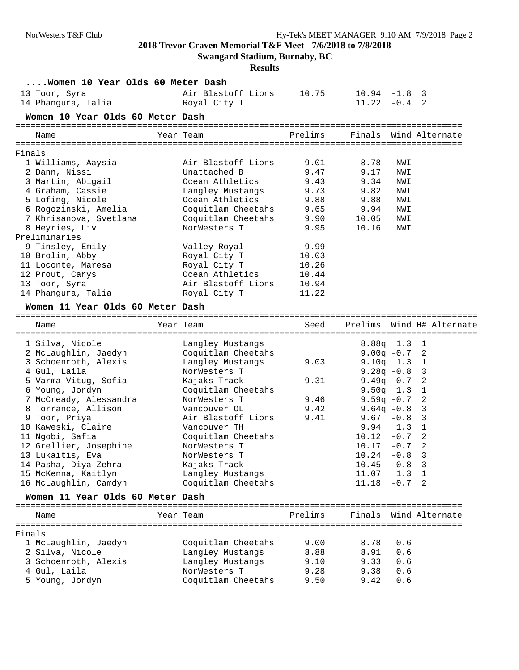**Swangard Stadium, Burnaby, BC**

**Results**

| Women 10 Year Olds 60 Meter Dash |                    |         |                 |          |                           |
|----------------------------------|--------------------|---------|-----------------|----------|---------------------------|
| 13 Toor, Syra                    | Air Blastoff Lions | 10.75   | $10.94 -1.8$ 3  |          |                           |
| 14 Phangura, Talia               | Royal City T       |         | 11.22           | $-0.4$ 2 |                           |
| Women 10 Year Olds 60 Meter Dash |                    |         |                 |          |                           |
| Name                             | Year Team          | Prelims |                 |          | Finals Wind Alternate     |
| Finals                           |                    |         |                 |          |                           |
| 1 Williams, Aaysia               | Air Blastoff Lions | 9.01    | 8.78            | NWI      |                           |
| 2 Dann, Nissi                    | Unattached B       | 9.47    | 9.17            | NWI      |                           |
| 3 Martin, Abigail                | Ocean Athletics    | 9.43    | 9.34            | NWI      |                           |
| 4 Graham, Cassie                 | Langley Mustangs   | 9.73    | 9.82            | NWI      |                           |
| 5 Lofing, Nicole                 | Ocean Athletics    | 9.88    | 9.88            | NWI      |                           |
| 6 Rogozinski, Amelia             | Coquitlam Cheetahs | 9.65    | 9.94            | NWI      |                           |
| 7 Khrisanova, Svetlana           | Coquitlam Cheetahs | 9.90    | 10.05           | NWI      |                           |
| 8 Heyries, Liv                   | NorWesters T       | 9.95    | 10.16           | NWI      |                           |
| Preliminaries                    |                    |         |                 |          |                           |
| 9 Tinsley, Emily                 | Valley Royal       | 9.99    |                 |          |                           |
| 10 Brolin, Abby                  | Royal City T       | 10.03   |                 |          |                           |
| 11 Loconte, Maresa               | Royal City T       | 10.26   |                 |          |                           |
| 12 Prout, Carys                  | Ocean Athletics    | 10.44   |                 |          |                           |
| 13 Toor, Syra                    | Air Blastoff Lions | 10.94   |                 |          |                           |
| 14 Phangura, Talia               | Royal City T       | 11.22   |                 |          |                           |
| Women 11 Year Olds 60 Meter Dash |                    |         |                 |          |                           |
|                                  |                    |         |                 |          |                           |
| Name                             | Year Team          | Seed    |                 |          | Prelims Wind H# Alternate |
| 1 Silva, Nicole                  | Langley Mustangs   |         | $8.88q$ 1.3 1   |          |                           |
| 2 McLaughlin, Jaedyn             | Coquitlam Cheetahs |         | $9.00q - 0.72$  |          |                           |
| 3 Schoenroth, Alexis             | Langley Mustangs   | 9.03    | $9.10q$ 1.3     |          | 1                         |
| 4 Gul, Laila                     | NorWesters T       |         | $9.28q -0.8$    |          | 3                         |
| 5 Varma-Vitug, Sofia             | Kajaks Track       | 9.31    | 9.49 $q$ -0.7   |          | 2                         |
| 6 Young, Jordyn                  | Coquitlam Cheetahs |         | $9.50q$ 1.3 1   |          |                           |
| 7 McCready, Alessandra           | NorWesters T       | 9.46    | $9.59q - 0.7$   |          | 2                         |
| 8 Torrance, Allison              | Vancouver OL       | 9.42    | 9.64 $q$ -0.8   |          | 3                         |
| 9 Toor, Priya                    | Air Blastoff Lions | 9.41    | $9.67 - 0.8$    |          | 3                         |
| 10 Kaweski, Claire               | Vancouver TH       |         | 9.94            | 1.3 1    |                           |
| 11 Ngobi, Safia                  | Coquitlam Cheetahs |         | $10.12 - 0.7$   |          | -2                        |
| 12 Grellier, Josephine           | NorWesters T       |         | $10.17 - 0.7$   |          | 2                         |
| 13 Lukaitis, Eva                 | NorWesters T       |         | $10.24 - 0.8$ 3 |          |                           |
| 14 Pasha, Diya Zehra             | Kajaks Track       |         | $10.45 - 0.8$ 3 |          |                           |
| 15 McKenna, Kaitlyn              | Langley Mustangs   |         | 11.07           | 1.3 1    |                           |
| 16 McLaughlin, Camdyn            | Coquitlam Cheetahs |         | 11.18           | $-0.7$ 2 |                           |
| Women 11 Year Olds 60 Meter Dash |                    |         |                 |          |                           |
|                                  |                    |         |                 |          |                           |
| Name                             | Year Team          | Prelims |                 |          | Finals Wind Alternate     |
| Finals                           |                    |         |                 |          |                           |
| 1 McLaughlin, Jaedyn             | Coquitlam Cheetahs | 9.00    | 8.78            | 0.6      |                           |
| 2 Silva, Nicole                  | Langley Mustangs   | 8.88    | 8.91            | 0.6      |                           |
| 3 Schoenroth, Alexis             | Langley Mustangs   | 9.10    | 9.33            | 0.6      |                           |
|                                  | NorWesters T       | 9.28    | 9.38            | 0.6      |                           |
| 4 Gul, Laila                     |                    |         |                 |          |                           |

5 Young, Jordyn Coquitlam Cheetahs 9.50 9.42 0.6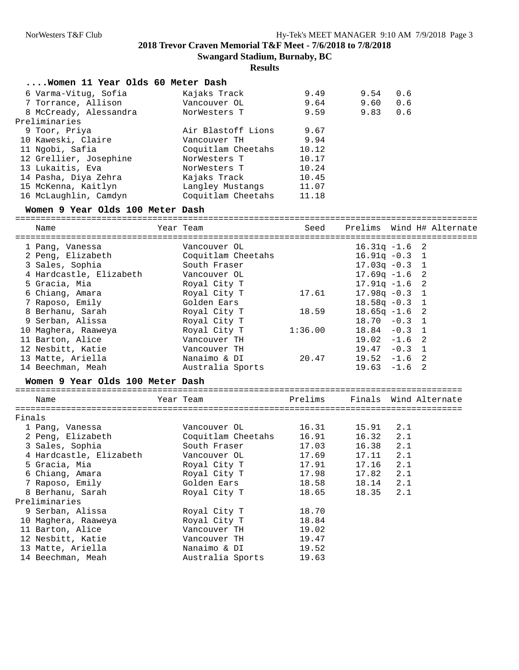**Results**

| Women 11 Year Olds 60 Meter Dash |                    |       |      |     |
|----------------------------------|--------------------|-------|------|-----|
| 6 Varma-Vitug, Sofia             | Kajaks Track       | 9.49  | 9.54 | 0.6 |
| 7 Torrance, Allison              | Vancouver OL       | 9.64  | 9.60 | 0.6 |
| 8 McCready, Alessandra           | NorWesters T       | 9.59  | 9.83 | 0.6 |
| Preliminaries                    |                    |       |      |     |
| 9 Toor, Priya                    | Air Blastoff Lions | 9.67  |      |     |
| 10 Kaweski, Claire               | Vancouver TH       | 9.94  |      |     |
| 11 Ngobi, Safia                  | Coquitlam Cheetahs | 10.12 |      |     |
| 12 Grellier, Josephine           | NorWesters T       | 10.17 |      |     |
| 13 Lukaitis, Eva                 | NorWesters T       | 10.24 |      |     |
| 14 Pasha, Diya Zehra             | Kajaks Track       | 10.45 |      |     |
| 15 McKenna, Kaitlyn              | Langley Mustangs   | 11.07 |      |     |
| 16 McLaughlin, Camdyn            | Coquitlam Cheetahs | 11.18 |      |     |

#### **Women 9 Year Olds 100 Meter Dash**

=========================================================================================== Name Year Team Seed Prelims Wind H# Alternate =========================================================================================== 1 Pang, Vanessa Vancouver OL 16.31q -1.6 2 2 Peng, Elizabeth Coquitlam Cheetahs 16.91q -0.3 1 3 Sales, Sophia South Fraser 17.03q -0.3 1 4 Hardcastle, Elizabeth Vancouver OL 17.69q -1.6 2 5 Gracia, Mia Royal City T 17.91q -1.6 2 6 Chiang, Amara Royal City T 17.61 17.98q -0.3 1 7 Raposo, Emily Golden Ears 18.58q -0.3 1 8 Berhanu, Sarah Royal City T 18.59 18.65q -1.6 2 9 Serban, Alissa Royal City T 18.70 -0.3 1 10 Maghera, Raaweya Royal City T 1:36.00 18.84 -0.3 1 11 Barton, Alice Vancouver TH 19.02 -1.6 2 12 Nesbitt, Katie Vancouver TH 19.47 -0.3 1 13 Matte, Ariella Nanaimo & DI 20.47 19.52 -1.6 2 14 Beechman, Meah Australia Sports 19.63 -1.6 2

#### **Women 9 Year Olds 100 Meter Dash**

| Name                    | Year Team          |       |                 | Prelims Finals Wind Alternate |  |  |
|-------------------------|--------------------|-------|-----------------|-------------------------------|--|--|
| Finals                  |                    |       |                 |                               |  |  |
| 1 Pang, Vanessa         | Vancouver OL       |       | 16.31 15.91 2.1 |                               |  |  |
| 2 Peng, Elizabeth       | Coquitlam Cheetahs | 16.91 | $16.32$ $2.1$   |                               |  |  |
| 3 Sales, Sophia         | South Fraser       | 17.03 | 16.38 2.1       |                               |  |  |
| 4 Hardcastle, Elizabeth | Vancouver OL       | 17.69 | $17.11$ $2.1$   |                               |  |  |
| 5 Gracia, Mia           | Royal City T       | 17.91 | $17.16$ $2.1$   |                               |  |  |
| 6 Chiang, Amara         | Royal City T       | 17.98 | $17.82$ $2.1$   |                               |  |  |
| 7 Raposo, Emily         | Golden Ears        | 18.58 | 18.14 2.1       |                               |  |  |
| 8 Berhanu, Sarah        | Royal City T       | 18.65 | 18.35 2.1       |                               |  |  |
| Preliminaries           |                    |       |                 |                               |  |  |
| 9 Serban, Alissa        | Royal City T       | 18.70 |                 |                               |  |  |
| 10 Maghera, Raaweya     | Royal City T       | 18.84 |                 |                               |  |  |
| 11 Barton, Alice        | Vancouver TH       | 19.02 |                 |                               |  |  |
| 12 Nesbitt, Katie       | Vancouver TH       | 19.47 |                 |                               |  |  |
| 13 Matte, Ariella       | Nanaimo & DI       | 19.52 |                 |                               |  |  |
| 14 Beechman, Meah       | Australia Sports   | 19.63 |                 |                               |  |  |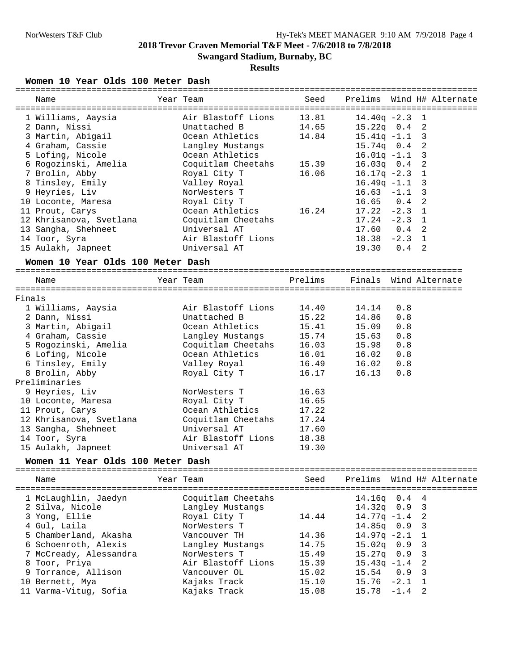**Results**

### **Women 10 Year Olds 100 Meter Dash**

| Name                              | Year Team          | Seed    |                  |               | Prelims Wind H# Alternate |
|-----------------------------------|--------------------|---------|------------------|---------------|---------------------------|
|                                   |                    |         |                  |               |                           |
| 1 Williams, Aaysia                | Air Blastoff Lions | 13.81   | $14.40q - 2.3$ 1 |               |                           |
| 2 Dann, Nissi                     | Unattached B       | 14.65   | $15.22q$ 0.4 2   |               |                           |
| 3 Martin, Abigail                 | Ocean Athletics    | 14.84   | $15.41q - 1.1$   |               | 3                         |
| 4 Graham, Cassie                  | Langley Mustangs   |         | 15.74q  0.4  2   |               |                           |
| 5 Lofing, Nicole                  | Ocean Athletics    |         | $16.01q - 1.1$ 3 |               |                           |
| 6 Rogozinski, Amelia              | Coquitlam Cheetahs | 15.39   | $16.03q$ $0.4$   |               | 2                         |
| 7 Brolin, Abby                    | Royal City T       | 16.06   | $16.17q - 2.3$ 1 |               |                           |
| 8 Tinsley, Emily                  | Valley Royal       |         | $16.49q -1.1$ 3  |               |                           |
| 9 Heyries, Liv                    | NorWesters T       |         | $16.63 - 1.1$    |               | 3                         |
| 10 Loconte, Maresa                | Royal City T       |         | 16.65            | $0.4$ 2       |                           |
| 11 Prout, Carys                   | Ocean Athletics    | 16.24   | $17.22 - 2.3$ 1  |               |                           |
| 12 Khrisanova, Svetlana           | Coquitlam Cheetahs |         | $17.24 - 2.3$ 1  |               |                           |
| 13 Sangha, Shehneet               | Universal AT       |         | 17.60            | $0.4 \quad 2$ |                           |
| 14 Toor, Syra                     | Air Blastoff Lions |         | $18.38 - 2.3$ 1  |               |                           |
| 15 Aulakh, Japneet                | Universal AT       |         | 19.30            | $0.4 \quad 2$ |                           |
| Women 10 Year Olds 100 Meter Dash |                    |         |                  |               |                           |
| Name                              | Year Team          | Prelims |                  |               | Finals Wind Alternate     |
|                                   |                    |         |                  |               |                           |
| Finals                            |                    |         |                  |               |                           |
| 1 Williams, Aaysia                | Air Blastoff Lions | 14.40   | 14.14            | 0.8           |                           |
| 2 Dann, Nissi                     | Unattached B       | 15.22   | 14.86            | 0.8           |                           |
| 3 Martin, Abigail                 | Ocean Athletics    | 15.41   | 15.09            | 0.8           |                           |
| 4 Graham, Cassie                  | Langley Mustangs   | 15.74   | 15.63            | 0.8           |                           |
| 5 Rogozinski, Amelia              | Coquitlam Cheetahs | 16.03   | 15.98            | 0.8           |                           |
| 6 Lofing, Nicole                  | Ocean Athletics    | 16.01   | 16.02            | 0.8           |                           |
| 6 Tinsley, Emily                  | Valley Royal       | 16.49   | 16.02            | 0.8           |                           |
| 8 Brolin, Abby                    | Royal City T       | 16.17   | 16.13            | 0.8           |                           |
| Preliminaries                     |                    |         |                  |               |                           |
| 9 Heyries, Liv                    | NorWesters T       | 16.63   |                  |               |                           |
| 10 Loconte, Maresa                | Royal City T       | 16.65   |                  |               |                           |
| 11 Prout, Carys                   | Ocean Athletics    | 17.22   |                  |               |                           |
| 12 Khrisanova, Svetlana           | Coquitlam Cheetahs | 17.24   |                  |               |                           |
| 13 Sangha, Shehneet               | Universal AT       | 17.60   |                  |               |                           |
| 14 Toor, Syra                     | Air Blastoff Lions | 18.38   |                  |               |                           |
| 15 Aulakh, Japneet                | Universal AT       | 19.30   |                  |               |                           |
|                                   |                    |         |                  |               |                           |
| Women 11 Year Olds 100 Meter Dash |                    |         |                  |               |                           |
| Name                              | Year Team          | Seed    |                  |               | Prelims Wind H# Alternate |
| 1 McLaughlin, Jaedyn              | Coquitlam Cheetahs |         | $14.16q$ 0.4     |               | 4                         |
| 2 Silva, Nicole                   | Langley Mustangs   |         | 14.32q 0.9       |               | 3                         |
| 3 Yong, Ellie                     | Royal City T       | 14.44   | $14.77q - 1.4$   |               | 2                         |
| 4 Gul, Laila                      | NorWesters T       |         | 14.85q 0.9       |               | $\overline{3}$            |
| 5 Chamberland, Akasha             | Vancouver TH       | 14.36   | $14.97q -2.1$ 1  |               |                           |
|                                   |                    |         |                  |               |                           |

 6 Schoenroth, Alexis Langley Mustangs 14.75 15.02q 0.9 3 7 McCready, Alessandra NorWesters T 15.49 15.27q 0.9 3 8 Toor, Priya Air Blastoff Lions 15.39 15.43q -1.4 2 9 Torrance, Allison Vancouver OL 15.02 15.54 0.9 3 10 Bernett, Mya Kajaks Track 15.10 15.76 -2.1 1

11 Varma-Vitug, Sofia Kajaks Track 15.08 15.78 -1.4 2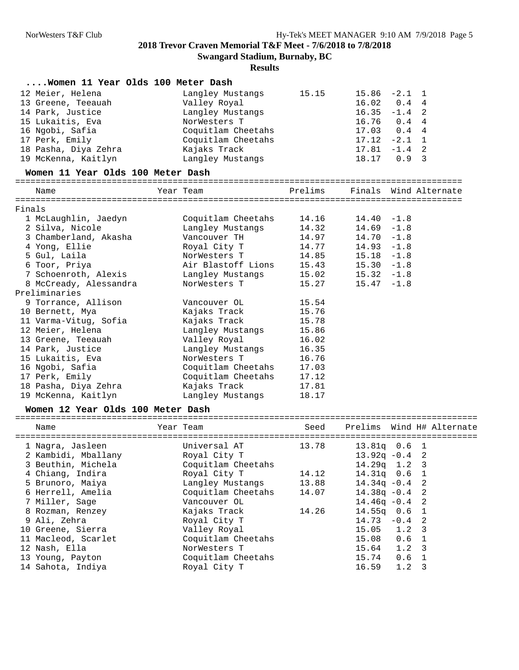**Swangard Stadium, Burnaby, BC**

## **Results**

| Women 11 Year Olds 100 Meter Dash |                                               |         |               |                       |  |
|-----------------------------------|-----------------------------------------------|---------|---------------|-----------------------|--|
| 12 Meier, Helena                  | Langley Mustangs                              | 15.15   | 15.86         | $-2.1$ 1              |  |
| 13 Greene, Teeauah                | Valley Royal                                  |         | 16.02         | $0.4 \quad 4$         |  |
| 14 Park, Justice                  | Langley Mustangs                              |         | 16.35         | $-1.4$ 2              |  |
| 15 Lukaitis, Eva                  | NorWesters T                                  |         | 16.76         | $0.4 \quad 4$         |  |
| 16 Ngobi, Safia                   | Coquitlam Cheetahs                            |         | 17.03         | $0.4 \quad 4$         |  |
| 17 Perk, Emily                    | Coquitlam Cheetahs                            |         | 17.12         | $-2.1$ 1              |  |
| 18 Pasha, Diya Zehra              | Kajaks Track                                  |         | 17.81         | $-1.4$ 2              |  |
| 19 McKenna, Kaitlyn               | Langley Mustangs                              |         |               | 18.17 0.9 3           |  |
| Women 11 Year Olds 100 Meter Dash |                                               |         |               |                       |  |
| Name                              | ================================<br>Year Team | Prelims |               | Finals Wind Alternate |  |
|                                   |                                               |         |               |                       |  |
| Finals                            |                                               |         |               |                       |  |
| 1 McLaughlin, Jaedyn              | Coquitlam Cheetahs                            | 14.16   | $14.40 - 1.8$ |                       |  |
| 2 Silva, Nicole                   | Langley Mustangs                              | 14.32   | $14.69 - 1.8$ |                       |  |
| 3 Chamberland, Akasha             | Vancouver TH                                  | 14.97   | $14.70 - 1.8$ |                       |  |
| 4 Yong, Ellie                     | Royal City T                                  | 14.77   | $14.93 - 1.8$ |                       |  |
| 5 Gul, Laila                      | NorWesters T                                  | 14.85   | $15.18 - 1.8$ |                       |  |
| 6 Toor, Priya                     | Air Blastoff Lions                            | 15.43   | $15.30 - 1.8$ |                       |  |
| 7 Schoenroth, Alexis              | Langley Mustangs                              | 15.02   | $15.32 - 1.8$ |                       |  |
| 8 McCready, Alessandra            | NorWesters T                                  | 15.27   | $15.47 - 1.8$ |                       |  |
| Preliminaries                     |                                               |         |               |                       |  |
| 9 Torrance, Allison               | Vancouver OL                                  | 15.54   |               |                       |  |
| 10 Bernett, Mya                   | Kajaks Track                                  | 15.76   |               |                       |  |
| 11 Varma-Vitug, Sofia             | Kajaks Track                                  | 15.78   |               |                       |  |
| 12 Meier, Helena                  | Langley Mustangs                              | 15.86   |               |                       |  |
| 13 Greene, Teeauah                | Valley Royal                                  | 16.02   |               |                       |  |
| 14 Park, Justice                  | Langley Mustangs                              | 16.35   |               |                       |  |
| 15 Lukaitis, Eva                  | NorWesters T                                  | 16.76   |               |                       |  |
| 16 Ngobi, Safia                   | Coquitlam Cheetahs                            | 17.03   |               |                       |  |
| 17 Perk, Emily                    | Coquitlam Cheetahs                            | 17.12   |               |                       |  |
| 18 Pasha, Diya Zehra              | Kajaks Track                                  | 17.81   |               |                       |  |

## **Women 12 Year Olds 100 Meter Dash**

19 McKenna, Kaitlyn Langley Mustangs 18.17

| Name                | Year Team |                        |       |                  |     | Seed Prelims Wind H# Alternate |
|---------------------|-----------|------------------------|-------|------------------|-----|--------------------------------|
| 1 Nagra, Jasleen    |           | Universal AT           | 13.78 | 13.81a   0.6   1 |     |                                |
| 2 Kambidi, Mballany |           | Royal City T           |       | $13.92q - 0.4$ 2 |     |                                |
| 3 Beuthin, Michela  |           | Coquitlam Cheetahs     |       | $14.29q$ 1.2 3   |     |                                |
| 4 Chiang, Indira    |           | Royal City T           | 14.12 | $14.31q$ 0.6 1   |     |                                |
| 5 Brunoro, Maiya    |           | Langley Mustangs 13.88 |       | $14.34q - 0.4$ 2 |     |                                |
| 6 Herrell, Amelia   |           | Coquitlam Cheetahs     | 14.07 | $14.38q - 0.4$ 2 |     |                                |
| 7 Miller, Sage      |           | Vancouver OL           |       | $14.46q - 0.4$ 2 |     |                                |
| 8 Rozman, Renzey    |           | Kajaks Track           | 14.26 | $14.55q$ 0.6 1   |     |                                |
| 9 Ali, Zehra        |           | Royal City T           |       | $14.73 - 0.4$ 2  |     |                                |
| 10 Greene, Sierra   |           | Valley Royal           |       | $15.05$ $1.2$ 3  |     |                                |
| 11 Macleod, Scarlet |           | Coquitlam Cheetahs     |       | 15.08 0.6 1      |     |                                |
| 12 Nash, Ella       |           | NorWesters T           |       | $15.64$ $1.2$ 3  |     |                                |
| 13 Young, Payton    |           | Coquitlam Cheetahs     |       | 15.74 0.6 1      |     |                                |
| 14 Sahota, Indiya   |           | Royal City T           |       | 16.59            | 1.2 | 3                              |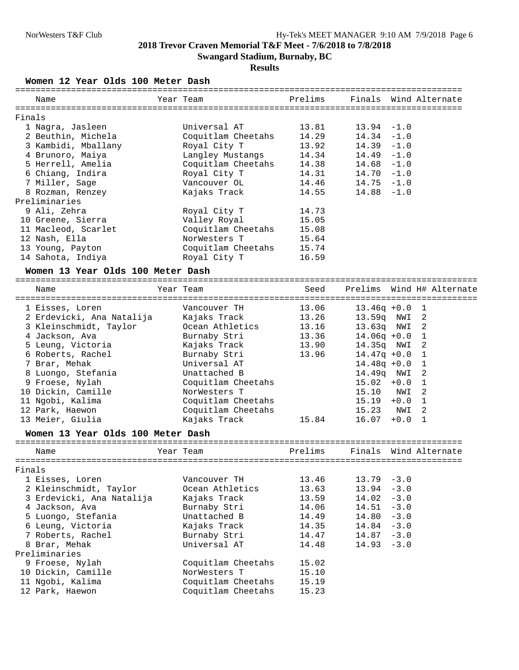## **Results**

**Women 12 Year Olds 100 Meter Dash**

|                                                                                                                                                                                                                                                                                                                           | Universal AT       |           |                                                                    |                                                                                                                                         |  |
|---------------------------------------------------------------------------------------------------------------------------------------------------------------------------------------------------------------------------------------------------------------------------------------------------------------------------|--------------------|-----------|--------------------------------------------------------------------|-----------------------------------------------------------------------------------------------------------------------------------------|--|
|                                                                                                                                                                                                                                                                                                                           | Coquitlam Cheetahs |           | $14.34 - 1.0$                                                      |                                                                                                                                         |  |
|                                                                                                                                                                                                                                                                                                                           | Royal City T       |           | $14.39 - 1.0$                                                      |                                                                                                                                         |  |
|                                                                                                                                                                                                                                                                                                                           |                    |           | $14.49 - 1.0$                                                      |                                                                                                                                         |  |
|                                                                                                                                                                                                                                                                                                                           | Coquitlam Cheetahs |           | $14.68 - 1.0$                                                      |                                                                                                                                         |  |
|                                                                                                                                                                                                                                                                                                                           | Royal City T       |           | $14.70 - 1.0$                                                      |                                                                                                                                         |  |
|                                                                                                                                                                                                                                                                                                                           | Vancouver OL       |           | $14.75 - 1.0$                                                      |                                                                                                                                         |  |
|                                                                                                                                                                                                                                                                                                                           | Kajaks Track       |           |                                                                    |                                                                                                                                         |  |
|                                                                                                                                                                                                                                                                                                                           |                    |           |                                                                    |                                                                                                                                         |  |
|                                                                                                                                                                                                                                                                                                                           | Royal City T       | 14.73     |                                                                    |                                                                                                                                         |  |
|                                                                                                                                                                                                                                                                                                                           | Valley Royal       | 15.05     |                                                                    |                                                                                                                                         |  |
|                                                                                                                                                                                                                                                                                                                           |                    | 15.08     |                                                                    |                                                                                                                                         |  |
|                                                                                                                                                                                                                                                                                                                           | NorWesters T       | 15.64     |                                                                    |                                                                                                                                         |  |
|                                                                                                                                                                                                                                                                                                                           |                    |           |                                                                    |                                                                                                                                         |  |
|                                                                                                                                                                                                                                                                                                                           | Royal City T       | 16.59     |                                                                    |                                                                                                                                         |  |
| Name<br>Finals<br>1 Nagra, Jasleen<br>2 Beuthin, Michela<br>3 Kambidi, Mballany<br>4 Brunoro, Maiya<br>5 Herrell, Amelia<br>6 Chiang, Indira<br>7 Miller, Sage<br>8 Rozman, Renzey<br>Preliminaries<br>9 Ali, Zehra<br>10 Greene, Sierra<br>11 Macleod, Scarlet<br>12 Nash, Ella<br>13 Young, Payton<br>14 Sahota, Indiya |                    | Year Team | Langley Mustangs<br>Coquitlam Cheetahs<br>Coquitlam Cheetahs 15.74 | Prelims Finals Wind Alternate<br>$13.81$ $13.94$ $-1.0$<br>14.29<br>13.92<br>14.34<br>14.38<br>14.31<br>14.46<br>$14.55$ $14.88$ $-1.0$ |  |

## **Women 13 Year Olds 100 Meter Dash**

| Name                      | Year Team          |       |       |                  | Seed Prelims Wind H# Alternate |
|---------------------------|--------------------|-------|-------|------------------|--------------------------------|
| 1 Eisses, Loren           | Vancouver TH       | 13.06 |       | $13.46q +0.0$ 1  |                                |
| 2 Erdevicki, Ana Natalija | Kajaks Track       | 13.26 |       | 13.59g NWI 2     |                                |
| 3 Kleinschmidt, Taylor    | Ocean Athletics    | 13.16 |       | 13.63g NWI 2     |                                |
| 4 Jackson, Ava            | Burnaby Stri       | 13.36 |       | $14.06q +0.0$ 1  |                                |
| 5 Leung, Victoria         | Kajaks Track       | 13.90 |       | 14.35q NWI 2     |                                |
| 6 Roberts, Rachel         | Burnaby Stri       | 13.96 |       | $14.47q + 0.0$ 1 |                                |
| 7 Brar, Mehak             | Universal AT       |       |       | $14.48q + 0.0$ 1 |                                |
| 8 Luongo, Stefania        | Unattached B       |       |       | 14.49g NWI 2     |                                |
| 9 Froese, Nylah           | Coquitlam Cheetahs |       |       | $15.02 + 0.0 1$  |                                |
| 10 Dickin, Camille        | NorWesters T       |       |       | 15.10 NWI 2      |                                |
| 11 Ngobi, Kalima          | Coquitlam Cheetahs |       | 15.19 | $+0.0$           |                                |
| 12 Park, Haewon           | Coquitlam Cheetahs |       |       | 15.23 NWI 2      |                                |
| 13 Meier, Giulia          | Kajaks Track       | 15.84 | 16.07 | $+0.0$           |                                |

## **Women 13 Year Olds 100 Meter Dash**

|        | Name                      | Year Team |                    |                        |               | Prelims Finals Wind Alternate |  |
|--------|---------------------------|-----------|--------------------|------------------------|---------------|-------------------------------|--|
|        |                           |           |                    |                        |               |                               |  |
| Finals |                           |           |                    |                        |               |                               |  |
|        | 1 Eisses, Loren           |           | Vancouver TH       | $13.46$ $13.79$ $-3.0$ |               |                               |  |
|        | 2 Kleinschmidt, Taylor    |           | Ocean Athletics    | 13.63                  | $13.94 - 3.0$ |                               |  |
|        | 3 Erdevicki, Ana Natalija |           | Kajaks Track       | 13.59                  | $14.02 - 3.0$ |                               |  |
|        | 4 Jackson, Ava            |           | Burnaby Stri       | 14.06                  | $14.51 - 3.0$ |                               |  |
|        | 5 Luongo, Stefania        |           | Unattached B       | 14.49                  | $14.80 - 3.0$ |                               |  |
|        | 6 Leung, Victoria         |           | Kajaks Track       | 14.35                  | $14.84 - 3.0$ |                               |  |
|        | 7 Roberts, Rachel         |           | Burnaby Stri       | 14.47                  | $14.87 - 3.0$ |                               |  |
|        | 8 Brar, Mehak             |           | Universal AT       | 14.48                  | $14.93 - 3.0$ |                               |  |
|        | Preliminaries             |           |                    |                        |               |                               |  |
|        | 9 Froese, Nylah           |           | Coquitlam Cheetahs | 15.02                  |               |                               |  |
|        | 10 Dickin, Camille        |           | NorWesters T       | 15.10                  |               |                               |  |
|        | 11 Ngobi, Kalima          |           | Coquitlam Cheetahs | 15.19                  |               |                               |  |
|        | 12 Park, Haewon           |           | Coquitlam Cheetahs | 15.23                  |               |                               |  |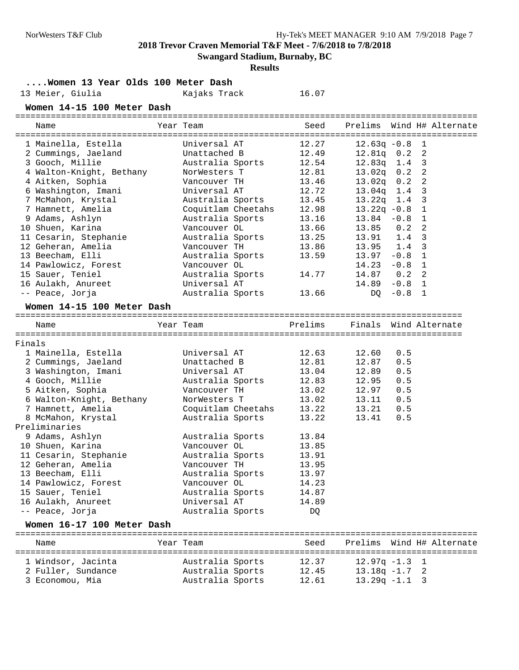**Swangard Stadium, Burnaby, BC**

**Results**

**....Women 13 Year Olds 100 Meter Dash**

16.07

**Women 14-15 100 Meter Dash**

|        | Name                       | Year Team          | Seed    |                  |               | Prelims Wind H# Alternate |
|--------|----------------------------|--------------------|---------|------------------|---------------|---------------------------|
|        |                            |                    |         |                  |               |                           |
|        | 1 Mainella, Estella        | Universal AT       | 12.27   | $12.63q - 0.8$ 1 |               |                           |
|        | 2 Cummings, Jaeland        | Unattached B       | 12.49   | $12.81q$ 0.2 2   |               |                           |
|        | 3 Gooch, Millie            | Australia Sports   | 12.54   | $12.83q$ 1.4 3   |               |                           |
|        | 4 Walton-Knight, Bethany   | NorWesters T       | 12.81   | $13.02q$ $0.2$   |               | 2                         |
|        | 4 Aitken, Sophia           | Vancouver TH       | 13.46   | $13.02q$ 0.2     |               | 2                         |
|        | 6 Washington, Imani        | Universal AT       | 12.72   | 13.04q 1.4       |               | $\overline{3}$            |
|        | 7 McMahon, Krystal         | Australia Sports   | 13.45   | $13.22q$ 1.4     |               | $\overline{3}$            |
|        | 7 Hamnett, Amelia          | Coquitlam Cheetahs | 12.98   | $13.22q - 0.8$ 1 |               |                           |
|        | 9 Adams, Ashlyn            | Australia Sports   | 13.16   | $13.84 - 0.8$ 1  |               |                           |
|        | 10 Shuen, Karina           | Vancouver OL       | 13.66   | 13.85            | 0.2           | 2                         |
|        | 11 Cesarin, Stephanie      | Australia Sports   | 13.25   | 13.91            | $1.4-3$       |                           |
|        | 12 Geheran, Amelia         | Vancouver TH       | 13.86   | 13.95 1.4 3      |               |                           |
|        | 13 Beecham, Elli           | Australia Sports   | 13.59   | $13.97 - 0.8$ 1  |               |                           |
|        | 14 Pawlowicz, Forest       | Vancouver OL       |         | $14.23 - 0.8$ 1  |               |                           |
|        | 15 Sauer, Teniel           | Australia Sports   | 14.77   | 14.87            | $0.2 \quad 2$ |                           |
|        | 16 Aulakh, Anureet         | Universal AT       |         | 14.89            | $-0.8$ 1      |                           |
|        | -- Peace, Jorja            | Australia Sports   | 13.66   | DQ               | $-0.8$ 1      |                           |
|        | Women 14-15 100 Meter Dash |                    |         |                  |               |                           |
|        |                            |                    |         |                  |               |                           |
|        | Name                       | Year Team          | Prelims |                  |               | Finals Wind Alternate     |
|        |                            |                    |         |                  |               |                           |
| Finals |                            | Universal AT       | 12.63   |                  |               |                           |
|        | 1 Mainella, Estella        | Unattached B       | 12.81   | 12.60            | 0.5           |                           |
|        | 2 Cummings, Jaeland        |                    |         | 12.87            | 0.5           |                           |
|        | 3 Washington, Imani        | Universal AT       | 13.04   | 12.89            | 0.5           |                           |
|        | 4 Gooch, Millie            | Australia Sports   | 12.83   | 12.95            | 0.5           |                           |
|        | 5 Aitken, Sophia           | Vancouver TH       | 13.02   | 12.97            | 0.5           |                           |
|        | 6 Walton-Knight, Bethany   | NorWesters T       | 13.02   | 13.11            | 0.5           |                           |
|        | 7 Hamnett, Amelia          | Coquitlam Cheetahs | 13.22   | 13.21            | 0.5           |                           |
|        | 8 McMahon, Krystal         | Australia Sports   | 13.22   | 13.41            | 0.5           |                           |
|        | Preliminaries              |                    |         |                  |               |                           |
|        | 9 Adams, Ashlyn            | Australia Sports   | 13.84   |                  |               |                           |
|        | 10 Shuen, Karina           | Vancouver OL       | 13.85   |                  |               |                           |
|        | 11 Cesarin, Stephanie      | Australia Sports   | 13.91   |                  |               |                           |
|        | 12 Geheran, Amelia         | Vancouver TH       | 13.95   |                  |               |                           |
|        | 13 Beecham, Elli           | Australia Sports   | 13.97   |                  |               |                           |
|        | 14 Pawlowicz, Forest       | Vancouver OL       | 14.23   |                  |               |                           |
|        | 15 Sauer, Teniel           | Australia Sports   | 14.87   |                  |               |                           |
|        | 16 Aulakh, Anureet         | Universal AT       | 14.89   |                  |               |                           |
|        | -- Peace, Jorja            | Australia Sports   | DQ      |                  |               |                           |
|        | Women 16-17 100 Meter Dash |                    |         |                  |               |                           |
|        | Name                       | Year Team          | Seed    |                  |               | Prelims Wind H# Alternate |
|        |                            |                    |         |                  |               |                           |
|        | 1 Windsor, Jacinta         | Australia Sports   | 12.37   | $12.97q - 1.3$ 1 |               |                           |
|        | 2 Fuller, Sundance         | Australia Sports   | 12.45   | $13.18q - 1.7$ 2 |               |                           |

3 Economou, Mia Australia Sports 12.61 13.29q -1.1 3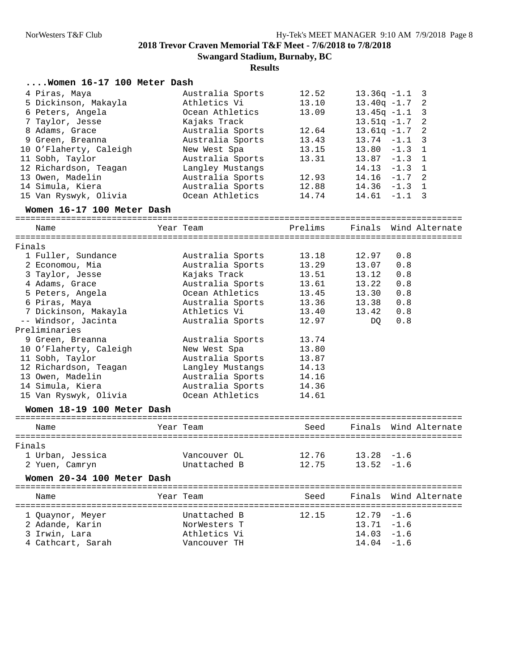| Women 16-17 100 Meter Dash |                  |         |               |                                 |
|----------------------------|------------------|---------|---------------|---------------------------------|
| 4 Piras, Maya              | Australia Sports | 12.52   |               | $13.36q -1.1$ 3                 |
| 5 Dickinson, Makayla       | Athletics Vi     | 13.10   |               | $13.40q - 1.7$ 2                |
| 6 Peters, Angela           | Ocean Athletics  | 13.09   |               | $13.45q -1.1$ 3                 |
| 7 Taylor, Jesse            | Kajaks Track     |         |               | $13.51q - 1.7$ 2                |
| 8 Adams, Grace             | Australia Sports | 12.64   |               | $13.61q -1.7$<br>$\overline{2}$ |
| 9 Green, Breanna           | Australia Sports | 13.43   | $13.74 - 1.1$ | 3                               |
| 10 O'Flaherty, Caleigh     | New West Spa     | 13.15   |               | $13.80 - 1.3 1$                 |
| 11 Sobh, Taylor            | Australia Sports | 13.31   |               | $13.87 - 1.3$ 1                 |
| 12 Richardson, Teagan      | Langley Mustangs |         |               | $14.13 - 1.3$ 1                 |
| 13 Owen, Madelin           | Australia Sports | 12.93   |               | $14.16 - 1.7$ 2                 |
| 14 Simula, Kiera           | Australia Sports | 12.88   |               | $14.36 - 1.3$ 1                 |
| 15 Van Ryswyk, Olivia      | Ocean Athletics  | 14.74   |               | $14.61 - 1.1$ 3                 |
|                            |                  |         |               |                                 |
| Women 16-17 100 Meter Dash |                  |         |               |                                 |
| Name                       | Year Team        | Prelims |               | Finals Wind Alternate           |
| Finals                     |                  |         |               |                                 |
| 1 Fuller, Sundance         | Australia Sports | 13.18   | 12.97         | 0.8                             |
| 2 Economou, Mia            | Australia Sports | 13.29   | 13.07         | 0.8                             |
| 3 Taylor, Jesse            | Kajaks Track     | 13.51   | 13.12         | 0.8                             |
|                            | Australia Sports |         |               |                                 |
| 4 Adams, Grace             |                  | 13.61   | 13.22         | 0.8                             |
| 5 Peters, Angela           | Ocean Athletics  | 13.45   | 13.30         | 0.8                             |
| 6 Piras, Maya              | Australia Sports | 13.36   | 13.38         | 0.8                             |
| 7 Dickinson, Makayla       | Athletics Vi     | 13.40   | 13.42         | 0.8                             |
| -- Windsor, Jacinta        | Australia Sports | 12.97   | DQ            | 0.8                             |
| Preliminaries              |                  |         |               |                                 |
| 9 Green, Breanna           | Australia Sports | 13.74   |               |                                 |
| 10 O'Flaherty, Caleigh     | New West Spa     | 13.80   |               |                                 |
| 11 Sobh, Taylor            | Australia Sports | 13.87   |               |                                 |
| 12 Richardson, Teagan      | Langley Mustangs | 14.13   |               |                                 |
| 13 Owen, Madelin           | Australia Sports | 14.16   |               |                                 |
| 14 Simula, Kiera           | Australia Sports | 14.36   |               |                                 |
| 15 Van Ryswyk, Olivia      | Ocean Athletics  | 14.61   |               |                                 |
| Women 18-19 100 Meter Dash |                  |         |               |                                 |
| Name                       | Year Team        | Seed    |               | Finals Wind Alternate           |
| Finals                     |                  |         |               |                                 |
| 1 Urban, Jessica           | Vancouver OL     | 12.76   | $13.28 - 1.6$ |                                 |
|                            |                  | 12.75   | $13.52 - 1.6$ |                                 |
| 2 Yuen, Camryn             | Unattached B     |         |               |                                 |
| Women 20-34 100 Meter Dash |                  |         |               |                                 |
| Name                       | Year Team        | Seed    |               | Finals Wind Alternate           |
|                            |                  | ------- |               | ===================             |
| 1 Quaynor, Meyer           | Unattached B     | 12.15   | 12.79         | $-1.6$                          |
| 2 Adande, Karin            | NorWesters T     |         | $13.71 - 1.6$ |                                 |
| 3 Irwin, Lara              | Athletics Vi     |         | 14.03         | $-1.6$                          |
| 4 Cathcart, Sarah          | Vancouver TH     |         | $14.04 - 1.6$ |                                 |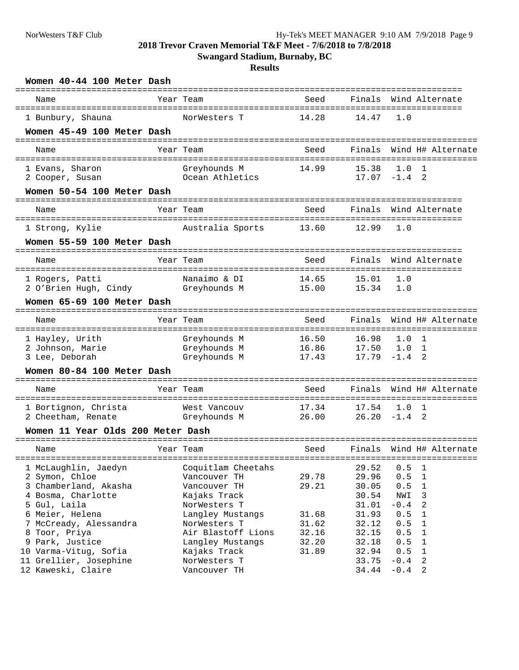**Swangard Stadium, Burnaby, BC**

| Women 40-44 100 Meter Dash                              |                                  |                                        |                          |            |                              |
|---------------------------------------------------------|----------------------------------|----------------------------------------|--------------------------|------------|------------------------------|
| Name                                                    | Year Team                        | Seed<br>--------------------------     |                          |            | Finals Wind Alternate        |
| 1 Bunbury, Shauna                                       | NorWesters T                     | 14.28                                  | 14.47                    | 1.0        |                              |
| Women 45-49 100 Meter Dash                              |                                  |                                        |                          |            |                              |
| Name                                                    | Year Team                        | Seed                                   |                          |            | Finals Wind H# Alternate     |
| 1 Evans, Sharon<br>2 Cooper, Susan                      | Greyhounds M<br>Ocean Athletics  | 14.99                                  | 15.38<br>$17.07 - 1.4$ 2 | 1.0        | 1                            |
| Women 50-54 100 Meter Dash                              |                                  |                                        |                          |            |                              |
| Name                                                    | Year Team                        | ------------------------------<br>Seed |                          |            | Finals Wind Alternate        |
| 1 Strong, Kylie                                         | Australia Sports                 | 13.60                                  | 12.99                    | 1.0        |                              |
| Women 55-59 100 Meter Dash                              |                                  |                                        |                          |            |                              |
| Name                                                    | Year Team                        | Seed                                   | Finals                   |            | Wind Alternate               |
| 1 Rogers, Patti                                         | Nanaimo & DI                     | 14.65                                  | 15.01                    | 1.0        |                              |
| 2 O'Brien Hugh, Cindy                                   | Greyhounds M                     | 15.00                                  | 15.34                    | 1.0        |                              |
| Women 65-69 100 Meter Dash                              |                                  |                                        |                          |            |                              |
| Name                                                    | Year Team                        | Seed                                   | Finals                   |            | Wind H# Alternate            |
| 1 Hayley, Urith                                         | Greyhounds M                     | 16.50                                  | 16.98                    | 1.0        | 1                            |
| 2 Johnson, Marie<br>3 Lee, Deborah                      | Greyhounds M<br>Greyhounds M     | 16.86<br>17.43                         | 17.50<br>$17.79 - 1.4$   | 1.0        | $\mathbf{1}$<br>2            |
| Women 80-84 100 Meter Dash                              |                                  |                                        |                          |            |                              |
|                                                         |                                  |                                        |                          |            |                              |
| Name                                                    | Year Team                        | Seed                                   | Finals                   |            | Wind H# Alternate            |
| 1 Bortignon, Christa                                    | West Vancouv                     | 17.34                                  | 17.54                    | 1.0        | 1                            |
| 2 Cheetham, Renate<br>Women 11 Year Olds 200 Meter Dash | Greyhounds M                     | 26.00                                  | $26.20 -1.4$ 2           |            |                              |
|                                                         |                                  |                                        |                          |            |                              |
| Name                                                    | Year Team                        | Seed                                   |                          |            | Finals Wind H# Alternate     |
| 1 McLaughlin, Jaedyn                                    | Coquitlam Cheetahs               |                                        | 29.52                    | 0.5        | 1                            |
| 2 Symon, Chloe                                          | Vancouver TH                     | 29.78                                  | 29.96                    | 0.5        | $\mathbf{1}$                 |
| 3 Chamberland, Akasha                                   | Vancouver TH                     | 29.21                                  | 30.05                    | 0.5        | $\mathbf 1$                  |
| 4 Bosma, Charlotte                                      | Kajaks Track                     |                                        | 30.54                    | NWI        | 3                            |
| 5 Gul, Laila                                            | NorWesters T                     |                                        | 31.01                    | $-0.4$     | 2                            |
| 6 Meier, Helena<br>7 McCready, Alessandra               | Langley Mustangs<br>NorWesters T | 31.68                                  | 31.93                    | 0.5        | $\mathbf{1}$<br>$\mathbf{1}$ |
| 8 Toor, Priya                                           | Air Blastoff Lions               | 31.62<br>32.16                         | 32.12<br>32.15           | 0.5<br>0.5 | $\mathbf{1}$                 |
| 9 Park, Justice                                         | Langley Mustangs                 | 32.20                                  | 32.18                    | 0.5        | $\mathbf 1$                  |
| 10 Varma-Vitug, Sofia                                   | Kajaks Track                     | 31.89                                  | 32.94                    | 0.5        | 1                            |
| 11 Grellier, Josephine                                  | NorWesters T                     |                                        | 33.75                    | $-0.4$     | 2                            |
| 12 Kaweski, Claire                                      | Vancouver TH                     |                                        | 34.44                    | $-0.4$     | 2                            |
|                                                         |                                  |                                        |                          |            |                              |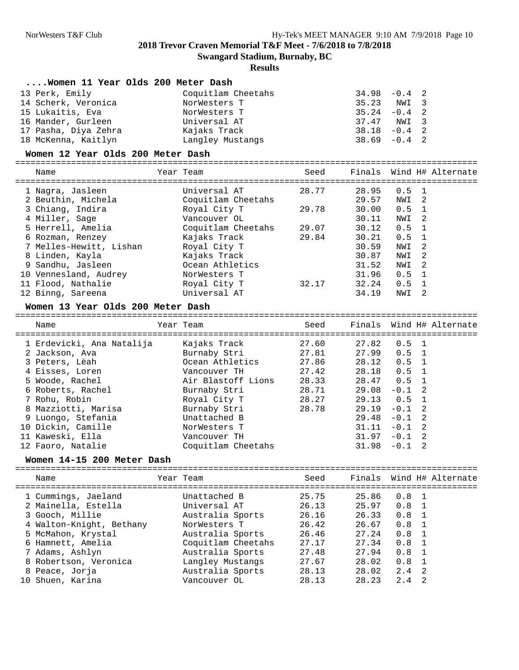**Swangard Stadium, Burnaby, BC**

### **Results**

| Women 11 Year Olds 200 Meter Dash |                    |      |                 |                 |                          |
|-----------------------------------|--------------------|------|-----------------|-----------------|--------------------------|
| 13 Perk, Emily                    | Coquitlam Cheetahs |      |                 | $34.98 - 0.4$ 2 |                          |
| 14 Scherk, Veronica               | NorWesters T       |      | 35.23 NWI 3     |                 |                          |
| 15 Lukaitis, Eva                  | NorWesters T       |      | 35.24           | $-0.4$ 2        |                          |
| 16 Mander, Gurleen                | Universal AT       |      |                 | 37.47 NWI 3     |                          |
| 17 Pasha, Diya Zehra              | Kajaks Track       |      |                 | $38.18 - 0.4$ 2 |                          |
| 18 McKenna, Kaitlyn               | Langley Mustangs   |      | $38.69 - 0.4$ 2 |                 |                          |
| Women 12 Year Olds 200 Meter Dash |                    |      |                 |                 |                          |
| Name                              | Year Team          | Seed |                 |                 | Finals Wind H# Alternate |

| 1 Nagra, Jasleen        | Universal AT       | 28.77 | 28.95         | $0.5$ 1       |    |
|-------------------------|--------------------|-------|---------------|---------------|----|
| 2 Beuthin, Michela      | Coquitlam Cheetahs |       | 29.57         | NWI 2         |    |
| 3 Chiang, Indira        | Royal City T       | 29.78 | 30.00         | $0.5 \quad 1$ |    |
| 4 Miller, Sage          | Vancouver OL       |       | 30.11         | NWI 2         |    |
| 5 Herrell, Amelia       | Coquitlam Cheetahs | 29.07 | 30.12         | $0.5 \quad 1$ |    |
| 6 Rozman, Renzey        | Kajaks Track       | 29.84 | $30.21$ 0.5 1 |               |    |
| 7 Melles-Hewitt, Lishan | Royal City T       |       | 30.59         | NWI 2         |    |
| 8 Linden, Kayla         | Kajaks Track       |       | 30.87         | NWI 2         |    |
| 9 Sandhu, Jasleen       | Ocean Athletics    |       | 31.52         | NWI 2         |    |
| 10 Vennesland, Audrey   | NorWesters T       |       | 31.96         | $0.5 \quad 1$ |    |
| 11 Flood, Nathalie      | Royal City T       | 32.17 | 32.24         | $0.5 \quad 1$ |    |
| 12 Binng, Sareena       | Universal AT       |       | 34.19         | NWI           | -2 |

#### **Women 13 Year Olds 200 Meter Dash**

=========================================================================================== Year Team Seed Finals Wind H# Alternate =========================================================================================== 1 Erdevicki, Ana Natalija Kajaks Track 27.60 27.82 0.5 1 2 Jackson, Ava Burnaby Stri 27.81 27.99 0.5 1 3 Peters, Lèah Ocean Athletics 27.86 28.12 0.5 1

| 4 Eisses, Loren     | Vancouver TH       | 27.42 | 28.18 0.5 1     |  |
|---------------------|--------------------|-------|-----------------|--|
| 5 Woode, Rachel     | Air Blastoff Lions | 28.33 | 28.47 0.5 1     |  |
| 6 Roberts, Rachel   | Burnaby Stri       | 28.71 | $29.08 - 0.1$ 2 |  |
| 7 Rohu, Robin       | Royal City T       | 28.27 | $29.13$ 0.5 1   |  |
| 8 Mazziotti, Marisa | Burnaby Stri       | 28.78 | $29.19 - 0.1$ 2 |  |
| 9 Luongo, Stefania  | Unattached B       |       | $29.48 - 0.1$ 2 |  |
| 10 Dickin, Camille  | NorWesters T       |       | $31.11 - 0.1$ 2 |  |
| 11 Kaweski, Ella    | Vancouver TH       |       | $31.97 - 0.1$ 2 |  |
| 12 Faoro, Natalie   | Coquitlam Cheetahs |       | $31.98 - 0.1$ 2 |  |

#### **Women 14-15 200 Meter Dash**

| Name                     | Year Team          | Seed  |       | Finals Wind H# Alternate |  |
|--------------------------|--------------------|-------|-------|--------------------------|--|
| 1 Cummings, Jaeland      | Unattached B       | 25.75 | 25.86 | $0.8 \quad 1$            |  |
| 2 Mainella, Estella      | Universal AT       | 26.13 | 25.97 | $0.8 \quad 1$            |  |
| 3 Gooch, Millie          | Australia Sports   | 26.16 | 26.33 | $0.8 \quad 1$            |  |
| 4 Walton-Knight, Bethany | NorWesters T       | 26.42 | 26.67 | 0.8                      |  |
| 5 McMahon, Krystal       | Australia Sports   | 26.46 | 27.24 | 0.8                      |  |
| 6 Hamnett, Amelia        | Coquitlam Cheetahs | 27.17 | 27.34 | 0.8                      |  |
| 7 Adams, Ashlyn          | Australia Sports   | 27.48 | 27.94 | 0.8                      |  |
| 8 Robertson, Veronica    | Langley Mustangs   | 27.67 | 28.02 | $0.8 \quad 1$            |  |
| 8 Peace, Jorja           | Australia Sports   | 28.13 | 28.02 | $2.4$ 2                  |  |
| 10 Shuen, Karina         | Vancouver OL       | 28.13 | 28.23 | 2.4<br>- 2               |  |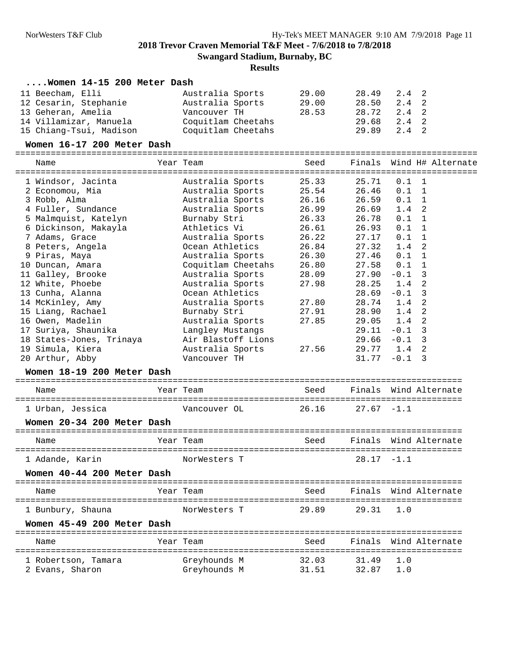## **Results**

## **....Women 14-15 200 Meter Dash**

| 11 Beecham, Elli        | Australia Sports   | 29.00 | 28.49 2.4 2 |       |  |
|-------------------------|--------------------|-------|-------------|-------|--|
| 12 Cesarin, Stephanie   | Australia Sports   | 29.00 | 28.50 2.4 2 |       |  |
| 13 Geheran, Amelia      | Vancouver TH       | 28.53 | 28.72 2.4 2 |       |  |
| 14 Villamizar, Manuela  | Coquitlam Cheetahs |       | 29.68 2.4 2 |       |  |
| 15 Chiang-Tsui, Madison | Coquitlam Cheetahs |       | 29.89       | 2.4 2 |  |

#### **Women 16-17 200 Meter Dash**

===========================================================================================

| Name                       | Year Team          | Seed  | Finals        | Wind H# Alternate       |
|----------------------------|--------------------|-------|---------------|-------------------------|
| 1 Windsor, Jacinta         | Australia Sports   | 25.33 | 25.71         | 0.1<br>-1               |
| 2 Economou, Mia            | Australia Sports   | 25.54 | 26.46         | 0.1<br>$\mathbf{1}$     |
| 3 Robb, Alma               | Australia Sports   | 26.16 | 26.59         | 0.1<br>1                |
| 4 Fuller, Sundance         | Australia Sports   | 26.99 | 26.69         | 2<br>1.4                |
| 5 Malmquist, Katelyn       | Burnaby Stri       | 26.33 | 26.78         | $0.1 \quad 1$           |
| 6 Dickinson, Makayla       | Athletics Vi       | 26.61 | 26.93         | 0.1<br>$\mathbf{1}$     |
| 7 Adams, Grace             | Australia Sports   | 26.22 | 27.17         | $0.1\,$<br>$\mathbf{1}$ |
| 8 Peters, Angela           | Ocean Athletics    | 26.84 | 27.32         | 1.4<br>$\mathfrak{D}$   |
| 9 Piras, Maya              | Australia Sports   | 26.30 | 27.46         | $\mathbf{1}$<br>0.1     |
| 10 Duncan, Amara           | Coquitlam Cheetahs | 26.80 | 27.58         | 0.1<br>1                |
| 11 Galley, Brooke          | Australia Sports   | 28.09 | 27.90         | 3<br>$-0.1$             |
| 12 White, Phoebe           | Australia Sports   | 27.98 | 28.25         | 2<br>1.4                |
| 13 Cunha, Alanna           | Ocean Athletics    |       | 28.69         | 3<br>$-0.1$             |
| 14 McKinley, Amy           | Australia Sports   | 27.80 | 28.74         | 2<br>1.4                |
| 15 Liang, Rachael          | Burnaby Stri       | 27.91 | 28.90         | $\overline{2}$<br>1.4   |
| 16 Owen, Madelin           | Australia Sports   | 27.85 | 29.05         | 2<br>1.4                |
| 17 Suriya, Shaunika        | Langley Mustangs   |       | 29.11         | $-0.1$<br>3             |
| 18 States-Jones, Trinaya   | Air Blastoff Lions |       | 29.66         | 3<br>$-0.1$             |
| 19 Simula, Kiera           | Australia Sports   | 27.56 | 29.77         | 2<br>1.4                |
| 20 Arthur, Abby            | Vancouver TH       |       | 31.77         | $-0.1$<br>3             |
| Women 18-19 200 Meter Dash |                    |       |               |                         |
| Name                       | Year Team          | Seed  |               | Finals Wind Alternate   |
| 1 Urban, Jessica           | Vancouver OL       | 26.16 | $27.67 - 1.1$ |                         |
| Women 20-34 200 Meter Dash |                    |       |               |                         |
| Name                       | Year Team          | Seed  | Finals        | Wind Alternate          |
| 1 Adande, Karin            | NorWesters T       |       | $28.17 - 1.1$ |                         |
| Women 40-44 200 Meter Dash |                    |       |               |                         |
|                            |                    |       |               |                         |
| Name                       | Year Team          | Seed  |               | Finals Wind Alternate   |
| 1 Bunbury, Shauna          | NorWesters T       | 29.89 | 29.31         | 1.0                     |
| Women 45-49 200 Meter Dash |                    |       |               |                         |
| Name                       | Year Team          | Seed  | Finals        | Wind Alternate          |
| 1 Robertson, Tamara        | Greyhounds M       | 32.03 | 31.49         | 1.0                     |

2 Evans, Sharon Greyhounds M 31.51 32.87 1.0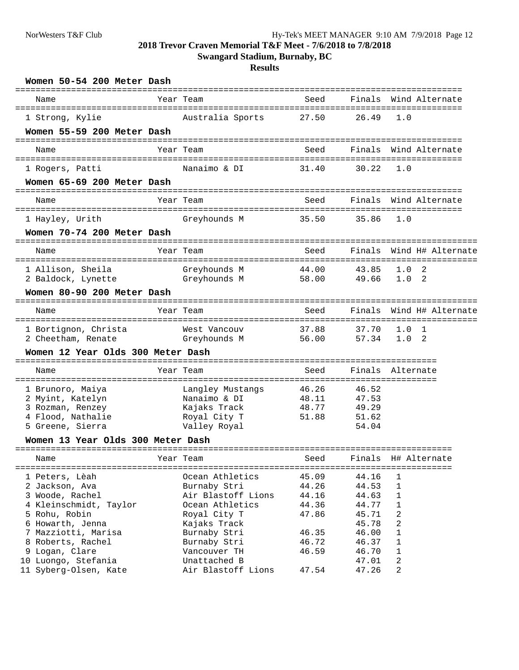**Swangard Stadium, Burnaby, BC**

| Women 50-54 200 Meter Dash                    |              |                    |                          |        |              |                                             |
|-----------------------------------------------|--------------|--------------------|--------------------------|--------|--------------|---------------------------------------------|
| Name<br>===================================== |              | Year Team          | Seed                     |        |              | Finals Wind Alternate                       |
| 1 Strong, Kylie                               |              | Australia Sports   | 27.50                    | 26.49  | 1.0          |                                             |
| Women 55-59 200 Meter Dash                    |              |                    |                          |        |              |                                             |
| Name                                          |              | Year Team          | ----------------<br>Seed |        |              | Finals Wind Alternate                       |
|                                               |              |                    |                          |        |              |                                             |
| 1 Rogers, Patti<br>Women 65-69 200 Meter Dash |              | Nanaimo & DI       | 31.40                    | 30.22  | 1.0          |                                             |
|                                               |              |                    |                          |        |              |                                             |
| Name                                          |              | Year Team          | Seed                     |        |              | Finals Wind Alternate<br>================== |
| 1 Hayley, Urith                               |              | Greyhounds M       | 35.50                    | 35.86  | 1.0          |                                             |
| Women 70-74 200 Meter Dash                    |              |                    |                          |        |              |                                             |
| Name                                          |              | Year Team          | --------------<br>Seed   |        |              | Finals Wind H# Alternate                    |
| 1 Allison, Sheila                             |              | Greyhounds M       | 44.00                    | 43.85  | 1.0          | 2                                           |
| 2 Baldock, Lynette                            |              | Greyhounds M       | 58.00                    | 49.66  | 1.0          | 2                                           |
| Women 80-90 200 Meter Dash                    |              |                    |                          |        |              |                                             |
| Name                                          |              | Year Team          | Seed                     | Finals |              | Wind H# Alternate                           |
| 1 Bortignon, Christa                          |              | West Vancouv       | 37.88                    | 37.70  | 1.0          | 1                                           |
| 2 Cheetham, Renate                            |              | Greyhounds M       | 56.00                    | 57.34  | 1.0          | -2                                          |
| Women 12 Year Olds 300 Meter Dash             | ============ |                    |                          |        |              |                                             |
| Name                                          |              | Year Team          | Seed                     | Finals | Alternate    |                                             |
| 1 Brunoro, Maiya                              |              | Langley Mustangs   | 46.26                    | 46.52  |              |                                             |
| 2 Myint, Katelyn                              |              | Nanaimo & DI       | 48.11                    | 47.53  |              |                                             |
| 3 Rozman, Renzey                              |              | Kajaks Track       | 48.77                    | 49.29  |              |                                             |
| 4 Flood, Nathalie                             |              | Royal City T       | 51.88                    | 51.62  |              |                                             |
| 5 Greene, Sierra                              |              | Valley Royal       |                          | 54.04  |              |                                             |
| Women 13 Year Olds 300 Meter Dash             |              |                    |                          |        |              |                                             |
| Name                                          |              | Year Team          | Seed                     | Finals |              | H# Alternate                                |
| 1 Peters, Lèah                                |              | Ocean Athletics    | 45.09                    | 44.16  | 1            |                                             |
| 2 Jackson, Ava                                |              | Burnaby Stri       | 44.26                    | 44.53  | $\mathbf{1}$ |                                             |
| 3 Woode, Rachel                               |              | Air Blastoff Lions | 44.16                    | 44.63  | $\mathbf 1$  |                                             |
| 4 Kleinschmidt, Taylor                        |              | Ocean Athletics    | 44.36                    | 44.77  | $\mathbf 1$  |                                             |
| 5 Rohu, Robin                                 |              | Royal City T       | 47.86                    | 45.71  | 2            |                                             |
| 6 Howarth, Jenna                              |              | Kajaks Track       |                          | 45.78  | 2            |                                             |
| 7 Mazziotti, Marisa                           |              | Burnaby Stri       | 46.35                    | 46.00  | $\mathbf{1}$ |                                             |
| 8 Roberts, Rachel                             |              | Burnaby Stri       | 46.72                    | 46.37  | $\mathbf 1$  |                                             |
| 9 Logan, Clare                                |              | Vancouver TH       | 46.59                    | 46.70  | 1            |                                             |
| 10 Luongo, Stefania                           |              | Unattached B       |                          | 47.01  | 2            |                                             |
| 11 Syberg-Olsen, Kate                         |              | Air Blastoff Lions | 47.54                    | 47.26  | 2            |                                             |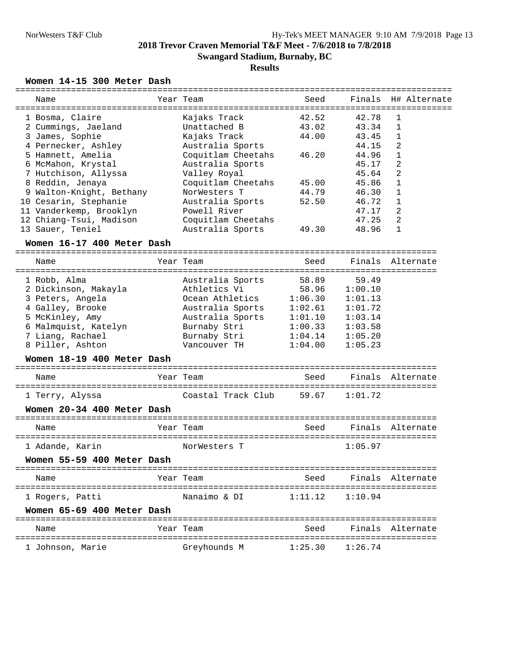### **Results**

### **Women 14-15 300 Meter Dash**

| Name                       | Year Team          | Seed    |         | Finals H# Alternate |
|----------------------------|--------------------|---------|---------|---------------------|
| 1 Bosma, Claire            | Kajaks Track       | 42.52   | 42.78   | $\mathbf{1}$        |
| 2 Cummings, Jaeland        | Unattached B       | 43.02   | 43.34   | $\mathbf{1}$        |
| 3 James, Sophie            | Kajaks Track       | 44.00   | 43.45   | 1                   |
| 4 Pernecker, Ashley        | Australia Sports   |         | 44.15   | 2                   |
| 5 Hamnett, Amelia          | Coquitlam Cheetahs | 46.20   | 44.96   | 1                   |
| 6 McMahon, Krystal         | Australia Sports   |         | 45.17   | 2                   |
| 7 Hutchison, Allyssa       | Valley Royal       |         | 45.64   | $\overline{c}$      |
| 8 Reddin, Jenaya           | Coquitlam Cheetahs | 45.00   | 45.86   | $\mathbf{1}$        |
| 9 Walton-Knight, Bethany   | NorWesters T       | 44.79   | 46.30   | 1                   |
| 10 Cesarin, Stephanie      | Australia Sports   | 52.50   | 46.72   | 1                   |
| 11 Vanderkemp, Brooklyn    | Powell River       |         | 47.17   | 2                   |
| 12 Chiang-Tsui, Madison    | Coquitlam Cheetahs |         | 47.25   | 2                   |
| 13 Sauer, Teniel           |                    | 49.30   | 48.96   | $\mathbf{1}$        |
|                            | Australia Sports   |         |         |                     |
| Women 16-17 400 Meter Dash |                    |         |         |                     |
| Name                       | Year Team          | Seed    |         | Finals Alternate    |
| 1 Robb, Alma               | Australia Sports   | 58.89   | 59.49   |                     |
| 2 Dickinson, Makayla       | Athletics Vi       | 58.96   | 1:00.10 |                     |
| 3 Peters, Angela           | Ocean Athletics    | 1:06.30 | 1:01.13 |                     |
| 4 Galley, Brooke           | Australia Sports   | 1:02.61 | 1:01.72 |                     |
| 5 McKinley, Amy            | Australia Sports   | 1:01.10 | 1:03.14 |                     |
| 6 Malmquist, Katelyn       | Burnaby Stri       | 1:00.33 | 1:03.58 |                     |
| 7 Liang, Rachael           | Burnaby Stri       | 1:04.14 | 1:05.20 |                     |
| 8 Piller, Ashton           | Vancouver TH       | 1:04.00 | 1:05.23 |                     |
|                            |                    |         |         |                     |
| Women 18-19 400 Meter Dash |                    |         |         |                     |
| Name                       | Year Team          | Seed    |         | Finals Alternate    |
| 1 Terry, Alyssa            | Coastal Track Club | 59.67   | 1:01.72 |                     |
|                            |                    |         |         |                     |
| Women 20-34 400 Meter Dash |                    |         |         |                     |
| Name                       | Year Team          | Seed    |         | Finals Alternate    |
| 1 Adande, Karin            | NorWesters T       |         | 1:05.97 |                     |
| Women 55-59 400 Meter Dash |                    |         |         |                     |
| Name                       | Year Team          | Seed    |         | Finals Alternate    |
| 1 Rogers, Patti            | Nanaimo & DI       | 1:11.12 | 1:10.94 |                     |
| Women 65-69 400 Meter Dash |                    |         |         |                     |
| Name                       | Year Team          | Seed    |         | Finals Alternate    |
| 1 Johnson, Marie           | Greyhounds M       | 1:25.30 | 1:26.74 |                     |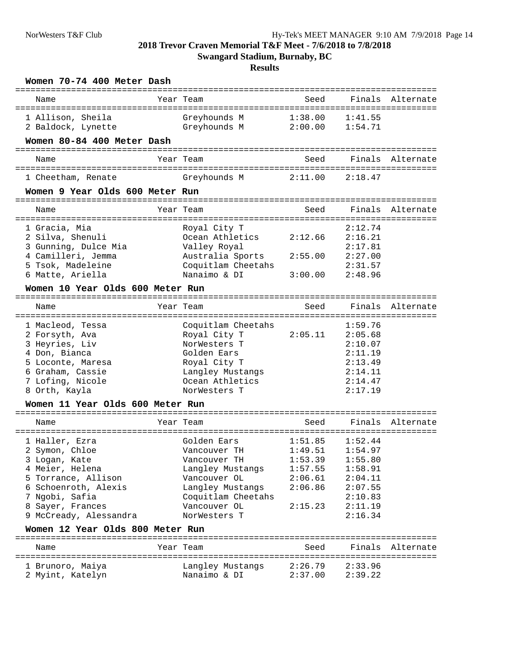| Women 70-74 400 Meter Dash<br>=============================== |               | -------                          | -------------------------- |         |                  |
|---------------------------------------------------------------|---------------|----------------------------------|----------------------------|---------|------------------|
| Name                                                          |               | Year Team                        | Seed                       |         | Finals Alternate |
| 1 Allison, Sheila                                             |               | Greyhounds M                     | 1:38.00                    | 1:41.55 |                  |
| 2 Baldock, Lynette                                            |               | Greyhounds M                     | 2:00.00                    | 1:54.71 |                  |
| Women 80-84 400 Meter Dash                                    |               |                                  |                            |         |                  |
| ----------------------------<br>Name                          |               | Year Team                        | Seed                       | Finals  | Alternate        |
| 1 Cheetham, Renate                                            |               | Greyhounds M                     | 2:11.00                    | 2:18.47 |                  |
| Women 9 Year Olds 600 Meter Run                               | ------------- |                                  |                            |         |                  |
| Name                                                          |               | Year Team                        | Seed                       | Finals  | Alternate        |
| 1 Gracia, Mia                                                 |               | Royal City T                     |                            | 2:12.74 |                  |
| 2 Silva, Shenuli                                              |               | Ocean Athletics                  | 2:12.66                    | 2:16.21 |                  |
| 3 Gunning, Dulce Mia                                          |               | Valley Royal                     |                            | 2:17.81 |                  |
| 4 Camilleri, Jemma                                            |               | Australia Sports                 | 2:55.00                    | 2:27.00 |                  |
| 5 Tsok, Madeleine                                             |               | Coquitlam Cheetahs               |                            | 2:31.57 |                  |
| 6 Matte, Ariella                                              |               | Nanaimo & DI                     | 3:00.00                    | 2:48.96 |                  |
| Women 10 Year Olds 600 Meter Run                              |               |                                  |                            |         |                  |
| Name                                                          |               | Year Team                        | Seed                       | Finals  | Alternate        |
| 1 Macleod, Tessa                                              |               | Coquitlam Cheetahs               |                            | 1:59.76 |                  |
| 2 Forsyth, Ava                                                |               | Royal City T                     | 2:05.11                    | 2:05.68 |                  |
| 3 Heyries, Liv                                                |               | NorWesters T                     |                            | 2:10.07 |                  |
| 4 Don, Bianca                                                 |               | Golden Ears                      |                            | 2:11.19 |                  |
| 5 Loconte, Maresa                                             |               | Royal City T                     |                            | 2:13.49 |                  |
| 6 Graham, Cassie                                              |               | Langley Mustangs                 |                            | 2:14.11 |                  |
| 7 Lofing, Nicole                                              |               | Ocean Athletics                  |                            | 2:14.47 |                  |
| 8 Orth, Kayla                                                 |               | NorWesters T                     |                            | 2:17.19 |                  |
| Women 11 Year Olds 600 Meter Run                              |               |                                  |                            |         |                  |
| Name                                                          |               | Year Team                        | Seed                       | Finals  | Alternate        |
| 1 Haller, Ezra                                                |               | Golden Ears                      | 1:51.85                    | 1:52.44 |                  |
| 2 Symon, Chloe                                                |               | Vancouver TH                     | 1:49.51                    | 1:54.97 |                  |
| 3 Logan, Kate                                                 |               | Vancouver TH                     | 1:53.39                    | 1:55.80 |                  |
| 4 Meier, Helena                                               |               | Langley Mustangs                 | 1:57.55                    | 1:58.91 |                  |
| 5 Torrance, Allison                                           |               | Vancouver OL                     | 2:06.61                    | 2:04.11 |                  |
| 6 Schoenroth, Alexis                                          |               | Langley Mustangs                 | 2:06.86                    | 2:07.55 |                  |
| 7 Ngobi, Safia                                                |               | Coquitlam Cheetahs               |                            | 2:10.83 |                  |
| 8 Sayer, Frances                                              |               | Vancouver OL                     | 2:15.23                    | 2:11.19 |                  |
| 9 McCready, Alessandra                                        |               | NorWesters T                     |                            | 2:16.34 |                  |
| Women 12 Year Olds 800 Meter Run                              |               |                                  |                            |         |                  |
| Name                                                          |               | Year Team                        | Seed                       | Finals  | Alternate        |
|                                                               |               |                                  | 2:26.79                    | 2:33.96 |                  |
| 1 Brunoro, Maiya<br>2 Myint, Katelyn                          |               | Langley Mustangs<br>Nanaimo & DI | 2:37.00                    | 2:39.22 |                  |
|                                                               |               |                                  |                            |         |                  |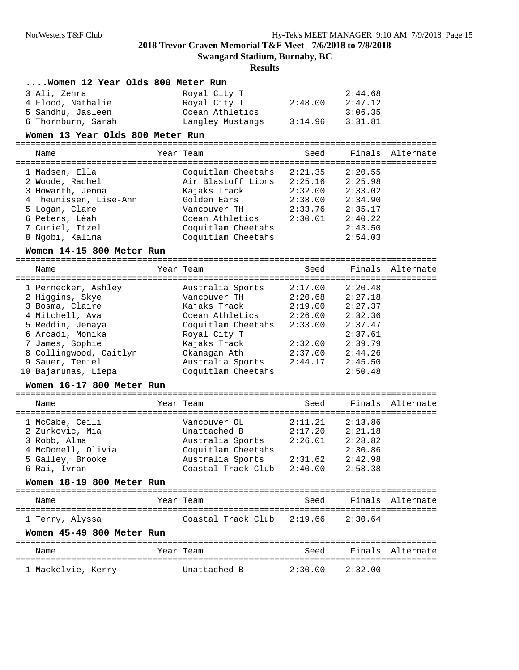**Swangard Stadium, Burnaby, BC**

| Women 12 Year Olds 800 Meter Run |                            |                                         |         |                  |
|----------------------------------|----------------------------|-----------------------------------------|---------|------------------|
| 3 Ali, Zehra                     | Royal City T               |                                         | 2:44.68 |                  |
| 4 Flood, Nathalie                | Royal City T               | 2:48.00                                 | 2:47.12 |                  |
| 5 Sandhu, Jasleen                | Ocean Athletics            |                                         | 3:06.35 |                  |
| 6 Thornburn, Sarah               | Langley Mustangs           | 3:14.96                                 | 3:31.81 |                  |
| Women 13 Year Olds 800 Meter Run |                            |                                         |         |                  |
| Name                             | Year Team                  | Seed                                    |         | Finals Alternate |
| 1 Madsen, Ella                   | Coquitlam Cheetahs         | 2:21.35                                 | 2:20.55 |                  |
| 2 Woode, Rachel                  | Air Blastoff Lions 2:25.16 |                                         | 2:25.98 |                  |
| 3 Howarth, Jenna                 | Kajaks Track               | 2:32.00                                 | 2:33.02 |                  |
| 4 Theunissen, Lise-Ann           | Golden Ears                | 2:38.00                                 | 2:34.90 |                  |
| 5 Logan, Clare                   | Vancouver TH               | 2:33.76                                 | 2:35.17 |                  |
| 6 Peters, Lèah                   | Ocean Athletics            | 2:30.01                                 | 2:40.22 |                  |
| 7 Curiel, Itzel                  | Coquitlam Cheetahs         |                                         | 2:43.50 |                  |
| 8 Ngobi, Kalima                  | Coquitlam Cheetahs         |                                         | 2:54.03 |                  |
| Women 14-15 800 Meter Run        |                            |                                         |         |                  |
| Name                             | Year Team                  | Seed                                    | Finals  | Alternate        |
| 1 Pernecker, Ashley              | Australia Sports           | 2:17.00                                 | 2:20.48 |                  |
| 2 Higgins, Skye                  | Vancouver TH               | 2:20.68                                 | 2:27.18 |                  |
| 3 Bosma, Claire                  | Kajaks Track               | 2:19.00                                 | 2:27.37 |                  |
| 4 Mitchell, Ava                  | Ocean Athletics            | 2:26.00                                 | 2:32.36 |                  |
| 5 Reddin, Jenaya                 | Coquitlam Cheetahs         | 2:33.00                                 | 2:37.47 |                  |
| 6 Arcadi, Monika                 | Royal City T               |                                         | 2:37.61 |                  |
| 7 James, Sophie                  | Kajaks Track               | 2:32.00                                 | 2:39.79 |                  |
| 8 Collingwood, Caitlyn           | Okanagan Ath               | 2:37.00                                 | 2:44.26 |                  |
| 9 Sauer, Teniel                  | Australia Sports           | 2:44.17                                 | 2:45.50 |                  |
| 10 Bajarunas, Liepa              | Coquitlam Cheetahs         |                                         | 2:50.48 |                  |
| Women 16-17 800 Meter Run        |                            |                                         |         |                  |
| Name                             | Year Team                  | ===============================<br>Seed |         | Finals Alternate |
|                                  |                            |                                         |         |                  |
| 1 McCabe, Ceili                  | Vancouver OL               | 2:11.21                                 | 2:13.86 |                  |
| 2 Zurkovic, Mia                  | Unattached B               | 2:17.20                                 | 2:21.18 |                  |
| 3 Robb, Alma                     | Australia Sports           | 2:26.01                                 | 2:28.82 |                  |
| 4 McDonell, Olivia               | Coquitlam Cheetahs         |                                         | 2:30.86 |                  |
| 5 Galley, Brooke                 | Australia Sports           | 2:31.62                                 | 2:42.98 |                  |
| 6 Rai, Ivran                     | Coastal Track Club         | 2:40.00                                 | 2:58.38 |                  |
| Women 18-19 800 Meter Run        |                            |                                         |         |                  |
| Name                             | Year Team                  | Seed                                    |         | Finals Alternate |
| 1 Terry, Alyssa                  | Coastal Track Club 2:19.66 |                                         | 2:30.64 |                  |
| Women 45-49 800 Meter Run        |                            |                                         |         |                  |
| Name                             | Year Team                  | Seed                                    |         | Finals Alternate |
| 1 Mackelvie, Kerry               | Unattached B               | 2:30.00                                 | 2:32.00 |                  |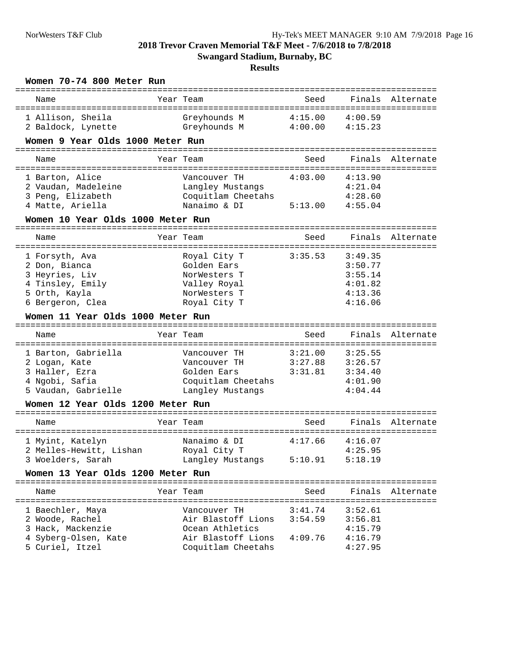**Swangard Stadium, Burnaby, BC**

| Women 70-74 800 Meter Run<br>---------------------------                                                                             |                                                                                                   | -----------------------                                  |                                                                |                  |
|--------------------------------------------------------------------------------------------------------------------------------------|---------------------------------------------------------------------------------------------------|----------------------------------------------------------|----------------------------------------------------------------|------------------|
| Name                                                                                                                                 | Year Team                                                                                         | Seed                                                     | Finals                                                         | Alternate        |
| 1 Allison, Sheila<br>2 Baldock, Lynette                                                                                              | Greyhounds M<br>Greyhounds M                                                                      | 4:15.00<br>4:00.00                                       | 4:00.59<br>4:15.23                                             |                  |
| Women 9 Year Olds 1000 Meter Run                                                                                                     |                                                                                                   |                                                          |                                                                |                  |
| Name                                                                                                                                 | Year Team                                                                                         | Seed                                                     | Finals                                                         | Alternate        |
| 1 Barton, Alice<br>2 Vaudan, Madeleine<br>3 Peng, Elizabeth<br>4 Matte, Ariella                                                      | Vancouver TH<br>Langley Mustangs<br>Coquitlam Cheetahs<br>Nanaimo & DI                            | ==================================<br>4:03.00<br>5:13.00 | 4:13.90<br>4:21.04<br>4:28.60<br>4:55.04                       |                  |
| Women 10 Year Olds 1000 Meter Run                                                                                                    |                                                                                                   |                                                          |                                                                |                  |
| Name                                                                                                                                 | Year Team                                                                                         | Seed                                                     | Finals                                                         | Alternate        |
| 1 Forsyth, Ava<br>2 Don, Bianca<br>3 Heyries, Liv<br>4 Tinsley, Emily<br>5 Orth, Kayla<br>6 Bergeron, Clea                           | Royal City T<br>Golden Ears<br>NorWesters T<br>Valley Royal<br>NorWesters T<br>Royal City T       | 3:35.53                                                  | 3:49.35<br>3:50.77<br>3:55.14<br>4:01.82<br>4:13.36<br>4:16.06 |                  |
| Women 11 Year Olds 1000 Meter Run                                                                                                    |                                                                                                   |                                                          |                                                                |                  |
| Name                                                                                                                                 | Year Team                                                                                         | ============================<br>Seed                     |                                                                | Finals Alternate |
| 1 Barton, Gabriella<br>2 Logan, Kate<br>3 Haller, Ezra<br>4 Ngobi, Safia<br>5 Vaudan, Gabrielle<br>Women 12 Year Olds 1200 Meter Run | Vancouver TH<br>Vancouver TH<br>Golden Ears<br>Coquitlam Cheetahs<br>Langley Mustangs             | 3:21.00<br>3:27.88<br>3:31.81                            | 3:25.55<br>3:26.57<br>3:34.40<br>4:01.90<br>4:04.44            |                  |
| Name                                                                                                                                 | Year Team                                                                                         | Seed                                                     | Finals                                                         | Alternate        |
| 1 Myint, Katelyn<br>2 Melles-Hewitt, Lishan<br>3 Woelders, Sarah                                                                     | Nanaimo & DI<br>Royal City T<br>Langley Mustangs                                                  | 4:17.66<br>5:10.91                                       | 4:16.07<br>4:25.95<br>5:18.19                                  |                  |
| Women 13 Year Olds 1200 Meter Run                                                                                                    |                                                                                                   |                                                          |                                                                |                  |
| Name                                                                                                                                 | Year Team                                                                                         | Seed                                                     |                                                                | Finals Alternate |
| 1 Baechler, Maya<br>2 Woode, Rachel<br>3 Hack, Mackenzie<br>4 Syberg-Olsen, Kate<br>5 Curiel, Itzel                                  | Vancouver TH<br>Air Blastoff Lions<br>Ocean Athletics<br>Air Blastoff Lions<br>Coquitlam Cheetahs | 3:41.74<br>3:54.59<br>4:09.76                            | 3:52.61<br>3:56.81<br>4:15.79<br>4:16.79<br>4:27.95            |                  |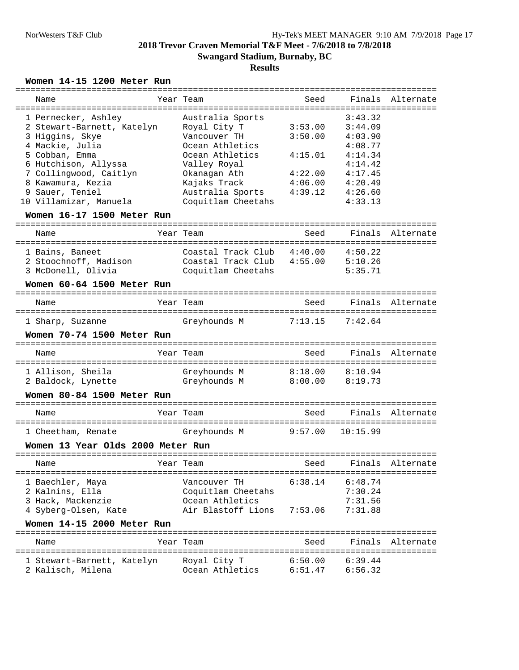## **Results**

#### **Women 14-15 1200 Meter Run**

| Name                       | Year Team          | Seed    |         | Finals Alternate |
|----------------------------|--------------------|---------|---------|------------------|
| 1 Pernecker, Ashley        | Australia Sports   |         | 3:43.32 |                  |
| 2 Stewart-Barnett, Katelyn | Royal City T       | 3:53.00 | 3:44.09 |                  |
| 3 Higgins, Skye            | Vancouver TH       | 3:50.00 | 4:03.90 |                  |
| 4 Mackie, Julia            | Ocean Athletics    |         | 4:08.77 |                  |
| 5 Cobban, Emma             | Ocean Athletics    | 4:15.01 | 4:14.34 |                  |
| 6 Hutchison, Allyssa       | Valley Royal       |         | 4:14.42 |                  |
| 7 Collingwood, Caitlyn     | Okanagan Ath       | 4:22.00 | 4:17.45 |                  |
| 8 Kawamura, Kezia          | Kajaks Track       | 4:06.00 | 4:20.49 |                  |
| 9 Sauer, Teniel            | Australia Sports   | 4:39.12 | 4:26.60 |                  |
| 10 Villamizar, Manuela     | Coquitlam Cheetahs |         | 4:33.13 |                  |
|                            |                    |         |         |                  |

## **Women 16-17 1500 Meter Run**

| Name                                                           | Year Team                                                      | Seed               |                               | Finals Alternate |
|----------------------------------------------------------------|----------------------------------------------------------------|--------------------|-------------------------------|------------------|
| 1 Bains, Baneet<br>2 Stoochnoff, Madison<br>3 McDonell, Olivia | Coastal Track Club<br>Coastal Track Club<br>Coquitlam Cheetahs | 4:40.00<br>4:55.00 | 4:50.22<br>5:10.26<br>5:35.71 |                  |

## **Women 60-64 1500 Meter Run**

| Name             | Year Team    | Seed                | Finals Alternate |  |
|------------------|--------------|---------------------|------------------|--|
| 1 Sharp, Suzanne | Greyhounds M | $7:13.15$ $7:42.64$ |                  |  |

### **Women 70-74 1500 Meter Run**

| Name                                    | Year Team |                              | Seed               |                    | Finals Alternate |
|-----------------------------------------|-----------|------------------------------|--------------------|--------------------|------------------|
| 1 Allison, Sheila<br>2 Baldock, Lynette |           | Greyhounds M<br>Greyhounds M | 8:18.00<br>8:00.00 | 8:10.94<br>8:19.73 |                  |

#### **Women 80-84 1500 Meter Run**

| Name               | Year Team    | Seed |                      | Finals Alternate |
|--------------------|--------------|------|----------------------|------------------|
| 1 Cheetham, Renate | Greyhounds M |      | $9:57.00$ $10:15.99$ |                  |

## **Women 13 Year Olds 2000 Meter Run**

| Name                                                                             | Year Team                                                                   | Seed               |                                          | Finals Alternate |
|----------------------------------------------------------------------------------|-----------------------------------------------------------------------------|--------------------|------------------------------------------|------------------|
| 1 Baechler, Maya<br>2 Kalnins, Ella<br>3 Hack, Mackenzie<br>4 Syberg-Olsen, Kate | Vancouver TH<br>Coquitlam Cheetahs<br>Ocean Athletics<br>Air Blastoff Lions | 6:38.14<br>7:53.06 | 6:48.74<br>7:30.24<br>7:31.56<br>7:31.88 |                  |

#### **Women 14-15 2000 Meter Run**

| Name                                            | Year Team                       | Seed               |                    | Finals Alternate |
|-------------------------------------------------|---------------------------------|--------------------|--------------------|------------------|
| 1 Stewart-Barnett, Katelyn<br>2 Kalisch, Milena | Royal City T<br>Ocean Athletics | 6:50.00<br>6:51.47 | 6:39.44<br>6:56 32 |                  |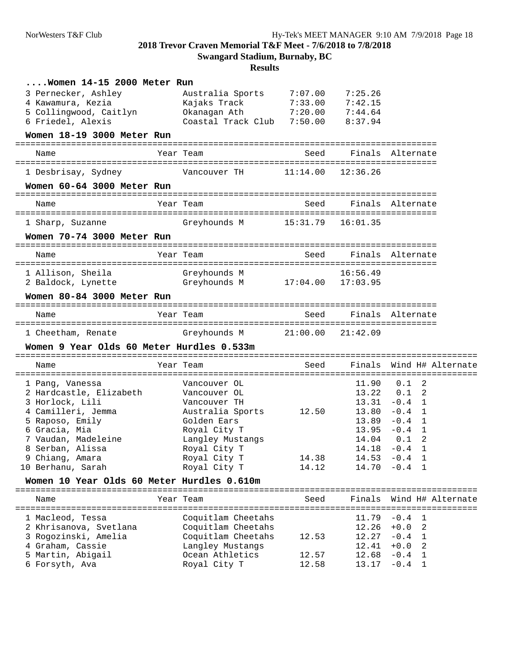**Swangard Stadium, Burnaby, BC**

| $\ldots$ . Women 14-15 2000 Meter Run                           |                                 |                           |                  |                                        |
|-----------------------------------------------------------------|---------------------------------|---------------------------|------------------|----------------------------------------|
| 3 Pernecker, Ashley                                             | Australia Sports                | 7:07.00                   | 7:25.26          |                                        |
| 4 Kawamura, Kezia                                               | Kajaks Track                    | 7:33.00                   | 7:42.15          |                                        |
| 5 Collingwood, Caitlyn                                          | Okanagan Ath                    | 7:20.00                   | 7:44.64          |                                        |
| 6 Friedel, Alexis                                               | Coastal Track Club 7:50.00      |                           | 8:37.94          |                                        |
| Women 18-19 3000 Meter Run                                      |                                 |                           |                  |                                        |
| Name                                                            | Year Team                       | Seed                      |                  | Finals Alternate                       |
| 1 Desbrisay, Sydney                                             | Vancouver TH 11:14.00           |                           | 12:36.26         |                                        |
| Women 60-64 3000 Meter Run                                      |                                 |                           |                  |                                        |
| Name                                                            | Year Team                       | Seed                      | Finals Alternate |                                        |
| 1 Sharp, Suzanne                                                | Greyhounds M                    | 15:31.79                  | 16:01.35         |                                        |
| Women 70-74 3000 Meter Run                                      |                                 |                           |                  |                                        |
| Name                                                            | Year Team                       | Seed                      |                  | Finals Alternate                       |
| 1 Allison, Sheila                                               | Greyhounds M                    |                           | 16:56.49         |                                        |
| 2 Baldock, Lynette                                              | Greyhounds M                    | $17:04.00$ $17:03.95$     |                  |                                        |
| Women 80-84 3000 Meter Run                                      |                                 |                           |                  |                                        |
| Name                                                            | Year Team                       | Seed                      |                  | Finals Alternate                       |
|                                                                 |                                 |                           |                  |                                        |
|                                                                 |                                 |                           |                  |                                        |
| 1 Cheetham, Renate                                              | Greyhounds M 21:00.00           |                           | 21:42.09         |                                        |
| Women 9 Year Olds 60 Meter Hurdles 0.533m                       |                                 |                           |                  |                                        |
| Name                                                            | Year Team                       | Seed                      |                  | Finals Wind H# Alternate               |
| 1 Pang, Vanessa                                                 | Vancouver OL                    |                           | 11.90            | 0.1<br>-2                              |
| 2 Hardcastle, Elizabeth                                         | Vancouver OL                    |                           | 13.22            | $0.1 \quad 2$                          |
| 3 Horlock, Lili                                                 | Vancouver TH                    |                           |                  | $13.31 -0.4$ 1                         |
| 4 Camilleri, Jemma                                              | Australia Sports                | 12.50                     |                  | $13.80 - 0.4$ 1                        |
| 5 Raposo, Emily                                                 | Golden Ears                     |                           |                  | $13.89 - 0.4$ 1                        |
| 6 Gracia, Mia                                                   | Royal City T                    |                           |                  | $13.95 -0.4$ 1                         |
| 7 Vaudan, Madeleine                                             | Langley Mustangs                |                           | 14.04            | $0.1\quad2$                            |
| 8 Serban, Alissa                                                | Royal City T                    |                           | 14.18            | -0.4 1                                 |
| 9 Chiang, Amara                                                 | Royal City T                    | 14.38                     |                  | $14.53 - 0.4$ 1                        |
|                                                                 | Royal City T                    | 14.12                     | 14.70            | -0.4 1                                 |
| 10 Berhanu, Sarah<br>Women 10 Year Olds 60 Meter Hurdles 0.610m |                                 |                           |                  |                                        |
| Name                                                            | Year Team                       | Seed<br>----------------- | Finals           | Wind H# Alternate                      |
| 1 Macleod, Tessa                                                | Coquitlam Cheetahs              |                           | 11.79            | =======================<br>$-0.4$<br>1 |
| 2 Khrisanova, Svetlana                                          | Coquitlam Cheetahs              |                           | 12.26            | $+0.0$<br>2                            |
| 3 Rogozinski, Amelia                                            | Coquitlam Cheetahs              | 12.53                     | 12.27            | $-0.4$<br>1                            |
| 4 Graham, Cassie                                                | Langley Mustangs                |                           | 12.41            | $+0.0$<br>2                            |
| 5 Martin, Abigail<br>6 Forsyth, Ava                             | Ocean Athletics<br>Royal City T | 12.57<br>12.58            | 12.68<br>13.17   | $-0.4$<br>-1<br>$-0.4$ 1               |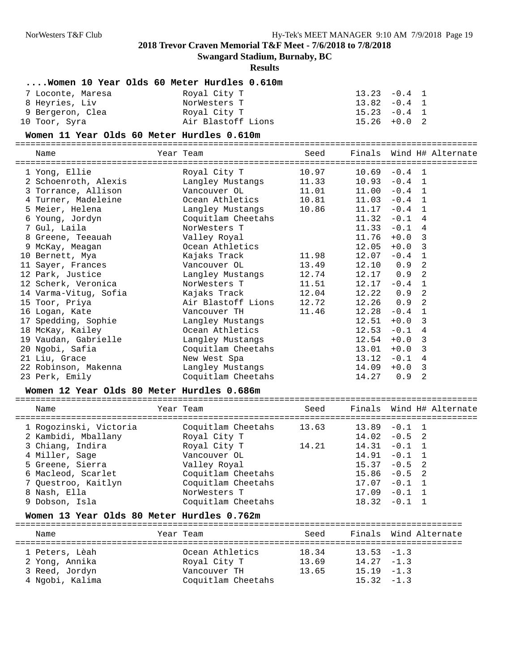**Swangard Stadium, Burnaby, BC**

### **Results**

## **....Women 10 Year Olds 60 Meter Hurdles 0.610m**

| 7 Loconte, Maresa | Royal City T       | $13.23 -0.4$ 1 |
|-------------------|--------------------|----------------|
| 8 Heyries, Liv    | NorWesters T       | $13.82 -0.4$ 1 |
| 9 Bergeron, Clea  | Royal City T       | $15.23 -0.4$ 1 |
| 10 Toor, Syra     | Air Blastoff Lions | $15.26 + 0.02$ |

#### **Women 11 Year Olds 60 Meter Hurdles 0.610m**

#### =========================================================================================== Name Year Team Seed Finals Wind H# Alternate

| Name                 | Year Team                                                            | Seed  |       | Finals Wind H# Alternate |  |
|----------------------|----------------------------------------------------------------------|-------|-------|--------------------------|--|
| 1 Yong, Ellie        |                                                                      |       |       | $10.69 - 0.4 1$          |  |
| 2 Schoenroth, Alexis | Langley Mustangs 11.33                                               |       |       | $10.93 - 0.4$ 1          |  |
| 3 Torrance, Allison  | Vancouver OL 11.01                                                   |       | 11.00 | $-0.4$ 1                 |  |
| 4 Turner, Madeleine  |                                                                      |       |       | $11.03 - 0.4$ 1          |  |
| 5 Meier, Helena      | Langley Mustangs 10.86                                               |       | 11.17 | $-0.4$ 1                 |  |
| 6 Young, Jordyn      | Coquitlam Cheetahs                                                   |       | 11.32 | $-0.1$ 4                 |  |
| 7 Gul, Laila         | NorWesters T                                                         |       | 11.33 | $-0.1$ 4                 |  |
| 8 Greene, Teeauah    | Valley Royal                                                         |       | 11.76 | $+0.0$ 3                 |  |
| 9 McKay, Meagan      | Ocean Athletics                                                      |       | 12.05 | $+0.0$ 3                 |  |
| 10 Bernett, Mya      | Kajaks Track                                                         | 11.98 | 12.07 | $-0.4$ 1                 |  |
| 11 Sayer, Frances    | Vancouver OL                                                         | 13.49 |       | $12.10$ 0.9 2            |  |
| 12 Park, Justice     | Langley Mustangs                                                     | 12.74 |       | $12.17$ 0.9 2            |  |
| 12 Scherk, Veronica  | NorWesters T 11.51                                                   |       |       | $12.17 - 0.4$ 1          |  |
|                      | 14 Varma-Vitug, Sofia               Kajaks Track               12.04 |       |       | 12.22 0.9<br>2           |  |
|                      | 15 Toor, Priya               Air Blastoff Lions     12.72            |       |       | $12.26$ 0.9 2            |  |
| 16 Logan, Kate       | Vancouver TH                                                         | 11.46 | 12.28 | $-0.4$<br>$\mathbf{1}$   |  |
| 17 Spedding, Sophie  | Langley Mustangs                                                     |       | 12.51 | $+0.0$<br>-3             |  |
| 18 McKay, Kailey     | Ocean Athletics                                                      |       | 12.53 | $-0.1$<br>4              |  |
| 19 Vaudan, Gabrielle | Langley Mustangs                                                     |       | 12.54 | $+0.0$<br>3              |  |
| 20 Ngobi, Safia      | Coquitlam Cheetahs                                                   |       | 13.01 | $+0.0$<br>3              |  |
| 21 Liu, Grace        | New West Spa                                                         |       | 13.12 | $-0.1$<br>4              |  |
| 22 Robinson, Makenna | Langley Mustangs                                                     |       | 14.09 | $+0.0$<br>3              |  |
| 23 Perk, Emily       | Coquitlam Cheetahs                                                   |       | 14.27 | 2<br>0.9                 |  |

#### **Women 12 Year Olds 80 Meter Hurdles 0.686m**

| Name                   | Year Team          | Seed  |       | Finals Wind H# Alternate |
|------------------------|--------------------|-------|-------|--------------------------|
| 1 Rogozinski, Victoria | Coquitlam Cheetahs | 13.63 |       | $13.89 - 0.1 1$          |
| 2 Kambidi, Mballany    | Royal City T       |       |       | $14.02 - 0.5$ 2          |
| 3 Chiang, Indira       | Royal City T       | 14.21 |       | $14.31 - 0.1 1$          |
| 4 Miller, Sage         | Vancouver OL       |       |       | $14.91 - 0.1 1$          |
| 5 Greene, Sierra       | Valley Royal       |       |       | $15.37 - 0.5$ 2          |
| 6 Macleod, Scarlet     | Coquitlam Cheetahs |       |       | $15.86 - 0.5$ 2          |
| 7 Questroo, Kaitlyn    | Coquitlam Cheetahs |       | 17.07 | $-0.1$ 1                 |
| 8 Nash, Ella           | NorWesters T       |       | 17.09 | $-0.1$ 1                 |
| 9 Dobson, Isla         | Coquitlam Cheetahs |       |       | $18.32 - 0.1 1$          |

## **Women 13 Year Olds 80 Meter Hurdles 0.762m**

| Name                                               | Year Team                                       | Seed                    |                                                 | Finals Wind Alternate |
|----------------------------------------------------|-------------------------------------------------|-------------------------|-------------------------------------------------|-----------------------|
| 1 Peters, Lèah<br>2 Yong, Annika<br>3 Reed, Jordyn | Ocean Athletics<br>Royal City T<br>Vancouver TH | 18.34<br>13.69<br>13.65 | $13.53 - 1.3$<br>$14.27 - 1.3$<br>$15.19 - 1.3$ |                       |
| 4 Ngobi, Kalima                                    | Coquitlam Cheetahs                              |                         | $15.32 - 1.3$                                   |                       |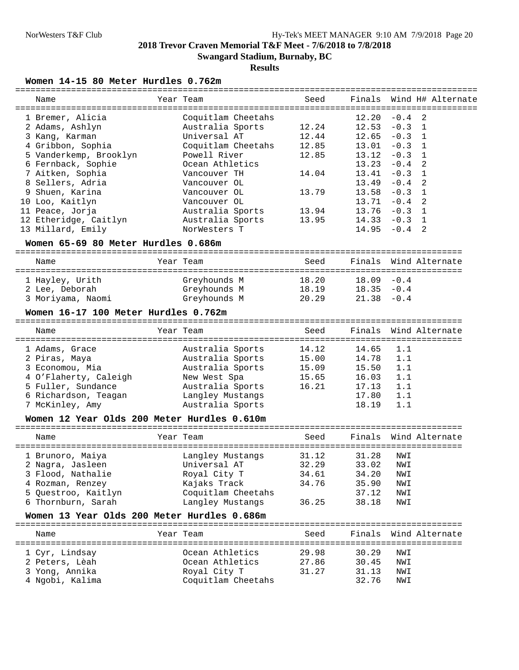**Results**

## **Women 14-15 80 Meter Hurdles 0.762m**

| Name                                        | Year Team          | Seed  |                 |            | Finals Wind H# Alternate |
|---------------------------------------------|--------------------|-------|-----------------|------------|--------------------------|
| 1 Bremer, Alicia                            | Coquitlam Cheetahs |       | 12.20           | $-0.4$     | $\overline{2}$           |
| 2 Adams, Ashlyn                             | Australia Sports   | 12.24 | $12.53 - 0.3$   |            | 1                        |
| 3 Kang, Karman                              | Universal AT       | 12.44 | $12.65 - 0.3$   |            | 1                        |
| 4 Gribbon, Sophia                           | Coquitlam Cheetahs | 12.85 | 13.01           | $-0.3$     | 1                        |
| 5 Vanderkemp, Brooklyn                      | Powell River       | 12.85 | 13.12           | $-0.3$ 1   |                          |
| 6 Fernback, Sophie                          | Ocean Athletics    |       | $13.23 - 0.4$   |            | 2                        |
| 7 Aitken, Sophia                            | Vancouver TH       | 14.04 | 13.41           | $-0.3$ 1   |                          |
| 8 Sellers, Adria                            | Vancouver OL       |       | $13.49 - 0.4$   |            | 2                        |
| Shuen, Karina<br>9                          | Vancouver OL       | 13.79 | 13.58           | $-0.3$     | 1                        |
| 10 Loo, Kaitlyn                             | Vancouver OL       |       | 13.71           | $-0.4$     | 2                        |
| 11 Peace, Jorja                             | Australia Sports   | 13.94 | $13.76 - 0.3$ 1 |            |                          |
| 12 Etheridge, Caitlyn                       | Australia Sports   | 13.95 | $14.33 - 0.3$ 1 |            |                          |
| 13 Millard, Emily                           | NorWesters T       |       | $14.95 - 0.4$   |            | 2                        |
| Women 65-69 80 Meter Hurdles 0.686m         |                    |       |                 |            |                          |
|                                             |                    |       |                 |            |                          |
| Name                                        | Year Team          | Seed  |                 |            | Finals Wind Alternate    |
| 1 Hayley, Urith                             | Greyhounds M       | 18.20 | $18.09 - 0.4$   |            |                          |
| 2 Lee, Deborah                              | Greyhounds M       | 18.19 | $18.35 - 0.4$   |            |                          |
| 3 Moriyama, Naomi                           | Greyhounds M       | 20.29 | $21.38 - 0.4$   |            |                          |
| Women 16-17 100 Meter Hurdles 0.762m        |                    |       |                 |            |                          |
|                                             |                    |       |                 |            |                          |
| Name                                        | Year Team          | Seed  |                 |            | Finals Wind Alternate    |
|                                             |                    |       |                 | 1.1        |                          |
| 1 Adams, Grace                              | Australia Sports   | 14.12 | 14.65           |            |                          |
| 2 Piras, Maya                               | Australia Sports   | 15.00 | 14.78           | 1.1<br>1.1 |                          |
| 3 Economou, Mia                             | Australia Sports   | 15.09 | 15.50           |            |                          |
| 4 O'Flaherty, Caleigh                       | New West Spa       | 15.65 | 16.03           | 1.1        |                          |
| 5 Fuller, Sundance                          | Australia Sports   | 16.21 | 17.13           | 1.1        |                          |
| 6 Richardson, Teagan                        | Langley Mustangs   |       | 17.80           | 1.1        |                          |
| 7 McKinley, Amy                             | Australia Sports   |       | 18.19           | 1.1        |                          |
| Women 12 Year Olds 200 Meter Hurdles 0.610m |                    |       |                 |            |                          |
| Name                                        | Year Team          | Seed  | Finals          |            | Wind Alternate           |
| 1 Brunoro, Maiya                            | Langley Mustangs   | 31.12 | 31.28           | NWI        |                          |
| 2 Nagra, Jasleen                            | Universal AT       | 32.29 | 33.02 NWI       |            |                          |
| 3 Flood, Nathalie                           | Royal City T       | 34.61 | 34.20           | NWI        |                          |
| 4 Rozman, Renzey                            | Kajaks Track       | 34.76 | 35.90           | NWI        |                          |
| 5 Questroo, Kaitlyn                         | Coquitlam Cheetahs |       | 37.12           | NWI        |                          |
| 6 Thornburn, Sarah                          | Langley Mustangs   | 36.25 | 38.18           | NWI        |                          |
| Women 13 Year Olds 200 Meter Hurdles 0.686m |                    |       |                 |            |                          |
|                                             |                    |       |                 |            |                          |
| Name                                        | Year Team          | Seed  | Finals          |            | Wind Alternate           |
| 1 Cyr, Lindsay                              | Ocean Athletics    | 29.98 | 30.29           | NWI        |                          |

 2 Peters, Lèah Ocean Athletics 27.86 30.45 NWI 3 Yong, Annika Royal City T 31.27 31.13 NWI

4 Ngobi, Kalima Coquitlam Cheetahs 32.76 NWI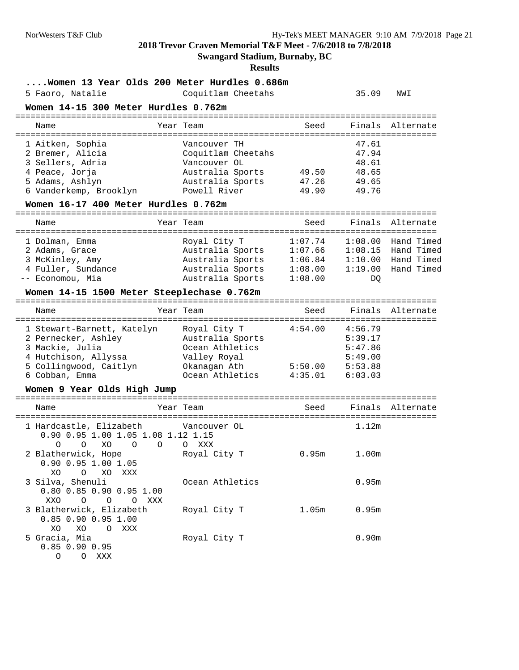**Swangard Stadium, Burnaby, BC**

#### **Results**

#### **....Women 13 Year Olds 200 Meter Hurdles 0.686m**

5 Faoro, Natalie Coquitlam Cheetahs 35.09 NWI

## **Women 14-15 300 Meter Hurdles 0.762m**

| Name             | Year Team          | Seed  |       | Finals Alternate |
|------------------|--------------------|-------|-------|------------------|
| 1 Aitken, Sophia | Vancouver TH       |       | 47.61 |                  |
| 2 Bremer, Alicia | Coquitlam Cheetahs |       | 47.94 |                  |
| 3 Sellers, Adria | Vancouver OL       |       | 48.61 |                  |
| 4 Peace, Jorja   | Australia Sports   | 49.50 | 48.65 |                  |
| 5 Adams, Ashlyn  | Australia Sports   | 47.26 | 49.65 |                  |

6 Vanderkemp, Brooklyn Powell River 49.90 49.76

## **Women 16-17 400 Meter Hurdles 0.762m**

=================================================================================== Name Year Team Seed Finals Alternate =================================================================================== 1 Dolman, Emma Royal City T 1:07.74 1:08.00 Hand Timed 2 Adams, Grace Australia Sports 1:07.66 1:08.15 Hand Timed 3 McKinley, Amy Australia Sports 1:06.84 1:10.00 Hand Timed 4 Fuller, Sundance Australia Sports 1:08.00 1:19.00 Hand Timed -- Economou, Mia Australia Sports 1:08.00 DQ

#### **Women 14-15 1500 Meter Steeplechase 0.762m**

=================================================================================== Name Year Team Seed Finals Alternate =================================================================================== 1 Stewart-Barnett, Katelyn Royal City T 4:54.00 4:56.79 2 Pernecker, Ashley Australia Sports 5:39.17 3 Mackie, Julia Ocean Athletics 5:47.86 4 Hutchison, Allyssa Valley Royal 5:49.00 5 Collingwood, Caitlyn Okanagan Ath 5:50.00 5:53.88 6 Cobban, Emma Ocean Athletics 4:35.01 6:03.03

#### **Women 9 Year Olds High Jump**

| Name                                                                          |                             | Year Team                       | Seed  |                   | Finals Alternate |
|-------------------------------------------------------------------------------|-----------------------------|---------------------------------|-------|-------------------|------------------|
| 1 Hardcastle, Elizabeth<br>0.90 0.95 1.00 1.05 1.08 1.12 1.15                 |                             | Vancouver OL                    |       | 1.12m             |                  |
| $\Omega$<br>XO.<br>$\Omega$<br>2 Blatherwick, Hope<br>$0.90$ $0.95$ 1.00 1.05 | $\Omega$<br>$\Omega$        | XXX<br>$\Omega$<br>Royal City T | 0.95m | 1.00 <sub>m</sub> |                  |
| O XO XXX<br>XO.<br>3 Silva, Shenuli                                           |                             | Ocean Athletics                 |       | 0.95m             |                  |
| 0.80 0.85 0.90 0.95 1.00<br>XXO<br>$\overline{O}$                             | $\Omega$<br>$\Omega$<br>XXX |                                 |       |                   |                  |
| 3 Blatherwick, Elizabeth<br>$0.85$ $0.90$ $0.95$ 1.00<br>XO                   | O XXX                       | Royal City T                    | 1.05m | 0.95m             |                  |
| XO.<br>5 Gracia, Mia<br>$0.85$ $0.90$ $0.95$                                  |                             | Royal City T                    |       | 0.90m             |                  |
| $\Omega$<br>XXX<br>$\circ$                                                    |                             |                                 |       |                   |                  |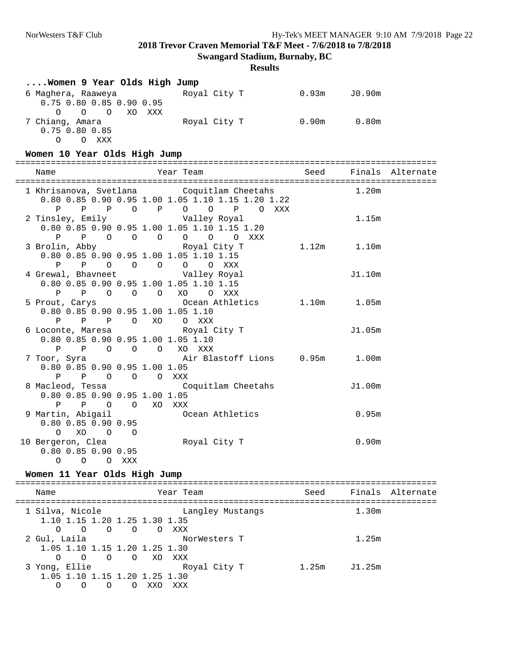| Women 9 Year Olds High Jump                                                                                             |                             |                 |                   |                  |
|-------------------------------------------------------------------------------------------------------------------------|-----------------------------|-----------------|-------------------|------------------|
| 6 Maghera, Raaweya<br>0.75 0.80 0.85 0.90 0.95<br>O O O XO XXX                                                          | Royal City T 0.93m J0.90m   |                 |                   |                  |
| 7 Chiang, Amara                     Royal City T           0.90m       0.80m<br>$0.75$ $0.80$ $0.85$<br>O O XXX         |                             |                 |                   |                  |
| Women 10 Year Olds High Jump                                                                                            |                             |                 |                   |                  |
| Name                                                                                                                    | Year Team                   | Seed            |                   | Finals Alternate |
| 1 Khrisanova, Svetlana Coquitlam Cheetahs<br>0.80 0.85 0.90 0.95 1.00 1.05 1.10 1.15 1.20 1.22<br>P P P O P O O P O XXX |                             |                 | 1.20m             |                  |
| 2 Tinsley, Emily Colley Royal<br>0.80 0.85 0.90 0.95 1.00 1.05 1.10 1.15 1.20<br>P P O O O O O O XXX                    |                             |                 | 1.15m             |                  |
| 3 Brolin, Abby         Royal City T<br>0.80 0.85 0.90 0.95 1.00 1.05 1.10 1.15<br>P P O O O O O XXX                     |                             | $1.12m$ $1.10m$ |                   |                  |
| 4 Grewal, Bhavneet Walley Royal<br>0.80 0.85 0.90 0.95 1.00 1.05 1.10 1.15<br>P P O O O XO O XXX                        |                             |                 | J1.10m            |                  |
| 5 Prout, Carys<br>0.80 0.85 0.90 0.95 1.00 1.05 1.10<br>P P P O XO O XXX                                                | Ocean Athletics 1.10m 1.05m |                 |                   |                  |
| 6 Loconte, Maresa (5) Royal City T<br>0.80 0.85 0.90 0.95 1.00 1.05 1.10<br>P P O O O XO XXX                            |                             |                 | J1.05m            |                  |
| 7 Toor, Syra                   Air Blastoff Lions     0.95m     1.00m<br>0.80 0.85 0.90 0.95 1.00 1.05<br>P P O O O XXX |                             |                 |                   |                  |
| 8 Macleod, Tessa (Coquitlam Cheetahs<br>0.80 0.85 0.90 0.95 1.00 1.05<br>P P O O XO XXX                                 |                             |                 | J1.00m            |                  |
| 9 Martin, Abigail<br>0.80 0.85 0.90 0.95<br>O XO O O                                                                    | Ocean Athletics             |                 | 0.95m             |                  |
| 10 Bergeron, Clea<br>$0.80$ $0.85$ $0.90$ $0.95$<br>O XXX<br>$\overline{O}$<br>0                                        | Royal City T                |                 | 0.90 <sub>m</sub> |                  |
| Women 11 Year Olds High Jump                                                                                            |                             |                 |                   |                  |
| Year Team<br>Name                                                                                                       |                             | Seed            |                   | Finals Alternate |
| 1 Silva, Nicole<br>1.10 1.15 1.20 1.25 1.30 1.35<br>$O$ $O$ $O$ $O$ $XXX$<br>$\Omega$                                   | Langley Mustangs            |                 | 1.30m             |                  |
| 2 Gul, Laila<br>1.05 1.10 1.15 1.20 1.25 1.30<br>$\Omega$<br>$\Omega$<br>$\circ$<br>$\Omega$<br>XO.<br>XXX              | NorWesters T                |                 | 1.25m             |                  |
| 3 Yong, Ellie<br>1.05 1.10 1.15 1.20 1.25 1.30<br>O XXO XXX<br>O<br>$\Omega$<br>$\circ$                                 | Royal City T                | 1.25m J1.25m    |                   |                  |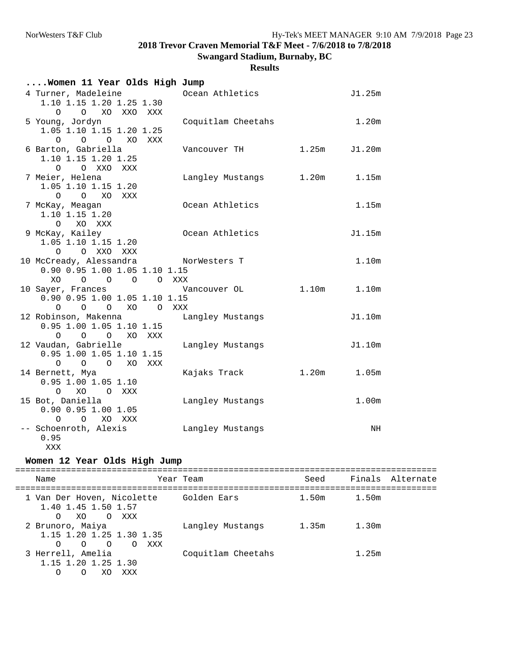## **Results**

| Women 11 Year Olds High Jump                                                                        |          |                     |             |                   |
|-----------------------------------------------------------------------------------------------------|----------|---------------------|-------------|-------------------|
| 4 Turner, Madeleine<br>1.10 1.15 1.20 1.25 1.30<br>O XO XXO XXX<br>$\Omega$                         |          | Ocean Athletics     |             | J1.25m            |
| 5 Young, Jordyn<br>1.05 1.10 1.15 1.20 1.25<br>$0\qquad 0\qquad 0$<br>XO                            | XXX      | Coquitlam Cheetahs  |             | 1.20m             |
| 6 Barton, Gabriella<br>1.10 1.15 1.20 1.25<br>O XXO<br>$\Omega$<br>XXX                              |          | Vancouver TH        | 1.25m       | J1.20m            |
| 7 Meier, Helena<br>1.05 1.10 1.15 1.20<br>O O XO XXX                                                |          | Langley Mustangs    | 1.20m       | 1.15m             |
| 7 McKay, Meagan<br>1.10 1.15 1.20<br>XO XXX<br>$\Omega$                                             |          | Ocean Athletics     |             | 1.15m             |
| 9 McKay, Kailey<br>1.05 1.10 1.15 1.20<br>O O XXO XXX                                               |          | Ocean Athletics     |             | J1.15m            |
| 10 McCready, Alessandra<br>0.90 0.95 1.00 1.05 1.10 1.15<br>$O$ $O$ $O$ $O$ $XXX$<br>XO             |          | NorWesters T        |             | 1.10m             |
| 10 Sayer, Frances<br>0.90 0.95 1.00 1.05 1.10 1.15<br>XO<br>$\circ$ $\circ$<br>$\circ$              | $\Omega$ | Vancouver OL<br>XXX | 1.10m       | 1.10m             |
| 12 Robinson, Makenna<br>0.95 1.00 1.05 1.10 1.15<br>O O O XO XXX                                    |          | Langley Mustangs    |             | J1.10m            |
| 12 Vaudan, Gabrielle<br>0.95 1.00 1.05 1.10 1.15<br>$\overline{O}$ $\overline{O}$<br>XO<br>$\Omega$ | XXX      | Langley Mustangs    |             | J1.10m            |
| 14 Bernett, Mya<br>$0.95$ 1.00 1.05 1.10<br>O XO O XXX                                              |          | Kajaks Track        | 1.20m 1.05m |                   |
| 15 Bot, Daniella<br>$0.90$ 0.95 1.00 1.05<br>$\circ$<br>O XO XXX                                    |          | Langley Mustangs    |             | 1.00 <sub>m</sub> |
| -- Schoenroth, Alexis<br>0.95<br>XXX                                                                |          | Langley Mustangs    |             | NH                |

## **Women 12 Year Olds High Jump**

| Name                                                                                            | Year Team          | Seed  |       | Finals Alternate |
|-------------------------------------------------------------------------------------------------|--------------------|-------|-------|------------------|
| 1 Van Der Hoven, Nicolette<br>1.40 1.45 1.50 1.57<br>XO OXXX<br>$\Omega$                        | Golden Ears        | 1.50m | 1.50m |                  |
| 2 Brunoro, Maiya<br>1.15 1.20 1.25 1.30 1.35<br>$\Omega$<br>$\overline{O}$<br>O XXX<br>$\Omega$ | Langley Mustangs   | 1.35m | 1.30m |                  |
| 3 Herrell, Amelia<br>1.15 1.20 1.25 1.30<br>XXX<br>Ω<br>XO<br>O                                 | Coquitlam Cheetahs |       | 1.25m |                  |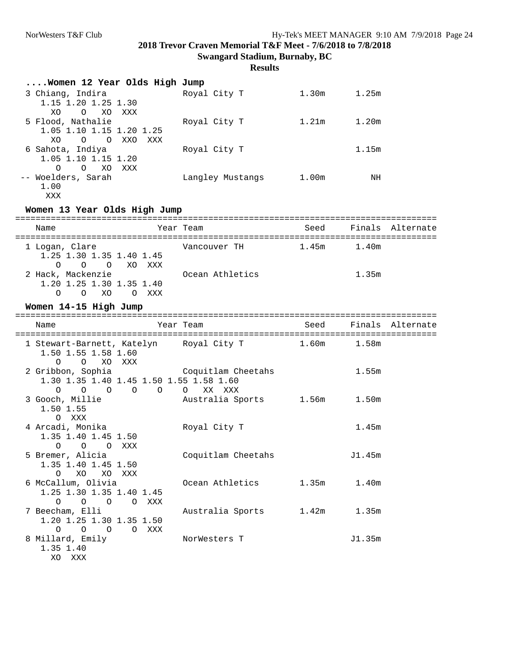| Women 12 Year Olds High Jump                                                                    |                                    |                        |                 |                  |
|-------------------------------------------------------------------------------------------------|------------------------------------|------------------------|-----------------|------------------|
| 3 Chiang, Indira<br>1.15 1.20 1.25 1.30<br>XO.<br>$\circ$<br>XO XXX                             | Royal City T                       |                        | $1.30m$ $1.25m$ |                  |
| 5 Flood, Nathalie<br>1.05 1.10 1.15 1.20 1.25<br>O O XXO XXX<br>XO                              | Royal City T                       | 1.21m                  | 1.20m           |                  |
| 6 Sahota, Indiya<br>1.05 1.10 1.15 1.20<br>$\circ$<br>O XO XXX                                  | Royal City T                       |                        | 1.15m           |                  |
| -- Woelders, Sarah<br>1.00<br>XXX                                                               | Langley Mustangs                   | 1.00m                  | NH              |                  |
| Women 13 Year Olds High Jump                                                                    |                                    |                        |                 |                  |
| Name                                                                                            | Year Team                          | Seed                   |                 | Finals Alternate |
| 1 Logan, Clare<br>1.25 1.30 1.35 1.40 1.45<br>0<br>$\circ$ $\circ$                              | Vancouver TH<br>XO XXX             | 1.45m                  | 1.40m           |                  |
| 2 Hack, Mackenzie<br>1.20 1.25 1.30 1.35 1.40<br>$O$ $O$ $XO$<br>O XXX                          | Ocean Athletics                    |                        | 1.35m           |                  |
| Women 14-15 High Jump                                                                           |                                    |                        |                 |                  |
|                                                                                                 |                                    |                        |                 |                  |
| Name                                                                                            | Year Team                          | Seed                   |                 | Finals Alternate |
| 1 Stewart-Barnett, Katelyn Royal City T 1.60m<br>1.50 1.55 1.58 1.60<br>O<br>$\circ$<br>XO XXX  |                                    |                        | 1.58m           |                  |
| 2 Gribbon, Sophia<br>1.30 1.35 1.40 1.45 1.50 1.55 1.58 1.60                                    | Coquitlam Cheetahs                 |                        | 1.55m           |                  |
| $\circ$<br>$0\qquad 0\qquad 0$<br>$\overline{O}$<br>3 Gooch, Millie<br>1.50 1.55                | XX XXX<br>$\circ$                  | Australia Sports 1.56m | 1.50m           |                  |
| O XXX<br>4 Arcadi, Monika<br>1.35 1.40 1.45 1.50                                                | Royal City T                       |                        | 1.45m           |                  |
| $\circ$<br>$\overline{O}$<br>O XXX<br>5 Bremer, Alicia<br>1.35 1.40 1.45 1.50                   | Coquitlam Cheetahs                 |                        | J1.45m          |                  |
| $\circ$<br>XO<br>XO XXX<br>6 McCallum, Olivia<br>1.25 1.30 1.35 1.40 1.45                       | Ocean Athletics                    | 1.35m                  | 1.40m           |                  |
| $\circ$ $\circ$<br>$\circ$<br>7 Beecham, Elli<br>1.20 1.25 1.30 1.35 1.50<br>$\circ$<br>$O$ $O$ | O XXX<br>Australia Sports<br>O XXX | 1.42m                  | 1.35m           |                  |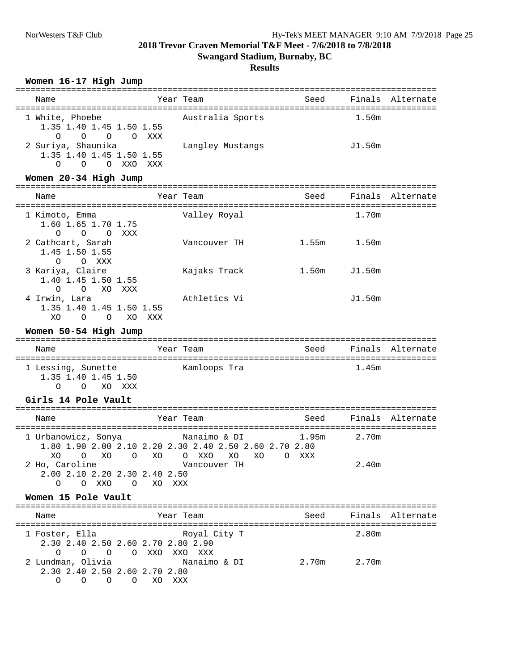#### **Results**

#### **Women 16-17 High Jump**

| Name                                                                                         | Year Team        | Seed |        | Finals Alternate |
|----------------------------------------------------------------------------------------------|------------------|------|--------|------------------|
| 1 White, Phoebe<br>1.35 1.40 1.45 1.50 1.55<br>O O O XXX<br>$\Omega$                         | Australia Sports |      | 1.50m  |                  |
| 2 Suriya, Shaunika<br>1.35 1.40 1.45 1.50 1.55<br>XXX<br>$\overline{O}$<br>O XXO<br>$\Omega$ | Langley Mustangs |      | J1.50m |                  |

#### **Women 20-34 High Jump**

| Name                                                                    | Year Team           | Seed  |        | Finals Alternate |
|-------------------------------------------------------------------------|---------------------|-------|--------|------------------|
|                                                                         |                     |       |        |                  |
| 1 Kimoto, Emma<br>1.60 1.65 1.70 1.75                                   | Valley Royal        |       | 1.70m  |                  |
| $\Omega$<br>$\Omega$<br>XXX<br>$\Omega$                                 |                     |       |        |                  |
| 2 Cathcart, Sarah<br>1.45 1.50 1.55                                     | Vancouver TH        | 1.55m | 1.50m  |                  |
| $\Omega$<br>$\Omega$<br>XXX                                             |                     |       |        |                  |
| 3 Kariya, Claire<br>1.40 1.45 1.50 1.55                                 | Kajaks Track        | 1.50m | J1.50m |                  |
| XXX<br>$\Omega$<br>XO<br>$\Omega$                                       |                     |       |        |                  |
| 4 Irwin, Lara<br>1.35 1.40 1.45 1.50 1.55<br>XO<br>O<br>XO.<br>$\Omega$ | Athletics Vi<br>XXX |       | J1.50m |                  |

#### **Women 50-54 High Jump**

| Name                                      | Year Team    | Seed |       | Finals Alternate |
|-------------------------------------------|--------------|------|-------|------------------|
| 1 Lessing, Sunette<br>1.35 1.40 1.45 1.50 | Kamloops Tra |      | 1.45m |                  |
| XO XXX<br>O                               |              |      |       |                  |

## **Girls 14 Pole Vault**

| Name                                      | Year Team                                                                                                            | Seed            |       | Finals Alternate |
|-------------------------------------------|----------------------------------------------------------------------------------------------------------------------|-----------------|-------|------------------|
|                                           | 1 Urbanowicz, Sonya           Nanaimo & DI           1.95m<br>1.80 1.90 2.00 2.10 2.20 2.30 2.40 2.50 2.60 2.70 2.80 |                 | 2.70m |                  |
| 2 Ho, Caroline                            | XO O XO O XO O XXO XO XO<br>Vancouver TH                                                                             | XXX<br>$\Omega$ | 2.40m |                  |
| 2.00 2.10 2.20 2.30 2.40 2.50<br>O<br>XXO | xxx<br>$\Omega$<br>XO.                                                                                               |                 |       |                  |

#### **Women 15 Pole Vault**

=================================================================================== Year Team Seed Finals Alternate =================================================================================== 1 Foster, Ella Royal City T 2.30 2.40 2.50 2.60 2.70 2.80 2.90 O O O O XXO XXO XXX NANO AAA<br>Nanaimo & DI 2.70m 2.70m 2.30 2.40 2.50 2.60 2.70 2.80 O O O O XO XXX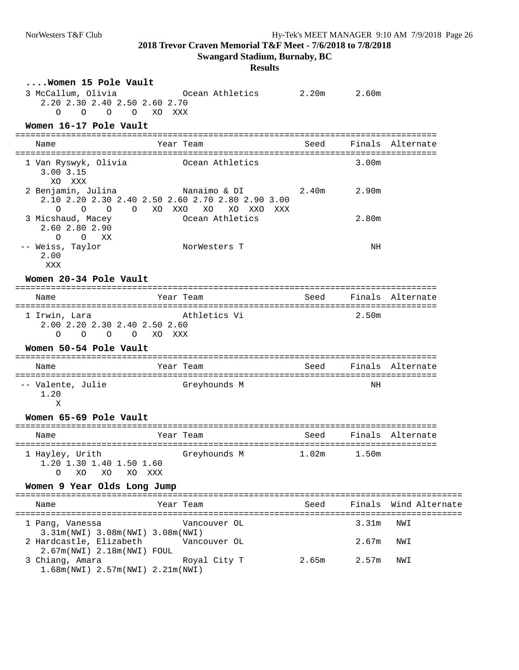**Swangard Stadium, Burnaby, BC**

| Women 15 Pole Vault                                                              |                                                                                                                              |       |                   |                       |
|----------------------------------------------------------------------------------|------------------------------------------------------------------------------------------------------------------------------|-------|-------------------|-----------------------|
| 3 McCallum, Olivia<br>2.20 2.30 2.40 2.50 2.60 2.70<br>$\circ$<br>$\circ$        | Ocean Athletics 2.20m 2.60m<br>O O XO XXX                                                                                    |       |                   |                       |
| Women 16-17 Pole Vault                                                           |                                                                                                                              |       |                   |                       |
| Name                                                                             | Year Team                                                                                                                    | Seed  |                   | Finals Alternate      |
| 1 Van Ryswyk, Olivia<br>$3.00$ $3.15$<br>XO XXX                                  | Ocean Athletics                                                                                                              |       | 3.00m             |                       |
| $\overline{O}$<br>O<br>$\circ$                                                   | 2 Benjamin, Julina               Nanaimo & DI<br>2.10 2.20 2.30 2.40 2.50 2.60 2.70 2.80 2.90 3.00<br>O XO XXO XO XO XXO XXX | 2.40m | 2.90m             |                       |
| 3 Micshaud, Macey<br>2.60 2.80 2.90<br>O XX<br>$\Omega$                          | Ocean Athletics                                                                                                              |       | 2.80m             |                       |
| -- Weiss, Taylor<br>2.00<br>XXX                                                  | NorWesters T                                                                                                                 |       | ΝH                |                       |
| Women 20-34 Pole Vault                                                           |                                                                                                                              |       |                   |                       |
| Name                                                                             | Year Team                                                                                                                    | Seed  |                   | Finals Alternate      |
| 1 Irwin, Lara<br>2.00 2.20 2.30 2.40 2.50 2.60<br>$\Omega$<br>$\circ$<br>$\circ$ | Athletics Vi<br>O XO XXX                                                                                                     |       | 2.50m             |                       |
| Women 50-54 Pole Vault                                                           |                                                                                                                              |       |                   |                       |
| Name                                                                             | Year Team                                                                                                                    | Seed  |                   | Finals Alternate      |
| -- Valente, Julie<br>1.20<br>Χ                                                   | Greyhounds M                                                                                                                 |       | NH                |                       |
| Women 65-69 Pole Vault                                                           |                                                                                                                              |       |                   |                       |
| Name                                                                             | Year Team                                                                                                                    | Seed  | Finals            | Alternate             |
| 1 Hayley, Urith<br>1.20 1.30 1.40 1.50 1.60<br>XO<br>XO<br>O<br>XO.              | Greyhounds M<br>XXX                                                                                                          | 1.02m | 1.50m             |                       |
| Women 9 Year Olds Long Jump                                                      |                                                                                                                              |       |                   |                       |
| Name                                                                             | ----------------------------------<br>Year Team                                                                              | Seed  |                   | Finals Wind Alternate |
| 1 Pang, Vanessa                                                                  | Vancouver OL                                                                                                                 |       | 3.31m             | NWI                   |
| 3.31m(NWI) 3.08m(NWI) 3.08m(NWI)                                                 |                                                                                                                              |       |                   |                       |
| 2 Hardcastle, Elizabeth<br>2.67m(NWI) 2.18m(NWI) FOUL                            | Vancouver OL                                                                                                                 |       | 2.67m             | NWI                   |
| 3 Chiang, Amara<br>1.68m (NWI) 2.57m (NWI) 2.21m (NWI)                           | Royal City T                                                                                                                 | 2.65m | 2.57 <sub>m</sub> | NWI                   |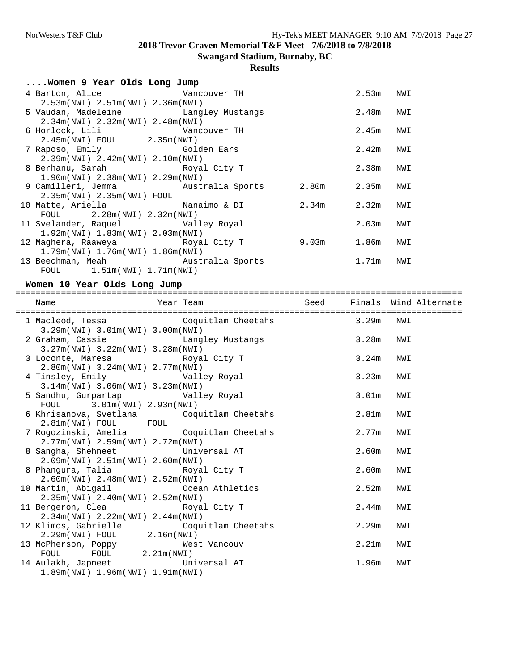**Swangard Stadium, Burnaby, BC**

## **Results**

| Women 9 Year Olds Long Jump                                                |             |             |     |
|----------------------------------------------------------------------------|-------------|-------------|-----|
| 4 Barton, Alice Wancouver TH                                               |             | 2.53m NWI   |     |
| 2.53m(NWI) 2.51m(NWI) 2.36m(NWI)                                           |             |             |     |
| 5 Vaudan, Madeleine Controller Langley Mustangs                            |             | 2.48m       | NWI |
| $2.34m(NWT)$ $2.32m(NWT)$ $2.48m(NWT)$                                     |             |             |     |
| 6 Horlock, Lili Vancouver TH                                               |             | 2.45m       | NWI |
| 2.45m(NWI) FOUL 2.35m(NWI)                                                 |             |             |     |
| 7 Raposo, Emily Golden Ears                                                |             | $2.42m$ NWI |     |
| 2.39m(NWI) 2.42m(NWI) 2.10m(NWI)                                           |             |             |     |
| 8 Berhanu, Sarah Koyal City T                                              |             | 2.38m NWI   |     |
| 1.90m(NWI) 2.38m(NWI) 2.29m(NWI)                                           |             |             |     |
| 9 Camilleri, Jemma         Australia Sports       2.80m       2.35m   NWI  |             |             |     |
| $2.35m(NWL)$ 2.35 $m(NWL)$ FOUL                                            |             |             |     |
| 10 Matte, Ariella                 Nanaimo & DI           2.34m       2.32m |             |             | NWI |
| $FOUL$ 2.28 $m(NWI)$ 2.32 $m(NWI)$                                         |             |             |     |
| 11 Svelander, Raquel                 Valley Royal                          |             | 2.03m       | NWI |
| 1.92m(NWT) 1.83m(NWT) 2.03m(NWT)                                           |             |             |     |
| 12 Maghera, Raaweya Xaramarka Royal City T                                 | 9.03m 1.86m |             | NWI |
| $1.79m(NWT)$ 1.76m(NWI) 1.86m(NWI)                                         |             |             |     |
| 13 Beechman, Meah Mustralia Sports                                         |             | $1.71m$ NWI |     |
| FOUL $1.51m(NWI) 1.71m(NWI)$                                               |             |             |     |

## **Women 10 Year Olds Long Jump**

| Name Name Year Team Seed Finals Wind Alternate                                                                                                                                                          |             |     |
|---------------------------------------------------------------------------------------------------------------------------------------------------------------------------------------------------------|-------------|-----|
| 1 Macleod, Tessa (Coquitlam Cheetahs 3.29m NWI<br>3.29m(NWI) 3.01m(NWI) 3.00m(NWI)                                                                                                                      |             |     |
| 2 Graham, Cassie <a> Langley Mustangs</a> Mustangs Mustangs Mustangs Mustangs Mustangs Mustangs Mustangs Mustangs Mustangs Mustangs Mustangs Mustangs Mustangs Mustangs3.27m(NWI) 3.22m(NWI) 3.28m(NWI) |             |     |
| 3 Loconte, Maresa Boyal City T<br>2.80m(NWI) 3.24m(NWI) 2.77m(NWI)                                                                                                                                      | $3.24m$ NWI |     |
| 4 Tinsley, Emily <b>Walley Royal</b><br>$3.14m(NWI)$ 3.06m(NWI) 3.23m(NWI)                                                                                                                              | 3.23m       | NWI |
| 5 Sandhu, Gurpartap               Valley Royal<br>FOUL 3.01m(NWI) 2.93m(NWI)                                                                                                                            | $3.01m$ NWI |     |
| 6 Khrisanova, Svetlana Coquitlam Cheetahs<br>2.81m(NWI) FOUL FOUL                                                                                                                                       | 2.81m       | NWI |
| 7 Rogozinski, Amelia (Coquitlam Cheetahs)<br>2.77m(NWI) 2.59m(NWI) 2.72m(NWI)                                                                                                                           | 2.77m NWI   |     |
| 8 Sangha, Shehneet Universal AT<br>2.09m(NWI) 2.51m(NWI) 2.60m(NWI)                                                                                                                                     | 2.60m NWI   |     |
| 8 Phangura, Talia Xang Royal City T<br>2.60m(NWI) 2.48m(NWI) 2.52m(NWI)                                                                                                                                 | $2.60m$ NWI |     |
| 10 Martin, Abigail 6 Coean Athletics<br>2.35m(NWI) 2.40m(NWI) 2.52m(NWI)                                                                                                                                | $2.52m$ NWI |     |
| 11 Bergeron, Clea Royal City T<br>2.34m(NWI) 2.22m(NWI) 2.44m(NWI)                                                                                                                                      | 2.44m       | NWI |
| 12 Klimos, Gabrielle Coquitlam Cheetahs<br>2.29m(NWI) FOUL 2.16m(NWI)                                                                                                                                   | 2.29m NWI   |     |
| 13 McPherson, Poppy Mest Vancouv<br>FOUL FOUL 2.21m(NWI)                                                                                                                                                | 2.21m       | NWI |
| 14 Aulakh, Japneet Christen Universal AT<br>$1.89m(NWT)$ 1.96 $m(NWT)$ 1.91 $m(NWT)$                                                                                                                    | 1.96m NWI   |     |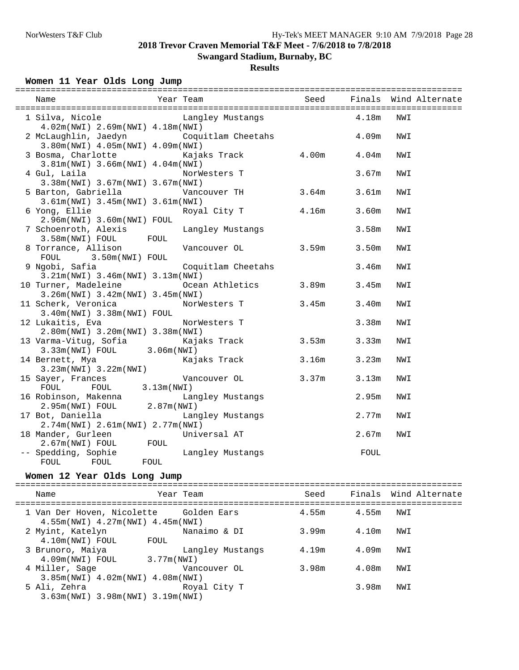**Swangard Stadium, Burnaby, BC**

## **Results**

## **Women 11 Year Olds Long Jump**

| 1 Silva, Nicole             Langley Mustangs                 4.18m |                              |       |       | NWI                   |
|--------------------------------------------------------------------|------------------------------|-------|-------|-----------------------|
| 4.02m(NWI) 2.69m(NWI) 4.18m(NWI)                                   |                              |       |       |                       |
| 2 McLaughlin, Jaedyn Coquitlam Cheetahs                            |                              |       | 4.09m | NWI                   |
| 3.80m(NWI) 4.05m(NWI) 4.09m(NWI)                                   |                              |       |       |                       |
| 3 Bosma, Charlotte                                                 | Kajaks Track $4.00m$ $4.04m$ |       |       | NWI                   |
| 3.81m(NWI) 3.66m(NWI) 4.04m(NWI)                                   |                              |       |       |                       |
| 4 Gul, Laila                                                       | NorWesters T                 |       | 3.67m | NWI                   |
| 3.38m(NWI) 3.67m(NWI) 3.67m(NWI)                                   |                              |       |       |                       |
|                                                                    |                              |       | 3.61m | NWI                   |
| 3.61m(NWI) 3.45m(NWI) 3.61m(NWI)                                   |                              |       |       |                       |
| 6 Yong, Ellie                                                      | Royal City T 4.16m           |       | 3.60m | NWI                   |
| 2.96m(NWI) 3.60m(NWI) FOUL                                         |                              |       |       |                       |
| 7 Schoenroth, Alexis [ Langley Mustangs                            |                              |       | 3.58m | NWI                   |
| $3.58m(NW1)$ FOUL FOUL                                             |                              |       |       |                       |
|                                                                    |                              |       | 3.50m | NWI                   |
| FOUL 3.50m (NWI) FOUL                                              |                              |       |       |                       |
| 9 Ngobi, Safia                                                     | Coquitlam Cheetahs           |       | 3.46m | NWI                   |
| $3.21m(NWI)$ 3.46 $m(NWI)$ 3.13 $m(NWI)$                           |                              |       |       |                       |
| 10 Turner, Madeleine                                               | Ocean Athletics 3.89m 3.45m  |       |       | NWI                   |
| 3.26m(NWI) 3.42m(NWI) 3.45m(NWI)                                   |                              |       |       |                       |
| 11 Scherk, Veronica MorWesters T 3.45m                             |                              |       | 3.40m | NWI                   |
| $3.40m(NWI)$ $3.38m(NWI)$ FOUL                                     |                              |       |       |                       |
| 12 Lukaitis, Eva                                                   | NorWesters T                 |       | 3.38m | NWI                   |
| 2.80m(NWI) 3.20m(NWI) 3.38m(NWI)                                   |                              |       |       |                       |
| 13 Varma-Vitug, Sofia             Kajaks Track                     |                              | 3.53m | 3.33m | NWI                   |
| $3.33m(NW1)$ FOUL 3.06 $m(NW1)$                                    |                              |       |       |                       |
| 14 Bernett, Mya                                                    | Kajaks Track                 | 3.16m | 3.23m | NWI                   |
| $3.23m(NW1)$ $3.22m(NW1)$                                          |                              |       |       |                       |
| 15 Sayer, Frances Mancouver OL                                     |                              | 3.37m | 3.13m | NWI                   |
| FOUL FOUL 3.13m (NWI)                                              |                              |       |       |                       |
|                                                                    | Langley Mustangs             |       | 2.95m | NWI                   |
| 16 Robinson, Makenna Lang<br>2.95m(NWI) FOUL 2.87m(NWI)            |                              |       |       |                       |
| 17 Bot, Daniella                                                   | Langley Mustangs             |       | 2.77m | NWI                   |
| 2.74m(NWI) 2.61m(NWI) 2.77m(NWI)                                   |                              |       |       |                       |
| 18 Mander, Gurleen Universal AT                                    |                              |       | 2.67m | NWI                   |
| 2.67m(NWI) FOUL FOUL                                               |                              |       |       |                       |
| -- Spedding, Sophie Mangley Mustangs<br>FOUL<br>FOUL FOUL          |                              |       | FOUL  |                       |
|                                                                    |                              |       |       |                       |
| Women 12 Year Olds Long Jump                                       |                              |       |       |                       |
| Name                                                               | Year Team                    | Seed  |       | Finals Wind Alternate |
|                                                                    |                              |       |       |                       |
| 1 Van Der Hoven, Nicolette                                         | Golden Ears                  | 4.55m | 4.55m | NWI                   |
| $4.55m(NWT)$ $4.27m(NWT)$ $4.45m(NWT)$                             |                              |       |       |                       |
| 2 Myint, Katelyn                                                   | Nanaimo & DI                 | 3.99m | 4.10m | NWI                   |
| 4.10m(NWI) FOUL<br>FOUL                                            |                              |       |       |                       |
| 3 Brunoro, Maiya                                                   | Langley Mustangs             | 4.19m | 4.09m | NWI                   |
| 4.09m(NWI) FOUL<br>3.77m (NWI)                                     |                              |       |       |                       |

 4 Miller, Sage Vancouver OL 3.98m 4.08m NWI 3.85m(NWI) 4.02m(NWI) 4.08m(NWI) 5 Ali, Zehra Royal City T 3.98m NWI 3.63m(NWI) 3.98m(NWI) 3.19m(NWI)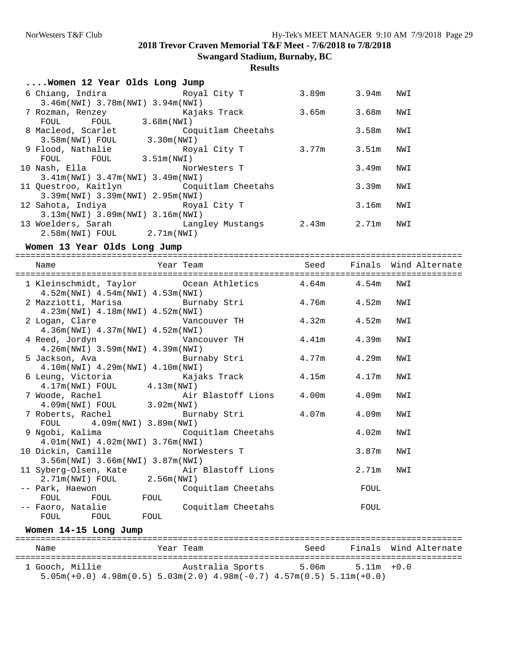## **Results**

| Women 12 Year Olds Long Jump                 |                    |             |       |     |
|----------------------------------------------|--------------------|-------------|-------|-----|
| 6 Chiang, Indira               Royal City T  |                    | 3.89m       | 3.94m | NWI |
| $3.46m(NWT)$ 3.78 $m(NWT)$ 3.94 $m(NWT)$     |                    |             |       |     |
| 7 Rozman, Renzey                             | Kajaks Track       | 3.65m       | 3.68m | NWI |
| 3.68m(NWT)<br>FOUL<br>FOUL                   |                    |             |       |     |
| 8 Macleod, Scarlet                           | Coquitlam Cheetahs |             | 3.58m | NWI |
| 3.58m(NWI) FOUL<br>3.30m(NWI)                |                    |             |       |     |
| 9 Flood, Nathalie                            | Royal City T       | 3.77m       | 3.51m | NWI |
| 3.51m(NWI)<br><b>FOUL</b><br>FOUL            |                    |             |       |     |
| 10 Nash, Ella                                | NorWesters T       |             | 3.49m | NWI |
| $3.41m(NWI)$ 3.47 $m(NWI)$ 3.49 $m(NWI)$     |                    |             |       |     |
| 11 Questroo, Kaitlyn Coquitlam Cheetahs      |                    |             | 3.39m | NWI |
| 3.39m(NWI) 3.39m(NWI) 2.95m(NWI)             |                    |             |       |     |
| 12 Sahota, Indiya               Royal City T |                    |             | 3.16m | NWI |
| $3.13m(NWI)$ 3.09m(NWI) 3.16m(NWI)           |                    |             |       |     |
| 13 Woelders, Sarah       Langley Mustangs    |                    | 2.43m 2.71m |       | NWI |
| $2.58m(NWT)$ FOUL $2.71m(NWI)$               |                    |             |       |     |

#### **Women 13 Year Olds Long Jump**

========================================================================================

| Name                                                                                                                          | Year Team                  | Seed  |             | Finals Wind Alternate |
|-------------------------------------------------------------------------------------------------------------------------------|----------------------------|-------|-------------|-----------------------|
| 1 Kleinschmidt, Taylor 6 0 00 00 00 Athletics 4.64m 4.54m                                                                     |                            |       |             | NWI                   |
| $4.52m(NWT)$ $4.54m(NWT)$ $4.53m(NWT)$<br>2 Mazziotti, Marisa       Burnaby Stri                                              |                            |       | 4.76m 4.52m | NWI                   |
| $4.23m(NWI)$ $4.18m(NWI)$ $4.52m(NWI)$<br>2 Logan, Clare <b>Manual</b> Vancouver TH<br>$4.36m(NWI)$ $4.37m(NWI)$ $4.52m(NWI)$ |                            | 4.32m | 4.52m       | NWI                   |
| 4 Reed, Jordyn<br>$4.26m(NWI)$ 3.59 $m(NWI)$ 4.39 $m(NWI)$                                                                    | Vancouver TH               | 4.41m | 4.39m       | NWI                   |
| 5 Jackson, Ava           Burnaby Stri<br>$4.10m(NWI)$ $4.29m(NWI)$ $4.10m(NWI)$                                               |                            | 4.77m | 4.29m       | NWI                   |
| 6 Leung, Victoria<br>$4.17m(NWI)$ FOUL $4.13m(NWI)$                                                                           | Kajaks Track               | 4.15m | 4.17m       | NWI                   |
| 7 Woode, Rachel Manager Air Blastoff Lions<br>4.09m(NWI) FOUL 3.92m(NWI)                                                      |                            | 4.00m | 4.09m       | NWI                   |
| 7 Roberts, Rachel Burnaby Stri<br>FOUL 4.09m(NWI) 3.89m(NWI)                                                                  |                            | 4.07m | 4.09m       | NWI                   |
| 9 Ngobi, Kalima (1998) Coquitlam Cheetahs<br>4.01m(NWI) 4.02m(NWI) 3.76m(NWI)                                                 |                            |       | 4.02m       | NWI                   |
| 10 Dickin, Camille MorWesters T<br>$3.56m(NW1)$ 3.66 $m(NW1)$ 3.87 $m(NW1)$                                                   |                            |       | 3.87m       | NWI                   |
| 11 Syberg-Olsen, Kate Air Blastoff Lions<br>$2.71m(NWI)$ FOUL $2.56m(NWI)$                                                    |                            |       | 2.71m       | NWI                   |
| -- Park, Haewon<br>FOUL FOUL<br>FOUL                                                                                          | Coquitlam Cheetahs         |       | FOUL        |                       |
| -- Faoro, Natalie<br>FOUL<br>FOUL                                                                                             | Coquitlam Cheetahs<br>FOUL |       | FOUL        |                       |

### **Women 14-15 Long Jump**

======================================================================================== Seed Finals Wind Alternate ======================================================================================== Australia Sports 5.06m 5.11m +0.0 5.05m(+0.0) 4.98m(0.5) 5.03m(2.0) 4.98m(-0.7) 4.57m(0.5) 5.11m(+0.0)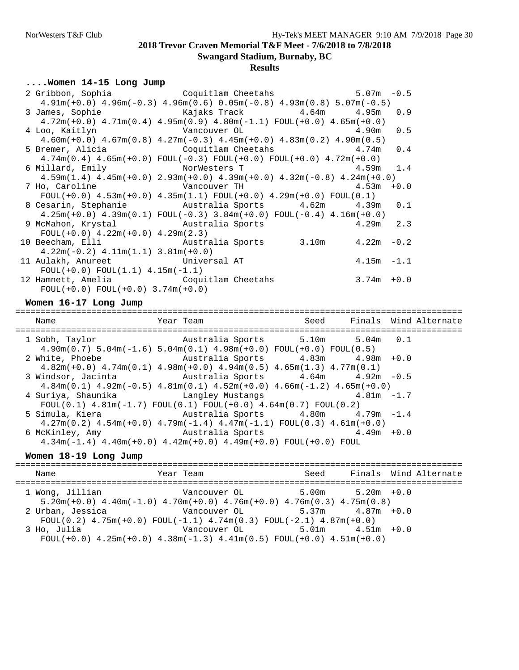## **Results**

### **....Women 14-15 Long Jump**

| 2 Gribbon, Sophia Coquitlam Cheetahs 5.07m -0.5                                                            |               |  |
|------------------------------------------------------------------------------------------------------------|---------------|--|
| $4.91m(+0.0)$ $4.96m(-0.3)$ $4.96m(0.6)$ $0.05m(-0.8)$ $4.93m(0.8)$ $5.07m(-0.5)$                          |               |  |
| 3 James, Sophie                             Kajaks Track             4.64m       4.95m   0.9               |               |  |
| $4.72m(+0.0)$ $4.71m(0.4)$ $4.95m(0.9)$ $4.80m(-1.1)$ $FOUL(+0.0)$ $4.65m(+0.0)$                           |               |  |
|                                                                                                            |               |  |
| $4.60$ m(+0.0) $4.67$ m(0.8) $4.27$ m(-0.3) $4.45$ m(+0.0) $4.83$ m(0.2) $4.90$ m(0.5)                     |               |  |
| 5 Bremer, Alicia $Coguitlam$ Cheetahs $4.74m$ 0.4                                                          |               |  |
| $4.74m(0.4)$ $4.65m(+0.0)$ $FOUL(-0.3)$ $FOUL(+0.0)$ $FOUL(+0.0)$ $4.72m(+0.0)$                            |               |  |
| 6 Millard, Emily                    NorWesters T                            4.59m   1.4                    |               |  |
| $4.59$ m $(1.4)$ $4.45$ m $(+0.0)$ $2.93$ m $(+0.0)$ $4.39$ m $(+0.0)$ $4.32$ m $(-0.8)$ $4.24$ m $(+0.0)$ |               |  |
|                                                                                                            |               |  |
| $FOUT(+0.0)$ 4.53m(+0.0) 4.35m(1.1) $FOUT(+0.0)$ 4.29m(+0.0) $FOUT(0.1)$                                   |               |  |
| 8 Cesarin, Stephanie Mustralia Sports 4.62m 4.39m 0.1                                                      |               |  |
| $4.25m(+0.0)$ $4.39m(0.1)$ $FOUL(-0.3)$ $3.84m(+0.0)$ $FOUL(-0.4)$ $4.16m(+0.0)$                           |               |  |
| 9 McMahon, Krystal Mustralia Sports 4.29m 2.3                                                              |               |  |
| $FOUL(+0.0)$ 4.22m( $+0.0$ ) 4.29m(2.3)                                                                    |               |  |
| 10 Beecham, Elli Mustralia Sports 3.10m 4.22m -0.2                                                         |               |  |
| $4.22m(-0.2)$ $4.11m(1.1)$ $3.81m(+0.0)$                                                                   |               |  |
| 11 Aulakh, Anureet Universal AT                                                                            | $4.15m - 1.1$ |  |
| $FOUL(+0.0) FOUL(1.1) 4.15m(-1.1)$                                                                         |               |  |
| 12 Hamnett, Amelia Coquitlam Cheetahs                                                                      | $3.74m + 0.0$ |  |
| $FOUL(+0.0) FOUL(+0.0) 3.74m(+0.0)$                                                                        |               |  |

#### **Women 16-17 Long Jump**

======================================================================================== Year Team Seed Finals Wind Alternate ======================================================================================== 1 Sobh, Taylor Australia Sports 5.10m 5.04m 0.1 4.90m(0.7) 5.04m(-1.6) 5.04m(0.1) 4.98m(+0.0) FOUL(+0.0) FOUL(0.5) 2 White, Phoebe Australia Sports 4.83m 4.98m +0.0 4.82m(+0.0) 4.74m(0.1) 4.98m(+0.0) 4.94m(0.5) 4.65m(1.3) 4.77m(0.1) 3 Windsor, Jacinta Australia Sports 4.64m 4.92m -0.5  $4.84$ m $(0.1)$   $4.92$ m $(-0.5)$   $4.81$ m $(0.1)$   $4.52$ m $(+0.0)$   $4.66$ m $(-1.2)$   $4.65$ m $(+0.0)$ <br>uriya, Shaunika Langley Mustangs  $4.81$ m  $-1.7$ 4 Suriya, Shaunika Langley Mustangs  $F0UL(0.1)$  4.81m(-1.7)  $F0UL(0.1)$   $F0UL(+0.0)$  4.64m(0.7)  $F0UL(0.2)$ <br>5 Simula, Kiera Australia Sports 4.80m 4. Australia Sports 4.80m 4.79m -1.4  $4.27m(0.2)$   $4.54m(+0.0)$   $4.79m(-1.4)$   $4.47m(-1.1)$   $FOUL(0.3)$   $4.61m(+0.0)$ <br>6 McKinley, Amy Australia Sports  $4.49m +0.0$ Australia Sports 4.34m(-1.4) 4.40m(+0.0) 4.42m(+0.0) 4.49m(+0.0) FOUL(+0.0) FOUL

## **Women 18-19 Long Jump**

| Name             | Year Team                                                                                                                     | Seed | Finals Wind Alternate |
|------------------|-------------------------------------------------------------------------------------------------------------------------------|------|-----------------------|
| 1 Wong, Jillian  | $5.20$ m $(+0.0)$ 4.40m $(-1.0)$ 4.70m $(+0.0)$ 4.76m $(+0.0)$ 4.76m $(0.3)$ 4.75m $(0.8)$                                    |      |                       |
| 2 Urban, Jessica | Vancouver OL $5.37m$ $4.87m +0.0$<br>FOUL $(0.2)$ 4.75m $(+0.0)$ FOUL $(-1.1)$ 4.74m $(0.3)$ FOUL $(-2.1)$ 4.87m $(+0.0)$     |      |                       |
| 3 Ho, Julia      | Vancouver OL $5.01m$ $4.51m$ $+0.0$<br>FOUL $(+0.0)$ 4.25m $(+0.0)$ 4.38m $(-1.3)$ 4.41m $(0.5)$ FOUL $(+0.0)$ 4.51m $(+0.0)$ |      |                       |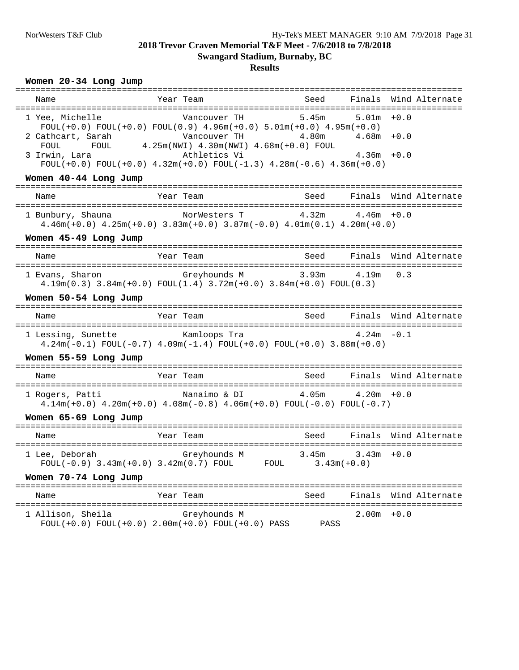## **Results**

## **Women 20-34 Long Jump**

| Name                  | Year Team                                                                                                                                                                                                    |                            |                                         | Seed - Finals Wind Alternate |
|-----------------------|--------------------------------------------------------------------------------------------------------------------------------------------------------------------------------------------------------------|----------------------------|-----------------------------------------|------------------------------|
| 1 Yee, Michelle       | Vancouver TH<br>$FOUT(+0.0) FOUT(+0.0) FOUT(0.9) 4.96m(+0.0) 5.01m(+0.0) 4.95m(+0.0)$<br>2 Cathcart, Sarah $V$ ancouver TH $4.80$ m $4.000$ $4.25$ m $(W$ KJ $)$ $4.30$ m $(W$ KJ $)$ $4.68$ m $(+0.0)$ FOUL |                            | $5.45m$ $5.01m$ $+0.0$<br>$4.68m + 0.0$ |                              |
| 3 Irwin, Lara         | Athletics Vi<br>FOUL $(+0.0)$ FOUL $(+0.0)$ 4.32m $(+0.0)$ FOUL $(-1.3)$ 4.28m $(-0.6)$ 4.36m $(+0.0)$                                                                                                       |                            | $4.36m + 0.0$                           |                              |
| Women 40-44 Long Jump |                                                                                                                                                                                                              |                            |                                         |                              |
| Name                  | Year Team                                                                                                                                                                                                    | Seed                       |                                         | Finals Wind Alternate        |
|                       | 1 Bunbury, Shauna MorWesters T 4.32m 4.46m +0.0<br>$4.46m(+0.0)$ $4.25m(+0.0)$ $3.83m(+0.0)$ $3.87m(-0.0)$ $4.01m(0.1)$ $4.20m(+0.0)$                                                                        |                            |                                         |                              |
| Women 45-49 Long Jump |                                                                                                                                                                                                              |                            |                                         |                              |
| Name                  | Year Team                                                                                                                                                                                                    | Seed                       |                                         | Finals Wind Alternate        |
|                       | 1 Evans, Sharon     Greyhounds M     3.93m     4.19m 0.3<br>$4.19\text{m}(0.3)$ $3.84\text{m}(+0.0)$ $F\text{OUL}(1.4)$ $3.72\text{m}(+0.0)$ $3.84\text{m}(+0.0)$ $F\text{OUL}(0.3)$                         |                            |                                         |                              |
| Women 50-54 Long Jump |                                                                                                                                                                                                              |                            |                                         |                              |
| Name                  | Year Team                                                                                                                                                                                                    | Seed Finals Wind Alternate |                                         |                              |
|                       | 1 Lessing, Sunette Kamloops Tra<br>$4.24m(-0.1)$ FOUL $(-0.7)$ $4.09m(-1.4)$ FOUL $(+0.0)$ FOUL $(+0.0)$ $3.88m(+0.0)$                                                                                       | $4.24m - 0.1$              |                                         |                              |
| Women 55-59 Long Jump |                                                                                                                                                                                                              |                            |                                         |                              |
| Name                  | Year Team                                                                                                                                                                                                    |                            |                                         | Seed Finals Wind Alternate   |
| 1 Rogers, Patti       | Nanaimo & DI 4.05m<br>$4.14m(+0.0)$ $4.20m(+0.0)$ $4.08m(-0.8)$ $4.06m(+0.0)$ $FOUL(-0.0)$ $FOUL(-0.7)$                                                                                                      |                            | $4.20m + 0.0$                           |                              |
| Women 65-69 Long Jump |                                                                                                                                                                                                              |                            |                                         |                              |
| Name                  | Year Team                                                                                                                                                                                                    | Seed                       |                                         | Finals Wind Alternate        |
| 1 Lee, Deborah        |                                                                                                                                                                                                              |                            |                                         |                              |
| Women 70-74 Long Jump |                                                                                                                                                                                                              |                            |                                         |                              |
| Name                  | Year Team<br>--------                                                                                                                                                                                        | Seed                       | Finals                                  | Wind Alternate               |
| 1 Allison, Sheila     | Greyhounds M<br>$FOUL(+0.0)$ $FOUL(+0.0)$ $2.00m(+0.0)$ $FOUL(+0.0)$ $PASS$                                                                                                                                  | PASS                       | $2.00m + 0.0$                           | ===================          |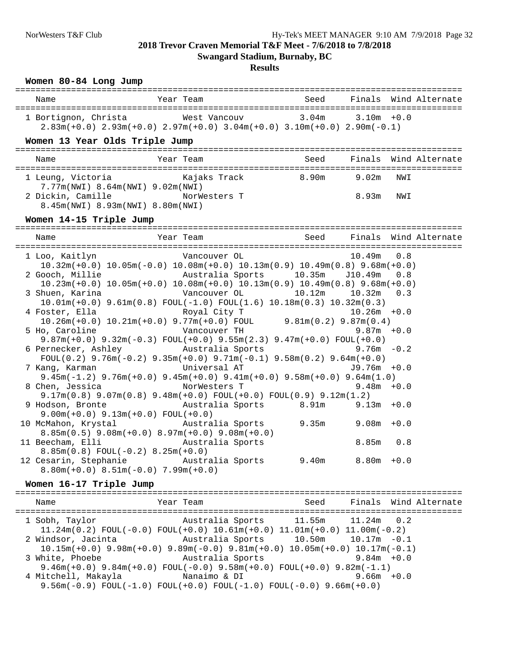**Swangard Stadium, Burnaby, BC**

### **Results**

## **Women 80-84 Long Jump** ======================================================================================== Name Year Team Seed Finals Wind Alternate ======================================================================================== 1 Bortignon, Christa West Vancouv 3.04m 3.10m +0.0 2.83m(+0.0) 2.93m(+0.0) 2.97m(+0.0) 3.04m(+0.0) 3.10m(+0.0) 2.90m(-0.1) **Women 13 Year Olds Triple Jump** ======================================================================================== Name Year Team Seed Finals Wind Alternate ======================================================================================== 1 Leung, Victoria Kajaks Track 8.90m 9.02m NWI 7.77m(NWI) 8.64m(NWI) 9.02m(NWI) 2 Dickin, Camille NorWesters T 8.93m NWI 8.45m(NWI) 8.93m(NWI) 8.80m(NWI) **Women 14-15 Triple Jump** ======================================================================================== Year Team Seed Finals Wind Alternate ======================================================================================== Vancouver OL 10.32m(+0.0) 10.05m(-0.0) 10.08m(+0.0) 10.13m(0.9) 10.49m(0.8) 9.68m(+0.0) 2 Gooch, Millie Australia Sports 10.35m J10.49m 0.8 10.23m(+0.0) 10.05m(+0.0) 10.08m(+0.0) 10.13m(0.9) 10.49m(0.8) 9.68m(+0.0) Vancouver OL 10.12m 10.32m 0.3 10.01m(+0.0) 9.61m(0.8) FOUL(-1.0) FOUL(1.6) 10.18m(0.3) 10.32m(0.3) 4 Foster, Ella Royal City T 10.26m +0.0 10.26m(+0.0) 10.21m(+0.0) 9.77m(+0.0) FOUL 9.81m(0.2) 9.87m(0.4) 5 Ho, Caroline Vancouver TH 9.87m +0.0 9.87m(+0.0) 9.32m(-0.3) FOUL(+0.0) 9.55m(2.3) 9.47m(+0.0) FOUL(+0.0) 6 Pernecker, Ashley Australia Sports FOUL(0.2) 9.76m(-0.2) 9.35m(+0.0) 9.71m(-0.1) 9.58m(0.2) 9.64m(+0.0)<br>
Universal AT  $J9.76m + 0.0$ 7 Kang, Karman 9.45m(-1.2) 9.76m(+0.0) 9.45m(+0.0) 9.41m(+0.0) 9.58m(+0.0) 9.64m(1.0)<br>2.48m +0.0 NorWesters T 8 Chen, Jessica 9.17m(0.8) 9.07m(0.8) 9.48m(+0.0) FOUL(+0.0) FOUL(0.9) 9.12m(1.2) Australia Sports 8.91m 9.13m +0.0 9.00m(+0.0) 9.13m(+0.0) FOUL(+0.0)<br>10 McMahon, Krystal Austral 10 McMahon, Krystal Australia Sports 9.35m 9.08m +0.0 8.85m(0.5) 9.08m(+0.0) 8.97m(+0.0) 9.08m(+0.0) 11 Beecham, Elli Australia Sports 8.85m 0.8 8.85m(0.8) FOUL(-0.2) 8.25m(+0.0) 12 Cesarin, Stephanie Australia Sports 9.40m 8.80m +0.0 8.80m(+0.0) 8.51m(-0.0) 7.99m(+0.0) **Women 16-17 Triple Jump** ======================================================================================== Name Year Team Seed Finals Wind Alternate ======================================================================================== 1 Sobh, Taylor Australia Sports 11.55m 11.24m 0.2 11.24m(0.2) FOUL(-0.0) FOUL(+0.0) 10.61m(+0.0) 11.01m(+0.0) 11.00m(-0.2) 2 Windsor, Jacinta Australia Sports 10.50m 10.17m -0.1 10.15m(+0.0) 9.98m(+0.0) 9.89m(-0.0) 9.81m(+0.0) 10.05m(+0.0) 10.17m(-0.1) 3 White, Phoebe 9.46m(+0.0) 9.84m(+0.0) FOUL(-0.0) 9.58m(+0.0) FOUL(+0.0) 9.82m(-1.1) 4 Mitchell, Makayla Nanaimo & DI

9.56m(-0.9) FOUL(-1.0) FOUL(+0.0) FOUL(-1.0) FOUL(-0.0) 9.66m(+0.0)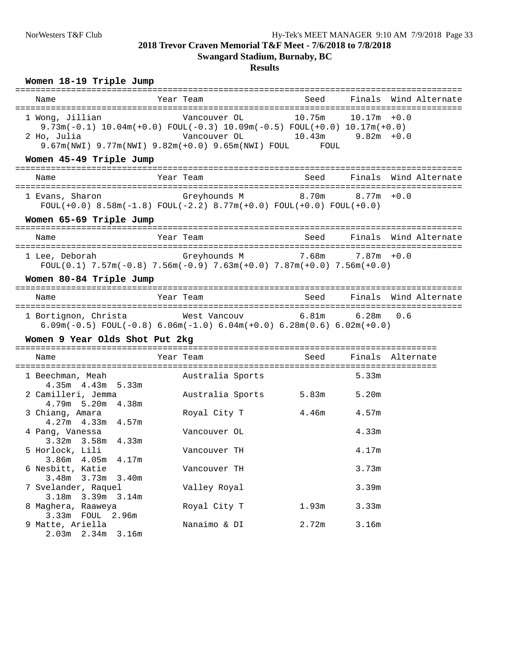## **Results**

## **Women 18-19 Triple Jump**

| Name                                                                            | Year Team                                                                                                                                                                                                                         | Seed   |                | Finals Wind Alternate      |
|---------------------------------------------------------------------------------|-----------------------------------------------------------------------------------------------------------------------------------------------------------------------------------------------------------------------------------|--------|----------------|----------------------------|
| 1 Wong, Jillian<br>2 Ho, Julia                                                  | Vancouver OL<br>$9.73\text{m}(-0.1)$ 10.04 $\text{m}(+0.0)$ FOUL $(-0.3)$ 10.09 $\text{m}(-0.5)$ FOUL $(+0.0)$ 10.17 $\text{m}(+0.0)$<br>Vancouver OL 10.43m 9.82m +0.0<br>9.67m(NWI) 9.77m(NWI) 9.82m(+0.0) 9.65m(NWI) FOUL FOUL | 10.75m | $10.17m + 0.0$ |                            |
| Women 45-49 Triple Jump                                                         |                                                                                                                                                                                                                                   |        |                |                            |
| Name                                                                            | Year Team                                                                                                                                                                                                                         |        |                | Seed Finals Wind Alternate |
| 1 Evans, Sharon                                                                 | Greyhounds M $10.70$ m $8.70$ m $10.0$<br>$FOUL(+0.0)$ 8.58m(-1.8) $FOUL(-2.2)$ 8.77m(+0.0) $FOUL(+0.0)$ $FOUL(+0.0)$                                                                                                             |        |                |                            |
| Women 65-69 Triple Jump                                                         |                                                                                                                                                                                                                                   |        |                |                            |
| Name                                                                            | Year Team                                                                                                                                                                                                                         | Seed   |                | Finals Wind Alternate      |
| 1 Lee, Deborah               Greyhounds M         7.68m     7.87m +0.0          | FOUL $(0.1)$ 7.57m $(-0.8)$ 7.56m $(-0.9)$ 7.63m $(+0.0)$ 7.87m $(+0.0)$ 7.56m $(+0.0)$                                                                                                                                           |        |                |                            |
| Women 80-84 Triple Jump                                                         |                                                                                                                                                                                                                                   |        |                |                            |
| Name                                                                            | Year Team                                                                                                                                                                                                                         | Seed   |                | Finals Wind Alternate      |
| 1 Bortignon, Christa             West Vancouv           6.81m       6.28m   0.6 | $6.09m(-0.5)$ FOUL $(-0.8)$ $6.06m(-1.0)$ $6.04m(+0.0)$ $6.28m(0.6)$ $6.02m(+0.0)$                                                                                                                                                |        |                |                            |
| Women 9 Year Olds Shot Put 2kg                                                  |                                                                                                                                                                                                                                   |        |                |                            |
| Name                                                                            | Year Team                                                                                                                                                                                                                         | Seed   |                | Finals Alternate           |
| 1 Beechman, Meah<br>$4.35m$ $4.43m$ $5.33m$                                     | Australia Sports                                                                                                                                                                                                                  |        | 5.33m          |                            |
| 2 Camilleri, Jemma<br>$4.79m$ 5.20m $4.38m$                                     | Australia Sports                                                                                                                                                                                                                  | 5.83m  | 5.20m          |                            |
| 3 Chiang, Amara<br>$4.27m$ $4.33m$ $4.57m$                                      | Royal City T                                                                                                                                                                                                                      | 4.46m  | 4.57m          |                            |
| 4 Pang, Vanessa<br>$3.32m$ $3.58m$ $4.33m$                                      | Vancouver OL                                                                                                                                                                                                                      |        | 4.33m          |                            |
| 5 Horlock, Lili<br>3.86m 4.05m 4.17m                                            | Vancouver TH                                                                                                                                                                                                                      |        | 4.17m          |                            |
| 6 Nesbitt, Katie<br>3.48m<br>3.73m<br>3.40m                                     | Vancouver TH                                                                                                                                                                                                                      |        | 3.73m          |                            |
| 7 Svelander, Raquel<br>3.18m 3.39m 3.14m                                        | Valley Royal                                                                                                                                                                                                                      |        | 3.39m          |                            |
| 8 Maghera, Raaweya<br>3.33m FOUL 2.96m                                          | Royal City T                                                                                                                                                                                                                      | 1.93m  | 3.33m          |                            |
| 9 Matte, Ariella<br>$2.03m$ $2.34m$<br>3.16m                                    | Nanaimo & DI                                                                                                                                                                                                                      | 2.72m  | 3.16m          |                            |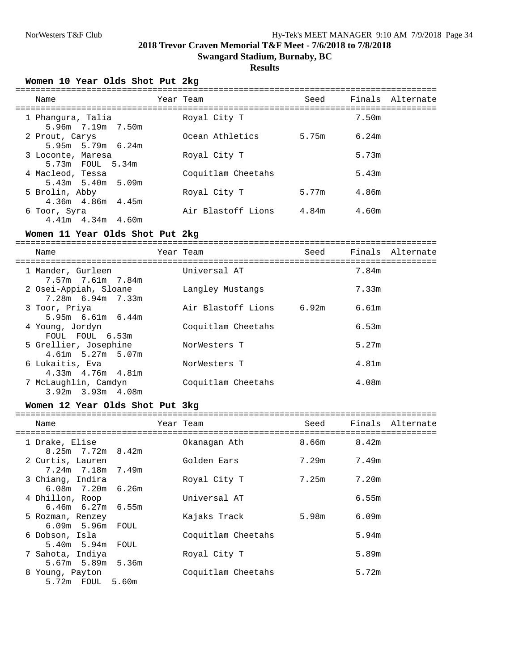**Swangard Stadium, Burnaby, BC**

## **Results**

**Women 10 Year Olds Shot Put 2kg**

| Name                                        | Year Team          | Seed  |       | Finals Alternate |
|---------------------------------------------|--------------------|-------|-------|------------------|
| 1 Phanqura, Talia<br>5.96m 7.19m 7.50m      | Royal City T       |       | 7.50m |                  |
| 2 Prout, Carys<br>$5.95m$ $5.79m$ $6.24m$   | Ocean Athletics    | 5.75m | 6.24m |                  |
| 3 Loconte, Maresa<br>5.73m FOUL 5.34m       | Royal City T       |       | 5.73m |                  |
| 4 Macleod, Tessa<br>$5.43m$ $5.40m$ $5.09m$ | Coquitlam Cheetahs |       | 5.43m |                  |
| 5 Brolin, Abby<br>$4.36m$ $4.86m$ $4.45m$   | Royal City T       | 5.77m | 4.86m |                  |
| 6 Toor, Syra<br>$4.41m$ $4.34m$ $4.60m$     | Air Blastoff Lions | 4.84m | 4.60m |                  |

#### **Women 11 Year Olds Shot Put 2kg**

=================================================================================== Name Year Team Seed Finals Alternate =================================================================================== 1 Mander, Gurleen **1 Universal AT**  7.57m 7.61m 7.84m 2 Osei-Appiah, Sloane Langley Mustangs 7.33m 7.28m 6.94m 7.33m Air Blastoff Lions 6.92m 6.61m 5.95m 6.61m 6.44m<br>4 Young, Jordyn Coquitlam Cheetahs 4 Young, Jordyn Coquitlam Cheetahs 6.53m FOUL FOUL 6.53m 5 Grellier, Josephine NorWesters T 5.27m 4.61m 5.27m 5.07m 6 Lukaitis, Eva NorWesters T 4.81m 4.33m 4.76m 4.81m 7 McLaughlin, Camdyn Coquitlam Cheetahs 4.08m 3.92m 3.93m 4.08m

#### **Women 12 Year Olds Shot Put 3kg**

| Name                                        | Year Team          | Seed  |       | Finals Alternate |
|---------------------------------------------|--------------------|-------|-------|------------------|
| 1 Drake, Elise<br>$8.25m$ 7.72m $8.42m$     | Okanagan Ath       | 8.66m | 8.42m |                  |
| 2 Curtis, Lauren<br>7.24m 7.18m 7.49m       | Golden Ears        | 7.29m | 7.49m |                  |
| 3 Chiang, Indira<br>$6.08m$ $7.20m$ $6.26m$ | Royal City T       | 7.25m | 7.20m |                  |
| 4 Dhillon, Roop<br>$6.46m$ $6.27m$ $6.55m$  | Universal AT       |       | 6.55m |                  |
| 5 Rozman, Renzey<br>$6.09m$ 5.96 $m$ FOUL   | Kajaks Track       | 5.98m | 6.09m |                  |
| 6 Dobson, Isla<br>5.40m 5.94m FOUL          | Coquitlam Cheetahs |       | 5.94m |                  |
| 7 Sahota, Indiya<br>5.67m 5.89m 5.36m       | Royal City T       |       | 5.89m |                  |
| 8 Young, Payton<br>5.72m FOUL<br>5.60m      | Coquitlam Cheetahs |       | 5.72m |                  |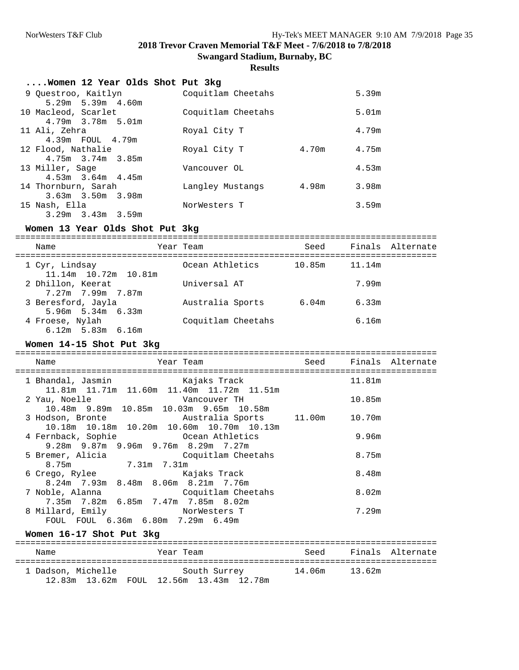#### **Results**

| Women 12 Year Olds Shot Put 3kg |                    |       |                   |
|---------------------------------|--------------------|-------|-------------------|
| 9 Questroo, Kaitlyn             | Coquitlam Cheetahs |       | 5.39m             |
| $5.29m$ $5.39m$ $4.60m$         |                    |       |                   |
| 10 Macleod, Scarlet             | Coquitlam Cheetahs |       | 5.01 <sub>m</sub> |
| $4.79m$ $3.78m$ $5.01m$         |                    |       |                   |
| 11 Ali, Zehra                   | Royal City T       |       | 4.79m             |
| 4.39m FOUL 4.79m                |                    |       |                   |
| 12 Flood, Nathalie              | Royal City T       | 4.70m | 4.75m             |
| $4.75m$ $3.74m$ $3.85m$         |                    |       |                   |
| 13 Miller, Sage                 | Vancouver OL       |       | 4.53m             |
| $4.53m$ $3.64m$ $4.45m$         |                    |       |                   |
| 14 Thornburn, Sarah             | Langley Mustangs   | 4.98m | 3.98m             |
| $3.63m$ $3.50m$ $3.98m$         |                    |       |                   |
| 15 Nash, Ella                   | NorWesters T       |       | 3.59m             |
| $3.29m$ $3.43m$ $3.59m$         |                    |       |                   |

## **Women 13 Year Olds Shot Put 3kg**

=================================================================================== Seed Finals Alternate =================================================================================== 1 Cyr, Lindsay Ocean Athletics 10.85m 11.14m 11.14m 10.72m 10.81m 2 Dhillon, Keerat Universal AT 7.99m 7.27m 7.99m 7.87m Australia Sports 6.04m 6.33m 3 Beresford, Jayla<br>5.96m 5.34m 6.33m<br>4 Froese, Nylah Coquitlam Cheetahs 6.16m 6.12m 5.83m 6.16m

### **Women 14-15 Shot Put 3kg**

| Name                                                                                                                       | Year Team          |        | Seed Finals Alternate |
|----------------------------------------------------------------------------------------------------------------------------|--------------------|--------|-----------------------|
| 1 Bhandal, Jasmin Kajaks Track                                                                                             |                    | 11.81m |                       |
| 11.81m  11.71m  11.60m  11.40m  11.72m  11.51m<br>2 Yau, Noelle<br>Vancouver TH<br>10.48m 9.89m 10.85m 10.03m 9.65m 10.58m |                    | 10.85m |                       |
| 3 Hodson, Bronte             Australia Sports     11.00m     10.70m<br>10.18m  10.18m  10.20m  10.60m  10.70m  10.13m      |                    |        |                       |
| 4 Fernback, Sophie             Ocean Athletics<br>$9.28m$ $9.87m$ $9.96m$ $9.76m$ $8.29m$ $7.27m$                          |                    | 9.96m  |                       |
| 5 Bremer, Alicia (Coquitlam Cheetahs<br>8.75m 7.31m 7.31m                                                                  |                    | 8.75m  |                       |
| 6 Crego, Rylee<br>$8.24$ m 7.93m $8.48$ m $8.06$ m $8.21$ m 7.76m                                                          | Kajaks Track       | 8.48m  |                       |
| 7 Noble, Alanna<br>7.35m 7.82m 6.85m 7.47m 7.85m 8.02m                                                                     | Coquitlam Cheetahs | 8.02m  |                       |
| 8 Millard, Emily<br>FOUL FOUL 6.36m 6.80m 7.29m 6.49m                                                                      | NorWesters T       | 7.29m  |                       |

#### **Women 16-17 Shot Put 3kg**

| Name               | Year Team                                               | Seed          | Finals Alternate |
|--------------------|---------------------------------------------------------|---------------|------------------|
| 1 Dadson, Michelle | South Surrey<br>12.83m 13.62m FOUL 12.56m 13.43m 12.78m | 14.06m 13.62m |                  |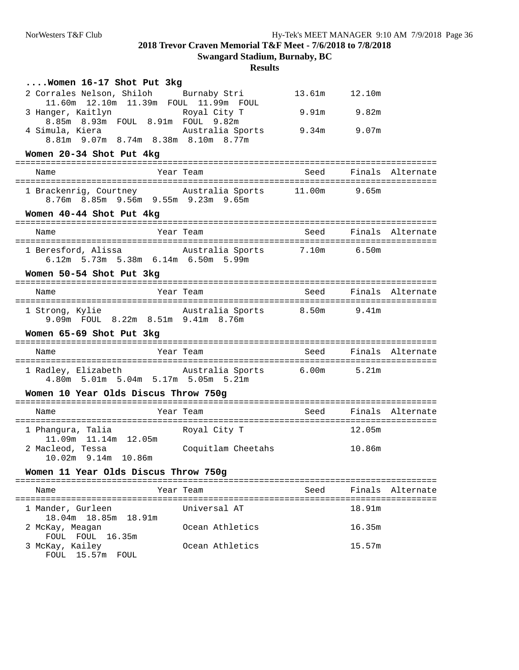| Women 16-17 Shot Put 3kg                                                                                                      |                    |                 |             |                       |
|-------------------------------------------------------------------------------------------------------------------------------|--------------------|-----------------|-------------|-----------------------|
| 2 Corrales Nelson, Shiloh Burnaby Stri                                                                                        |                    | 13.61m   12.10m |             |                       |
| 11.60m  12.10m  11.39m  FOUL  11.99m  FOUL<br>3 Hanger, Kaitlyn             Royal City T<br>8.85m 8.93m FOUL 8.91m FOUL 9.82m |                    |                 | 9.91m 9.82m |                       |
| 4 Simula, Kiera (a. 2015) Australia Sports<br>8.81m 9.07m 8.74m 8.38m 8.10m 8.77m                                             |                    | 9.34m 9.07m     |             |                       |
| Women 20-34 Shot Put 4kg                                                                                                      |                    |                 |             |                       |
| Name                                                                                                                          | Year Team          |                 |             | Seed Finals Alternate |
| 1 Brackenrig, Courtney australia Sports 11.00m 9.65m<br>8.76m 8.85m 9.56m 9.55m 9.23m 9.65m                                   |                    |                 |             |                       |
| Women 40-44 Shot Put 4kg                                                                                                      |                    |                 |             |                       |
| Name                                                                                                                          | Year Team          | Seed            |             | Finals Alternate      |
| 1 Beresford, Alissa Mustralia Sports<br>6.12m 5.73m 5.38m 6.14m 6.50m 5.99m                                                   |                    | 7.10m 6.50m     |             |                       |
| Women 50-54 Shot Put 3kg                                                                                                      |                    |                 |             |                       |
| Name                                                                                                                          | Year Team          | Seed            |             | Finals Alternate      |
| 1 Strong, Kylie             Australia Sports       8.50m     9.41m<br>9.09m FOUL 8.22m 8.51m 9.41m 8.76m                      |                    |                 |             |                       |
| Women 65-69 Shot Put 3kg                                                                                                      |                    |                 |             |                       |
| Name                                                                                                                          | Year Team          | Seed            |             | Finals Alternate      |
| 1 Radley, Elizabeth Mustralia Sports<br>4.80m 5.01m 5.04m 5.17m 5.05m 5.21m                                                   |                    | $6.00m$ 5.21m   |             |                       |
| Women 10 Year Olds Discus Throw 750g                                                                                          |                    |                 |             |                       |
| Name                                                                                                                          | Year Team          | Seed            |             | Finals Alternate      |
| 1 Phangura, Talia<br>11.09m  11.14m  12.05m                                                                                   | Royal City T       |                 | 12.05m      |                       |
| 2 Macleod, Tessa<br>10.02m 9.14m 10.86m                                                                                       | Coquitlam Cheetahs |                 | 10.86m      |                       |
| Women 11 Year Olds Discus Throw 750g                                                                                          |                    |                 |             |                       |
| Name                                                                                                                          | Year Team          | Seed            |             | Finals Alternate      |
|                                                                                                                               |                    |                 |             | ==============        |
| 1 Mander, Gurleen                                                                                                             | Universal AT       |                 | 18.91m      |                       |
| 18.04m  18.85m  18.91m<br>2 McKay, Meagan<br>FOUL FOUL 16.35m                                                                 | Ocean Athletics    |                 | 16.35m      |                       |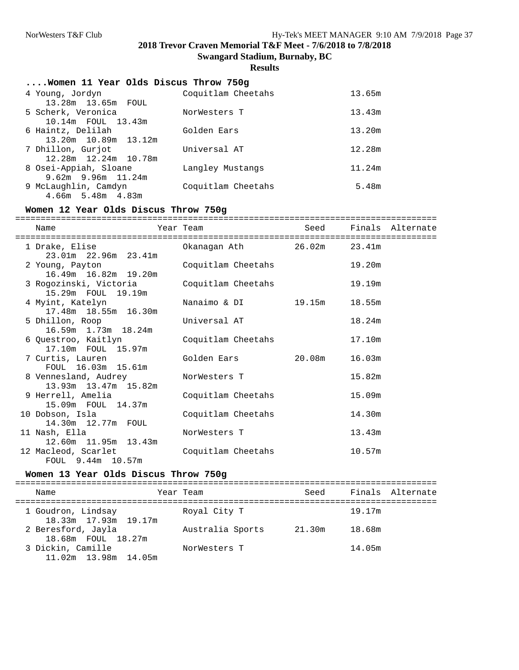**Swangard Stadium, Burnaby, BC**

## **Results**

| Women 11 Year Olds Discus Throw 750g          |                    |        |
|-----------------------------------------------|--------------------|--------|
| 4 Young, Jordyn<br>13.28m 13.65m FOUL         | Coquitlam Cheetahs | 13.65m |
| 5 Scherk, Veronica<br>10.14m FOUL 13.43m      | NorWesters T       | 13.43m |
| 6 Haintz, Delilah<br>13.20m 10.89m 13.12m     | Golden Ears        | 13.20m |
| 7 Dhillon, Gurjot<br>12.28m 12.24m 10.78m     | Universal AT       | 12.28m |
| 8 Osei-Appiah, Sloane<br>$9.62m$ 9.96m 11.24m | Langley Mustangs   | 11.24m |
| 9 McLaughlin, Camdyn<br>$4.66m$ 5.48m $4.83m$ | Coquitlam Cheetahs | 5.48m  |

## **Women 12 Year Olds Discus Throw 750g**

| Name                                                            | Year Team                  |        | Seed Finals Alternate |
|-----------------------------------------------------------------|----------------------------|--------|-----------------------|
|                                                                 |                            |        |                       |
| 1 Drake, Elise<br>23.01m 22.96m 23.41m                          | Okanagan Ath 26.02m 23.41m |        |                       |
| 2 Young, Payton<br>16.49m 16.82m 19.20m                         | Coquitlam Cheetahs         | 19.20m |                       |
| 3 Rogozinski, Victoria Coquitlam Cheetahs<br>15.29m FOUL 19.19m |                            | 19.19m |                       |
| 4 Myint, Katelyn<br>17.48m  18.55m  16.30m                      | Nanaimo & DI 19.15m 18.55m |        |                       |
| 5 Dhillon, Roop<br>16.59m 1.73m 18.24m                          | Universal AT               | 18.24m |                       |
| 6 Ouestroo, Kaitlyn<br>17.10m FOUL 15.97m                       | Coquitlam Cheetahs         | 17.10m |                       |
| 7 Curtis, Lauren<br>FOUL 16.03m 15.61m                          | Golden Ears 20.08m 16.03m  |        |                       |
| 8 Vennesland, Audrey<br>13.93m  13.47m  15.82m                  | NorWesters T               | 15.82m |                       |
| 9 Herrell, Amelia<br>15.09m FOUL 14.37m                         | Coquitlam Cheetahs         | 15.09m |                       |
| 10 Dobson, Isla<br>14.30m 12.77m FOUL                           | Coquitlam Cheetahs         | 14.30m |                       |
| 11 Nash, Ella<br>12.60m  11.95m  13.43m                         | NorWesters T               | 13.43m |                       |
| 12 Macleod, Scarlet<br>FOUL 9.44m 10.57m                        | Coquitlam Cheetahs         | 10.57m |                       |

## **Women 13 Year Olds Discus Throw 750g**

| Name                                            | Year Team        | Seed   |        | Finals Alternate |
|-------------------------------------------------|------------------|--------|--------|------------------|
| 1 Goudron, Lindsay<br>18.33m 17.93m 19.17m      | Royal City T     |        | 19.17m |                  |
| 2 Beresford, Jayla<br>18.68m FOUL 18.27m        | Australia Sports | 21.30m | 18.68m |                  |
| 3 Dickin, Camille<br>$11.02m$ $13.98m$ $14.05m$ | NorWesters T     |        | 14.05m |                  |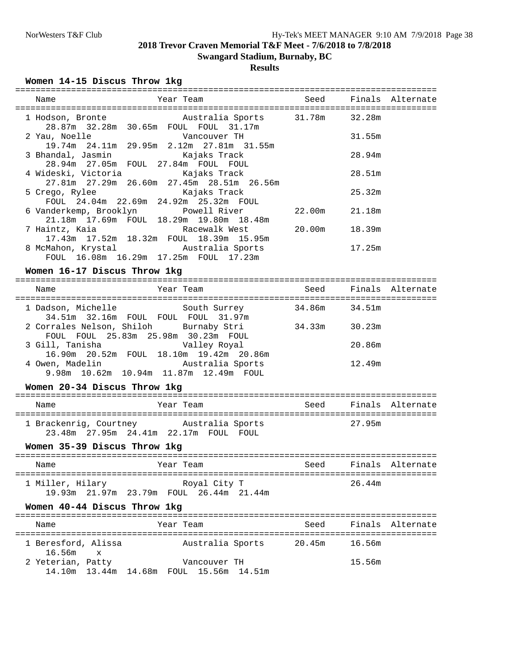# **Swangard Stadium, Burnaby, BC**

# **Results**

### **Women 14-15 Discus Throw 1kg**

| Name                                                                                                                      | Year Team                                                                                                      | Seed Finals Alternate |        |                       |  |  |  |  |
|---------------------------------------------------------------------------------------------------------------------------|----------------------------------------------------------------------------------------------------------------|-----------------------|--------|-----------------------|--|--|--|--|
|                                                                                                                           |                                                                                                                |                       |        |                       |  |  |  |  |
| 1 Hodson, Bronte         Australia Sports     31.78m     32.28m<br>28.87m 32.28m 30.65m FOUL FOUL 31.17m                  |                                                                                                                |                       |        |                       |  |  |  |  |
| 2 Yau, Noelle North Vancouver TH<br>19.74m  24.11m  29.95m  2.12m  27.81m  31.55m                                         |                                                                                                                |                       | 31.55m |                       |  |  |  |  |
| 3 Bhandal, Jasmin               Kajaks Track                                                                              |                                                                                                                | 28.94m                |        |                       |  |  |  |  |
| 28.94m 27.05m FOUL 27.84m FOUL FOUL<br>4 Wideski, Victoria                   Kajaks Track                                 |                                                                                                                |                       | 28.51m |                       |  |  |  |  |
| 27.81m 27.29m 26.60m 27.45m 28.51m 26.56m<br>5 Crego, Rylee Kajaks Track                                                  |                                                                                                                |                       | 25.32m |                       |  |  |  |  |
| FOUL 24.04m 22.69m 24.92m 25.32m FOUL                                                                                     |                                                                                                                |                       |        |                       |  |  |  |  |
| 6 Vanderkemp, Brooklyn           Powell River               22.00m      21.18m<br>21.18m 17.69m FOUL 18.29m 19.80m 18.48m |                                                                                                                |                       |        |                       |  |  |  |  |
| 7 Haintz, Kaia               Racewalk West         20.00m     18.39m<br>17.43m  17.52m  18.32m  FOUL  18.39m  15.95m      |                                                                                                                |                       |        |                       |  |  |  |  |
| 8 McMahon, Krystal <a> Mustralia Sports<br/>FOUL 16.08m 16.29m 17.25m FOUL 17.23m</a>                                     |                                                                                                                |                       | 17.25m |                       |  |  |  |  |
| Women 16-17 Discus Throw 1kg                                                                                              |                                                                                                                |                       |        |                       |  |  |  |  |
| Name                                                                                                                      | Year Team and the Mean and the Mean and the Mean and the Mean and the Mean and the Mean and the Mean of the Me |                       |        | Seed Finals Alternate |  |  |  |  |
| 1 Dadson, Michelle South Surrey 34.86m 34.51m                                                                             |                                                                                                                |                       |        |                       |  |  |  |  |
| 2 Corrales Nelson, Shiloh Burnaby Stri 34.33m 30.23m<br>FOUL FOUL 25.83m 25.98m 30.23m FOUL                               |                                                                                                                |                       |        |                       |  |  |  |  |
| 3 Gill, Tanisha Malley Royal                                                                                              |                                                                                                                |                       | 20.86m |                       |  |  |  |  |

|                 |  | 16.90m  20.52m  FOUL  18.10m  19.42m  20.86m |        |  |
|-----------------|--|----------------------------------------------|--------|--|
| 4 Owen, Madelin |  | Australia Sports                             | 12.49m |  |
|                 |  | 9.98m 10.62m 10.94m 11.87m 12.49m FOUL       |        |  |

### **Women 20-34 Discus Throw 1kg**

| Name                                                                 | Year Team        | Seed |        | Finals Alternate |
|----------------------------------------------------------------------|------------------|------|--------|------------------|
| 1 Brackenrig, Courtney<br>23.48m  27.95m  24.41m  22.17m  FOUL  FOUL | Australia Sports |      | 27.95m |                  |

### **Women 35-39 Discus Throw 1kg**

| Name             | Year Team                                               | Seed<br>Finals Alternate |
|------------------|---------------------------------------------------------|--------------------------|
| 1 Miller, Hilary | Royal City T<br>19.93m 21.97m 23.79m FOUL 26.44m 21.44m | 26.44m                   |

### **Women 40-44 Discus Throw 1kg**

| Name                            |  | Year Team |                                                         | Seed   |        | Finals Alternate |
|---------------------------------|--|-----------|---------------------------------------------------------|--------|--------|------------------|
| 1 Beresford, Alissa<br>16.56m x |  |           | Australia Sports                                        | 20.45m | 16.56m |                  |
| 2 Yeterian, Patty               |  |           | Vancouver TH<br>14.10m 13.44m 14.68m FOUL 15.56m 14.51m |        | 15.56m |                  |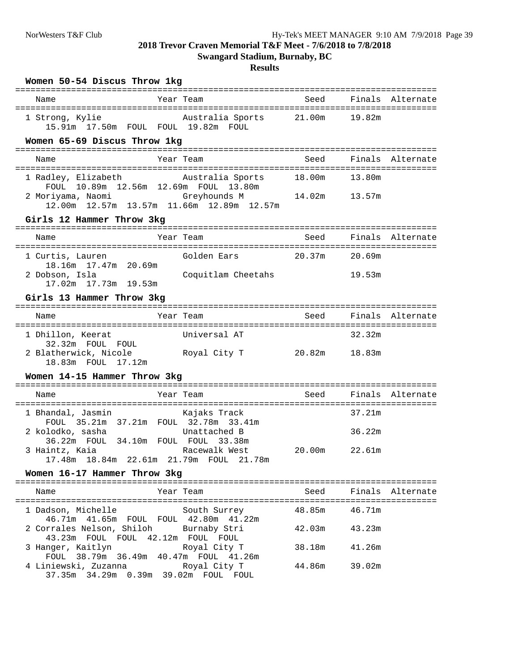**Swangard Stadium, Burnaby, BC**

| Women 50-54 Discus Throw 1kg                                                                                 |                    |               |        |                       |
|--------------------------------------------------------------------------------------------------------------|--------------------|---------------|--------|-----------------------|
| Name                                                                                                         | Year Team          | Seed          |        | Finals Alternate      |
| 1 Strong, Kylie<br>15.91m  17.50m  FOUL  FOUL  19.82m  FOUL                                                  | Australia Sports   | 21.00m        | 19.82m |                       |
| Women 65-69 Discus Throw 1kg                                                                                 |                    |               |        |                       |
| Name                                                                                                         | Year Team          | Seed          |        | Finals Alternate      |
| 1 Radley, Elizabeth         Australia Sports<br>FOUL 10.89m 12.56m 12.69m FOUL 13.80m                        |                    | 18.00m        | 13.80m |                       |
| 2 Moriyama, Naomi 6reyhounds M 14.02m 13.57m<br>12.00m  12.57m  13.57m  11.66m  12.89m  12.57m               |                    |               |        |                       |
| Girls 12 Hammer Throw 3kg                                                                                    |                    |               |        |                       |
| Name                                                                                                         | Year Team          | Seed          |        | Finals Alternate      |
| 1 Curtis, Lauren<br>18.16m  17.47m  20.69m                                                                   | Golden Ears        | 20.37m 20.69m |        |                       |
| 2 Dobson, Isla<br>17.02m  17.73m  19.53m                                                                     | Coquitlam Cheetahs |               | 19.53m |                       |
| Girls 13 Hammer Throw 3kg                                                                                    |                    |               |        |                       |
| Name                                                                                                         | Year Team          | Seed          |        | Finals Alternate      |
| 1 Dhillon, Keerat<br>32.32m FOUL FOUL                                                                        | Universal AT       |               | 32.32m |                       |
| 2 Blatherwick, Nicole<br>18.83m FOUL 17.12m                                                                  | Royal City T       | 20.82m 18.83m |        |                       |
| Women 14-15 Hammer Throw 3kg                                                                                 |                    |               |        |                       |
| Name                                                                                                         | Year Team          |               |        | Seed Finals Alternate |
| 1 Bhandal, Jasmin<br>FOUL 35.21m 37.21m FOUL 32.78m 33.41m                                                   | Kajaks Track       |               | 37.21m |                       |
| 2 kolodko, sasha<br>36.22m FOUL 34.10m FOUL FOUL 33.38m                                                      | Unattached B       |               | 36.22m |                       |
| 3 Haintz, Kaia<br>17.48m  18.84m  22.61m  21.79m  FOUL  21.78m                                               | Racewalk West      | 20.00m        | 22.61m |                       |
| Women 16-17 Hammer Throw 3kg                                                                                 |                    |               |        |                       |
| Name                                                                                                         | Year Team          | Seed          |        | Finals Alternate      |
| 1 Dadson, Michelle                                                                                           | South Surrey       | 48.85m        | 46.71m |                       |
| 46.71m  41.65m  FOUL  FOUL  42.80m  41.22m<br>2 Corrales Nelson, Shiloh<br>43.23m FOUL FOUL 42.12m FOUL FOUL | Burnaby Stri       | 42.03m        | 43.23m |                       |
| 3 Hanger, Kaitlyn<br>FOUL 38.79m 36.49m 40.47m FOUL 41.26m                                                   | Royal City T       | 38.18m        | 41.26m |                       |
| 4 Liniewski, Zuzanna<br>37.35m 34.29m 0.39m 39.02m FOUL FOUL                                                 | Royal City T       | 44.86m        | 39.02m |                       |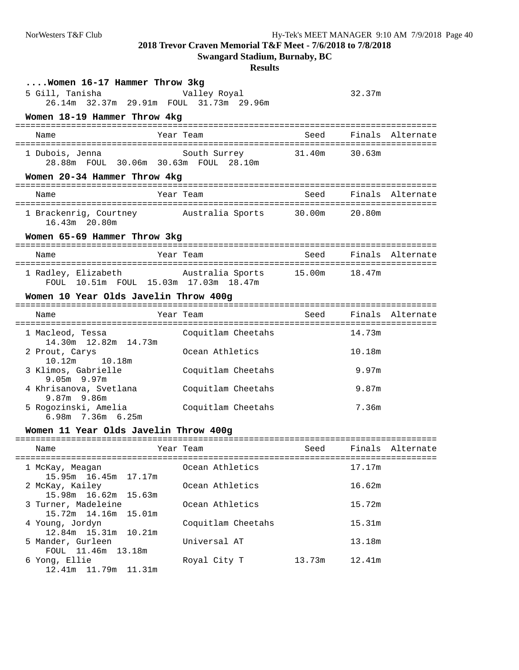**Swangard Stadium, Burnaby, BC**

| $\ldots$ Women 16-17 Hammer Throw 3kg<br>5 Gill, Tanisha<br>26.14m 32.37m 29.91m FOUL 31.73m 29.96m | Valley Royal       |        | 32.37m |                  |
|-----------------------------------------------------------------------------------------------------|--------------------|--------|--------|------------------|
| Women 18-19 Hammer Throw 4kg                                                                        |                    |        |        |                  |
| Name                                                                                                | Year Team          | Seed   |        | Finals Alternate |
| 1 Dubois, Jenna<br>28.88m FOUL 30.06m 30.63m FOUL 28.10m                                            | South Surrey       | 31.40m | 30.63m |                  |
| Women 20-34 Hammer Throw 4kg                                                                        |                    |        |        |                  |
| Name                                                                                                | Year Team          | Seed   |        | Finals Alternate |
| 1 Brackenrig, Courtney<br>16.43m 20.80m                                                             | Australia Sports   | 30.00m | 20.80m |                  |
| Women 65-69 Hammer Throw 3kg                                                                        |                    |        |        |                  |
| Name                                                                                                | Year Team          | Seed   |        | Finals Alternate |
| 1 Radlev, Elizabeth<br>FOUL 10.51m FOUL 15.03m 17.03m 18.47m                                        | Australia Sports   | 15.00m | 18.47m |                  |
| Women 10 Year Olds Javelin Throw 400g                                                               |                    |        |        |                  |
| Name                                                                                                | Year Team          | Seed   |        | Finals Alternate |
| 1 Macleod, Tessa<br>14.30m    12.82m    14.73m                                                      | Coquitlam Cheetahs |        | 14.73m |                  |
| 2 Prout, Carys<br>10.18m<br>10.12m                                                                  | Ocean Athletics    |        | 10.18m |                  |
| 3 Klimos, Gabrielle<br>$9.05m$ 9.97m                                                                | Coquitlam Cheetahs |        | 9.97m  |                  |
| 4 Khrisanova, Svetlana<br>9.87m 9.86m                                                               | Coquitlam Cheetahs |        | 9.87m  |                  |
| 5 Rogozinski, Amelia<br>6.98m 7.36m 6.25m                                                           | Coquitlam Cheetahs |        | 7.36m  |                  |
| Women 11 Year Olds Javelin Throw 400g                                                               |                    |        |        |                  |
| =========================<br>Name                                                                   | Year Team          | Seed   |        | Finals Alternate |
| 1 McKay, Meagan<br>15.95m 16.45m 17.17m                                                             | Ocean Athletics    |        | 17.17m |                  |
| 2 McKay, Kailey<br>15.98m  16.62m  15.63m                                                           | Ocean Athletics    |        | 16.62m |                  |
| 3 Turner, Madeleine<br>15.72m  14.16m<br>15.01m                                                     | Ocean Athletics    |        | 15.72m |                  |
| 4 Young, Jordyn<br>12.84m 15.31m 10.21m                                                             | Coquitlam Cheetahs |        | 15.31m |                  |
| 5 Mander, Gurleen<br>FOUL 11.46m 13.18m                                                             | Universal AT       |        | 13.18m |                  |
| 6 Yong, Ellie<br>12.41m  11.79m  11.31m                                                             | Royal City T       | 13.73m | 12.41m |                  |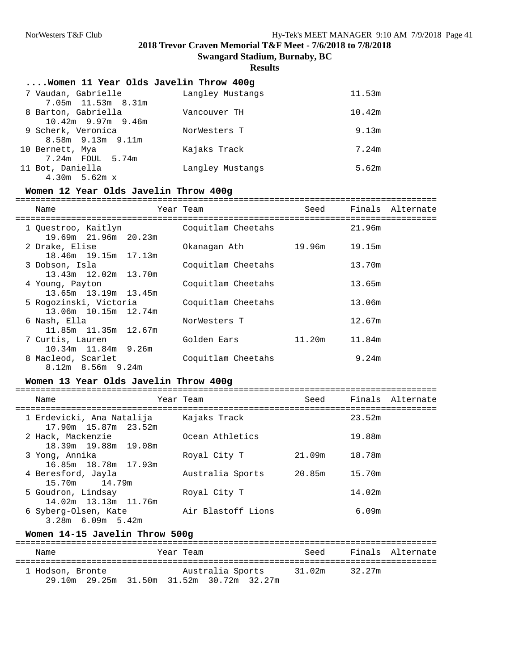**Swangard Stadium, Burnaby, BC**

#### **Results**

#### **....Women 11 Year Olds Javelin Throw 400g**

| 7 Vaudan, Gabrielle<br>7.05m 11.53m 8.31m               | Langley Mustangs | 11.53m |
|---------------------------------------------------------|------------------|--------|
| 8 Barton, Gabriella<br>$10.42m$ 9.97m 9.46m             | Vancouver TH     | 10.42m |
| 9 Scherk, Veronica                                      | NorWesters T     | 9.13m  |
| $8.58m$ $9.13m$ $9.11m$<br>10 Bernett, Mya              | Kajaks Track     | 7.24m  |
| 7.24m FOUL 5.74m<br>11 Bot, Daniella<br>$4.30m$ 5.62m x | Langley Mustangs | 5.62m  |

#### **Women 12 Year Olds Javelin Throw 400g**

#### ===================================================================================

| Name                                           | Year Team |                    | Seed<br>--------------------------------- |        | Finals Alternate |
|------------------------------------------------|-----------|--------------------|-------------------------------------------|--------|------------------|
| 1 Ouestroo, Kaitlyn<br>19.69m 21.96m 20.23m    |           | Coquitlam Cheetahs |                                           | 21.96m |                  |
| 2 Drake, Elise<br>18.46m 19.15m 17.13m         |           | Okanaqan Ath       | 19.96m                                    | 19.15m |                  |
| 3 Dobson, Isla<br>13.43m 12.02m 13.70m         |           | Coquitlam Cheetahs |                                           | 13.70m |                  |
| 4 Young, Payton<br>13.65m 13.19m 13.45m        |           | Coquitlam Cheetahs |                                           | 13.65m |                  |
| 5 Rogozinski, Victoria<br>13.06m 10.15m 12.74m |           | Coquitlam Cheetahs |                                           | 13.06m |                  |
| 6 Nash, Ella<br>11.85m 11.35m 12.67m           |           | NorWesters T       |                                           | 12.67m |                  |
| 7 Curtis, Lauren<br>10.34m 11.84m 9.26m        |           | Golden Ears        | 11.20m                                    | 11.84m |                  |
| 8 Macleod, Scarlet<br>$8.12m$ $8.56m$ $9.24m$  |           | Coquitlam Cheetahs |                                           | 9.24m  |                  |

### **Women 13 Year Olds Javelin Throw 400g**

| Name                                              | Year Team          | Seed   |        | Finals Alternate |
|---------------------------------------------------|--------------------|--------|--------|------------------|
| 1 Erdevicki, Ana Natalija<br>17.90m 15.87m 23.52m | Kajaks Track       |        | 23.52m |                  |
| 2 Hack, Mackenzie<br>18.39m 19.88m 19.08m         | Ocean Athletics    |        | 19.88m |                  |
| 3 Yong, Annika<br>16.85m 18.78m 17.93m            | Royal City T       | 21.09m | 18.78m |                  |
| 4 Beresford, Jayla<br>15.70m 14.79m               | Australia Sports   | 20.85m | 15.70m |                  |
| 5 Goudron, Lindsay<br>14.02m 13.13m 11.76m        | Royal City T       |        | 14.02m |                  |
| 6 Syberg-Olsen, Kate<br>$3.28m$ 6.09m 5.42m       | Air Blastoff Lions |        | 6.09m  |                  |

### **Women 14-15 Javelin Throw 500g**

| Name             | Year Team                                                     | Seed   | Finals Alternate |  |
|------------------|---------------------------------------------------------------|--------|------------------|--|
| 1 Hodson, Bronte | Australia Sports<br>29.10m 29.25m 31.50m 31.52m 30.72m 32.27m | 31.02m | 32.27m           |  |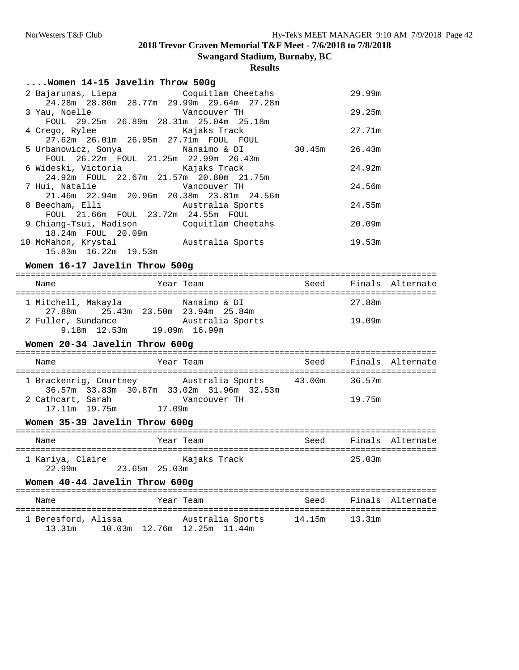**Swangard Stadium, Burnaby, BC**

## **Results**

| Women 14-15 Javelin Throw 500g                                       |        |        |
|----------------------------------------------------------------------|--------|--------|
| 2 Bajarunas, Liepa Coquitlam Cheetahs                                |        | 29.99m |
| 24.28m  28.80m  28.77m  29.99m  29.64m  27.28m                       |        |        |
| 3 Yau, Noelle Vancouver TH                                           |        | 29.25m |
| FOUL 29.25m 26.89m 28.31m 25.04m 25.18m                              |        |        |
| 4 Crego, Rylee Kajaks Track                                          |        | 27.71m |
| 27.62m  26.01m  26.95m  27.71m  FOUL  FOUL                           |        |        |
| 5 Urbanowicz, Sonya           Nanaimo & DI         30.45m     26.43m |        |        |
| FOUL 26.22m FOUL 21.25m 22.99m 26.43m                                |        |        |
| 6 Wideski, Victoria                     Kajaks Track                 |        | 24.92m |
| 24.92m FOUL 22.67m 21.57m 20.80m 21.75m                              |        |        |
| 7 Hui, Natalie Mancouver TH                                          |        | 24.56m |
| 21.46m 22.94m 20.96m 20.38m 23.81m 24.56m                            |        |        |
| 8 Beecham, Elli                 Australia Sports                     |        | 24.55m |
| FOUL 21.66m FOUL 23.72m 24.55m FOUL                                  |        |        |
| 9 Chiang-Tsui, Madison       Coquitlam Cheetahs                      |        | 20.09m |
| 18.24m FOUL 20.09m                                                   |        |        |
| 10 McMahon, Krystal Mustralia Sports                                 | 19.53m |        |
| 15.83m 16.22m 19.53m                                                 |        |        |
| Women 16-17 Javelin Throw 500g                                       |        |        |
| $\mathbf{X}$                                                         |        |        |

| Name                | Year Team                          | Seed<br>Finals Alternate |
|---------------------|------------------------------------|--------------------------|
| 1 Mitchell, Makayla | Nanaimo & DI                       | 27.88m                   |
|                     | 27.88m 25.43m 23.50m 23.94m 25.84m |                          |
| 2 Fuller, Sundance  | Australia Sports                   | 19.09m                   |
| 9.18m 12.53m        | 19.09m 16.99m                      |                          |

### **Women 20-34 Javelin Throw 600g**

| Name                               | Year Team                                                     | Seed   | Finals Alternate |
|------------------------------------|---------------------------------------------------------------|--------|------------------|
| 1 Brackenrig, Courtney             | Australia Sports<br>36.57m 33.83m 30.87m 33.02m 31.96m 32.53m | 43.00m | 36.57m           |
| 2 Cathcart, Sarah<br>17.11m 19.75m | Vancouver TH<br>17.09m                                        |        | 19.75m           |

## **Women 35-39 Javelin Throw 600g**

| Name                       |               | Year Team    | Seed |        | Finals Alternate |
|----------------------------|---------------|--------------|------|--------|------------------|
| 1 Kariya, Claire<br>22.99m | 23.65m 25.03m | Kajaks Track |      | 25.03m |                  |

### **Women 40-44 Javelin Throw 600g**

| Name   |                     | Year Team                                          | Seed | Finals Alternate |
|--------|---------------------|----------------------------------------------------|------|------------------|
| 13.31m | 1 Beresford, Alissa | Australia Sports<br>10.03m  12.76m  12.25m  11.44m |      |                  |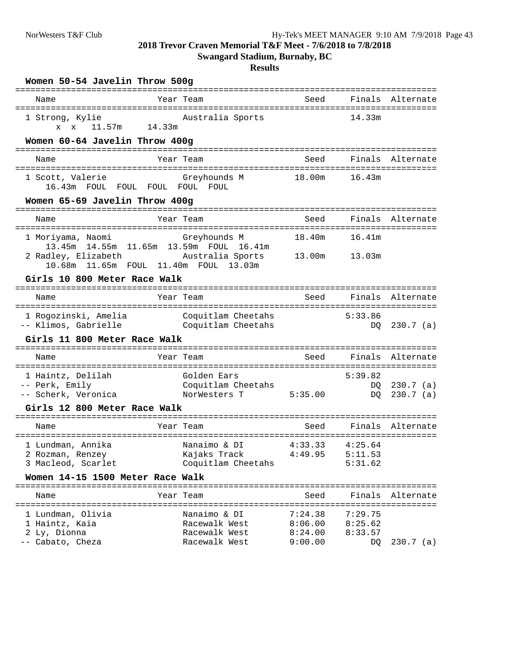**Swangard Stadium, Burnaby, BC**

| Name                                                                               | Year Team |                                    | Seed               |                    | Finals Alternate           |
|------------------------------------------------------------------------------------|-----------|------------------------------------|--------------------|--------------------|----------------------------|
| 1 Strong, Kylie<br>x x 11.57m                                                      | 14.33m    | Australia Sports                   |                    | 14.33m             |                            |
| Women 60-64 Javelin Throw 400g                                                     |           |                                    |                    |                    |                            |
| Name                                                                               | Year Team |                                    | Seed               |                    | Finals Alternate           |
| 1 Scott, Valerie<br>16.43m FOUL FOUL FOUL FOUL FOUL                                |           | Greyhounds M                       | 18.00m             | 16.43m             |                            |
| Women 65-69 Javelin Throw 400g                                                     |           |                                    |                    |                    |                            |
| Name                                                                               | Year Team |                                    | Seed               |                    | Finals Alternate           |
| 1 Moriyama, Naomi<br>13.45m 14.55m 11.65m 13.59m FOUL 16.41m                       |           | Greyhounds M                       | 18.40m             | 16.41m             |                            |
| 2 Radley, Elizabeth<br>10.68m 11.65m FOUL 11.40m FOUL 13.03m                       |           | Australia Sports                   | 13.00m             | 13.03m             |                            |
| Girls 10 800 Meter Race Walk                                                       |           |                                    |                    |                    |                            |
| Name                                                                               | Year Team |                                    | Seed               |                    | Finals Alternate           |
| 1 Rogozinski, Amelia Coquitlam Cheetahs<br>-- Klimos, Gabrielle Coquitlam Cheetahs |           |                                    |                    | 5:33.86<br>DO.     | $230.7$ (a)                |
| Girls 11 800 Meter Race Walk                                                       |           |                                    |                    |                    |                            |
| Name                                                                               | Year Team |                                    | Seed               |                    | Finals Alternate           |
| 1 Haintz, Delilah                                                                  |           | Golden Ears                        |                    | 5:39.82            |                            |
| -- Perk, Emily<br>-- Scherk, Veronica                                              |           | Coquitlam Cheetahs<br>NorWesters T | 5:35.00            | DQ<br>DO           | $230.7$ (a)<br>$230.7$ (a) |
| Girls 12 800 Meter Race Walk                                                       |           |                                    |                    |                    |                            |
| Name                                                                               | Year Team |                                    | Seed               |                    | Finals Alternate           |
| 1 Lundman, Annika                                                                  |           | Nanaimo & DI                       | 4:33.33            | 4:25.64            |                            |
| 2 Rozman, Renzey<br>3 Macleod, Scarlet                                             |           | Kajaks Track<br>Coquitlam Cheetahs | 4:49.95            | 5:11.53<br>5:31.62 |                            |
| Women 14-15 1500 Meter Race Walk                                                   |           |                                    |                    |                    |                            |
| Name                                                                               | Year Team |                                    | Seed               |                    | Finals Alternate           |
| 1 Lundman, Olivia                                                                  |           | Nanaimo & DI                       | 7:24.38            | 7:29.75            |                            |
| 1 Haintz, Kaia<br>2 Ly, Dionna                                                     |           | Racewalk West<br>Racewalk West     | 8:06.00<br>8:24.00 | 8:25.62<br>8:33.57 |                            |
| -- Cabato, Cheza                                                                   |           | Racewalk West                      | 9:00.00            | DQ                 | $230.7$ (a)                |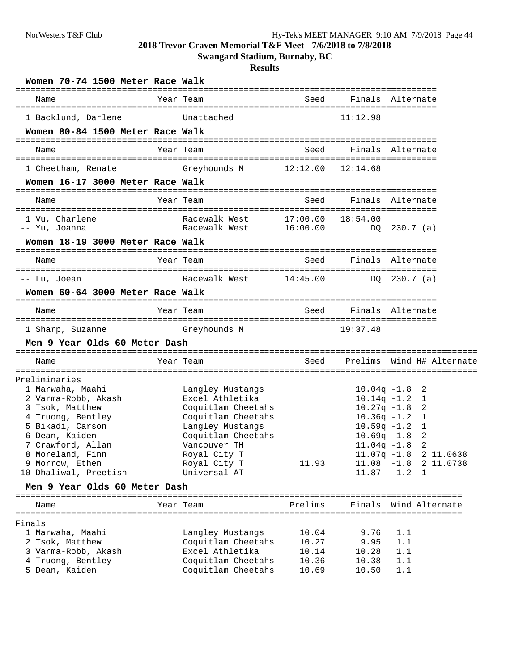**Swangard Stadium, Burnaby, BC**

| Women 70-74 1500 Meter Race Walk |                                |                      |                   |                           |
|----------------------------------|--------------------------------|----------------------|-------------------|---------------------------|
| Name                             | Year Team                      | Seed                 |                   | Finals Alternate          |
| 1 Backlund, Darlene              | Unattached                     |                      | 11:12.98          |                           |
| Women 80-84 1500 Meter Race Walk |                                |                      |                   |                           |
| Name                             | Year Team                      | Seed                 | Finals Alternate  |                           |
| 1 Cheetham, Renate               | Greyhounds M                   | 12:12.00             | 12:14.68          |                           |
| Women 16-17 3000 Meter Race Walk |                                |                      |                   |                           |
| Name                             | Year Team                      | Seed                 | Finals Alternate  |                           |
| 1 Vu, Charlene<br>-- Yu, Joanna  | Racewalk West<br>Racewalk West | 17:00.00<br>16:00.00 | 18:54.00          | DQ 230.7 (a)              |
| Women 18-19 3000 Meter Race Walk |                                |                      |                   |                           |
| Name                             | Year Team                      | Seed                 |                   | Finals Alternate          |
| -- Lu, Joean                     | Racewalk West                  | 14:45.00             |                   | DO 230.7 (a)              |
| Women 60-64 3000 Meter Race Walk |                                |                      |                   |                           |
| Name                             | Year Team                      | Seed                 | Finals Alternate  |                           |
| 1 Sharp, Suzanne                 | Greyhounds M                   |                      | 19:37.48          |                           |
| Men 9 Year Olds 60 Meter Dash    |                                |                      |                   |                           |
| Name                             | Year Team                      | Seed                 |                   | Prelims Wind H# Alternate |
| Preliminaries                    |                                |                      |                   |                           |
| 1 Marwaha, Maahi                 | Langley Mustangs               |                      | $10.04q -1.8$     | -2                        |
| 2 Varma-Robb, Akash              | Excel Athletika                |                      |                   | $10.14q - 1.2$ 1          |
| 3 Tsok, Matthew                  | Coquitlam Cheetahs             |                      | $10.27q - 1.8$    | 2                         |
| 4 Truong, Bentley                | Coquitlam Cheetahs             |                      |                   | $10.36q -1.2$ 1           |
| 5 Bikadi, Carson                 | Langley Mustangs               |                      | $10.59$ q - $1.2$ | 1                         |
| 6 Dean, Kaiden                   | Coquitlam Cheetahs             |                      | $10.69q -1.8$     | 2                         |
| 7 Crawford, Allan                | Vancouver TH                   |                      |                   | $11.04q - 1.8$ 2          |
| 8 Moreland, Finn                 | Royal City T                   |                      |                   | 11.07q -1.8 2 11.0638     |
| 9 Morrow, Ethen                  | Royal City T                   | 11.93                |                   | $11.08 - 1.8$ 2 11.0738   |
| 10 Dhaliwal, Preetish            | Universal AT                   |                      |                   | $11.87 - 1.2 1$           |
| Men 9 Year Olds 60 Meter Dash    |                                |                      |                   |                           |
| Name                             | Year Team                      | Prelims              |                   | Finals Wind Alternate     |
| Finals                           |                                |                      |                   |                           |
| 1 Marwaha, Maahi                 | Langley Mustangs               | 10.04                | 9.76              | 1.1                       |
| 2 Tsok, Matthew                  | Coquitlam Cheetahs             | 10.27                | 9.95              | 1.1                       |
| 3 Varma-Robb, Akash              | Excel Athletika                | 10.14                | 10.28             | 1.1                       |
| 4 Truong, Bentley                | Coquitlam Cheetahs             | 10.36                | 10.38             | 1.1                       |
| 5 Dean, Kaiden                   | Coquitlam Cheetahs             | 10.69                | 10.50             | 1.1                       |
|                                  |                                |                      |                   |                           |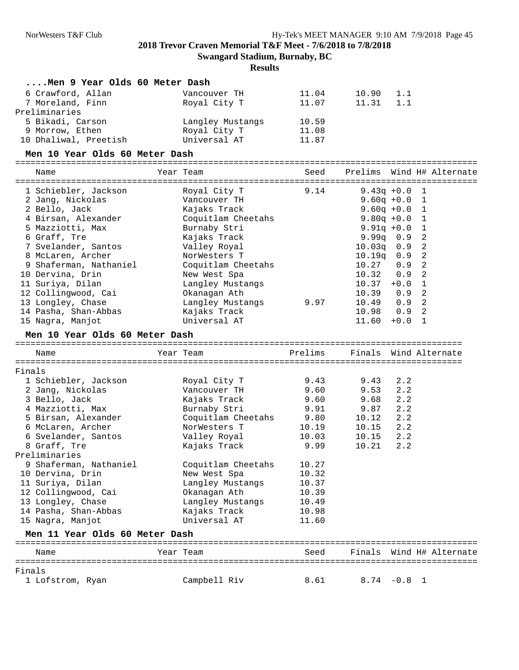| Men 9 Year Olds 60 Meter Dash     |                    |         |               |               |                           |
|-----------------------------------|--------------------|---------|---------------|---------------|---------------------------|
| 6 Crawford, Allan                 | Vancouver TH       | 11.04   | 10.90         | 1.1           |                           |
| 7 Moreland, Finn<br>Preliminaries | Royal City T       | 11.07   | 11.31         | 1.1           |                           |
| 5 Bikadi, Carson                  | Langley Mustangs   | 10.59   |               |               |                           |
| 9 Morrow, Ethen                   | Royal City T       | 11.08   |               |               |                           |
| 10 Dhaliwal, Preetish             | Universal AT       | 11.87   |               |               |                           |
| Men 10 Year Olds 60 Meter Dash    |                    |         |               |               |                           |
|                                   | Year Team          |         |               |               |                           |
| Name                              |                    | Seed    |               |               | Prelims Wind H# Alternate |
| 1 Schiebler, Jackson              | Royal City T       | 9.14    |               | $9.43q +0.0$  | 1                         |
| 2 Jang, Nickolas                  | Vancouver TH       |         |               | $9.60q +0.0$  | $\mathbf{1}$              |
| 2 Bello, Jack                     | Kajaks Track       |         |               | $9.60q +0.0$  | 1                         |
| 4 Birsan, Alexander               | Coquitlam Cheetahs |         |               | $9.80q + 0.0$ | 1                         |
| 5 Mazziotti, Max                  | Burnaby Stri       |         |               | $9.91q + 0.0$ | 1                         |
| 6 Graff, Tre                      | Kajaks Track       |         |               | 9.99q 0.9     | 2                         |
| 7 Svelander, Santos               | Valley Royal       |         | 10.03q        | 0.9           | 2                         |
| 8 McLaren, Archer                 | NorWesters T       |         | $10.19\sigma$ | 0.9           | 2                         |
| 9 Shaferman, Nathaniel            | Coquitlam Cheetahs |         | 10.27         | 0.9           | 2                         |
| 10 Dervina, Drin                  | New West Spa       |         | 10.32         | 0.9           | 2                         |
| 11 Suriya, Dilan                  | Langley Mustangs   |         | $10.37 + 0.0$ |               | 1                         |
| 12 Collingwood, Cai               | Okanagan Ath       |         | 10.39         | 0.9           | 2                         |
| 13 Longley, Chase                 | Langley Mustangs   | 9.97    | 10.49         | 0.9           | 2                         |
| 14 Pasha, Shan-Abbas              | Kajaks Track       |         | 10.98         | 0.9           | 2                         |
| 15 Nagra, Manjot                  | Universal AT       |         | 11.60         | $+0.0$        | 1                         |
| Men 10 Year Olds 60 Meter Dash    |                    |         |               |               |                           |
|                                   |                    |         |               |               |                           |
| Name                              | Year Team          | Prelims |               |               | Finals Wind Alternate     |
| Finals                            |                    |         |               |               |                           |
| 1 Schiebler, Jackson              | Royal City T       | 9.43    | 9.43          | 2.2           |                           |
| 2 Jang, Nickolas                  | Vancouver TH       | 9.60    | 9.53          | 2.2           |                           |
| 3 Bello, Jack                     | Kajaks Track       | 9.60    | 9.68          | 2.2           |                           |
| 4 Mazziotti, Max                  | Burnaby Stri       | 9.91    | 9.87          | 2.2           |                           |
| 5 Birsan, Alexander               | Coquitlam Cheetahs | 9.80    | 10.12         | 2.2           |                           |
| 6 McLaren, Archer                 | NorWesters T       | 10.19   | 10.15         | 2.2           |                           |
| 6 Svelander, Santos               | Valley Royal       | 10.03   | 10.15         | 2.2           |                           |
| 8 Graff, Tre                      | Kajaks Track       | 9.99    | 10.21         | 2.2           |                           |
| Preliminaries                     |                    |         |               |               |                           |
| 9 Shaferman, Nathaniel            | Coquitlam Cheetahs | 10.27   |               |               |                           |
| 10 Dervina, Drin                  | New West Spa       | 10.32   |               |               |                           |
| 11 Suriya, Dilan                  | Langley Mustangs   | 10.37   |               |               |                           |
| 12 Collingwood, Cai               | Okanagan Ath       | 10.39   |               |               |                           |
|                                   |                    |         |               |               |                           |
| 13 Longley, Chase                 | Langley Mustangs   | 10.49   |               |               |                           |
| 14 Pasha, Shan-Abbas              | Kajaks Track       | 10.98   |               |               |                           |
| 15 Nagra, Manjot                  | Universal AT       | 11.60   |               |               |                           |
| Men 11 Year Olds 60 Meter Dash    |                    |         |               |               |                           |
| Name                              | Year Team          | Seed    |               |               | Finals Wind H# Alternate  |
| ==============<br>Finals          |                    |         |               |               |                           |
| 1 Lofstrom, Ryan                  | Campbell Riv       | 8.61    |               | $8.74 - 0.8$  | 1                         |
|                                   |                    |         |               |               |                           |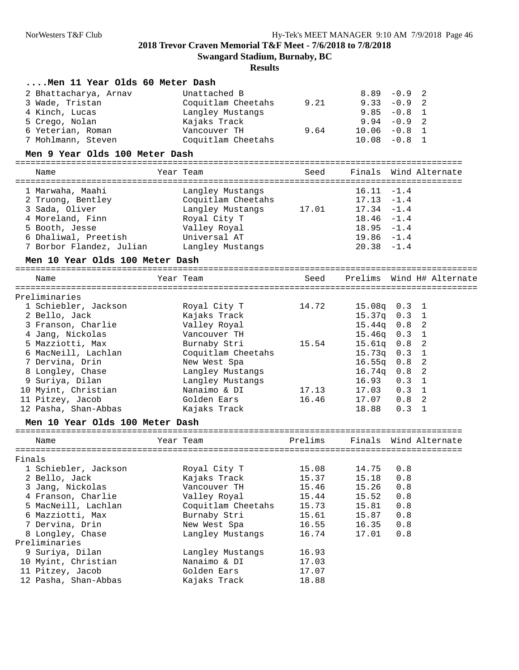**Swangard Stadium, Burnaby, BC**

| Men 11 Year Olds 60 Meter Dash  |                    |         |                |               |                           |
|---------------------------------|--------------------|---------|----------------|---------------|---------------------------|
| 2 Bhattacharya, Arnav           | Unattached B       |         | $8.89 - 0.9$   |               | 2                         |
| 3 Wade, Tristan                 | Coquitlam Cheetahs | 9.21    | $9.33 - 0.9$ 2 |               |                           |
| 4 Kinch, Lucas                  | Langley Mustangs   |         | 9.85           | $-0.8$        | 1                         |
| 5 Crego, Nolan                  | Kajaks Track       |         | 9.94           | $-0.9$        | -2                        |
| 6 Yeterian, Roman               | Vancouver TH       | 9.64    | 10.06          | -0.8 1        |                           |
| 7 Mohlmann, Steven              | Coquitlam Cheetahs |         | 10.08          | $-0.8$ 1      |                           |
| Men 9 Year Olds 100 Meter Dash  |                    |         |                |               |                           |
| Name                            | Year Team          | Seed    |                |               | Finals Wind Alternate     |
|                                 |                    |         |                |               |                           |
| 1 Marwaha, Maahi                | Langley Mustangs   |         | $16.11 - 1.4$  |               |                           |
| 2 Truong, Bentley               | Coquitlam Cheetahs |         | $17.13 - 1.4$  |               |                           |
| 3 Sada, Oliver                  | Langley Mustangs   | 17.01   | $17.34 - 1.4$  |               |                           |
| 4 Moreland, Finn                | Royal City T       |         | $18.46 - 1.4$  |               |                           |
| 5 Booth, Jesse                  | Valley Royal       |         | $18.95 - 1.4$  |               |                           |
| 6 Dhaliwal, Preetish            | Universal AT       |         | $19.86 - 1.4$  |               |                           |
| 7 Borbor Flandez, Julian        | Langley Mustangs   |         | $20.38 - 1.4$  |               |                           |
| Men 10 Year Olds 100 Meter Dash |                    |         |                |               |                           |
|                                 |                    |         |                |               |                           |
| Name                            | Year Team          | Seed    |                |               | Prelims Wind H# Alternate |
|                                 |                    |         |                |               |                           |
| Preliminaries                   |                    |         |                |               |                           |
| 1 Schiebler, Jackson            | Royal City T       | 14.72   | $15.08q$ 0.3 1 |               |                           |
| 2 Bello, Jack                   | Kajaks Track       |         | 15.37q 0.3 1   |               |                           |
| 3 Franson, Charlie              | Valley Royal       |         | $15.44q$ $0.8$ |               | 2                         |
| 4 Jang, Nickolas                | Vancouver TH       |         | 15.46q 0.3 1   |               |                           |
| 5 Mazziotti, Max                | Burnaby Stri       | 15.54   | $15.61q$ $0.8$ |               | $\overline{2}$            |
| 6 MacNeill, Lachlan             | Coquitlam Cheetahs |         | 15.73q 0.3 1   |               |                           |
| 7 Dervina, Drin                 | New West Spa       |         | $16.55q$ 0.8 2 |               |                           |
| 8 Longley, Chase                | Langley Mustangs   |         | $16.74q$ $0.8$ |               | 2                         |
| 9 Suriya, Dilan                 | Langley Mustangs   |         | 16.93          | 0.3           | 1                         |
| 10 Myint, Christian             | Nanaimo & DI       | 17.13   | 17.03          | $0.3 \quad 1$ |                           |
| 11 Pitzey, Jacob                | Golden Ears        | 16.46   | 17.07          | 0.8           | 2                         |
| 12 Pasha, Shan-Abbas            | Kajaks Track       |         | 18.88          | $0.3 \quad 1$ |                           |
| Men 10 Year Olds 100 Meter Dash |                    |         |                |               |                           |
| Name                            | Year Team          | Prelims |                |               | Finals Wind Alternate     |
| Finals                          |                    |         |                |               |                           |
| 1 Schiebler, Jackson            | Royal City T       | 15.08   | 14.75          | 0.8           |                           |
| 2 Bello, Jack                   | Kajaks Track       | 15.37   | 15.18          | 0.8           |                           |
| 3 Jang, Nickolas                | Vancouver TH       | 15.46   | 15.26          | 0.8           |                           |
| 4 Franson, Charlie              | Valley Royal       | 15.44   | 15.52          | $0.8$         |                           |
| 5 MacNeill, Lachlan             | Coquitlam Cheetahs | 15.73   | 15.81          | 0.8           |                           |
| 6 Mazziotti, Max                | Burnaby Stri       | 15.61   | 15.87          | 0.8           |                           |
| 7 Dervina, Drin                 | New West Spa       | 16.55   | 16.35          | $0.8$         |                           |
| 8 Longley, Chase                | Langley Mustangs   | 16.74   | 17.01          | 0.8           |                           |
| Preliminaries                   |                    |         |                |               |                           |
| 9 Suriya, Dilan                 | Langley Mustangs   | 16.93   |                |               |                           |
| 10 Myint, Christian             | Nanaimo & DI       | 17.03   |                |               |                           |
| 11 Pitzey, Jacob                | Golden Ears        | 17.07   |                |               |                           |
| 12 Pasha, Shan-Abbas            | Kajaks Track       | 18.88   |                |               |                           |
|                                 |                    |         |                |               |                           |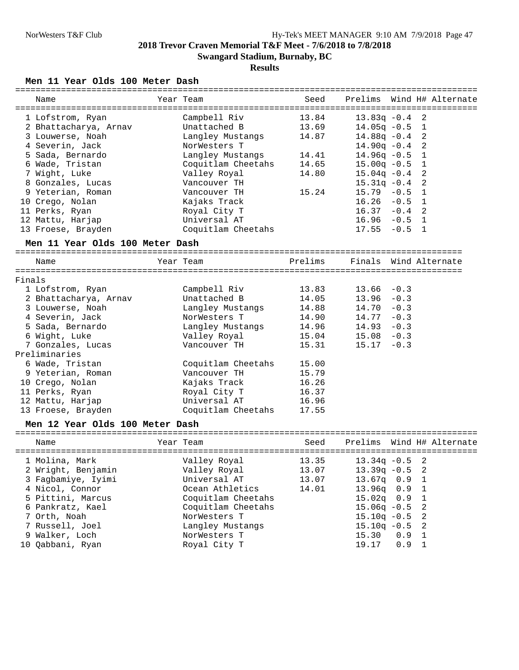### **Results**

#### **Men 11 Year Olds 100 Meter Dash**

| Name                            | Year Team          | Seed    | Prelims<br>Wind H# Alternate    |
|---------------------------------|--------------------|---------|---------------------------------|
| 1 Lofstrom, Ryan                | Campbell Riv       | 13.84   | $13.83q - 0.4$<br>2             |
| 2 Bhattacharya, Arnav           | Unattached B       | 13.69   | $14.05q - 0.5$<br>$\mathbf 1$   |
| 3 Louwerse, Noah                | Langley Mustangs   | 14.87   | 2<br>$14.88q - 0.4$             |
| 4 Severin, Jack                 | NorWesters T       |         | 2<br>$14.90q - 0.4$             |
| 5 Sada, Bernardo                | Langley Mustangs   | 14.41   | $\mathbf 1$<br>$14.96q -0.5$    |
| 6 Wade, Tristan                 | Coquitlam Cheetahs | 14.65   | $\mathbf 1$<br>$15.00q - 0.5$   |
| 7 Wight, Luke                   | Valley Royal       | 14.80   | 2<br>$15.04q - 0.4$             |
| 8 Gonzales, Lucas               | Vancouver TH       |         | 2<br>$15.31q -0.4$              |
| 9 Yeterian, Roman               | Vancouver TH       | 15.24   | $\mathbf{1}$<br>$15.79 - 0.5$   |
| 10 Crego, Nolan                 | Kajaks Track       |         | $\mathbf{1}$<br>16.26<br>$-0.5$ |
| 11 Perks, Ryan                  | Royal City T       |         | 16.37<br>2<br>$-0.4$            |
| 12 Mattu, Harjap                | Universal AT       |         | 16.96<br>$-0.5$ 1               |
|                                 |                    |         | $17.55 - 0.5$<br>$\overline{1}$ |
| 13 Froese, Brayden              | Coquitlam Cheetahs |         |                                 |
| Men 11 Year Olds 100 Meter Dash |                    |         |                                 |
| Name                            | Year Team          | Prelims | Finals Wind Alternate           |
| Finals                          |                    |         |                                 |
|                                 | Campbell Riv       | 13.83   | 13.66<br>$-0.3$                 |
| 1 Lofstrom, Ryan                | Unattached B       |         | 13.96<br>$-0.3$                 |
| 2 Bhattacharya, Arnav           |                    | 14.05   |                                 |
| 3 Louwerse, Noah                | Langley Mustangs   | 14.88   | 14.70<br>$-0.3$                 |
| 4 Severin, Jack                 | NorWesters T       | 14.90   | $14.77 - 0.3$                   |
| 5 Sada, Bernardo                | Langley Mustangs   | 14.96   | $14.93 - 0.3$                   |
| 6 Wight, Luke                   | Valley Royal       | 15.04   | $15.08 - 0.3$                   |
| 7 Gonzales, Lucas               | Vancouver TH       | 15.31   | $15.17 - 0.3$                   |
| Preliminaries                   |                    |         |                                 |
| 6 Wade, Tristan                 | Coquitlam Cheetahs | 15.00   |                                 |
| 9 Yeterian, Roman               | Vancouver TH       | 15.79   |                                 |
| 10 Crego, Nolan                 | Kajaks Track       | 16.26   |                                 |
| 11 Perks, Ryan                  | Royal City T       | 16.37   |                                 |
| 12 Mattu, Harjap                | Universal AT       | 16.96   |                                 |
| 13 Froese, Brayden              | Coquitlam Cheetahs | 17.55   |                                 |
| Men 12 Year Olds 100 Meter Dash |                    |         |                                 |
| Name                            | Year Team          | Seed    | Prelims Wind H# Alternate       |
|                                 |                    |         |                                 |
| 1 Molina, Mark                  | Valley Royal       | 13.35   | $13.34q -0.5$<br>2              |
| 2 Wright, Benjamin              | Valley Royal       | 13.07   | $13.39q -0.5$<br>2              |
| 3 Fagbamiye, Iyimi              | Universal AT       | 13.07   | 13.67q   0.9<br>1               |
| 4 Nicol, Connor                 | Ocean Athletics    | 14.01   | 1<br>13.96q<br>0.9              |
| 5 Pittini, Marcus               | Coquitlam Cheetahs |         | $\mathbf 1$<br>$15.02q$ 0.9     |
| 6 Pankratz, Kael                | Coquitlam Cheetahs |         | 2<br>$15.06q - 0.5$             |
| 7 Orth, Noah                    | NorWesters T       |         | 2<br>$15.10q - 0.5$             |
|                                 |                    |         |                                 |

 7 Russell, Joel Langley Mustangs 15.10q -0.5 2 9 Walker, Loch NorWesters T 15.30 0.9 1

10 Qabbani, Ryan Royal City T 19.17 0.9 1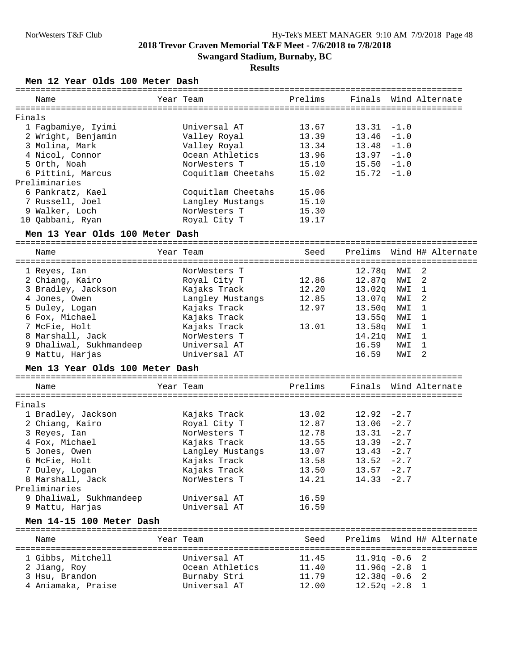## **Results**

#### **Men 12 Year Olds 100 Meter Dash**

|        | Name               | Year Team          |       |               | Prelims Finals Wind Alternate |
|--------|--------------------|--------------------|-------|---------------|-------------------------------|
| Finals |                    |                    |       |               |                               |
|        | 1 Faqbamiye, Iyimi | Universal AT       | 13.67 | $13.31 -1.0$  |                               |
|        | 2 Wright, Benjamin | Valley Royal       | 13.39 | $13.46 - 1.0$ |                               |
|        | 3 Molina, Mark     | Valley Royal       | 13.34 | $13.48 - 1.0$ |                               |
|        | 4 Nicol, Connor    | Ocean Athletics    | 13.96 | $13.97 - 1.0$ |                               |
|        | 5 Orth, Noah       | NorWesters T       | 15.10 | $15.50 - 1.0$ |                               |
|        | 6 Pittini, Marcus  | Coquitlam Cheetahs | 15.02 | $15.72 - 1.0$ |                               |
|        | Preliminaries      |                    |       |               |                               |
|        | 6 Pankratz, Kael   | Coquitlam Cheetahs | 15.06 |               |                               |
|        | 7 Russell, Joel    | Langley Mustangs   | 15.10 |               |                               |
|        | 9 Walker, Loch     | NorWesters T       | 15.30 |               |                               |
|        | 10 Oabbani, Ryan   | Royal City T       | 19.17 |               |                               |
|        |                    |                    |       |               |                               |

#### **Men 13 Year Olds 100 Meter Dash**

| Name                    | Year Team        | Seed  |                    |       | Prelims Wind H# Alternate |
|-------------------------|------------------|-------|--------------------|-------|---------------------------|
| 1 Reyes, Ian            | NorWesters T     |       | 12.78g             | NWI 2 |                           |
| 2 Chiang, Kairo         | Royal City T     | 12.86 | 12.87a             | NWI 2 |                           |
| 3 Bradley, Jackson      | Kajaks Track     | 12.20 | 13.02 <sub>q</sub> | NWI 1 |                           |
| 4 Jones, Owen           | Langley Mustangs | 12.85 | 13.07a             | NWI 2 |                           |
| 5 Duley, Logan          | Kajaks Track     | 12.97 | 13.50 <sub>q</sub> | NWI 1 |                           |
| 6 Fox, Michael          | Kajaks Track     |       | 13.55g             | NWI 1 |                           |
| 7 McFie, Holt           | Kajaks Track     | 13.01 | 13.58 <sub>q</sub> | NWI 1 |                           |
| 8 Marshall, Jack        | NorWesters T     |       | 14.21g             | NWI   |                           |
| 9 Dhaliwal, Sukhmandeep | Universal AT     |       | 16.59              | NWI   |                           |
| 9 Mattu, Harjas         | Universal AT     |       | 16.59              | NWI   | 2                         |

## **Men 13 Year Olds 100 Meter Dash**

| Name                    | Year Team        |       |               | Prelims Finals Wind Alternate |
|-------------------------|------------------|-------|---------------|-------------------------------|
| Finals                  |                  |       |               |                               |
| 1 Bradley, Jackson      | Kajaks Track     | 13.02 | $12.92 - 2.7$ |                               |
| 2 Chiang, Kairo         | Royal City T     | 12.87 | $13.06 - 2.7$ |                               |
| 3 Reyes, Ian            | NorWesters T     | 12.78 | $13.31 -2.7$  |                               |
| 4 Fox, Michael          | Kajaks Track     | 13.55 | $13.39 - 2.7$ |                               |
| 5 Jones, Owen           | Langley Mustangs | 13.07 | $13.43 - 2.7$ |                               |
| 6 McFie, Holt           | Kajaks Track     | 13.58 | $13.52 - 2.7$ |                               |
| 7 Duley, Logan          | Kajaks Track     | 13.50 | $13.57 - 2.7$ |                               |
| 8 Marshall, Jack        | NorWesters T     | 14.21 | $14.33 - 2.7$ |                               |
| Preliminaries           |                  |       |               |                               |
| 9 Dhaliwal, Sukhmandeep | Universal AT     | 16.59 |               |                               |
| 9 Mattu, Harjas         | Universal AT     | 16.59 |               |                               |

### **Men 14-15 100 Meter Dash**

| Name               | Year Team       | Seed  |                  | Prelims Wind H# Alternate |
|--------------------|-----------------|-------|------------------|---------------------------|
| 1 Gibbs, Mitchell  | Universal AT    | 11.45 | $11.91q - 0.6$ 2 |                           |
| 2 Jiang, Roy       | Ocean Athletics | 11.40 | $11.96q -2.8$ 1  |                           |
| 3 Hsu, Brandon     | Burnaby Stri    | 11.79 | $12.38q - 0.6$ 2 |                           |
| 4 Aniamaka, Praise | Universal AT    | 12.00 | $12.52q - 2.8$ 1 |                           |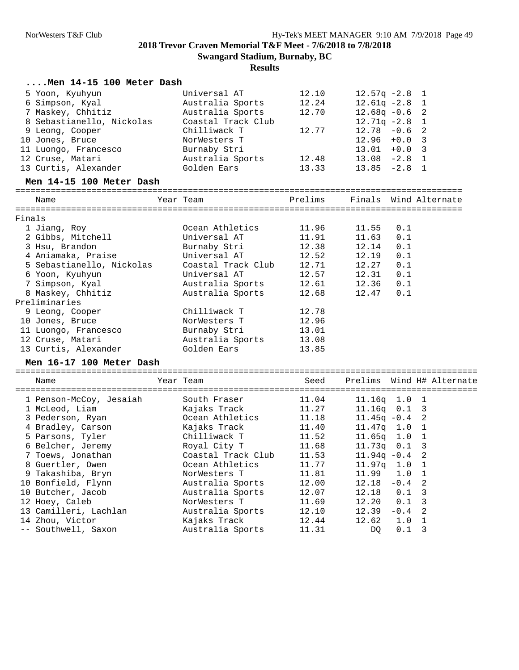|        | Men 14-15 100 Meter Dash                        |                    |         |                  |               |                           |
|--------|-------------------------------------------------|--------------------|---------|------------------|---------------|---------------------------|
|        | 5 Yoon, Kyuhyun                                 | Universal AT       | 12.10   | $12.57q - 2.8$   |               | 1                         |
|        | 6 Simpson, Kyal                                 | Australia Sports   | 12.24   | $12.61q - 2.8$ 1 |               |                           |
|        | 7 Maskey, Chhitiz                               | Australia Sports   | 12.70   | $12.68q -0.6$    |               | 2                         |
|        | 8 Sebastianello, Nickolas                       | Coastal Track Club |         | $12.71q - 2.8$   |               | 1                         |
|        | 9 Leong, Cooper                                 | Chilliwack T       | 12.77   | $12.78 - 0.6$    |               | 2                         |
|        | 10 Jones, Bruce                                 | NorWesters T       |         | $12.96 + 0.0$    |               | 3                         |
|        | 11 Luongo, Francesco                            | Burnaby Stri       |         | 13.01            | $+0.0$        | 3                         |
|        | 12 Cruse, Matari                                | Australia Sports   | 12.48   | $13.08 - 2.8$ 1  |               |                           |
|        | 13 Curtis, Alexander                            | Golden Ears        | 13.33   | $13.85 -2.8$ 1   |               |                           |
|        | Men 14-15 100 Meter Dash                        |                    |         |                  |               |                           |
|        | Name                                            | Year Team          | Prelims |                  |               | Finals Wind Alternate     |
|        |                                                 |                    |         |                  |               |                           |
| Finals | 1 Jiang, Roy                                    | Ocean Athletics    | 11.96   | 11.55            | 0.1           |                           |
|        | 2 Gibbs, Mitchell                               | Universal AT       | 11.91   | 11.63            | 0.1           |                           |
|        | 3 Hsu, Brandon                                  | Burnaby Stri       | 12.38   | 12.14            | 0.1           |                           |
|        |                                                 | Universal AT       | 12.52   |                  |               |                           |
|        | 4 Aniamaka, Praise<br>5 Sebastianello, Nickolas | Coastal Track Club | 12.71   | 12.19<br>12.27   | 0.1<br>0.1    |                           |
|        |                                                 |                    |         |                  |               |                           |
|        | 6 Yoon, Kyuhyun                                 | Universal AT       | 12.57   | 12.31            | 0.1           |                           |
|        | 7 Simpson, Kyal                                 | Australia Sports   | 12.61   | 12.36            | 0.1           |                           |
|        | 8 Maskey, Chhitiz                               | Australia Sports   | 12.68   | 12.47            | 0.1           |                           |
|        | Preliminaries                                   |                    |         |                  |               |                           |
|        | 9 Leong, Cooper                                 | Chilliwack T       | 12.78   |                  |               |                           |
|        | 10 Jones, Bruce                                 | NorWesters T       | 12.96   |                  |               |                           |
|        | 11 Luongo, Francesco                            | Burnaby Stri       | 13.01   |                  |               |                           |
|        | 12 Cruse, Matari                                | Australia Sports   | 13.08   |                  |               |                           |
|        | 13 Curtis, Alexander                            | Golden Ears        | 13.85   |                  |               |                           |
|        | Men 16-17 100 Meter Dash                        |                    |         |                  |               |                           |
|        | Name                                            | Year Team          | Seed    |                  |               | Prelims Wind H# Alternate |
|        |                                                 |                    |         |                  |               |                           |
|        | 1 Penson-McCoy, Jesaiah                         | South Fraser       | 11.04   | $11.16q$ 1.0 1   |               |                           |
|        | 1 McLeod, Liam                                  | Kajaks Track       | 11.27   | $11.16q$ $0.1$   |               | 3                         |
|        | 3 Pederson, Ryan                                | Ocean Athletics    | 11.18   | $11.45q -0.4$    |               | 2                         |
|        | 4 Bradley, Carson                               | Kajaks Track       | 11.40   | $11.47q$ 1.0 1   |               |                           |
|        | 5 Parsons, Tyler                                | Chilliwack T       | 11.52   | $11.65q$ 1.0 1   |               |                           |
|        | 6 Belcher, Jeremy                               | Royal City T       | 11.68   | $11.73q$ 0.1     |               | 3                         |
|        | 7 Toews, Jonathan                               | Coastal Track Club | 11.53   | $11.94q -0.4$    |               |                           |
|        | 8 Guertler, Owen                                | Ocean Athletics    | 11.77   | 11.97q 1.0       |               | 1                         |
|        | 9 Takashiba, Bryn                               | NorWesters T       | 11.81   | 11.99            | 1.0           | $\mathbf{1}$              |
|        | 10 Bonfield, Flynn                              | Australia Sports   | 12.00   | 12.18            | $-0.4$        | 2                         |
|        | 10 Butcher, Jacob                               | Australia Sports   | 12.07   | 12.18            | 0.1           | 3                         |
|        | 12 Hoey, Caleb                                  | NorWesters T       | 11.69   | 12.20            | 0.1           | 3                         |
|        | 13 Camilleri, Lachlan                           | Australia Sports   | 12.10   | 12.39            | $-0.4$        | 2                         |
|        | 14 Zhou, Victor                                 | Kajaks Track       | 12.44   | 12.62            | 1.0           | 1                         |
|        | -- Southwell, Saxon                             | Australia Sports   | 11.31   | DQ.              | $0.1 \quad 3$ |                           |
|        |                                                 |                    |         |                  |               |                           |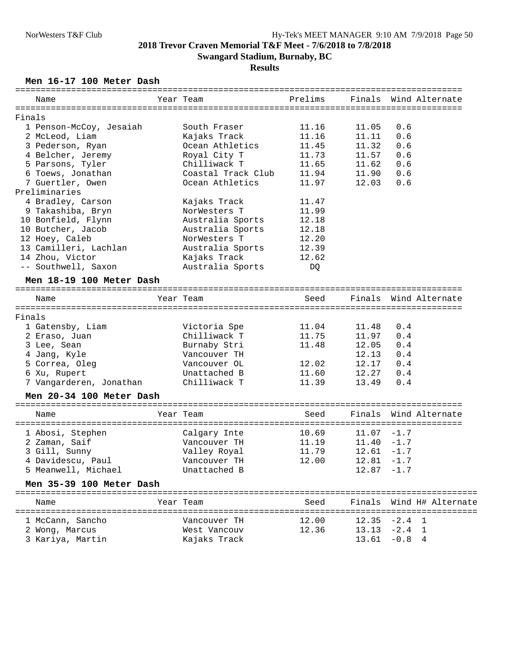### **Men 16-17 100 Meter Dash**

| Name                               | Year Team                       | Prelims        |                |                | Finals Wind Alternate    |
|------------------------------------|---------------------------------|----------------|----------------|----------------|--------------------------|
| Finals                             |                                 |                |                |                |                          |
|                                    | South Fraser                    | 11.16          | 11.05          | 0.6            |                          |
| 1 Penson-McCoy, Jesaiah            |                                 | 11.16          | 11.11          | 0.6            |                          |
| 2 McLeod, Liam<br>3 Pederson, Ryan | Kajaks Track<br>Ocean Athletics | 11.45          | 11.32          | 0.6            |                          |
|                                    | Royal City T                    | 11.73          | 11.57          | 0.6            |                          |
| 4 Belcher, Jeremy                  |                                 |                |                |                |                          |
| 5 Parsons, Tyler                   | Chilliwack T                    | 11.65          | 11.62          | 0.6            |                          |
| 6 Toews, Jonathan                  | Coastal Track Club              | 11.94          | 11.90          | 0.6            |                          |
| 7 Guertler, Owen                   | Ocean Athletics                 | 11.97          | 12.03          | 0.6            |                          |
| Preliminaries                      |                                 |                |                |                |                          |
| 4 Bradley, Carson                  | Kajaks Track                    | 11.47          |                |                |                          |
| 9 Takashiba, Bryn                  | NorWesters T                    | 11.99          |                |                |                          |
| 10 Bonfield, Flynn                 | Australia Sports                | 12.18          |                |                |                          |
| 10 Butcher, Jacob                  | Australia Sports                | 12.18          |                |                |                          |
| 12 Hoey, Caleb                     | NorWesters T                    | 12.20          |                |                |                          |
| 13 Camilleri, Lachlan              | Australia Sports                | 12.39          |                |                |                          |
| 14 Zhou, Victor                    | Kajaks Track                    | 12.62          |                |                |                          |
| -- Southwell, Saxon                | Australia Sports                | DQ.            |                |                |                          |
| Men 18-19 100 Meter Dash           |                                 |                |                |                |                          |
| Name                               | Year Team                       | Seed           |                |                | Finals Wind Alternate    |
| Finals                             |                                 |                |                |                |                          |
| 1 Gatensby, Liam                   |                                 | 11.04          |                | 0.4            |                          |
|                                    | Victoria Spe<br>Chilliwack T    | 11.75          | 11.48<br>11.97 | 0.4            |                          |
| 2 Eraso, Juan                      |                                 |                |                |                |                          |
| 3 Lee, Sean                        | Burnaby Stri                    | 11.48          | 12.05          | 0.4            |                          |
| 4 Jang, Kyle                       | Vancouver TH                    |                | 12.13          | 0.4            |                          |
| 5 Correa, Oleg                     | Vancouver OL                    | 12.02          | 12.17          | 0.4            |                          |
| 6 Xu, Rupert                       | Unattached B                    | 11.60          | 12.27          | 0.4            |                          |
| 7 Vangarderen, Jonathan            | Chilliwack T                    | 11.39          | 13.49          | 0.4            |                          |
| Men 20-34 100 Meter Dash           |                                 |                |                |                |                          |
| Name                               | Year Team                       | Seed           | Finals         |                | Wind Alternate           |
| 1 Abosi, Stephen                   | Calgary Inte                    | 10.69          | $11.07 - 1.7$  |                |                          |
|                                    |                                 |                | $11.40 - 1.7$  |                |                          |
| 2 Zaman, Saif                      | Vancouver TH                    | 11.19<br>11.79 |                |                |                          |
| 3 Gill, Sunny                      | Valley Royal                    |                | $12.61 - 1.7$  |                |                          |
| 4 Davidescu, Paul                  | Vancouver TH                    | 12.00          | $12.81 - 1.7$  |                |                          |
| 5 Meanwell, Michael                | Unattached B                    |                | $12.87 - 1.7$  |                |                          |
| Men 35-39 100 Meter Dash           |                                 |                |                |                |                          |
| Name                               | Year Team                       | Seed           |                |                | Finals Wind H# Alternate |
| 1 McCann, Sancho                   | Vancouver TH                    | 12.00          | 12.35          | $-2.4 \quad 1$ |                          |
| 2 Wong, Marcus                     | West Vancouv                    | 12.36          | $13.13 -2.4$ 1 |                |                          |
|                                    |                                 |                |                |                |                          |
| 3 Kariya, Martin                   | Kajaks Track                    |                | 13.61          | $-0.8$         | 4                        |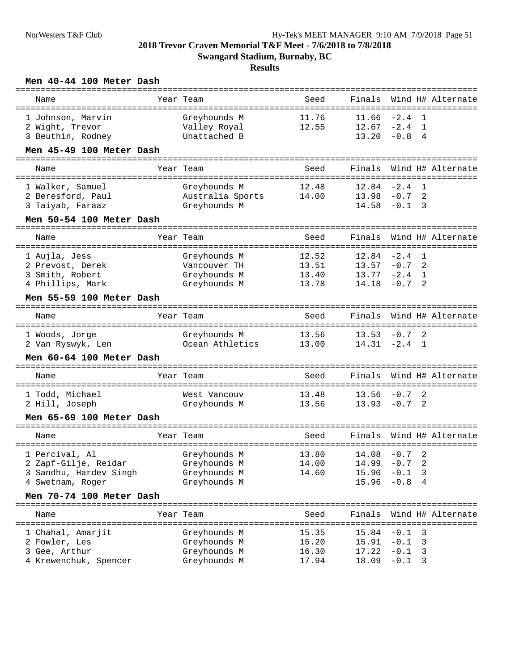| Men 40-44 100 Meter Dash |  |  |  |  |
|--------------------------|--|--|--|--|
|--------------------------|--|--|--|--|

| Name                     | Year Team<br>============================ | Seed<br>------- |                          |          | Finals Wind H# Alternate |
|--------------------------|-------------------------------------------|-----------------|--------------------------|----------|--------------------------|
| 1 Johnson, Marvin        | Greyhounds M                              | 11.76           | $11.66 - 2.4$            |          | 1                        |
| 2 Wight, Trevor          | Valley Royal                              | 12.55           | $12.67 - 2.4$ 1          |          |                          |
| 3 Beuthin, Rodney        | Unattached B                              |                 | 13.20                    | $-0.8$ 4 |                          |
| Men 45-49 100 Meter Dash |                                           |                 |                          |          |                          |
| Name                     | Year Team                                 | Seed            | Finals                   |          | Wind H# Alternate        |
| 1 Walker, Samuel         | Greyhounds M                              | 12.48           | $12.84 - 2.4$ 1          |          |                          |
| 2 Beresford, Paul        | Australia Sports                          | 14.00           | $13.98 - 0.7$            |          | 2                        |
| 3 Taiyab, Faraaz         | Greyhounds M                              |                 | $14.58 - 0.1$ 3          |          |                          |
| Men 50-54 100 Meter Dash |                                           |                 |                          |          |                          |
| Name                     | Year Team                                 | Seed            |                          |          | Finals Wind H# Alternate |
|                          |                                           |                 |                          |          |                          |
| 1 Aujla, Jess            | Greyhounds M                              | 12.52           | $12.84 - 2.4$ 1          |          |                          |
| 2 Prevost, Derek         | Vancouver TH                              | 13.51           | $13.57 - 0.7$ 2          |          |                          |
| 3 Smith, Robert          | Greyhounds M                              | 13.40           | $13.77 - 2.4$ 1          |          |                          |
| 4 Phillips, Mark         | Greyhounds M                              | 13.78           | 14.18                    | $-0.7$ 2 |                          |
| Men 55-59 100 Meter Dash |                                           |                 |                          |          |                          |
| Name                     | Year Team                                 | Seed            |                          |          | Finals Wind H# Alternate |
| 1 Woods, Jorge           | Greyhounds M                              | 13.56           | $13.53 - 0.7$ 2          |          |                          |
| 2 Van Ryswyk, Len        | Ocean Athletics                           | 13.00           | $14.31 - 2.4$ 1          |          |                          |
| Men 60-64 100 Meter Dash |                                           |                 |                          |          |                          |
| Name                     | Year Team                                 | Seed            | Finals                   |          | Wind H# Alternate        |
| 1 Todd, Michael          | West Vancouv                              | 13.48           | $13.56 - 0.7$ 2          |          |                          |
| 2 Hill, Joseph           | Greyhounds M                              | 13.56           | $13.93 - 0.7$ 2          |          |                          |
| Men 65-69 100 Meter Dash |                                           |                 |                          |          |                          |
| Name                     | Year Team                                 | Seed            |                          |          | Finals Wind H# Alternate |
|                          |                                           |                 |                          |          |                          |
| 1 Percival, Al           | Greyhounds M                              | 13.80           | $14.08 - 0.7$            |          | 2                        |
| 2 Zapf-Gilje, Reidar     | Greyhounds M                              |                 | $14.00$ $14.99$ $-0.7$ 2 |          |                          |
| 3 Sandhu, Hardev Singh   | Greyhounds M                              | 14.60           | $15.90 - 0.1$ 3          |          |                          |
| 4 Swetnam, Roger         | Greyhounds M                              |                 | $15.96 - 0.8 4$          |          |                          |
| Men 70-74 100 Meter Dash |                                           |                 |                          |          |                          |
| Name                     | Year Team                                 | Seed            |                          |          | Finals Wind H# Alternate |
| 1 Chahal, Amarjit        | Greyhounds M                              | 15.35           | $15.84 - 0.1$ 3          |          |                          |
| 2 Fowler, Les            | Greyhounds M                              | 15.20           | $15.91 - 0.1$ 3          |          |                          |
| 3 Gee, Arthur            | Greyhounds M                              | 16.30           | $17.22 - 0.1$ 3          |          |                          |
| 4 Krewenchuk, Spencer    | Greyhounds M                              | 17.94           | $18.09 - 0.1$ 3          |          |                          |
|                          |                                           |                 |                          |          |                          |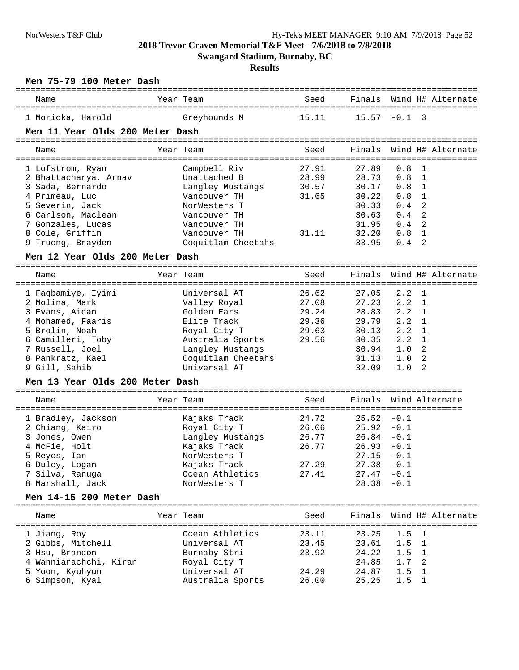**Swangard Stadium, Burnaby, BC**

| Name                               | Year Team                        | Seed           |                                |                  | Finals Wind H# Alternate |  |
|------------------------------------|----------------------------------|----------------|--------------------------------|------------------|--------------------------|--|
| 1 Morioka, Harold                  | Greyhounds M                     | 15.11          | $15.57 - 0.1$ 3                |                  |                          |  |
| Men 11 Year Olds 200 Meter Dash    |                                  |                |                                |                  |                          |  |
| Name                               | Year Team                        | Seed           |                                |                  | Finals Wind H# Alternate |  |
|                                    |                                  |                |                                |                  |                          |  |
| 1 Lofstrom, Ryan                   | Campbell Riv                     | 27.91          | 27.89                          | 0.8              | 1                        |  |
| 2 Bhattacharya, Arnav              | Unattached B                     | 28.99          | 28.73                          | 0.8              | 1                        |  |
| 3 Sada, Bernardo                   | Langley Mustangs                 | 30.57          | 30.17                          | $0.8 \quad 1$    |                          |  |
| 4 Primeau, Luc                     | Vancouver TH                     | 31.65          | 30.22                          | $0.8 \quad 1$    |                          |  |
| 5 Severin, Jack                    | NorWesters T                     |                | 30.33                          | 0.4              | 2                        |  |
| 6 Carlson, Maclean                 | Vancouver TH                     |                | 30.63                          | $0.4$ 2          |                          |  |
| 7 Gonzales, Lucas                  | Vancouver TH                     |                | 31.95                          | $0.4 \quad 2$    |                          |  |
| 8 Cole, Griffin                    | Vancouver TH                     | 31.11          | 32.20                          | 0.8 <sub>1</sub> |                          |  |
| 9 Truong, Brayden                  | Coquitlam Cheetahs               |                | 33.95                          | $0.4 \quad 2$    |                          |  |
| Men 12 Year Olds 200 Meter Dash    |                                  |                |                                |                  |                          |  |
| Name                               | Year Team                        | Seed           | Finals                         |                  | Wind H# Alternate        |  |
| 1 Fagbamiye, Iyimi                 | Universal AT                     | 26.62          | 27.05                          | 2.2              | - 1                      |  |
| 2 Molina, Mark                     | Valley Royal                     | 27.08          | 27.23                          | $2.2 \quad 1$    |                          |  |
| 3 Evans, Aidan                     | Golden Ears                      | 29.24          | 28.83                          | $2.2 \quad 1$    |                          |  |
| 4 Mohamed, Faaris                  | Elite Track                      | 29.36          | 29.79                          | $2.2 \quad 1$    |                          |  |
| 5 Brolin, Noah                     | Royal City T                     | 29.63          | 30.13                          | $2.2 \quad 1$    |                          |  |
| 6 Camilleri, Toby                  | Australia Sports                 | 29.56          | 30.35                          | 2.2              | 1                        |  |
| 7 Russell, Joel                    | Langley Mustangs                 |                | 30.94                          | 1.0 <sub>2</sub> |                          |  |
| 8 Pankratz, Kael                   | Coquitlam Cheetahs               |                | 31.13                          | 1.0              | 2                        |  |
| 9 Gill, Sahib                      | Universal AT                     |                | 32.09                          | 1.0              | 2                        |  |
| Men 13 Year Olds 200 Meter Dash    |                                  |                |                                |                  |                          |  |
| Name                               | Year Team                        | Seed           |                                |                  | Finals Wind Alternate    |  |
|                                    |                                  |                |                                |                  |                          |  |
| 1 Bradley, Jackson                 | Kajaks Track                     | 24.72          | $25.52 - 0.1$                  |                  |                          |  |
| 2 Chiang, Kairo<br>3 Jones, Owen   | Royal City T                     | 26.06<br>26.77 | $25.92 - 0.1$<br>$26.84 - 0.1$ |                  |                          |  |
| 4 McFie, Holt                      | Langley Mustangs<br>Kajaks Track | 26.77          | $26.93 - 0.1$                  |                  |                          |  |
|                                    | NorWesters T                     |                | $27.15 - 0.1$                  |                  |                          |  |
|                                    |                                  |                |                                |                  |                          |  |
| 5 Reyes, Ian                       |                                  |                |                                |                  |                          |  |
| 6 Duley, Logan                     | Kajaks Track                     | 27.29          | $27.38 - 0.1$                  |                  |                          |  |
| 7 Silva, Ranuga                    | Ocean Athletics                  | 27.41          | $27.47 - 0.1$                  |                  |                          |  |
| 8 Marshall, Jack                   | NorWesters T                     |                | 28.38                          | $-0.1$           |                          |  |
| Men 14-15 200 Meter Dash           |                                  |                |                                |                  |                          |  |
| Name                               | Year Team                        | Seed           |                                |                  | Finals Wind H# Alternate |  |
| 1 Jiang, Roy                       | Ocean Athletics                  | 23.11          | 23.25                          | 1.5              | 1                        |  |
| 2 Gibbs, Mitchell                  | Universal AT                     | 23.45          | 23.61                          | 1.5              | 1                        |  |
| 3 Hsu, Brandon                     | Burnaby Stri                     | 23.92          | 24.22                          | 1.5              | 1                        |  |
| 4 Wanniarachchi, Kiran             | Royal City T                     |                | 24.85                          | 1.7              | 2                        |  |
| 5 Yoon, Kyuhyun<br>6 Simpson, Kyal | Universal AT<br>Australia Sports | 24.29<br>26.00 | 24.87<br>25.25                 | 1.5<br>1.5       | 1                        |  |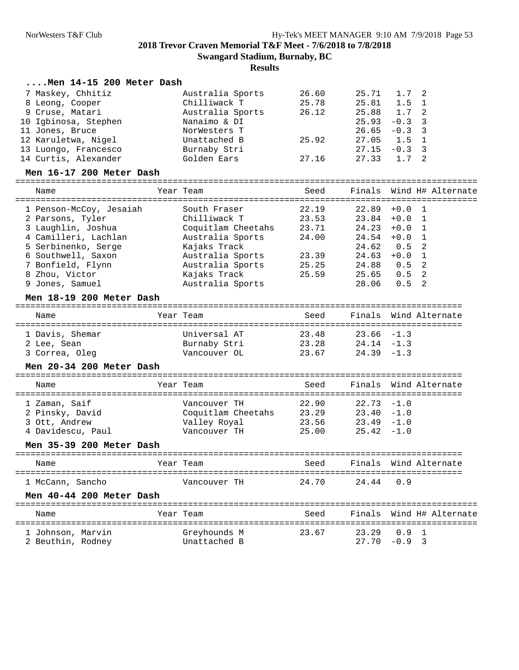| Men 14-15 200 Meter Dash         |                            |                          |               |          |                                           |
|----------------------------------|----------------------------|--------------------------|---------------|----------|-------------------------------------------|
| 7 Maskey, Chhitiz                | Australia Sports           | 26.60                    | 25.71         | 1.7      | 2                                         |
| 8 Leong, Cooper                  | Chilliwack T               | 25.78                    | 25.81         | 1.5      | 1                                         |
| 9 Cruse, Matari                  | Australia Sports           | 26.12                    | 25.88         | 1.7      | 2                                         |
| 10 Igbinosa, Stephen             | Nanaimo & DI               |                          | 25.93         | $-0.3$   | 3                                         |
| 11 Jones, Bruce                  | NorWesters T               |                          | 26.65         | $-0.3$   | 3                                         |
| 12 Karuletwa, Nigel              | Unattached B               | 25.92                    | 27.05         | 1.5      | 1                                         |
| 13 Luongo, Francesco             | Burnaby Stri               |                          | 27.15         | $-0.3$   | 3                                         |
| 14 Curtis, Alexander             | Golden Ears                | 27.16                    | 27.33         | 1.7      | 2                                         |
| Men 16-17 200 Meter Dash         |                            |                          |               |          |                                           |
| Name                             | Year Team                  | Seed                     | Finals        |          | Wind H# Alternate                         |
| 1 Penson-McCoy, Jesaiah          | South Fraser               | 22.19                    | 22.89         | $+0.0$   | $\mathbf{1}$                              |
| 2 Parsons, Tyler                 | Chilliwack T               | 23.53                    | 23.84         | $+0.0$   | 1                                         |
| 3 Laughlin, Joshua               | Coquitlam Cheetahs         | 23.71                    | 24.23         | $+0.0$   | 1                                         |
| 4 Camilleri, Lachlan             | Australia Sports           | 24.00                    | 24.54         | $+0.0$   | 1                                         |
| 5 Serbinenko, Serge              | Kajaks Track               |                          | 24.62         | 0.5      | 2                                         |
| 6 Southwell, Saxon               | Australia Sports           | 23.39                    | 24.63         | $+0.0$ 1 |                                           |
| 7 Bonfield, Flynn                | Australia Sports           | 25.25                    | 24.88         | 0.5      | 2                                         |
| 8 Zhou, Victor                   | Kajaks Track               | 25.59                    | 25.65         | 0.5      | 2                                         |
| 9 Jones, Samuel                  | Australia Sports           |                          | 28.06         | 0.5      | 2                                         |
| Men 18-19 200 Meter Dash         |                            |                          |               |          |                                           |
| Name                             | -------------<br>Year Team | Seed                     | Finals        |          | Wind Alternate                            |
| =============<br>1 Davis, Shemar | Universal AT               | ==========<br>23.48      | 23.66         | $-1.3$   | ================                          |
| 2 Lee, Sean                      | Burnaby Stri               | 23.28                    | $24.14 - 1.3$ |          |                                           |
| 3 Correa, Oleg                   | Vancouver OL               | 23.67                    | $24.39 - 1.3$ |          |                                           |
| Men 20-34 200 Meter Dash         |                            |                          |               |          |                                           |
| Name                             | Year Team                  | Seed                     | Finals        |          | Wind Alternate                            |
| ===================              | =====================      |                          |               |          |                                           |
| 1 Zaman, Saif                    | Vancouver TH               | 22.90                    | 22.73         | $-1.0$   |                                           |
| 2 Pinsky, David                  | Coquitlam Cheetahs         | 23.29                    | $23.40 -1.0$  |          |                                           |
| 3 Ott, Andrew                    | Valley Royal               | 23.56                    | $23.49 - 1.0$ |          |                                           |
| 4 Davidescu, Paul                | Vancouver TH               | 25.00                    | 25.42         | $-1.0$   |                                           |
| Men 35-39 200 Meter Dash         |                            |                          |               |          |                                           |
| Name                             | Year Team                  | Seed<br>-----------      |               |          | Finals Wind Alternate<br>================ |
| 1 McCann, Sancho                 | Vancouver TH               | 24.70                    | 24.44         | 0.9      |                                           |
| Men 40-44 200 Meter Dash         |                            |                          |               |          |                                           |
| Name                             | Year Team                  | Seed                     | Finals        |          | Wind H# Alternate                         |
| 1 Johnson, Marvin                | Greyhounds M               | ===============<br>23.67 | 23.29         | 0.9      | ----------------------<br>-1              |
| 2 Beuthin, Rodney                | Unattached B               |                          | 27.70         | $-0.9$ 3 |                                           |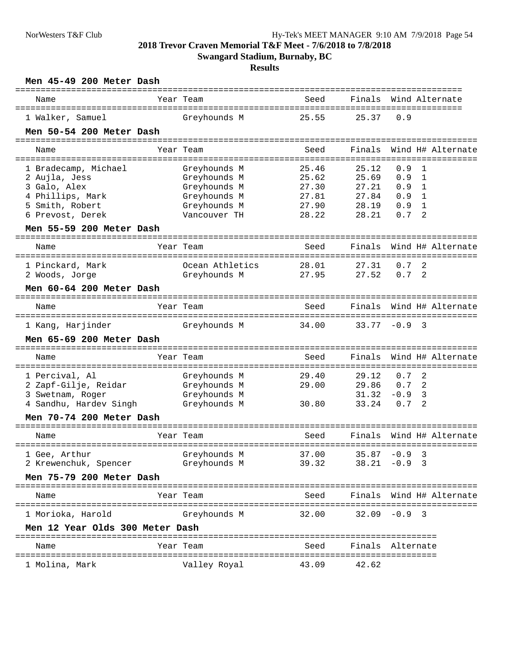**Swangard Stadium, Burnaby, BC**

| Men 45-49 200 Meter Dash        |                 | ============== |                  |               |                          |
|---------------------------------|-----------------|----------------|------------------|---------------|--------------------------|
| Name                            | Year Team       | Seed           |                  |               | Finals Wind Alternate    |
| 1 Walker, Samuel                | Greyhounds M    | 25.55          | 25.37            | 0.9           |                          |
| Men 50-54 200 Meter Dash        |                 |                |                  |               |                          |
| Name                            | Year Team       | Seed           |                  |               | Finals Wind H# Alternate |
|                                 |                 |                |                  |               |                          |
| 1 Bradecamp, Michael            | Greyhounds M    | 25.46          | 25.12            | 0.9           | 1                        |
| 2 Aujla, Jess                   | Greyhounds M    | 25.62          | 25.69            | 0.9 1         |                          |
| 3 Galo, Alex                    | Greyhounds M    | 27.30          | 27.21            | 0.9           | 1                        |
| 4 Phillips, Mark                | Greyhounds M    | 27.81          | 27.84            | $0.9 \quad 1$ |                          |
| 5 Smith, Robert                 | Greyhounds M    | 27.90          | 28.19            | $0.9 \quad 1$ |                          |
| 6 Prevost, Derek                | Vancouver TH    | 28.22          | 28.21            | 0.7           | 2                        |
| Men 55-59 200 Meter Dash        |                 |                |                  |               |                          |
| Name                            | Year Team       | Seed           | Finals           |               | Wind H# Alternate        |
| 1 Pinckard, Mark                | Ocean Athletics | 28.01          | 27.31            | $0.7-2$       |                          |
| 2 Woods, Jorge                  | Greyhounds M    | 27.95          | 27.52            | $0.7 \quad 2$ |                          |
| Men 60-64 200 Meter Dash        |                 |                |                  |               |                          |
| Name                            | Year Team       | Seed           |                  |               | Finals Wind H# Alternate |
|                                 |                 |                |                  |               |                          |
| 1 Kang, Harjinder               | Greyhounds M    | 34.00          | $33.77 - 0.9$ 3  |               |                          |
| Men 65-69 200 Meter Dash        |                 |                |                  |               |                          |
| Name                            | Year Team       | Seed           | Finals           |               | Wind H# Alternate        |
| 1 Percival, Al                  | Greyhounds M    | 29.40          | 29.12            | 0.7           | -2                       |
| 2 Zapf-Gilje, Reidar            | Greyhounds M    | 29.00          | 29.86            | 0.7           | -2                       |
| 3 Swetnam, Roger                | Greyhounds M    |                | 31.32            | $-0.9$ 3      |                          |
| 4 Sandhu, Hardev Singh          | Greyhounds M    | 30.80          | 33.24            | 0.7           | 2                        |
| Men 70-74 200 Meter Dash        |                 |                |                  |               |                          |
| Name                            | Year Team       | Seed           | Finals           |               | Wind H# Alternate        |
| 1 Gee, Arthur                   | Greyhounds M    | 37.00          | $35.87 -0.9$ 3   |               |                          |
| 2 Krewenchuk, Spencer           | Greyhounds M    | 39.32          | $38.21 -0.9$ 3   |               |                          |
| Men 75-79 200 Meter Dash        |                 |                |                  |               |                          |
| Name                            | Year Team       | Seed           |                  |               | Finals Wind H# Alternate |
| 1 Morioka, Harold               | Greyhounds M    | 32.00          | $32.09 - 0.9$ 3  |               |                          |
| Men 12 Year Olds 300 Meter Dash |                 |                |                  |               |                          |
| Name                            | Year Team       | Seed           | Finals Alternate |               |                          |
|                                 |                 |                |                  |               |                          |
| 1 Molina, Mark                  | Valley Royal    | 43.09          | 42.62            |               |                          |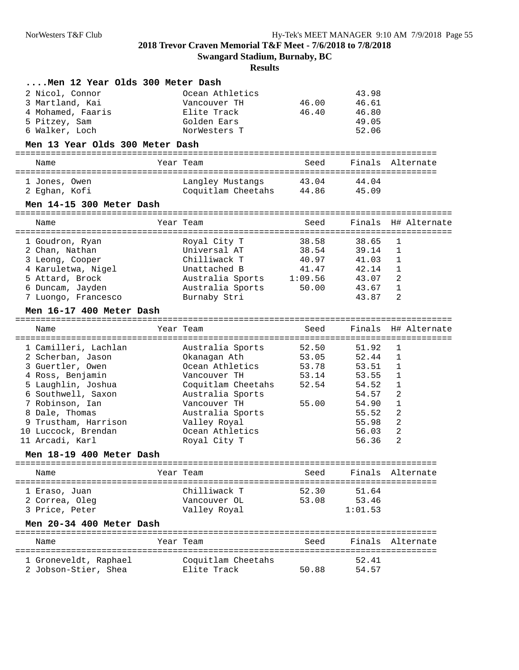**Swangard Stadium, Burnaby, BC**

| Men 12 Year Olds 300 Meter Dash                                                                                                                                                                                                                                |           |                                                                                                                                                                                                      |                                                      |                                                                                                 |                                                     |
|----------------------------------------------------------------------------------------------------------------------------------------------------------------------------------------------------------------------------------------------------------------|-----------|------------------------------------------------------------------------------------------------------------------------------------------------------------------------------------------------------|------------------------------------------------------|-------------------------------------------------------------------------------------------------|-----------------------------------------------------|
| 2 Nicol, Connor<br>3 Martland, Kai<br>4 Mohamed, Faaris<br>5 Pitzey, Sam<br>6 Walker, Loch                                                                                                                                                                     |           | Ocean Athletics<br>Vancouver TH<br>Elite Track<br>Golden Ears<br>NorWesters T                                                                                                                        | 46.00<br>46.40                                       | 43.98<br>46.61<br>46.80<br>49.05<br>52.06                                                       |                                                     |
| Men 13 Year Olds 300 Meter Dash                                                                                                                                                                                                                                |           |                                                                                                                                                                                                      |                                                      |                                                                                                 |                                                     |
| Name                                                                                                                                                                                                                                                           | Year Team |                                                                                                                                                                                                      | Seed                                                 |                                                                                                 | Finals Alternate                                    |
| 1 Jones, Owen<br>2 Eghan, Kofi                                                                                                                                                                                                                                 |           | Langley Mustangs<br>Coquitlam Cheetahs                                                                                                                                                               | 43.04<br>44.86                                       | 44.04<br>45.09                                                                                  |                                                     |
| Men 14-15 300 Meter Dash                                                                                                                                                                                                                                       |           |                                                                                                                                                                                                      |                                                      |                                                                                                 |                                                     |
| Name                                                                                                                                                                                                                                                           | Year Team |                                                                                                                                                                                                      | ================================<br>Seed             |                                                                                                 | Finals H# Alternate                                 |
| 1 Goudron, Ryan<br>2 Chan, Nathan<br>3 Leong, Cooper<br>4 Karuletwa, Nigel<br>5 Attard, Brock<br>6 Duncam, Jayden<br>7 Luongo, Francesco<br>Men 16-17 400 Meter Dash                                                                                           |           | Royal City T<br>Universal AT<br>Chilliwack T<br>Unattached B<br>Australia Sports<br>Australia Sports<br>Burnaby Stri                                                                                 | 38.58<br>38.54<br>40.97<br>41.47<br>1:09.56<br>50.00 | 38.65<br>39.14<br>41.03<br>42.14<br>43.07<br>43.67<br>43.87                                     | 1<br>1<br>1<br>1<br>2<br>1<br>2                     |
| Name                                                                                                                                                                                                                                                           | Year Team |                                                                                                                                                                                                      | Seed                                                 |                                                                                                 | Finals H# Alternate                                 |
| 1 Camilleri, Lachlan<br>2 Scherban, Jason<br>3 Guertler, Owen<br>4 Ross, Benjamin<br>5 Laughlin, Joshua<br>6 Southwell, Saxon<br>7 Robinson, Ian<br>8 Dale, Thomas<br>Trustham, Harrison<br>10 Luccock, Brendan<br>11 Arcadi, Karl<br>Men 18-19 400 Meter Dash |           | Australia Sports<br>Okanagan Ath<br>Ocean Athletics<br>Vancouver TH<br>Coquitlam Cheetahs<br>Australia Sports<br>Vancouver TH<br>Australia Sports<br>Valley Royal<br>Ocean Athletics<br>Royal City T | 52.50<br>53.05<br>53.78<br>53.14<br>52.54<br>55.00   | 51.92<br>52.44<br>53.51<br>53.55<br>54.52<br>54.57<br>54.90<br>55.52<br>55.98<br>56.03<br>56.36 | 1<br>1<br>1<br>1<br>1<br>2<br>1<br>2<br>2<br>2<br>2 |
| Name                                                                                                                                                                                                                                                           | Year Team |                                                                                                                                                                                                      | Seed                                                 |                                                                                                 | Finals Alternate                                    |
| 1 Eraso, Juan<br>2 Correa, Oleg<br>3 Price, Peter<br>Men 20-34 400 Meter Dash                                                                                                                                                                                  |           | Chilliwack T<br>Vancouver OL<br>Valley Royal                                                                                                                                                         | 52.30<br>53.08                                       | 51.64<br>53.46<br>1:01.53                                                                       |                                                     |
| Name                                                                                                                                                                                                                                                           | Year Team |                                                                                                                                                                                                      | Seed                                                 |                                                                                                 | Finals Alternate                                    |
| 1 Groneveldt, Raphael                                                                                                                                                                                                                                          |           | Coquitlam Cheetahs                                                                                                                                                                                   |                                                      | 52.41                                                                                           |                                                     |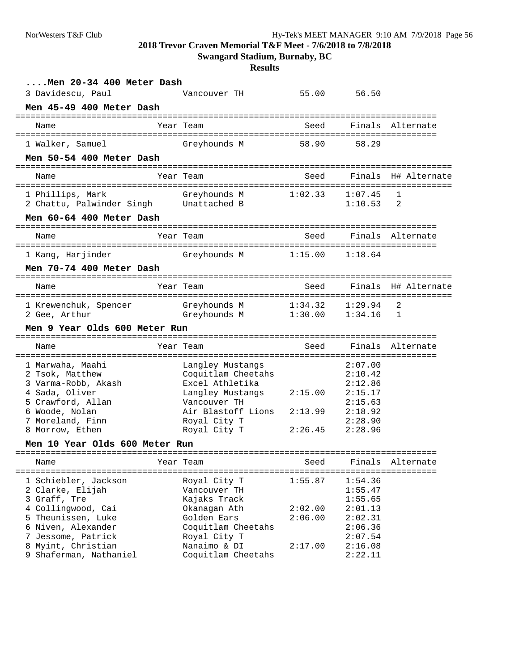**Swangard Stadium, Burnaby, BC**

| Men 20-34 400 Meter Dash            |                                  |         |                    |                     |
|-------------------------------------|----------------------------------|---------|--------------------|---------------------|
| 3 Davidescu, Paul                   | Vancouver TH                     | 55.00   | 56.50              |                     |
| Men 45-49 400 Meter Dash            |                                  |         |                    |                     |
| Name                                | Year Team                        | Seed    |                    | Finals Alternate    |
| 1 Walker, Samuel                    | Greyhounds M                     | 58.90   | 58.29              |                     |
| Men 50-54 400 Meter Dash            |                                  |         |                    |                     |
| Name                                | Year Team                        | Seed    |                    | Finals H# Alternate |
| 1 Phillips, Mark                    | Greyhounds M                     | 1:02.33 | 1:07.45            | $\mathbf{1}$        |
| 2 Chattu, Palwinder Singh           | Unattached B                     |         | 1:10.53            | 2                   |
| Men 60-64 400 Meter Dash            |                                  |         |                    |                     |
| Name                                | Year Team                        | Seed    |                    | Finals Alternate    |
| 1 Kang, Harjinder                   | Greyhounds M                     | 1:15.00 | 1:18.64            |                     |
| Men 70-74 400 Meter Dash            |                                  |         |                    |                     |
| Name                                | Year Team                        | Seed    |                    | Finals H# Alternate |
| 1 Krewenchuk, Spencer               | Greyhounds M                     | 1:34.32 | 1:29.94            | 2                   |
| 2 Gee, Arthur                       | Greyhounds M                     | 1:30.00 | 1:34.16            | -1                  |
| Men 9 Year Olds 600 Meter Run       |                                  |         |                    |                     |
| Name                                | Year Team                        | Seed    |                    | Finals Alternate    |
| 1 Marwaha, Maahi                    | Langley Mustangs                 |         | 2:07.00            |                     |
| 2 Tsok, Matthew                     | Coquitlam Cheetahs               |         | 2:10.42            |                     |
| 3 Varma-Robb, Akash                 | Excel Athletika                  |         | 2:12.86            |                     |
| 4 Sada, Oliver<br>5 Crawford, Allan | Langley Mustangs<br>Vancouver TH | 2:15.00 | 2:15.17<br>2:15.63 |                     |
| 6 Woode, Nolan                      | Air Blastoff Lions               | 2:13.99 | 2:18.92            |                     |
| 7 Moreland, Finn                    | Royal City T                     |         | 2:28.90            |                     |
| 8 Morrow, Ethen                     | Royal City T                     | 2:26.45 | 2:28.96            |                     |
| Men 10 Year Olds 600 Meter Run      |                                  |         |                    |                     |
| Name                                | Year Team                        | Seed    | Finals             | Alternate           |
| 1 Schiebler, Jackson                | Royal City T                     | 1:55.87 | 1:54.36            | ==================  |
| 2 Clarke, Elijah                    | Vancouver TH                     |         | 1:55.47            |                     |
| 3 Graff, Tre                        | Kajaks Track                     |         | 1:55.65            |                     |
| 4 Collingwood, Cai                  | Okanagan Ath                     | 2:02.00 | 2:01.13            |                     |
| 5 Theunissen, Luke                  | Golden Ears                      | 2:06.00 | 2:02.31            |                     |
| 6 Niven, Alexander                  | Coquitlam Cheetahs               |         | 2:06.36            |                     |
| 7 Jessome, Patrick                  | Royal City T                     |         | 2:07.54            |                     |
| 8 Myint, Christian                  | Nanaimo & DI                     | 2:17.00 | 2:16.08            |                     |
| 9 Shaferman, Nathaniel              | Coquitlam Cheetahs               |         | 2:22.11            |                     |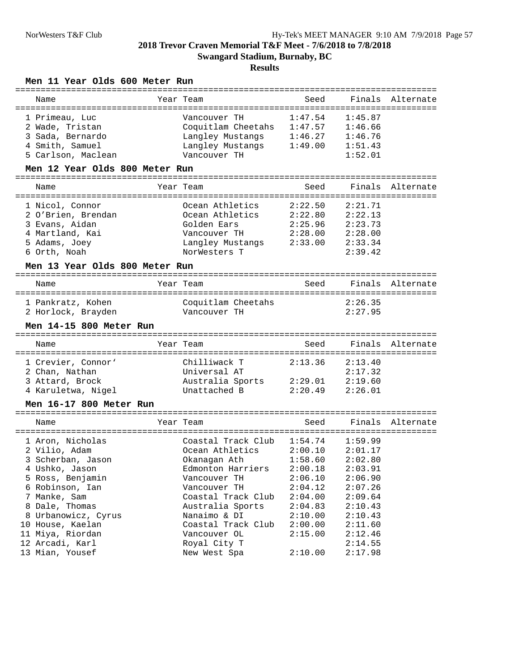### **Results**

## **Men 11 Year Olds 600 Meter Run**

| Year Team                                                                                                                                                                                                  | Seed                                                                                                                                                          | Finals                                                                                                                | Alternate                                                        |
|------------------------------------------------------------------------------------------------------------------------------------------------------------------------------------------------------------|---------------------------------------------------------------------------------------------------------------------------------------------------------------|-----------------------------------------------------------------------------------------------------------------------|------------------------------------------------------------------|
| Vancouver TH<br>Langley Mustangs<br>Vancouver TH                                                                                                                                                           | 1:47.54<br>1:49.00                                                                                                                                            | 1:45.87<br>1:46.66<br>1:46.76<br>1:51.43<br>1:52.01                                                                   |                                                                  |
|                                                                                                                                                                                                            |                                                                                                                                                               |                                                                                                                       |                                                                  |
| Year Team                                                                                                                                                                                                  | Seed                                                                                                                                                          |                                                                                                                       | Finals Alternate                                                 |
| Ocean Athletics<br>Ocean Athletics<br>Golden Ears<br>Vancouver TH<br>NorWesters T                                                                                                                          | 2:22.50<br>2:22.80<br>2:25.96<br>2:28.00                                                                                                                      | 2:21.71<br>2:22.13<br>2:23.73<br>2:28.00<br>2:33.34<br>2:39.42                                                        |                                                                  |
|                                                                                                                                                                                                            |                                                                                                                                                               |                                                                                                                       |                                                                  |
| Year Team                                                                                                                                                                                                  | Seed                                                                                                                                                          |                                                                                                                       | Finals Alternate                                                 |
| Coquitlam Cheetahs<br>Vancouver TH                                                                                                                                                                         |                                                                                                                                                               | 2:26.35<br>2:27.95                                                                                                    |                                                                  |
|                                                                                                                                                                                                            |                                                                                                                                                               |                                                                                                                       |                                                                  |
| Year Team                                                                                                                                                                                                  | Seed                                                                                                                                                          |                                                                                                                       | Finals Alternate                                                 |
| Chilliwack T<br>Universal AT<br>Unattached B                                                                                                                                                               | 2:13.36<br>2:20.49                                                                                                                                            | 2:13.40<br>2:17.32<br>2:19.60<br>2:26.01                                                                              |                                                                  |
|                                                                                                                                                                                                            |                                                                                                                                                               |                                                                                                                       |                                                                  |
| Year Team                                                                                                                                                                                                  | Seed                                                                                                                                                          |                                                                                                                       | Finals Alternate                                                 |
| Coastal Track Club<br>Ocean Athletics<br>Okanagan Ath<br>Edmonton Harriers<br>Vancouver TH<br>Vancouver TH<br>Coastal Track Club<br>Australia Sports<br>Nanaimo & DI<br>Coastal Track Club<br>Vancouver OL | 1:58.60<br>2:06.10<br>2:04.12<br>2:04.00<br>2:04.83<br>2:10.00<br>2:00.00<br>2:15.00                                                                          | 1:59.99<br>2:01.17<br>2:02.80<br>2:03.91<br>2:06.90<br>2:07.26<br>2:09.64<br>2:10.43<br>2:10.43<br>2:11.60<br>2:12.46 |                                                                  |
|                                                                                                                                                                                                            | Men 12 Year Olds 800 Meter Run<br>Men 13 Year Olds 800 Meter Run<br>Men 14-15 800 Meter Run<br>Men 16-17 800 Meter Run<br>=================================== | 1:46.27<br>Langley Mustangs<br>Langley Mustangs 2:33.00<br>Australia Sports 2:29.01<br>1:54.74<br>2:00.10<br>2:00.18  | Coquitlam Cheetahs 1:47.57<br>================================== |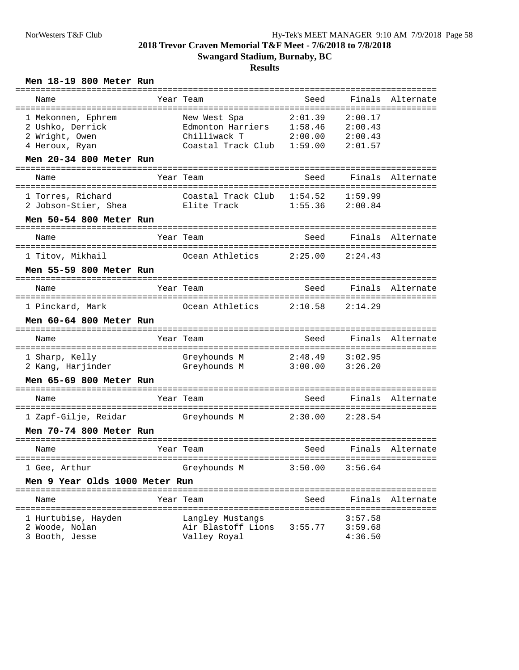#### **Results**

## **Men 18-19 800 Meter Run**

| Name                                                                       | =================<br>Year Team                                                          | Seed<br>---------------- | Finals                                                        | Alternate        |
|----------------------------------------------------------------------------|-----------------------------------------------------------------------------------------|--------------------------|---------------------------------------------------------------|------------------|
| 1 Mekonnen, Ephrem<br>2 Ushko, Derrick<br>2 Wright, Owen<br>4 Heroux, Ryan | New West Spa<br>Edmonton Harriers 1:58.46<br>Chilliwack T<br>Coastal Track Club 1:59.00 | 2:01.39<br>2:00.00       | $=$ = = = = = = =<br>2:00.17<br>2:00.43<br>2:00.43<br>2:01.57 |                  |
| Men 20-34 800 Meter Run                                                    |                                                                                         |                          |                                                               |                  |
| Name                                                                       | Year Team                                                                               | Seed                     | Finals                                                        | Alternate        |
| 1 Torres, Richard<br>2 Jobson-Stier, Shea                                  | Coastal Track Club<br>Elite Track                                                       | 1:54.52<br>1:55.36       | 1:59.99<br>2:00.84                                            |                  |
| Men 50-54 800 Meter Run                                                    |                                                                                         |                          |                                                               |                  |
| Name                                                                       | Year Team                                                                               | Seed                     |                                                               | Finals Alternate |
| 1 Titov, Mikhail                                                           | Ocean Athletics                                                                         | 2:25.00                  | 2:24.43                                                       |                  |
| Men 55-59 800 Meter Run                                                    |                                                                                         |                          |                                                               |                  |
| Name                                                                       | Year Team                                                                               | Seed                     | Finals                                                        | Alternate        |
| 1 Pinckard, Mark                                                           | Ocean Athletics                                                                         | 2:10.58                  | 2:14.29                                                       |                  |
| Men 60-64 800 Meter Run                                                    |                                                                                         |                          |                                                               |                  |
| Name                                                                       | Year Team                                                                               | Seed                     |                                                               | Finals Alternate |
| 1 Sharp, Kelly<br>2 Kang, Harjinder                                        | Greyhounds M<br>Greyhounds M                                                            | 2:48.49<br>3:00.00       | 3:02.95<br>3:26.20                                            |                  |
| Men 65-69 800 Meter Run                                                    |                                                                                         |                          |                                                               |                  |
| Name                                                                       | Year Team                                                                               | Seed                     |                                                               | Finals Alternate |
| 1 Zapf-Gilje, Reidar                                                       | Greyhounds M                                                                            | 2:30.00                  | 2:28.54                                                       |                  |
| Men 70-74 800 Meter Run                                                    |                                                                                         |                          |                                                               |                  |
| Name                                                                       | Year Team                                                                               | Seed                     | Finals                                                        | Alternate        |
| 1 Gee, Arthur                                                              | Greyhounds M                                                                            | 3:50.00                  | 3:56.64                                                       |                  |
| Men 9 Year Olds 1000 Meter Run                                             |                                                                                         |                          |                                                               |                  |
| Name                                                                       | Year Team                                                                               | Seed                     | Finals                                                        | Alternate        |
| 1 Hurtubise, Hayden<br>2 Woode, Nolan<br>3 Booth, Jesse                    | Langley Mustangs<br>Air Blastoff Lions<br>Valley Royal                                  | 3:55.77                  | 3:57.58<br>3:59.68<br>4:36.50                                 |                  |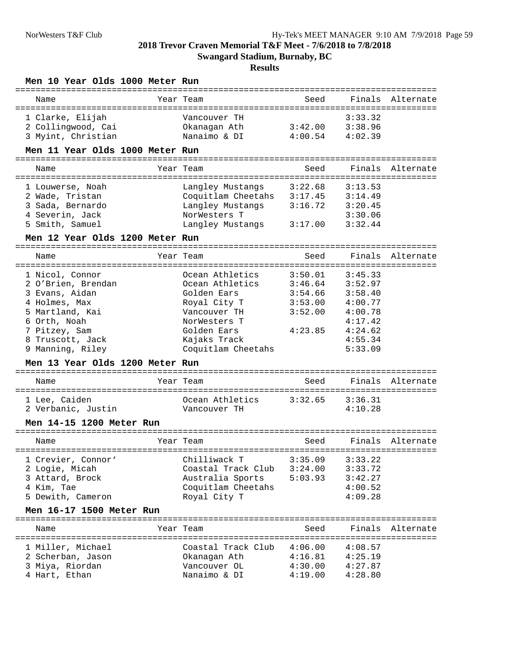| Men 10 Year Olds 1000 Meter Run<br>==================================== |                            | ==================                       |         |                  |
|-------------------------------------------------------------------------|----------------------------|------------------------------------------|---------|------------------|
| Name                                                                    | Year Team                  | Seed                                     |         | Finals Alternate |
| 1 Clarke, Elijah                                                        | Vancouver TH               |                                          | 3:33.32 |                  |
| 2 Collingwood, Cai                                                      | Okanagan Ath               | 3:42.00                                  | 3:38.96 |                  |
| 3 Myint, Christian                                                      | Nanaimo & DI               | 4:00.54                                  | 4:02.39 |                  |
| Men 11 Year Olds 1000 Meter Run                                         |                            |                                          |         |                  |
| Name                                                                    | Year Team                  | Seed                                     |         | Finals Alternate |
| 1 Louwerse, Noah                                                        | Langley Mustangs           | _____________________________<br>3:22.68 | 3:13.53 |                  |
| 2 Wade, Tristan                                                         | Coquitlam Cheetahs 3:17.45 |                                          | 3:14.49 |                  |
| 3 Sada, Bernardo                                                        | Langley Mustangs           | 3:16.72                                  | 3:20.45 |                  |
| 4 Severin, Jack                                                         | NorWesters T               |                                          | 3:30.06 |                  |
| 5 Smith, Samuel                                                         | Langley Mustangs           | 3:17.00                                  | 3:32.44 |                  |
| Men 12 Year Olds 1200 Meter Run                                         |                            |                                          |         |                  |
| Name                                                                    | Year Team                  | Seed                                     |         | Finals Alternate |
|                                                                         |                            |                                          |         |                  |
| 1 Nicol, Connor                                                         | Ocean Athletics            | 3:50.01                                  | 3:45.33 |                  |
| 2 O'Brien, Brendan                                                      | Ocean Athletics            | 3:46.64                                  | 3:52.97 |                  |
| 3 Evans, Aidan                                                          | Golden Ears                | 3:54.66                                  | 3:58.40 |                  |
| 4 Holmes, Max                                                           | Royal City T               | 3:53.00                                  | 4:00.77 |                  |
| 5 Martland, Kai                                                         | Vancouver TH               | 3:52.00                                  | 4:00.78 |                  |
| 6 Orth, Noah                                                            | NorWesters T               |                                          | 4:17.42 |                  |
| 7 Pitzey, Sam                                                           | Golden Ears                | 4:23.85                                  | 4:24.62 |                  |
| 8 Truscott, Jack                                                        | Kajaks Track               |                                          | 4:55.34 |                  |
| 9 Manning, Riley                                                        | Coquitlam Cheetahs         |                                          | 5:33.09 |                  |
| Men 13 Year Olds 1200 Meter Run                                         |                            |                                          |         |                  |
|                                                                         |                            |                                          |         |                  |
| Name                                                                    | Year Team                  | Seed                                     |         | Finals Alternate |
| 1 Lee, Caiden                                                           | Ocean Athletics            | 3:32.65                                  | 3:36.31 |                  |
| 2 Verbanic, Justin                                                      | Vancouver TH               |                                          | 4:10.28 |                  |
|                                                                         |                            |                                          |         |                  |
| Men 14-15 1200 Meter Run                                                |                            |                                          |         |                  |
| Name                                                                    | Year Team                  | Seed                                     | Finals  | Alternate        |
| 1 Crevier, Connor'                                                      | Chilliwack T               | 3:35.09                                  | 3:33.22 |                  |
| 2 Logie, Micah                                                          | Coastal Track Club         | 3:24.00                                  | 3:33.72 |                  |
| 3 Attard, Brock                                                         | Australia Sports           | 5:03.93                                  | 3:42.27 |                  |
| 4 Kim, Tae                                                              | Coquitlam Cheetahs         |                                          | 4:00.52 |                  |
| 5 Dewith, Cameron                                                       | Royal City T               |                                          | 4:09.28 |                  |
| Men 16-17 1500 Meter Run                                                |                            |                                          |         |                  |
| Name                                                                    | Year Team                  | Seed                                     |         | Finals Alternate |
|                                                                         |                            |                                          |         |                  |
| 1 Miller, Michael                                                       | Coastal Track Club         | 4:06.00                                  | 4:08.57 |                  |
| 2 Scherban, Jason                                                       | Okanagan Ath               | 4:16.81                                  | 4:25.19 |                  |
| 3 Miya, Riordan                                                         | Vancouver OL               | 4:30.00                                  | 4:27.87 |                  |
| 4 Hart, Ethan                                                           | Nanaimo & DI               | 4:19.00                                  | 4:28.80 |                  |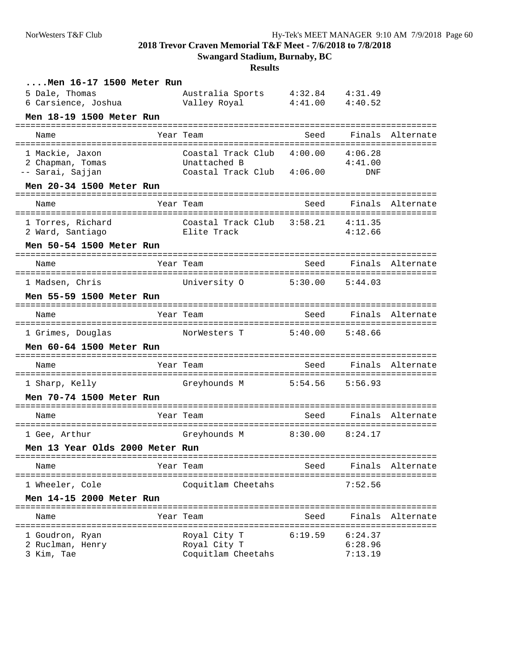**Swangard Stadium, Burnaby, BC**

| Men 16-17 1500 Meter Run                                          |                                                                                          |                              |                                |                  |
|-------------------------------------------------------------------|------------------------------------------------------------------------------------------|------------------------------|--------------------------------|------------------|
| 5 Dale, Thomas<br>6 Carsience, Joshua                             | Australia Sports   4:32.84   4:31.49<br>Valley Royal   4:41.00   4:40.52<br>Valley Royal |                              |                                |                  |
| Men 18-19 1500 Meter Run                                          |                                                                                          |                              |                                |                  |
| Name                                                              | Year Team                                                                                | Seed                         |                                | Finals Alternate |
| 1 Mackie, Jaxon<br>2 Chapman, Tomas<br>-- Sarai, Sajjan           | Coastal Track Club 4:00.00<br>Unattached B<br>Coastal Track Club 4:06.00                 |                              | 4:06.28<br>4:41.00<br>DNF      |                  |
| Men 20-34 1500 Meter Run                                          |                                                                                          |                              |                                |                  |
| Name                                                              | Year Team                                                                                | Seed                         |                                | Finals Alternate |
| 1 Torres, Richard<br>2 Ward, Santiago<br>Men 50-54 1500 Meter Run | :===================<br>Coastal Track Club 3:58.21<br>Elite Track                        |                              | --------<br>4:11.35<br>4:12.66 |                  |
| =====================                                             |                                                                                          | =====================        |                                |                  |
| Name                                                              | Year Team                                                                                | Seed                         |                                | Finals Alternate |
| 1 Madsen, Chris<br>Men 55-59 1500 Meter Run                       | University O                                                                             | 5:30.00                      | 5:44.03                        |                  |
| Name                                                              | Year Team                                                                                | Seed                         |                                | Finals Alternate |
| 1 Grimes, Douglas<br>Men 60-64 1500 Meter Run                     | NorWesters T                                                                             | =================<br>5:40.00 | 5:48.66                        | =============    |
| Name                                                              | Year Team                                                                                | Seed                         |                                | Finals Alternate |
| 1 Sharp, Kelly<br>Men 70-74 1500 Meter Run                        | Greyhounds M                                                                             | 5:54.56                      | 5:56.93                        | =============    |
| ==========================<br>Name                                | Year Team                                                                                | Seed                         | Finals                         | Alternate        |
| 1 Gee, Arthur                                                     | Greyhounds M 8:30.00                                                                     |                              | 8:24.17                        |                  |
| Men 13 Year Olds 2000 Meter Run                                   |                                                                                          |                              |                                |                  |
| Name<br>====================================                      | Year Team<br>============================                                                | Seed                         | Finals                         | Alternate        |
| 1 Wheeler, Cole<br>Men 14-15 2000 Meter Run                       | Coquitlam Cheetahs                                                                       |                              | 7:52.56                        |                  |
| Name                                                              | Year Team                                                                                | Seed                         | Finals                         | Alternate        |
| 1 Goudron, Ryan<br>2 Ruclman, Henry<br>3 Kim, Tae                 | Royal City T<br>Royal City T<br>Coquitlam Cheetahs                                       | 6:19.59                      | 6:24.37<br>6:28.96<br>7:13.19  |                  |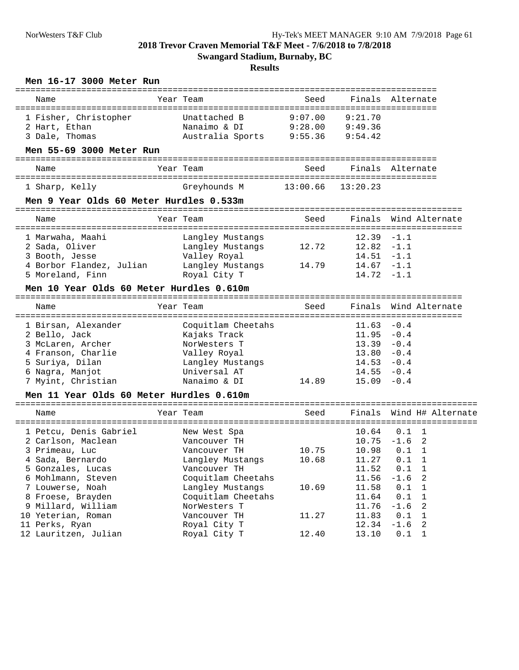## **Swangard Stadium, Burnaby, BC**

#### **Results**

### **Men 16-17 3000 Meter Run**

| Name                                     | =========<br>Year Team               | =====================================<br>Seed |               | Finals Alternate    |
|------------------------------------------|--------------------------------------|-----------------------------------------------|---------------|---------------------|
| 1 Fisher, Christopher                    | Unattached B                         | 9:07.00                                       | 9:21.70       |                     |
| 2 Hart, Ethan                            | Nanaimo & DI                         | 9:28.00                                       | 9:49.36       |                     |
| 3 Dale, Thomas                           | Australia Sports 9:55.36             |                                               | 9:54.42       |                     |
| Men 55-69 3000 Meter Run                 |                                      |                                               |               |                     |
| Name                                     | Year Team                            | Seed                                          |               | Finals Alternate    |
| 1 Sharp, Kelly                           | Greyhounds M                         | 13:00.66                                      | 13:20.23      |                     |
| Men 9 Year Olds 60 Meter Hurdles 0.533m  |                                      |                                               |               |                     |
| Name                                     | Year Team                            | Seed                                          | Finals        | Wind Alternate      |
| 1 Marwaha, Maahi                         |                                      |                                               | $12.39 - 1.1$ |                     |
| 2 Sada, Oliver                           | Langley Mustangs<br>Langley Mustangs | 12.72                                         | 12.82         | $-1.1$              |
| 3 Booth, Jesse                           | Valley Royal                         |                                               | $14.51 - 1.1$ |                     |
| 4 Borbor Flandez, Julian                 | Langley Mustangs                     | 14.79                                         | $14.67 - 1.1$ |                     |
| 5 Moreland, Finn                         | Royal City T                         |                                               | $14.72 - 1.1$ |                     |
| Men 10 Year Olds 60 Meter Hurdles 0.610m |                                      |                                               |               |                     |
| Name                                     | Year Team                            | Seed                                          | Finals        | Wind Alternate      |
|                                          |                                      |                                               |               |                     |
| 1 Birsan, Alexander                      | Coquitlam Cheetahs                   |                                               | 11.63         | $-0.4$              |
| 2 Bello, Jack                            | Kajaks Track                         |                                               | $11.95 - 0.4$ |                     |
| 3 McLaren, Archer                        | NorWesters T                         |                                               | $13.39 - 0.4$ |                     |
| 4 Franson, Charlie                       | Valley Royal                         |                                               | 13.80         | $-0.4$              |
| 5 Suriya, Dilan                          | Langley Mustangs                     |                                               | $14.53 - 0.4$ |                     |
| 6 Nagra, Manjot                          | Universal AT                         |                                               | $14.55 - 0.4$ |                     |
| 7 Myint, Christian                       | Nanaimo & DI                         | 14.89                                         | $15.09 - 0.4$ |                     |
| Men 11 Year Olds 60 Meter Hurdles 0.610m | ============================         |                                               |               |                     |
| Name                                     | Year Team                            | Seed                                          | Finals        | Wind H# Alternate   |
| 1 Petcu, Denis Gabriel                   | New West Spa                         |                                               | 10.64         | $0.1 \quad 1$       |
| 2 Carlson, Maclean                       | Vancouver TH                         |                                               | $10.75 - 1.6$ | -2                  |
| 3 Primeau, Luc                           | Vancouver TH                         | 10.75                                         | 10.98         | 0.1<br>1            |
| 4 Sada, Bernardo                         | Langley Mustangs                     | 10.68                                         | 11.27         | 0.1<br>1            |
| 5 Gonzales, Lucas                        | Vancouver TH                         |                                               | 11.52         | 0.1<br>1            |
| 6 Mohlmann, Steven                       | Coquitlam Cheetahs                   |                                               | 11.56         | $-1.6$<br>2         |
| 7 Louwerse, Noah                         | Langley Mustangs                     | 10.69                                         | 11.58         | $\mathbf{1}$<br>0.1 |
| 8 Froese, Brayden                        | Coquitlam Cheetahs                   |                                               | 11.64         | 0.1<br>$\mathbf 1$  |
| 9 Millard, William                       | NorWesters T                         |                                               | 11.76         | $-1.6$<br>2         |
| 10 Yeterian, Roman                       | Vancouver TH                         | 11.27                                         | 11.83         | 0.1<br>$\mathbf 1$  |
| 11 Perks, Ryan                           | Royal City T                         |                                               | 12.34         | $-1.6$<br>2         |
| 12 Lauritzen, Julian                     | Royal City T                         | 12.40                                         | 13.10         | 0.1<br>$\mathbf{1}$ |
|                                          |                                      |                                               |               |                     |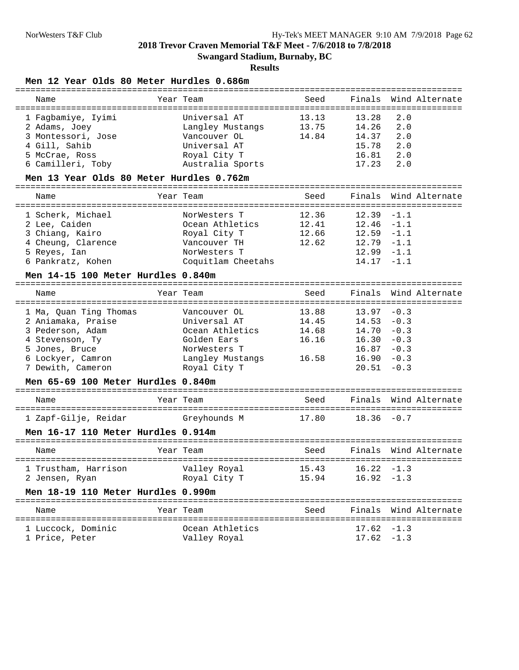**Swangard Stadium, Burnaby, BC**

## **Results**

### **Men 12 Year Olds 80 Meter Hurdles 0.686m**

| Name                                     | Year Team          | Seed  |               | Finals Wind Alternate |
|------------------------------------------|--------------------|-------|---------------|-----------------------|
| 1 Fagbamiye, Iyimi                       | Universal AT       | 13.13 | 13.28         | 2.0                   |
| 2 Adams, Joey                            | Langley Mustangs   | 13.75 | 14.26         | 2.0                   |
| 3 Montessori, Jose                       | Vancouver OL       | 14.84 | 14.37         | 2.0                   |
| 4 Gill, Sahib                            | Universal AT       |       | 15.78         | 2.0                   |
| 5 McCrae, Ross                           | Royal City T       |       | 16.81         | 2.0                   |
| 6 Camilleri, Toby                        | Australia Sports   |       | 17.23         | 2.0                   |
| Men 13 Year Olds 80 Meter Hurdles 0.762m |                    |       |               |                       |
| Name                                     | Year Team          | Seed  | Finals        | Wind Alternate        |
| 1 Scherk, Michael                        | NorWesters T       | 12.36 | 12.39         | $-1.1$                |
| 2 Lee, Caiden                            | Ocean Athletics    | 12.41 | 12.46         | -1.1                  |
| 3 Chiang, Kairo                          | Royal City T       | 12.66 | $12.59 - 1.1$ |                       |
| 4 Cheung, Clarence                       | Vancouver TH       | 12.62 | $12.79 - 1.1$ |                       |
| 5 Reyes, Ian                             | NorWesters T       |       | $12.99 - 1.1$ |                       |
| 6 Pankratz, Kohen                        | Coquitlam Cheetahs |       | $14.17 - 1.1$ |                       |
| Men 14-15 100 Meter Hurdles 0.840m       |                    |       |               |                       |
| Name                                     | Year Team          | Seed  | Finals        | Wind Alternate        |
| 1 Ma, Ouan Ting Thomas                   | Vancouver OL       | 13.88 | 13.97         | $-0.3$                |
| 2 Aniamaka, Praise                       | Universal AT       | 14.45 | 14.53         | $-0.3$                |
| 3 Pederson, Adam                         | Ocean Athletics    | 14.68 | 14.70         | $-0.3$                |
| 4 Stevenson, Ty                          | Golden Ears        | 16.16 | 16.30         | $-0.3$                |
| 5 Jones, Bruce                           | NorWesters T       |       | $16.87 - 0.3$ |                       |
| 6 Lockyer, Camron                        | Langley Mustangs   | 16.58 | $16.90 - 0.3$ |                       |
| 7 Dewith, Cameron                        | Royal City T       |       | 20.51         | $-0.3$                |
| Men 65-69 100 Meter Hurdles 0.840m       |                    |       |               |                       |
| Name                                     | Year Team          | Seed  | Finals        | Wind Alternate        |
| 1 Zapf-Gilje, Reidar                     | Greyhounds M       | 17.80 | $18.36 - 0.7$ | ===================   |
| Men 16-17 110 Meter Hurdles 0.914m       |                    |       |               |                       |
| Name                                     | Year Team          | Seed  | Finals        | Wind Alternate        |
|                                          |                    |       |               |                       |
| 1 Trustham, Harrison                     | Valley Royal       | 15.43 | $16.22 - 1.3$ |                       |
| 2 Jensen, Ryan                           | Royal City T       | 15.94 | $16.92 - 1.3$ |                       |
| Men 18-19 110 Meter Hurdles 0.990m       |                    |       |               |                       |
| Name                                     | Year Team          | Seed  |               | Finals Wind Alternate |
| 1 Luccock, Dominic                       | Ocean Athletics    |       | $17.62 - 1.3$ |                       |
| 1 Price, Peter                           | Valley Royal       |       | $17.62 - 1.3$ |                       |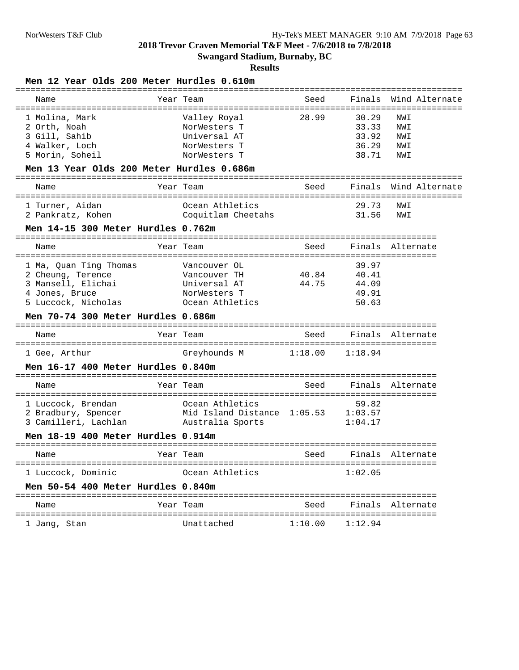**Swangard Stadium, Burnaby, BC**

## **Results**

### **Men 12 Year Olds 200 Meter Hurdles 0.610m**

| Name                                                       | Year Team                           | Seed    |         | Finals Wind Alternate |
|------------------------------------------------------------|-------------------------------------|---------|---------|-----------------------|
| 1 Molina, Mark                                             | Valley Royal                        | 28.99   | 30.29   | NWI                   |
| 2 Orth, Noah                                               | NorWesters T                        |         | 33.33   | NWI                   |
| 3 Gill, Sahib                                              | Universal AT                        |         | 33.92   | NWI                   |
| 4 Walker, Loch                                             | NorWesters T                        |         | 36.29   | NWI                   |
| 5 Morin, Soheil                                            | NorWesters T                        |         | 38.71   | NWI                   |
| Men 13 Year Olds 200 Meter Hurdles 0.686m                  |                                     |         |         |                       |
| Name                                                       | Year Team                           | Seed    |         | Finals Wind Alternate |
| 1 Turner, Aidan                                            | Ocean Athletics                     |         | 29.73   | NWI                   |
| 2 Pankratz, Kohen                                          | Coquitlam Cheetahs                  |         | 31.56   | NWI                   |
| Men 14-15 300 Meter Hurdles 0.762m                         |                                     |         |         |                       |
| Name                                                       | Year Team                           | Seed    |         | Finals Alternate      |
| 1 Ma, Quan Ting Thomas                                     | Vancouver OL                        |         | 39.97   |                       |
| 2 Cheung, Terence                                          | Vancouver TH                        | 40.84   | 40.41   |                       |
| 3 Mansell, Elichai                                         | Universal AT                        | 44.75   | 44.09   |                       |
| 4 Jones, Bruce                                             | NorWesters T                        |         | 49.91   |                       |
| 5 Luccock, Nicholas                                        | Ocean Athletics                     |         | 50.63   |                       |
|                                                            |                                     |         |         |                       |
| Men 70-74 300 Meter Hurdles 0.686m                         |                                     |         |         |                       |
| Name                                                       | Year Team                           | Seed    |         | Finals Alternate      |
| 1 Gee, Arthur                                              | Greyhounds M                        | 1:18.00 | 1:18.94 |                       |
| Men 16-17 400 Meter Hurdles 0.840m                         |                                     |         |         |                       |
| Name                                                       | Year Team                           | Seed    |         | Finals Alternate      |
| 1 Luccock, Brendan                                         | Ocean Athletics                     |         | 59.82   |                       |
| 2 Bradbury, Spencer                                        | Mid Island Distance 1:05.53 1:03.57 |         |         |                       |
|                                                            | Australia Sports                    |         | 1:04.17 |                       |
| 3 Camilleri, Lachlan<br>Men 18-19 400 Meter Hurdles 0.914m |                                     |         |         |                       |
| Name                                                       | Year Team                           | Seed    |         | Finals Alternate      |
| 1 Luccock, Dominic                                         | Ocean Athletics                     |         | 1:02.05 |                       |
| Men 50-54 400 Meter Hurdles 0.840m                         |                                     |         |         |                       |
| Name                                                       | Year Team                           | Seed    |         | Finals Alternate      |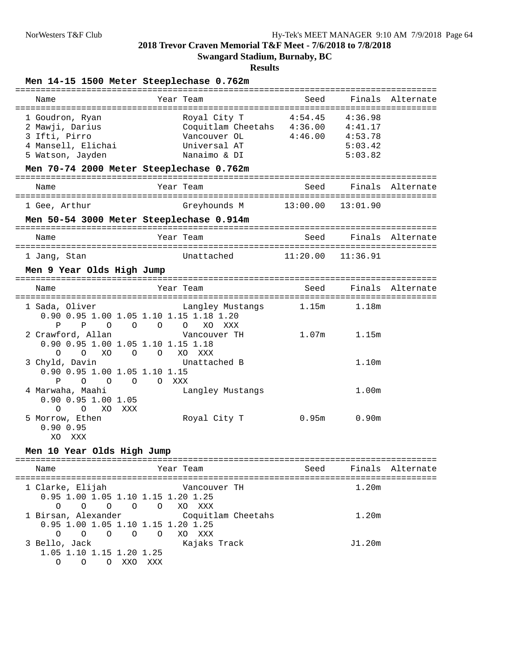**Swangard Stadium, Burnaby, BC**

## **Results**

## **Men 14-15 1500 Meter Steeplechase 0.762m**

| Name                                                                                                                      | Year Team                                                                                  | Seed               | Finals                                              | Alternate        |
|---------------------------------------------------------------------------------------------------------------------------|--------------------------------------------------------------------------------------------|--------------------|-----------------------------------------------------|------------------|
| 1 Goudron, Ryan<br>2 Mawji, Darius<br>3 Ifti, Pirro<br>4 Mansell, Elichai<br>5 Watson, Jayden                             | Royal City T<br>Coquitlam Cheetahs 4:36.00<br>Vancouver OL<br>Universal AT<br>Nanaimo & DI | 4:54.45<br>4:46.00 | 4:36.98<br>4:41.17<br>4:53.78<br>5:03.42<br>5:03.82 |                  |
|                                                                                                                           | Men 70-74 2000 Meter Steeplechase 0.762m<br>---------------------                          |                    |                                                     |                  |
| Name                                                                                                                      | Year Team                                                                                  | Seed               | Finals                                              | Alternate        |
| 1 Gee, Arthur                                                                                                             | Greyhounds M                                                                               | 13:00.00           | 13:01.90                                            |                  |
|                                                                                                                           | Men 50-54 3000 Meter Steeplechase 0.914m                                                   |                    |                                                     |                  |
| Name                                                                                                                      | Year Team                                                                                  | Seed               |                                                     | Finals Alternate |
| 1 Jang, Stan                                                                                                              | Unattached                                                                                 | 11:20.00           | 11:36.91                                            |                  |
| Men 9 Year Olds High Jump                                                                                                 |                                                                                            |                    |                                                     |                  |
|                                                                                                                           |                                                                                            |                    |                                                     |                  |
| Name                                                                                                                      | Year Team                                                                                  | Seed               |                                                     |                  |
| 1 Sada, Oliver                                                                                                            | Langley Mustangs<br>0.90 0.95 1.00 1.05 1.10 1.15 1.18 1.20                                | 1.15m              | 1.18m                                               |                  |
| $\Omega$<br>P<br>P<br>$\Omega$<br>2 Crawford, Allan<br>0.90 0.95 1.00 1.05 1.10 1.15 1.18                                 | $\overline{O}$<br>$\overline{O}$<br>XO XXX<br>Vancouver TH                                 | 1.07 <sub>m</sub>  | 1.15m                                               |                  |
| $\Omega$<br>$\Omega$<br>$\Omega$<br>XO<br>3 Chyld, Davin<br>0.90 0.95 1.00 1.05 1.10 1.15                                 | $\overline{O}$<br>XO XXX<br>Unattached B                                                   |                    | 1.10m                                               | Finals Alternate |
| P<br>$\Omega$<br>$\Omega$<br>$\circ$<br>4 Marwaha, Maahi<br>$0.90$ $0.95$ 1.00 1.05<br>$\Omega$<br>$\Omega$<br>XO.<br>XXX | $\Omega$<br>XXX<br>Langley Mustangs                                                        |                    | 1.00m                                               |                  |

#### **Men 10 Year Olds High Jump**

| Name                                                                                                        | Year Team                      | Seed |        | Finals Alternate |
|-------------------------------------------------------------------------------------------------------------|--------------------------------|------|--------|------------------|
| 1 Clarke, Elijah<br>0.95 1.00 1.05 1.10 1.15 1.20 1.25<br>$\Omega$<br>$\Omega$<br>$\overline{O}$<br>$\circ$ | Vancouver TH<br>O XO XXX       |      | 1.20m  |                  |
| 1 Birsan, Alexander<br>0.95 1.00 1.05 1.10 1.15 1.20 1.25<br>$\Omega$<br>$\circ$ $\circ$ $\circ$ $\circ$    | Coquitlam Cheetahs<br>O XO XXX |      | 1.20m  |                  |
| 3 Bello, Jack<br>1.05 1.10 1.15 1.20 1.25<br>XXX<br>XXO<br>$\bigcap$                                        | Kajaks Track                   |      | J1.20m |                  |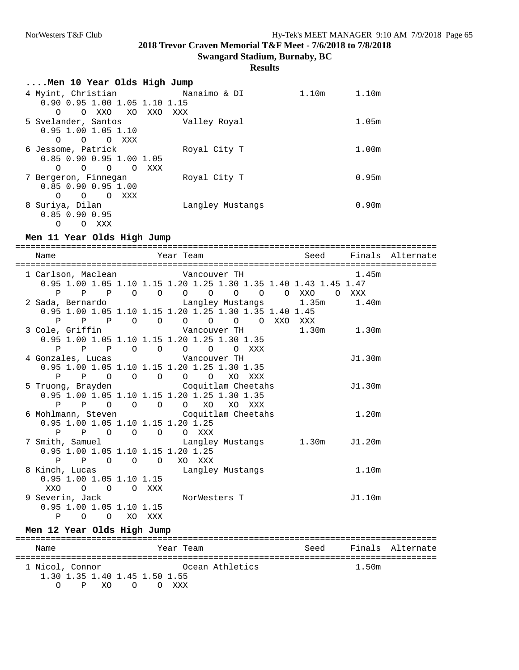## **Results**

| Men 10 Year Olds High Jump                   |                  |       |       |
|----------------------------------------------|------------------|-------|-------|
| 4 Myint, Christian                           | Nanaimo & DI     | 1.10m | 1.10m |
| 0.90 0.95 1.00 1.05 1.10 1.15                |                  |       |       |
| XO<br>O XXO<br>XXO<br>$\Omega$               | XXX              |       |       |
| 5 Svelander, Santos                          | Valley Royal     |       | 1.05m |
| $0.95$ 1.00 1.05 1.10                        |                  |       |       |
| $\circ$<br>O XXX<br>$\Omega$                 |                  |       |       |
| 6 Jessome, Patrick                           | Royal City T     |       | 1.00m |
| 0.85 0.90 0.95 1.00 1.05                     |                  |       |       |
| $\Omega$<br>XXX<br>$\Omega$<br>$\Omega$<br>∩ |                  |       |       |
| 7 Bergeron, Finnegan                         | Royal City T     |       | 0.95m |
| $0.85$ $0.90$ $0.95$ 1.00                    |                  |       |       |
| XXX<br>$\overline{O}$<br>$\Omega$<br>∩       |                  |       |       |
| 8 Suriya, Dilan                              | Langley Mustangs |       | 0.90m |
| $0.85$ $0.90$ $0.95$                         |                  |       |       |
| O XXX<br>O                                   |                  |       |       |

## **Men 11 Year Olds High Jump**

| Name |                                                                             |  |  |  |  |  |                                                                                                           | Year Team New Seed Finals Alternate |
|------|-----------------------------------------------------------------------------|--|--|--|--|--|-----------------------------------------------------------------------------------------------------------|-------------------------------------|
|      |                                                                             |  |  |  |  |  | 1 Carlson, Maclean Cancouver TH 1.45m<br>0.95 1.00 1.05 1.10 1.15 1.20 1.25 1.30 1.35 1.40 1.43 1.45 1.47 |                                     |
|      |                                                                             |  |  |  |  |  | P P P O O O O O O O XXO O XXX                                                                             |                                     |
|      |                                                                             |  |  |  |  |  | 2 Sada, Bernardo Mustangs 1.35m 1.40m                                                                     |                                     |
|      | 0.95 1.00 1.05 1.10 1.15 1.20 1.25 1.30 1.35 1.40 1.45<br>PPP OOOOOOOXXOXXX |  |  |  |  |  |                                                                                                           |                                     |
|      |                                                                             |  |  |  |  |  | 3 Cole, Griffin $\blacksquare$ Vancouver TH 1.30m 1.30m                                                   |                                     |
|      | 0.95 1.00 1.05 1.10 1.15 1.20 1.25 1.30 1.35                                |  |  |  |  |  |                                                                                                           |                                     |
|      | P P P O O O O O XXX                                                         |  |  |  |  |  |                                                                                                           |                                     |
|      | 4 Gonzales, Lucas Mancouver TH                                              |  |  |  |  |  | J1.30m                                                                                                    |                                     |
|      | 0.95 1.00 1.05 1.10 1.15 1.20 1.25 1.30 1.35                                |  |  |  |  |  |                                                                                                           |                                     |
|      | P P O O O O O XO XXX                                                        |  |  |  |  |  |                                                                                                           |                                     |
|      | 5 Truong, Brayden 6 Coquitlam Cheetahs                                      |  |  |  |  |  | J1.30m                                                                                                    |                                     |
|      | 0.95 1.00 1.05 1.10 1.15 1.20 1.25 1.30 1.35                                |  |  |  |  |  |                                                                                                           |                                     |
|      | P P O O O O XO XO XXX                                                       |  |  |  |  |  |                                                                                                           |                                     |
|      | 6 Mohlmann, Steven Coquitlam Cheetahs<br>0.95 1.00 1.05 1.10 1.15 1.20 1.25 |  |  |  |  |  | 1.20m                                                                                                     |                                     |
|      | P P O O O O XXX                                                             |  |  |  |  |  |                                                                                                           |                                     |
|      |                                                                             |  |  |  |  |  | 7 Smith, Samuel Cangley Mustangs 1.30m J1.20m                                                             |                                     |
|      | 0.95 1.00 1.05 1.10 1.15 1.20 1.25                                          |  |  |  |  |  |                                                                                                           |                                     |
|      | P P O O O XO XXX                                                            |  |  |  |  |  |                                                                                                           |                                     |
|      |                                                                             |  |  |  |  |  | 8 Kinch, Lucas and Langley Mustangs 1.10m                                                                 |                                     |
|      | $0.95$ 1.00 1.05 1.10 1.15                                                  |  |  |  |  |  |                                                                                                           |                                     |
|      | XXO O O O XXX                                                               |  |  |  |  |  |                                                                                                           |                                     |
|      | 9 Severin, Jack MorWesters T                                                |  |  |  |  |  | J1.10m                                                                                                    |                                     |
|      | $0.95$ 1.00 1.05 1.10 1.15                                                  |  |  |  |  |  |                                                                                                           |                                     |
|      | P O O XO XXX                                                                |  |  |  |  |  |                                                                                                           |                                     |

## **Men 12 Year Olds High Jump**

| Name                          | Year Team       | Seed |       | Finals Alternate |
|-------------------------------|-----------------|------|-------|------------------|
| 1 Nicol, Connor               | Ocean Athletics |      | 1.50m |                  |
| 1.30 1.35 1.40 1.45 1.50 1.55 |                 |      |       |                  |
| O P XO O O XXX                |                 |      |       |                  |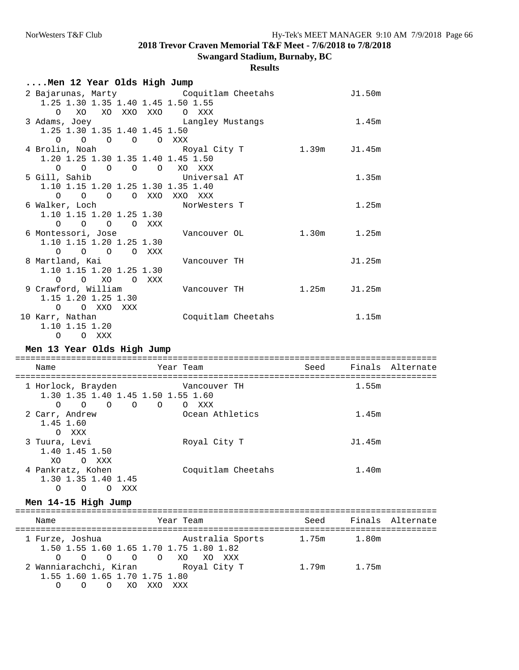**Swangard Stadium, Burnaby, BC**

| Men 12 Year Olds High Jump                                                                                     |                    |              |        |                  |
|----------------------------------------------------------------------------------------------------------------|--------------------|--------------|--------|------------------|
| 2 Bajarunas, Marty Coquitlam Cheetahs<br>1.25 1.30 1.35 1.40 1.45 1.50 1.55<br>$\Omega$<br>XO XO XXO XXO O XXX |                    |              | J1.50m |                  |
| 3 Adams, Joey<br>1.25 1.30 1.35 1.40 1.45 1.50<br>$0 \t 0 \t 0 \t 0 \t 0 \t 0$                                 | Langley Mustangs   |              | 1.45m  |                  |
| 4 Brolin, Noah<br>1.20 1.25 1.30 1.35 1.40 1.45 1.50<br>0 0 0 0 0 XO XXX                                       | Royal City T       | 1.39m        | J1.45m |                  |
| 5 Gill, Sahib<br>1.10 1.15 1.20 1.25 1.30 1.35 1.40<br>O O O XXO XXO XXX<br>$\Omega$                           | Universal AT       |              | 1.35m  |                  |
| 6 Walker, Loch<br>1.10 1.15 1.20 1.25 1.30<br>O O O XXX<br>$\circ$                                             | NorWesters T       |              | 1.25m  |                  |
| 6 Montessori, Jose<br>1.10 1.15 1.20 1.25 1.30<br>O O O XXX<br>$\circ$                                         | Vancouver OL       | 1.30m        | 1.25m  |                  |
| 8 Martland, Kai<br>1.10 1.15 1.20 1.25 1.30<br>O O XO O XXX                                                    | Vancouver TH       |              | J1.25m |                  |
| 9 Crawford, William<br>1.15 1.20 1.25 1.30<br>O O XXO XXX                                                      | Vancouver TH       | 1.25m J1.25m |        |                  |
| 10 Karr, Nathan<br>1.10 1.15 1.20<br>O O XXX                                                                   | Coquitlam Cheetahs |              | 1.15m  |                  |
| Men 13 Year Olds High Jump                                                                                     |                    |              |        |                  |
| Name                                                                                                           | Year Team          | Seed         |        | Finals Alternate |
| 1 Horlock, Brayden Mancouver TH<br>1.30 1.35 1.40 1.45 1.50 1.55 1.60<br>$0 \t 0 \t 0 \t 0 \t 0 \t 0 \t 0$     |                    |              | 1.55m  |                  |
| 2 Carr, Andrew<br>1.45 1.60<br>O XXX                                                                           | Ocean Athletics    |              | 1.45m  |                  |
| 3 Tuura, Levi<br>1.40 1.45 1.50<br>XO<br>O XXX                                                                 | Royal City T       |              | J1.45m |                  |
| 4 Pankratz, Kohen<br>1.30 1.35 1.40 1.45<br>O O XXX<br>$\circ$                                                 | Coquitlam Cheetahs |              | 1.40m  |                  |
| Men 14-15 High Jump                                                                                            |                    |              |        |                  |

| Name                                                                                | Year Team        |             | Seed Finals Alternate |
|-------------------------------------------------------------------------------------|------------------|-------------|-----------------------|
| 1 Furze, Joshua<br>1.50 1.55 1.60 1.65 1.70 1.75 1.80 1.82<br>0 0 0 0 0 XO XO XXX   | Australia Sports | 1.75m 1.80m |                       |
| 2 Wanniarachchi, Kiran     Royal City T<br>1.55 1.60 1.65 1.70 1.75 1.80<br>OOXOXXO | XXX              | 1.79m 1.75m |                       |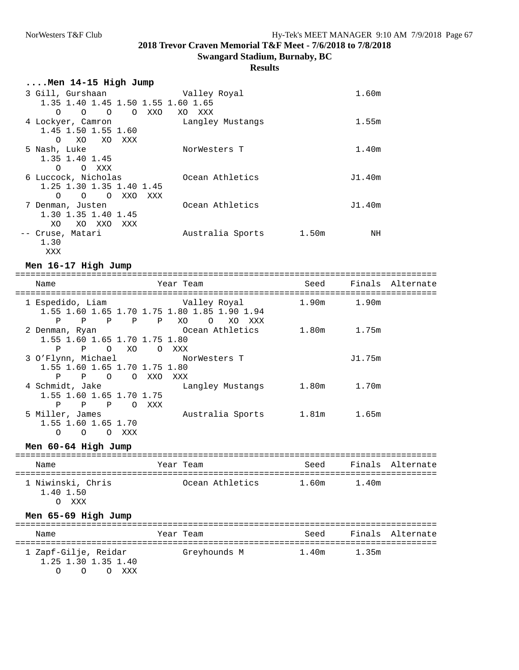#### **Results**

| $\ldots$ .Men 14-15 High Jump           |                  |        |    |
|-----------------------------------------|------------------|--------|----|
| 3 Gill, Gurshaan                        | Valley Royal     | 1.60m  |    |
| 1.35 1.40 1.45 1.50 1.55 1.60 1.65      |                  |        |    |
| $\circ$<br>O XXO<br>$\circ$<br>$\Omega$ | XO XXX           |        |    |
| 4 Lockyer, Camron                       | Langley Mustangs | 1.55m  |    |
| 1.45 1.50 1.55 1.60                     |                  |        |    |
| XO<br>XO<br>$\Omega$<br>XXX             |                  |        |    |
| 5 Nash, Luke                            | NorWesters T     | 1.40m  |    |
| 1.35 1.40 1.45                          |                  |        |    |
| $\Omega$<br>O XXX                       |                  |        |    |
| 6 Luccock, Nicholas                     | Ocean Athletics  | J1.40m |    |
| 1.25 1.30 1.35 1.40 1.45                |                  |        |    |
| O OXXO<br>XXX<br>$\Omega$               |                  |        |    |
| 7 Denman, Justen                        | Ocean Athletics  | J1.40m |    |
| 1.30 1.35 1.40 1.45                     |                  |        |    |
| XO.<br>XO XXO<br>XXX                    |                  |        |    |
| -- Cruse, Matari                        | Australia Sports | 1.50m  | ΝH |
| 1.30                                    |                  |        |    |
| XXX                                     |                  |        |    |

#### **Men 16-17 High Jump**

=================================================================================== Seed Finals Alternate =================================================================================== 1 Espedido, Liam Valley Royal 1.90m 1.90m 1.55 1.60 1.65 1.70 1.75 1.80 1.85 1.90 1.94 P P P P P XO O XO XXX 2 Denman, Ryan Ocean Athletics 1.80m 1.75m 1.55 1.60 1.65 1.70 1.75 1.80<br>P P O XO O XXX P P O XO O XXX 3 O'Flynn, Michael  $N$ orWesters T  $J1.75m$  1.55 1.60 1.65 1.70 1.75 1.80 P P O O XXO XXX<br>4 Schmidt, Jake La Langley Mustangs 1.80m 1.70m 1.55 1.60 1.65 1.70 1.75 P P P O XXX<br>5 Miller, James Australia Sports 1.81m 1.65m 1.55 1.60 1.65 1.70 O O O XXX

### **Men 60-64 High Jump**

=================================================================================== Year Team Seed Finals Alternate =================================================================================== Ocean Athletics 1.40 1.50 O XXX

### **Men 65-69 High Jump**

| Name                                                        | Year Team    | Seed  |       | Finals Alternate |
|-------------------------------------------------------------|--------------|-------|-------|------------------|
| 1 Zapf-Gilje, Reidar<br>1.25 1.30 1.35 1.40<br>O O XXX<br>∩ | Greyhounds M | 1.40m | 1.35m |                  |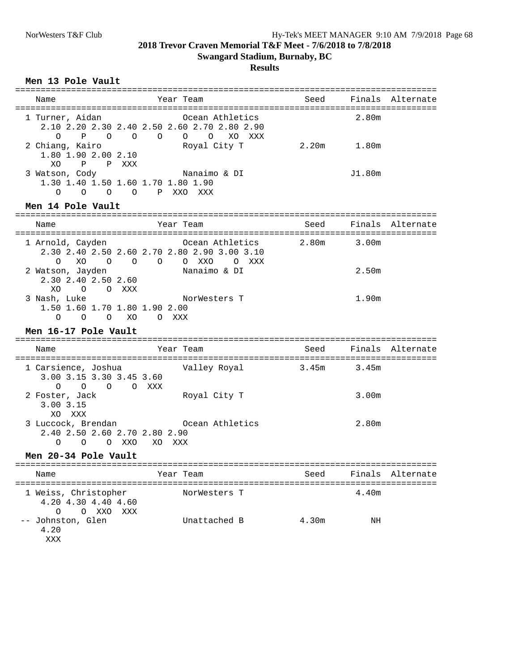### **Results**

### **Men 13 Pole Vault**

| Name                                                          | Year Team                                                                                                         | Seed  |                   | Finals Alternate |
|---------------------------------------------------------------|-------------------------------------------------------------------------------------------------------------------|-------|-------------------|------------------|
| 1 Turner, Aidan                                               | Ocean Athletics<br>2.10 2.20 2.30 2.40 2.50 2.60 2.70 2.80 2.90<br>0 P O O O O O XO XXX                           |       | 2.80m             |                  |
| 2 Chiang, Kairo<br>1.80 1.90 2.00 2.10<br>XO.<br>P P XXX      | Royal City T                                                                                                      |       | $2.20m$ $1.80m$   |                  |
| 3 Watson, Cody                                                | Nanaimo & DI<br>1.30 1.40 1.50 1.60 1.70 1.80 1.90<br>O O O O P XXO XXX                                           |       | J1.80m            |                  |
| Men 14 Pole Vault                                             |                                                                                                                   |       |                   |                  |
| Name                                                          | Year Team                                                                                                         | Seed  |                   | Finals Alternate |
| $\Omega$<br>XO                                                | 1 Arnold, Cayden 6 Coean Athletics 2.80m<br>2.30 2.40 2.50 2.60 2.70 2.80 2.90 3.00 3.10<br>$O$ $O$ $O$ $O$ $XXO$ | O XXX | 3.00m             |                  |
| 2.30 2.40 2.50 2.60<br>XO O O XXX                             | 2 Watson, Jayden Nanaimo & DI                                                                                     |       | 2.50m             |                  |
| 3 Nash, Luke<br>1.50 1.60 1.70 1.80 1.90 2.00                 | NorWesters T<br>0 0 0 XO 0 XXX                                                                                    |       | 1.90m             |                  |
| Men 16-17 Pole Vault                                          |                                                                                                                   |       |                   |                  |
| Name                                                          | Year Team                                                                                                         | Seed  |                   | Finals Alternate |
| 3.00 3.15 3.30 3.45 3.60<br>$O$ $O$ $O$ $O$ $XXX$             | 1 Carsience, Joshua                       Valley Royal                                                            | 3.45m | 3.45m             |                  |
| 2 Foster, Jack<br>$3.00$ $3.15$<br>XO XXX                     | Royal City T                                                                                                      |       | 3.00 <sub>m</sub> |                  |
| 2.40 2.50 2.60 2.70 2.80 2.90<br>$\Omega$<br>$\Omega$         | 3 Luccock, Brendan Coean Athletics<br>O XXO<br>XO XXX                                                             |       | 2.80m             |                  |
| Men 20-34 Pole Vault                                          |                                                                                                                   |       |                   |                  |
| Name                                                          | Year Team                                                                                                         | Seed  | Finals            | Alternate        |
| 1 Weiss, Christopher<br>4.20 4.30 4.40 4.60<br>O<br>O XXO XXX | NorWesters T                                                                                                      |       | 4.40m             |                  |
| -- Johnston, Glen<br>4.20                                     | Unattached B                                                                                                      | 4.30m | NH                |                  |

XXX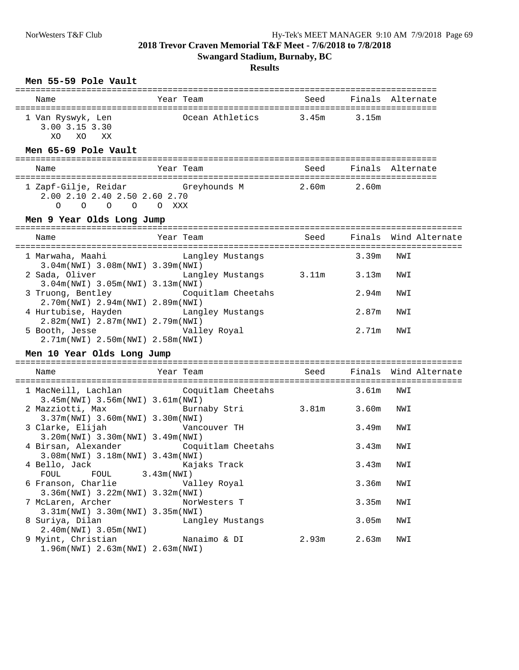## **Swangard Stadium, Burnaby, BC**

### **Results**

### **Men 55-59 Pole Vault**

| Name                                               | Year Team       | Seed  |       | Finals Alternate |
|----------------------------------------------------|-----------------|-------|-------|------------------|
| 1 Van Ryswyk, Len<br>3.00 3.15 3.30<br>XO XX<br>XO | Ocean Athletics | 3.45m | 3.15m |                  |
| Men 65-69 Pole Vault                               |                 |       |       |                  |

#### =================================================================================== Name Seed Finals Alternate Name Seed Finals Alternate =================================================================================== 1 Zapf-Gilje, Reidar Greyhounds M 2.00 2.10 2.40 2.50 2.60 2.70 O O O O O XXX

### **Men 9 Year Olds Long Jump**

| Name                                                                       | Year Team        |       |       | Seed Finals Wind Alternate |
|----------------------------------------------------------------------------|------------------|-------|-------|----------------------------|
| 1 Marwaha, Maahi<br>$3.04m(NWI)$ 3.08 $m(NWI)$ 3.39 $m(NWI)$               | Langley Mustangs |       | 3.39m | NWI                        |
| 2 Sada, Oliver<br>$3.04m(NWI)$ 3.05m(NWI) 3.13m(NWI)                       | Langley Mustangs | 3.11m | 3.13m | NWI                        |
| 3 Truong, Bentley Coquitlam Cheetahs<br>$2.70m(NWL)$ 2.94m(NWI) 2.89m(NWI) |                  |       | 2.94m | NWI                        |
| 4 Hurtubise, Hayden Langley Mustangs<br>2.82m(NWI) 2.87m(NWI) 2.79m(NWI)   |                  |       | 2.87m | NWI                        |
| 5 Booth, Jesse<br>2.71m(NWI) 2.50m(NWI) 2.58m(NWI)                         | Valley Royal     |       | 2.71m | NWI                        |

### **Men 10 Year Olds Long Jump**

| Name                                                                          | Year Team Man Seed Finals Wind Alternate                                          |                 |     |
|-------------------------------------------------------------------------------|-----------------------------------------------------------------------------------|-----------------|-----|
| $3.45m(NWI)$ 3.56 $m(NWI)$ 3.61 $m(NWI)$                                      | 1 MacNeill, Lachlan Coquitlam Cheetahs                                            | 3.61m NWI       |     |
| $3.37m(NWL)$ 3.60 $m(NWL)$ 3.30 $m(NWL)$                                      | 2 Mazziotti, Max Burnaby Stri                                                     | 3.81m 3.60m NWI |     |
| $3.20m(NWL)$ 3.30 $m(NWL)$ 3.49 $m(NWL)$                                      |                                                                                   | 3.49m           | NWI |
| $3.08m(NW1)$ $3.18m(NW1)$ $3.43m(NW1)$                                        | 4 Birsan, Alexander Coquitlam Cheetahs                                            | 3.43m           | NWI |
| 4 Bello, Jack Kajaks Track<br>FOUL FOUL 3.43m (NWI)                           |                                                                                   | $3.43m$ NWI     |     |
| 6 Franson, Charlie <b>Walley Royal</b><br>3.36m (NWI) 3.22m (NWI) 3.32m (NWI) |                                                                                   | 3.36m           | NWI |
| 7 McLaren, Archer NorWesters T<br>$3.31m(NWI)$ 3.30 $m(NWI)$ 3.35 $m(NWI)$    |                                                                                   | 3.35m           | NWI |
| 8 Suriya, Dilan           Langley Mustangs<br>$2.40m(NWL)$ 3.05m(NWI)         |                                                                                   | 3.05m           | NWI |
| 1.96m(NWI) 2.63m(NWI) 2.63m(NWI)                                              | 9 Myint, Christian               Nanaimo & DI             2.93m       2.63m   NWI |                 |     |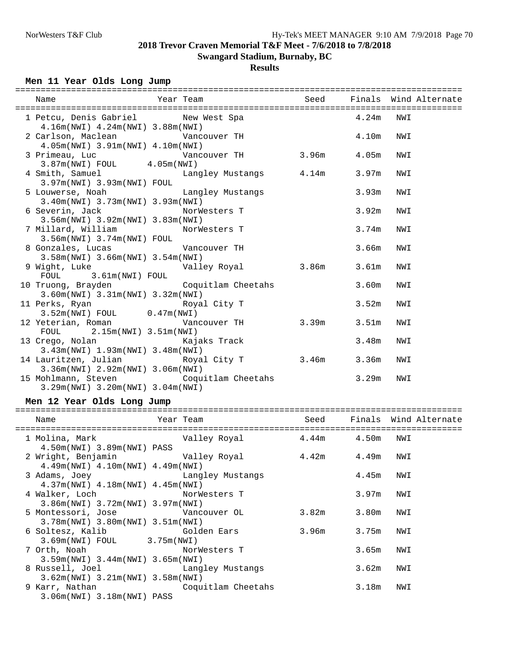## **Results**

## **Men 11 Year Olds Long Jump**

| Year Team New Seed Finals Wind Alternate<br>Name                                                                                                                        |       |       |     |
|-------------------------------------------------------------------------------------------------------------------------------------------------------------------------|-------|-------|-----|
| 1 Petcu, Denis Gabriel New West Spa 4.24m NWI                                                                                                                           |       |       |     |
| 4.16m(NWI) 4.24m(NWI) 3.88m(NWI)<br>2 Carlson, Maclean Vancouver TH<br>4.05m(NWI) 3.91m(NWI) 4.10m(NWI)                                                                 |       | 4.10m | NWI |
|                                                                                                                                                                         |       |       |     |
| 4 Smith, Samuel <b>Example Standard Langley Mustangs</b> 4.14m 3.97m<br>3.97m(NWI) 3.93m(NWI) FOUL                                                                      |       |       | NWI |
| 5 Louwerse, Noah and Langley Mustangs<br>3.40m(NWI) 3.73m(NWI) 3.93m(NWI)                                                                                               |       | 3.93m | NWI |
| 6 Severin, Jack NorWesters T<br>3.56m(NWI) 3.92m(NWI) 3.83m(NWI)                                                                                                        |       | 3.92m | NWI |
| 7 Millard, William MorWesters T<br>$3.56m(NWI)$ $3.74m(NWI)$ $FOUL$                                                                                                     |       | 3.74m | NWI |
| 8 Gonzales, Lucas<br>2 FOr (NTI) 2 56 (NTI) 2 56 (NTI) 2 56 (NTI) 2 56 (NTI) 2 56 (NTI) 2 56 (NTI) 2 56 (NTI) 2 56 (NTI) 2 56 (NTI)<br>3.58m(NWI) 3.66m(NWI) 3.54m(NWI) |       | 3.66m | NWI |
| 9 Wight, Luke Calley Royal 3.86m 3.61m<br>FOUL 3.61m(NWI) FOUL                                                                                                          |       |       | NWI |
| 10 Truong, Brayden Coquitlam Cheetahs 3.60m<br>3.60m(NWI) 3.31m(NWI) 3.32m(NWI)                                                                                         |       |       | NWI |
| 11 Perks, Ryan Royal City T<br>3.52m(NWI) FOUL 0.47m(NWI)                                                                                                               |       | 3.52m | NWI |
| 12 Yeterian, Roman Cancouver TH 3.39m 3.51m<br>FOUL 2.15m (NWI) 3.51m (NWI)                                                                                             |       |       | NWI |
| 13 Crego, Nolan Kajaks Track<br>3.43m(NWI) 1.93m(NWI) 3.48m(NWI)                                                                                                        | 3.48m |       | NWI |
| 14 Lauritzen, Julian and Royal City T 3.46m 3.36m<br>3.36m(NWI) 2.92m(NWI) 3.06m(NWI)                                                                                   |       |       | NWI |
| 15 Mohlmann, Steven Coquitlam Cheetahs 3.29m<br>$3.29m(NW1)$ $3.20m(NW1)$ $3.04m(NW1)$                                                                                  |       |       | NWI |

### **Men 12 Year Olds Long Jump**

| Name                                                                        | Year Team                                                                               |                 |       | Seed Finals Wind Alternate |
|-----------------------------------------------------------------------------|-----------------------------------------------------------------------------------------|-----------------|-------|----------------------------|
| 4.50m(NWI) 3.89m(NWI) PASS                                                  | 1 Molina, Mark                           Valley Royal           4.44m       4.50m   NWI |                 |       |                            |
| $4.49m(NWI)$ $4.10m(NWI)$ $4.49m(NWI)$                                      |                                                                                         |                 |       |                            |
| $4.37m(NWI)$ $4.18m(NWI)$ $4.45m(NWI)$                                      | 3 Adams, Joey Changley Mustangs                                                         |                 | 4.45m | NWI                        |
| 4 Walker, Loch NorWesters T<br>$3.86m(NWI)$ 3.72 $m(NWI)$ 3.97 $m(NWI)$     |                                                                                         |                 | 3.97m | NWI                        |
| 5 Montessori, Jose Vancouver OL<br>$3.78m(NWL)$ 3.80 $m(NWL)$ 3.51 $m(NWL)$ |                                                                                         | 3.82m 3.80m     |       | NWI                        |
| 3.69m(NWI) FOUL 3.75m(NWI)                                                  | 6 Soltesz, Kalib               Golden Ears                                              | 3.96m 3.75m NWI |       |                            |
| 7 Orth, Noah NorWesters T<br>$3.59m(NW1)$ $3.44m(NW1)$ $3.65m(NW1)$         |                                                                                         |                 | 3.65m | NWI                        |
| $3.62m(NWI)$ 3.21m(NWI) 3.58m(NWI)                                          | 8 Russell, Joel Contract Langley Mustangs                                               |                 | 3.62m | NWI                        |
| $3.06m(NWI)$ $3.18m(NWI)$ PASS                                              | 9 Karr, Nathan Coquitlam Cheetahs                                                       |                 | 3.18m | NWI                        |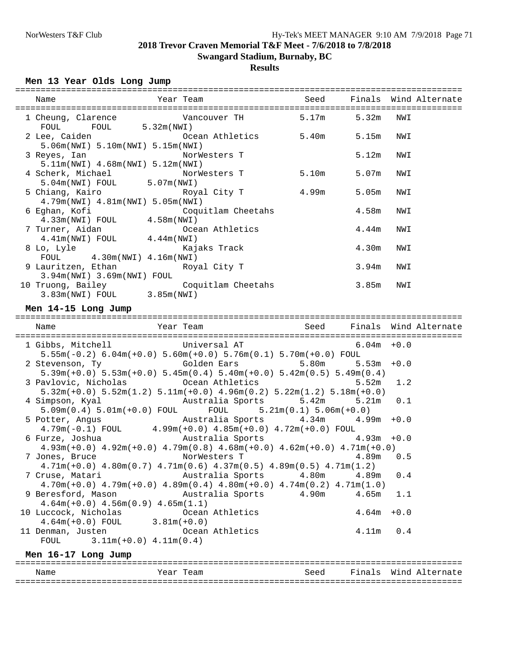## **Results**

## **Men 13 Year Olds Long Jump**

| Name                                                                                                                  | Year Team          |       |           | Seed Finals Wind Alternate |
|-----------------------------------------------------------------------------------------------------------------------|--------------------|-------|-----------|----------------------------|
| $FOUT$ 5.32 $m(NWI)$<br>FOUL                                                                                          |                    |       |           |                            |
| 2 Lee, Caiden                     Ocean Athletics         5.40m       5.15m   NWI<br>5.06m(NWI) 5.10m(NWI) 5.15m(NWI) |                    |       |           |                            |
| 3 Reyes, Ian<br>$5.11m(NWI)$ 4.68 $m(NWI)$ 5.12 $m(NWI)$                                                              | NorWesters T       |       | 5.12m     | NWI                        |
| 4 Scherk, Michael MorWesters T<br>5.04m(NWI) FOUL 5.07m(NWI)                                                          |                    | 5.10m | 5.07m NWI |                            |
| 5 Chiang, Kairo             Royal City T<br>4.79m(NWI) 4.81m(NWI) 5.05m(NWI)                                          |                    | 4.99m | 5.05m NWI |                            |
| 6 Eghan, Kofi<br>$4.33m(NWI)$ FOUL $4.58m(NWI)$                                                                       | Coquitlam Cheetahs |       | 4.58m NWI |                            |
| 7 Turner, Aidan (2008) 7 Turner, Aidan<br>$4.41\text{m(NWI)} \quad \text{FOUL} \qquad \qquad 4.44\text{m(NWI)}$       |                    |       | 4.44m     | NWI                        |
| 8 Lo, Lyle Kajaks Track<br>FOUL $4.30m(NWI)$ $4.16m(NWI)$                                                             |                    |       | 4.30m NWI |                            |
| 9 Lauritzen, Ethan The Royal City T<br>3.94m(NWI) 3.69m(NWI) FOUL                                                     |                    |       | 3.94m     | NWI                        |
| 10 Truong, Bailey<br>3.83m(NWI) FOUL 3.85m(NWI)                                                                       | Coquitlam Cheetahs |       | 3.85m NWI |                            |
| Men 14-15 Long Jump                                                                                                   |                    |       |           |                            |
| Name                                                                                                                  | Year Team          | Seed  |           | Finals Wind Alternate      |

| 1 Gibbs, Mitchell Chiversal AT 6.04m +0.0<br>$5.55m(-0.2)$ 6.04m(+0.0) 5.60m(+0.0) 5.76m(0.1) 5.70m(+0.0) FOUL                                                                        |           |  |
|---------------------------------------------------------------------------------------------------------------------------------------------------------------------------------------|-----------|--|
| 2 Stevenson, Ty                    Golden Ears               5.80m       5.53m +0.0<br>$5.39m(+0.0)$ $5.53m(+0.0)$ $5.45m(0.4)$ $5.40m(+0.0)$ $5.42m(0.5)$ $5.49m(0.4)$               |           |  |
| 3 Pavlovic, Nicholas 6 Coean Athletics 5.52m 1.2<br>$5.32\text{m}(+0.0)$ $5.52\text{m}(1.2)$ $5.11\text{m}(+0.0)$ $4.96\text{m}(0.2)$ $5.22\text{m}(1.2)$ $5.18\text{m}(+0.0)$        |           |  |
| 4 Simpson, Kyal         Australia Sports       5.42m     5.21m   0.1<br>$5.09\text{m}(0.4)$ $5.01\text{m}(+0.0)$ $\text{FOUL}$ $\text{FOUL}$ $5.21\text{m}(0.1)$ $5.06\text{m}(+0.0)$ |           |  |
| 5 Potter, Angus           Australia Sports       4.34m     4.99m +0.0<br>$4.79m(-0.1)$ FOUL $4.99m(+0.0)$ $4.85m(+0.0)$ $4.72m(+0.0)$ FOUL                                            |           |  |
| 6 Furze, Joshua             Australia Sports             4.93m +0.0<br>$4.93m(+0.0)$ $4.92m(+0.0)$ $4.79m(0.8)$ $4.68m(+0.0)$ $4.62m(+0.0)$ $4.71m(+0.0)$                             |           |  |
| 7 Jones, Bruce           NorWesters T             4.89m   0.5<br>$4.71m(+0.0)$ $4.80m(0.7)$ $4.71m(0.6)$ $4.37m(0.5)$ $4.89m(0.5)$ $4.71m(1.2)$                                       |           |  |
| 7 Cruse, Matari             Australia Sports       4.80m     4.89m   0.4<br>$4.70$ m(+0.0) $4.79$ m(+0.0) $4.89$ m(0.4) $4.80$ m(+0.0) $4.74$ m(0.2) $4.71$ m(1.0)                    |           |  |
| 9 Beresford, Mason Mustralia Sports 4.90m 4.65m 1.1<br>$4.64m(+0.0)$ $4.56m(0.9)$ $4.65m(1.1)$                                                                                        |           |  |
| 10 Luccock, Nicholas Coean Athletics 4.64m +0.0<br>$4.64m(+0.0)$ FOUL $3.81m(+0.0)$                                                                                                   |           |  |
| 11 Denman, Justen Coean Athletics<br>FOUL $3.11m(+0.0) 4.11m(0.4)$                                                                                                                    | 4.11m 0.4 |  |
|                                                                                                                                                                                       |           |  |

## **Men 16-17 Long Jump**

| Name | 1 caill | Seed | $\mathbf{r}$<br>$\sim$ | TAT .<br>n∩ |
|------|---------|------|------------------------|-------------|
|      |         |      |                        | - - - -     |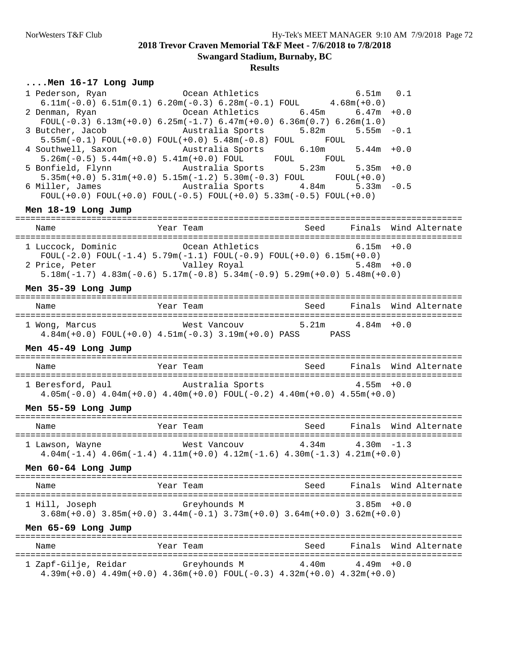**Swangard Stadium, Burnaby, BC**

#### **Results**

#### **....Men 16-17 Long Jump**

|                      | 1 Pederson, Ryan de Coean Athletics<br>$6.11m(-0.0)$ $6.51m(0.1)$ $6.20m(-0.3)$ $6.28m(-0.1)$ FOUL $4.68m(+0.0)$                                    |                            | $6.51m$ $0.1$          |        |                       |
|----------------------|-----------------------------------------------------------------------------------------------------------------------------------------------------|----------------------------|------------------------|--------|-----------------------|
|                      | 2 Denman, Ryan based ocean Athletics 6.45m 6.47m                                                                                                    |                            |                        | $+0.0$ |                       |
|                      | FOUL $(-0.3)$ 6.13m $(+0.0)$ 6.25m $(-1.7)$ 6.47m $(+0.0)$ 6.36m $(0.7)$ 6.26m $(1.0)$                                                              |                            |                        |        |                       |
|                      | 3 Butcher, Jacob (and Australia Sports)<br>$5.55m(-0.1)$ $FOUL(+0.0)$ $FOUL(+0.0)$ $5.48m(-0.8)$ $FOUL$ $FOUL$                                      |                            | $5.82m$ $5.55m$ $-0.1$ |        |                       |
|                      | 4 Southwell, Saxon Mustralia Sports 6.10m 5.44m +0.0<br>$5.26m(-0.5)$ $5.44m(+0.0)$ $5.41m(+0.0)$ FOUL FOUL FOUL                                    |                            |                        |        |                       |
|                      | 5 Bonfield, Flynn Mustralia Sports 5.23m 5.35m +0.0                                                                                                 |                            |                        |        |                       |
|                      | $5.35m(+0.0)$ $5.31m(+0.0)$ $5.15m(-1.2)$ $5.30m(-0.3)$ FOUL FOUL $(+0.0)$<br>6 Miller, James           Australia Sports       4.84m     5.33m -0.5 |                            |                        |        |                       |
|                      | $FOUL(+0.0)$ $FOUL(+0.0)$ $FOUL(-0.5)$ $FOUL(+0.0)$ $5.33m(-0.5)$ $FOUL(+0.0)$                                                                      |                            |                        |        |                       |
| Men 18-19 Long Jump  |                                                                                                                                                     |                            |                        |        |                       |
|                      |                                                                                                                                                     |                            |                        |        |                       |
|                      | 1 Luccock, Dominic Coean Athletics 6.15m +0.0                                                                                                       |                            |                        |        |                       |
|                      | FOUL(-2.0) FOUL(-1.4) $5.79m(-1.1)$ FOUL(-0.9) FOUL(+0.0) 6.15m(+0.0)                                                                               |                            |                        |        |                       |
|                      | $5.18$ m $(-1.7)$ $4.83$ m $(-0.6)$ $5.17$ m $(-0.8)$ $5.34$ m $(-0.9)$ $5.29$ m $(+0.0)$ $5.48$ m $(+0.0)$                                         |                            |                        |        |                       |
| Men 35-39 Long Jump  |                                                                                                                                                     |                            |                        |        |                       |
| Name                 | Year Team                                                                                                                                           | Seed Finals Wind Alternate |                        |        |                       |
|                      | 1 Wong, Marcus 6.0 West Vancouv 5.21m 4.84m +0.0<br>$4.84m(+0.0)$ FOUL $(+0.0)$ $4.51m(-0.3)$ $3.19m(+0.0)$ PASS PASS                               |                            |                        |        |                       |
| Men 45-49 Long Jump  |                                                                                                                                                     |                            |                        |        |                       |
| Name                 | Year Team                                                                                                                                           | Seed Finals Wind Alternate |                        |        |                       |
|                      | 1 Beresford, Paul Australia Sports 4.55m +0.0                                                                                                       |                            |                        |        |                       |
|                      | $4.05m(-0.0)$ $4.04m(+0.0)$ $4.40m(+0.0)$ $FOUL(-0.2)$ $4.40m(+0.0)$ $4.55m(+0.0)$                                                                  |                            |                        |        |                       |
| Men 55-59 Long Jump  |                                                                                                                                                     |                            |                        |        |                       |
| Name                 | Year Team                                                                                                                                           | Seed Finals Wind Alternate |                        |        |                       |
|                      | 1 Lawson, Wayne $\overline{W}$ West Vancouv $\overline{A}$ .34m $\overline{A}$ .30m -1.3                                                            |                            |                        |        |                       |
|                      | $4.04m(-1.4)$ $4.06m(-1.4)$ $4.11m(+0.0)$ $4.12m(-1.6)$ $4.30m(-1.3)$ $4.21m(+0.0)$                                                                 |                            |                        |        |                       |
| Men 60-64 Long Jump  |                                                                                                                                                     |                            |                        |        |                       |
| Name                 | Year Team                                                                                                                                           | Seed                       |                        |        | Finals Wind Alternate |
| 1 Hill, Joseph       | Greyhounds M                                                                                                                                        |                            | $3.85m + 0.0$          |        |                       |
|                      | $3.68m(+0.0)$ $3.85m(+0.0)$ $3.44m(-0.1)$ $3.73m(+0.0)$ $3.64m(+0.0)$ $3.62m(+0.0)$                                                                 |                            |                        |        |                       |
| Men 65-69 Long Jump  |                                                                                                                                                     |                            |                        |        |                       |
| Name                 | Year Team                                                                                                                                           | Seed                       | Finals                 |        | Wind Alternate        |
| 1 Zapf-Gilje, Reidar |                                                                                                                                                     |                            |                        |        |                       |

4.39m(+0.0) 4.49m(+0.0) 4.36m(+0.0) FOUL(-0.3) 4.32m(+0.0) 4.32m(+0.0)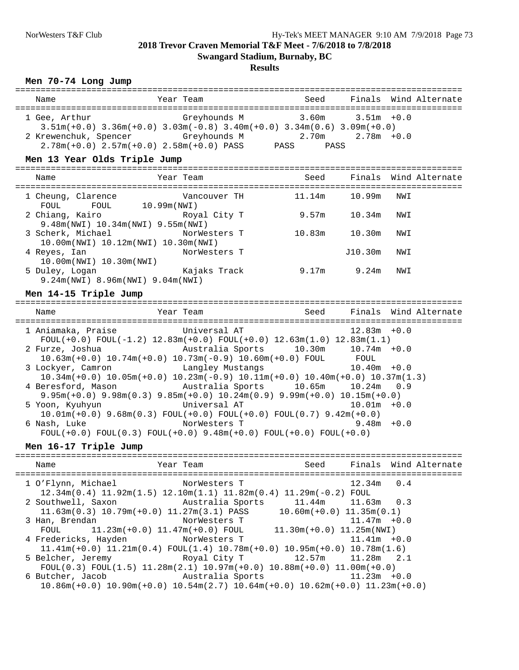# **Results**

#### **Men 70-74 Long Jump**

| Name                                          | Year Team                                                                                                                                                                                  | Seed                                                             |        | Finals Wind Alternate |
|-----------------------------------------------|--------------------------------------------------------------------------------------------------------------------------------------------------------------------------------------------|------------------------------------------------------------------|--------|-----------------------|
| 1 Gee, Arthur<br>Men 13 Year Olds Triple Jump | Greyhounds M<br>$3.51m(+0.0)$ $3.36m(+0.0)$ $3.03m(-0.8)$ $3.40m(+0.0)$ $3.34m(0.6)$ $3.09m(+0.0)$<br>2 Krewenchuk, Spencer Greyhounds M<br>$2.78m(+0.0)$ $2.57m(+0.0)$ $2.58m(+0.0)$ PASS | $3.60$ m $3.51$ m +0.0<br>$2.70m$ $2.78m$ $+0.0$<br>PASS<br>PASS |        |                       |
| Name                                          | Year Team                                                                                                                                                                                  | Seed                                                             |        | Finals Wind Alternate |
| 1 Cheung, Clarence                            | Vancouver TH                                                                                                                                                                               | 11.14m                                                           | 10.99m | NWI                   |

| FOUL<br>FOUL            | 10.99m(NWT)                                  |        |         |     |  |
|-------------------------|----------------------------------------------|--------|---------|-----|--|
| 2 Chiang, Kairo         | Royal City T                                 | 9.57m  | 10.34m  | NWI |  |
|                         | 9.48m(NWI) 10.34m(NWI) 9.55m(NWI)            |        |         |     |  |
| 3 Scherk, Michael       | NorWesters T                                 | 10.83m | 10.30m  | NWI |  |
|                         | $10.00$ m(NWI) $10.12$ m(NWI) $10.30$ m(NWI) |        |         |     |  |
| 4 Reyes, Ian            | NorWesters T                                 |        | J10.30m | NWI |  |
| 10.00m(NWI) 10.30m(NWI) |                                              |        |         |     |  |
| 5 Duley, Logan          | Kajaks Track                                 | 9.17m  | 9.24m   | NWI |  |
|                         | 9.24m(NWI) 8.96m(NWI) 9.04m(NWI)             |        |         |     |  |

## **Men 14-15 Triple Jump**

| Name                                        | Year Team                                                                                                                                        |                | Seed Finals Wind Alternate |
|---------------------------------------------|--------------------------------------------------------------------------------------------------------------------------------------------------|----------------|----------------------------|
| 1 Aniamaka, Praise             Universal AT | FOUL $(+0.0)$ FOUL $(-1.2)$ 12.83m $(+0.0)$ FOUL $(+0.0)$ 12.63m $(1.0)$ 12.83m $(1.1)$                                                          | $12.83m + 0.0$ |                            |
|                                             | 2 Furze, Joshua             Australia Sports     10.30m     10.74m +0.0<br>$10.63m(+0.0)$ $10.74m(+0.0)$ $10.73m(-0.9)$ $10.60m(+0.0)$ FOUL FOUL |                |                            |
|                                             | 3 Lockyer, Camron Canadey Mustangs 10.40m +0.0<br>$10.34m(+0.0)$ $10.05m(+0.0)$ $10.23m(-0.9)$ $10.11m(+0.0)$ $10.40m(+0.0)$ $10.37m(1.3)$       |                |                            |
|                                             | 4 Beresford, Mason Mustralia Sports 10.65m 10.24m 0.9<br>$9.95m(+0.0)$ $9.98m(0.3)$ $9.85m(+0.0)$ $10.24m(0.9)$ $9.99m(+0.0)$ $10.15m(+0.0)$     |                |                            |
|                                             | 5 Yoon, Kyuhyun                       Universal AT<br>$10.01m(+0.0)$ $9.68m(0.3)$ $FOUL(+0.0)$ $FOUL(+0.0)$ $FOUL(0.7)$ $9.42m(+0.0)$            | $10.01m + 0.0$ |                            |
| 6 Nash, Luke                                | NorWesters T<br>$FOUT(+0.0) FOUT(0.3) FOUT(+0.0) 9.48m(+0.0) FOUT(+0.0) FOUT(+0.0)$                                                              | $9.48m + 0.0$  |                            |

**Men 16-17 Triple Jump**

| Name                                                                    | Year Team                                                                                                       |                | Seed Finals Wind Alternate |
|-------------------------------------------------------------------------|-----------------------------------------------------------------------------------------------------------------|----------------|----------------------------|
| 1 O'Flynn, Michael NorWesters T                                         | $12.34m(0.4)$ $11.92m(1.5)$ $12.10m(1.1)$ $11.82m(0.4)$ $11.29m(-0.2)$ FOUL                                     | $12.34m$ 0.4   |                            |
| 2 Southwell, Saxon Mustralia Sports 11.44m 11.63m 0.3                   | $11.63\text{m}(0.3)$ $10.79\text{m}(+0.0)$ $11.27\text{m}(3.1)$ PASS $10.60\text{m}(+0.0)$ $11.35\text{m}(0.1)$ |                |                            |
| 3 Han, Brendan NorWesters T                                             | FOUL $11.23m(+0.0) 11.47m(+0.0)$ FOUL $11.30m(+0.0) 11.25m(NWI)$                                                | $11.47m + 0.0$ |                            |
| 4 Fredericks, Hayden MorWesters T                                       | $11.41m(+0.0)$ $11.21m(0.4)$ $FOUT(1.4)$ $10.78m(+0.0)$ $10.95m(+0.0)$ $10.78m(1.6)$                            | $11.41m + 0.0$ |                            |
| 5 Belcher, Jeremy 6.1 (2.5) Royal City T 12.57m 11.28m 2.1              | FOUL $(0.3)$ FOUL $(1.5)$ 11.28m $(2.1)$ 10.97m $(+0.0)$ 10.88m $(+0.0)$ 11.00m $(+0.0)$                        |                |                            |
| 6 Butcher, Jacob           Australia Sports                 11.23m +0.0 | $10.86m(+0.0)$ $10.90m(+0.0)$ $10.54m(2.7)$ $10.64m(+0.0)$ $10.62m(+0.0)$ $11.23m(+0.0)$                        |                |                            |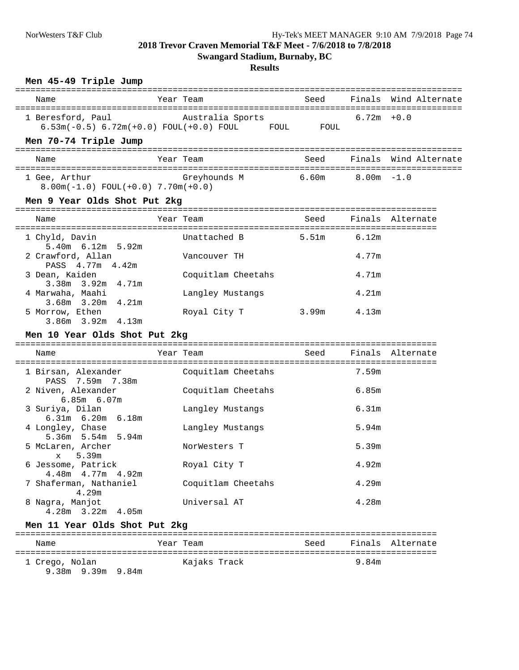**Swangard Stadium, Burnaby, BC**

**Results**

| Name                                                                        | Year Team |                    | Seed              |                             | Finals Wind Alternate |
|-----------------------------------------------------------------------------|-----------|--------------------|-------------------|-----------------------------|-----------------------|
| 1 Beresford, Paul<br>6.53m(-0.5) 6.72m(+0.0) FOUL(+0.0) FOUL FOUL FOUL FOUL |           | Australia Sports   |                   | $6.72m + 0.0$               |                       |
| Men 70-74 Triple Jump                                                       |           |                    |                   |                             |                       |
| Name                                                                        | Year Team |                    | Seed              |                             | Finals Wind Alternate |
| 1 Gee, Arthur<br>$8.00m(-1.0) FOUL(+0.0) 7.70m(+0.0)$                       |           | Greyhounds M       | 6.60m             | $8.00\mathrm{m}$ $-1.0$     |                       |
| Men 9 Year Olds Shot Put 2kg                                                |           |                    |                   |                             |                       |
| Name                                                                        | Year Team |                    | Seed              |                             | Finals Alternate      |
| 1 Chyld, Davin                                                              |           | Unattached B       | 5.51m             | 6.12m                       |                       |
| 5.40m 6.12m 5.92m<br>2 Crawford, Allan<br>PASS 4.77m 4.42m                  |           | Vancouver TH       |                   | 4.77m                       |                       |
| 3 Dean, Kaiden<br>3.38m 3.92m 4.71m                                         |           | Coquitlam Cheetahs |                   | 4.71m                       |                       |
| 4 Marwaha, Maahi                                                            |           | Langley Mustangs   |                   | 4.21 <sub>m</sub>           |                       |
|                                                                             |           |                    |                   |                             |                       |
| 3.68m 3.20m 4.21m<br>5 Morrow, Ethen<br>$3.86m$ $3.92m$ $4.13m$             |           | Royal City T       | 3.99 <sub>m</sub> | 4.13m                       |                       |
| Men 10 Year Olds Shot Put 2kg                                               |           |                    |                   |                             |                       |
| Name                                                                        | Year Team |                    | Seed              |                             | Finals Alternate      |
| 1 Birsan, Alexander                                                         |           | Coquitlam Cheetahs |                   | :=================<br>7.59m |                       |
| PASS 7.59m 7.38m<br>2 Niven, Alexander                                      |           | Coquitlam Cheetahs |                   | 6.85m                       |                       |
| $6.85m$ $6.07m$<br>3 Suriya, Dilan                                          |           | Langley Mustangs   |                   | 6.31m                       |                       |
| $6.31m$ $6.20m$ $6.18m$<br>4 Longley, Chase                                 |           | Langley Mustangs   |                   | 5.94m                       |                       |
| 5.94m<br>$5.36m$ $5.54m$<br>5 McLaren, Archer                               |           | NorWesters T       |                   | 5.39m                       |                       |
| x 5.39m<br>6 Jessome, Patrick                                               |           | Royal City T       |                   | 4.92m                       |                       |
| 4.48m  4.77m  4.92m<br>7 Shaferman, Nathaniel<br>4.29m                      |           | Coquitlam Cheetahs |                   | 4.29m                       |                       |

**Men 11 Year Olds Shot Put 2kg**

|                                     | ---- -- ---- ---- ----- ----- - --- |      |       |                  |
|-------------------------------------|-------------------------------------|------|-------|------------------|
| Name                                | Year Team                           | Seed |       | Finals Alternate |
| 1 Crego, Nolan<br>9.38m 9.39m 9.84m | Kajaks Track                        |      | 9.84m |                  |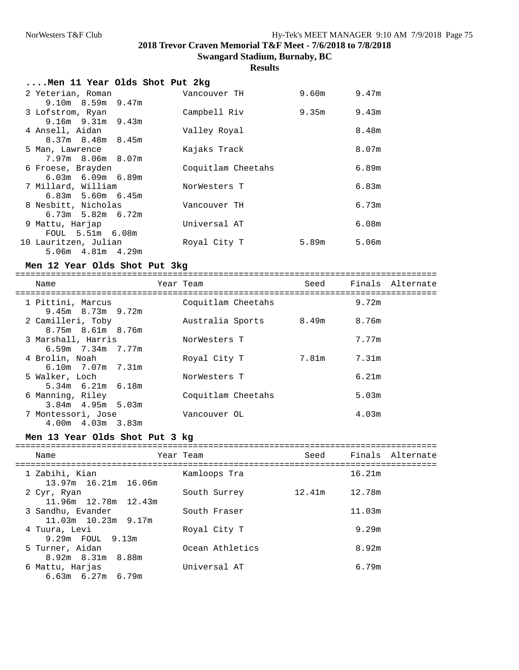# **Results**

| Men 11 Year Olds Shot Put 2kg |                    |       |                   |
|-------------------------------|--------------------|-------|-------------------|
| 2 Yeterian, Roman             | Vancouver TH       | 9.60m | 9.47m             |
| $9.10m$ $8.59m$ $9.47m$       |                    |       |                   |
| 3 Lofstrom, Ryan              | Campbell Riv       | 9.35m | 9.43m             |
| $9.16m$ $9.31m$ $9.43m$       |                    |       |                   |
| 4 Ansell, Aidan               | Valley Royal       |       | 8.48m             |
| $8.37m$ $8.48m$ $8.45m$       |                    |       |                   |
| 5 Man, Lawrence               | Kajaks Track       |       | 8.07m             |
| $7.97m$ 8.06m 8.07m           |                    |       |                   |
| 6 Froese, Brayden             | Coquitlam Cheetahs |       | 6.89m             |
| $6.03m$ $6.09m$ $6.89m$       |                    |       |                   |
| 7 Millard, William            | NorWesters T       |       | 6.83m             |
| $6.83m$ 5.60m $6.45m$         |                    |       |                   |
| 8 Nesbitt, Nicholas           | Vancouver TH       |       | 6.73m             |
| $6.73m$ 5.82m $6.72m$         |                    |       |                   |
| 9 Mattu, Harjap               | Universal AT       |       | 6.08m             |
| FOUL 5.51m 6.08m              |                    |       |                   |
| 10 Lauritzen, Julian          | Royal City T       | 5.89m | 5.06 <sub>m</sub> |
| 5.06m  4.81m  4.29m           |                    |       |                   |
|                               |                    |       |                   |

#### **Men 12 Year Olds Shot Put 3kg**

===================================================================================

| Name                                          | Year Team          | Seed  |       | Finals Alternate |
|-----------------------------------------------|--------------------|-------|-------|------------------|
| 1 Pittini, Marcus<br>$9.45m$ 8.73m $9.72m$    | Coquitlam Cheetahs |       | 9.72m |                  |
| 2 Camilleri, Toby<br>$8.75m$ $8.61m$ $8.76m$  | Australia Sports   | 8.49m | 8.76m |                  |
| 3 Marshall, Harris<br>$6.59m$ $7.34m$ $7.77m$ | NorWesters T       |       | 7.77m |                  |
| 4 Brolin, Noah<br>$6.10m$ $7.07m$ $7.31m$     | Royal City T       | 7.81m | 7.31m |                  |
| 5 Walker, Loch<br>$5.34m$ $6.21m$ $6.18m$     | NorWesters T       |       | 6.21m |                  |
| 6 Manning, Riley<br>$3.84m$ 4.95m 5.03m       | Coquitlam Cheetahs |       | 5.03m |                  |
| 7 Montessori, Jose<br>$4.00m$ $4.03m$ $3.83m$ | Vancouver OL       |       | 4.03m |                  |

#### **Men 13 Year Olds Shot Put 3 kg**

| Name                                           | Year Team       | Seed   |        | Finals Alternate |
|------------------------------------------------|-----------------|--------|--------|------------------|
| 1 Zabihi, Kian<br>13.97m 16.21m 16.06m         | Kamloops Tra    |        | 16.21m |                  |
| 2 Cyr, Ryan<br>11.96m 12.78m 12.43m            | South Surrey    | 12.41m | 12.78m |                  |
| 3 Sandhu, Evander<br>$11.03m$ $10.23m$ $9.17m$ | South Fraser    |        | 11.03m |                  |
| 4 Tuura, Levi<br>9.29m FOUL 9.13m              | Royal City T    |        | 9.29m  |                  |
| 5 Turner, Aidan<br>8.92m 8.31m 8.88m           | Ocean Athletics |        | 8.92m  |                  |
| 6 Mattu, Harjas<br>$6.63m$ $6.27m$ $6.79m$     | Universal AT    |        | 6.79m  |                  |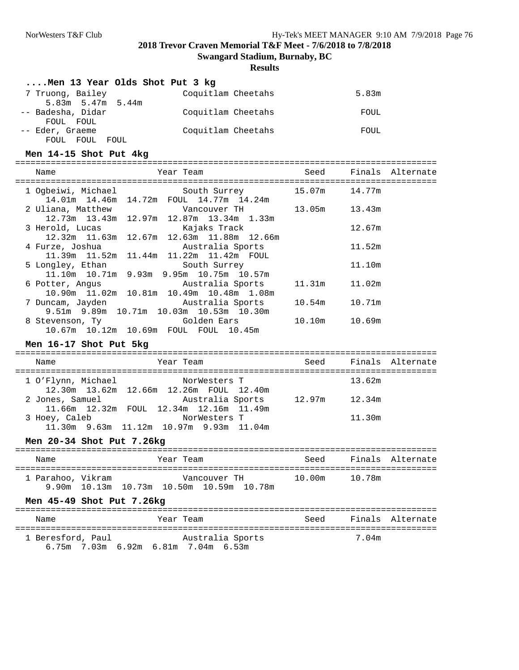**Swangard Stadium, Burnaby, BC**

#### **Results**

|                                | 5.83m  |                                                                                                      |
|--------------------------------|--------|------------------------------------------------------------------------------------------------------|
|                                | FOUL   |                                                                                                      |
|                                | FOUL   |                                                                                                      |
|                                |        |                                                                                                      |
| Seed                           |        | Finals Alternate                                                                                     |
|                                |        |                                                                                                      |
|                                |        |                                                                                                      |
|                                | 12.67m |                                                                                                      |
|                                | 11.52m |                                                                                                      |
|                                | 11.10m |                                                                                                      |
| 11.31m                         | 11.02m |                                                                                                      |
|                                |        |                                                                                                      |
|                                |        |                                                                                                      |
|                                |        |                                                                                                      |
|                                |        |                                                                                                      |
|                                |        | Seed Finals Alternate                                                                                |
|                                | 13.62m |                                                                                                      |
| Australia Sports 12.97m 12.34m |        |                                                                                                      |
|                                | 11.30m |                                                                                                      |
|                                |        |                                                                                                      |
|                                |        | Year Team New Seed Finals Alternate                                                                  |
| 10.00m                         | 10.78m |                                                                                                      |
|                                |        |                                                                                                      |
|                                |        | Seed Finals Alternate                                                                                |
|                                |        | 1 Ogbeiwi, Michael South Surrey 15.07m 14.77m<br>13.05m   13.43m<br>10.54m   10.71m<br>10.10m 10.69m |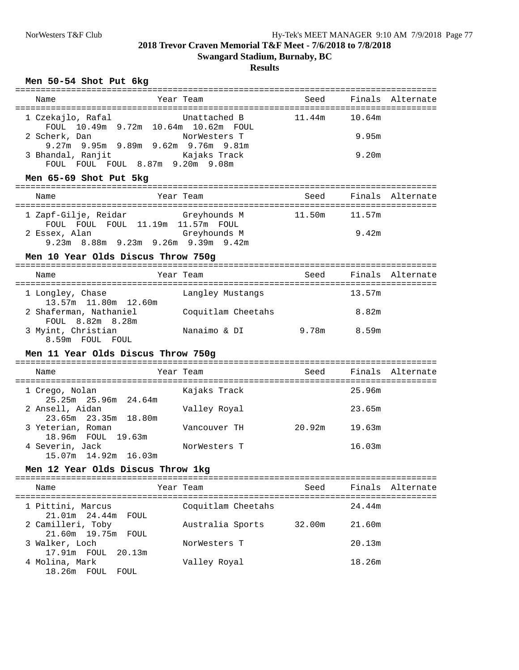## **Results**

## **Men 50-54 Shot Put 6kg**

| Name                                                                                                                                                  | Year Team                                                                                                   | Seed            |                          | Finals Alternate      |
|-------------------------------------------------------------------------------------------------------------------------------------------------------|-------------------------------------------------------------------------------------------------------------|-----------------|--------------------------|-----------------------|
| 1 Czekajlo, Rafal<br>2 Scherk, Dan<br>FOUL FOUL FOUL 8.87m 9.20m 9.08m                                                                                | Unattached B<br>FOUL 10.49m 9.72m 10.64m 10.62m FOUL<br>NorWesters T<br>9.27m 9.95m 9.89m 9.62m 9.76m 9.81m | 11.44m          | 10.64m<br>9.95m<br>9.20m |                       |
| Men 65-69 Shot Put 5kg                                                                                                                                |                                                                                                             |                 |                          |                       |
| Name                                                                                                                                                  | Year Team                                                                                                   | Seed            |                          | Finals Alternate      |
| 1 Zapf-Gilje, Reidar                         Greyhounds M<br>FOUL FOUL FOUL 11.19m 11.57m FOUL<br>2 Essex, Alan<br>Men 10 Year Olds Discus Throw 750g | Greyhounds M<br>9.23m 8.88m 9.23m 9.26m 9.39m 9.42m                                                         | 11.50m   11.57m | 9.42m                    |                       |
| Name                                                                                                                                                  | Year Team                                                                                                   |                 |                          | Seed Finals Alternate |
| 1 Longley, Chase<br>13.57m 11.80m 12.60m                                                                                                              | Langley Mustangs                                                                                            |                 | 13.57m                   |                       |
| 2 Shaferman, Nathaniel<br>FOUL 8.82m 8.28m<br>3 Myint, Christian<br>8.59m FOUL FOUL                                                                   | Coquitlam Cheetahs<br>Nanaimo & DI 9.78m 8.59m                                                              |                 | 8.82m                    |                       |
| Men 11 Year Olds Discus Throw 750g                                                                                                                    |                                                                                                             |                 |                          |                       |
| Name                                                                                                                                                  | Year Team                                                                                                   | Seed            |                          | Finals Alternate      |
| 1 Crego, Nolan<br>25.25m 25.96m 24.64m                                                                                                                | Kajaks Track                                                                                                |                 | 25.96m                   |                       |
| 2 Ansell, Aidan<br>23.65m 23.35m 18.80m                                                                                                               | Valley Royal                                                                                                |                 | 23.65m                   |                       |
| 3 Yeterian, Roman<br>18.96m FOUL 19.63m                                                                                                               | Vancouver TH                                                                                                | 20.92m 19.63m   |                          |                       |
| 4 Severin, Jack<br>15.07m  14.92m  16.03m                                                                                                             | NorWesters T                                                                                                |                 | 16.03m                   |                       |
| Men 12 Year Olds Discus Throw 1kg                                                                                                                     |                                                                                                             |                 |                          |                       |
| Name                                                                                                                                                  | Year Team                                                                                                   | Seed            |                          | Finals Alternate      |
| 1 Pittini, Marcus<br>21.01m 24.44m<br>FOUL                                                                                                            | Coquitlam Cheetahs                                                                                          |                 | 24.44m                   |                       |
| 2 Camilleri, Toby<br>21.60m 19.75m<br>FOUL                                                                                                            | Australia Sports                                                                                            | 32.00m          | 21.60m                   |                       |
| 3 Walker, Loch<br>17.91m FOUL<br>20.13m                                                                                                               | NorWesters T                                                                                                |                 | 20.13m                   |                       |
| 4 Molina, Mark<br>18.26m FOUL FOUL                                                                                                                    | Valley Royal                                                                                                |                 | 18.26m                   |                       |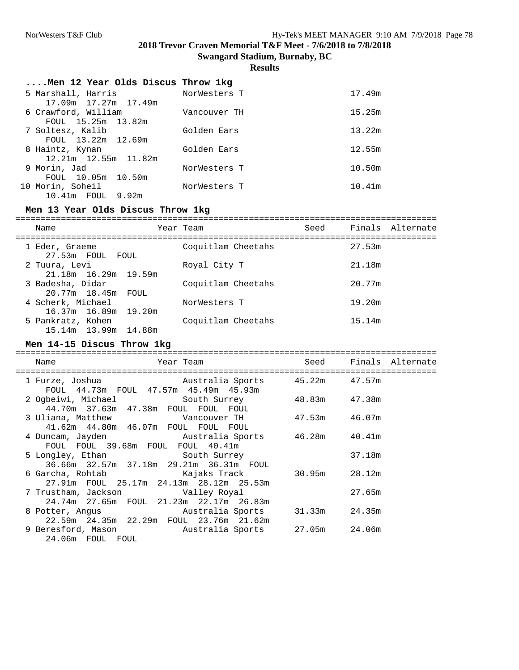**Swangard Stadium, Burnaby, BC**

**Results**

|                            | NorWesters T                                                                                                                                                                                                      | 17.49m                                           |
|----------------------------|-------------------------------------------------------------------------------------------------------------------------------------------------------------------------------------------------------------------|--------------------------------------------------|
|                            | Vancouver TH                                                                                                                                                                                                      | 15.25m                                           |
|                            | Golden Ears                                                                                                                                                                                                       | 13.22m                                           |
| FOUL 13.22m 12.69m         |                                                                                                                                                                                                                   | 12.55m                                           |
| $12.21m$ $12.55m$ $11.82m$ |                                                                                                                                                                                                                   |                                                  |
|                            | NorWesters T                                                                                                                                                                                                      | 10.50m                                           |
|                            | NorWesters T                                                                                                                                                                                                      | 10.41m                                           |
|                            | 5 Marshall, Harris<br>17.09m   17.27m   17.49m<br>6 Crawford, William<br>FOUL 15.25m 13.82m<br>7 Soltesz, Kalib<br>8 Haintz, Kynan<br>9 Morin, Jad<br>FOUL 10.05m 10.50m<br>10 Morin, Soheil<br>10.41m FOUL 9.92m | Men 12 Year Olds Discus Throw 1kg<br>Golden Ears |

## **Men 13 Year Olds Discus Throw 1kg**

| Name                                        | Year Team          | Seed | Finals Alternate |
|---------------------------------------------|--------------------|------|------------------|
| 1 Eder, Graeme<br>27.53m FOUL FOUL          | Coquitlam Cheetahs |      | 27.53m           |
| 2 Tuura, Levi<br>$21.18m$ $16.29m$ $19.59m$ | Royal City T       |      | 21.18m           |
| 3 Badesha, Didar<br>20.77m 18.45m FOUL      | Coquitlam Cheetahs |      | 20.77m           |
| 4 Scherk, Michael<br>16.37m 16.89m 19.20m   | NorWesters T       |      | 19.20m           |
| 5 Pankratz, Kohen<br>15.14m 13.99m 14.88m   | Coquitlam Cheetahs |      | 15.14m           |

#### **Men 14-15 Discus Throw 1kg**

| Name<br>Year Team                                                                                                            |        | Seed Finals Alternate |
|------------------------------------------------------------------------------------------------------------------------------|--------|-----------------------|
| 1 Furze, Joshua             Australia Sports       45.22m     47.57m<br>FOUL 44.73m FOUL 47.57m 45.49m 45.93m                |        |                       |
| 2 Ogbeiwi, Michael South Surrey 48.83m 47.38m<br>44.70m 37.63m 47.38m FOUL FOUL FOUL                                         |        |                       |
| 41.62m  44.80m  46.07m  FOUL  FOUL  FOUL                                                                                     |        |                       |
| 4 Duncam, Jayden Mustralia Sports 46.28m 40.41m<br>FOUL FOUL 39.68m FOUL FOUL 40.41m                                         |        |                       |
| 5 Longley, Ethan South Surrey<br>36.66m 32.57m 37.18m 29.21m 36.31m FOUL                                                     | 37.18m |                       |
| 6 Garcha, Rohtab                     Kajaks Track             30.95m       28.12m<br>27.91m FOUL 25.17m 24.13m 28.12m 25.53m |        |                       |
| 7 Trustham, Jackson                     Valley Royal<br>24.74m 27.65m FOUL 21.23m 22.17m 26.83m                              | 27.65m |                       |
| 8 Potter, Angus             Australia Sports     31.33m     24.35m<br>22.59m  24.35m  22.29m  FOUL  23.76m  21.62m           |        |                       |
| 9 Beresford, Mason Mustralia Sports 27.05m 24.06m<br>24.06m FOUL FOUL                                                        |        |                       |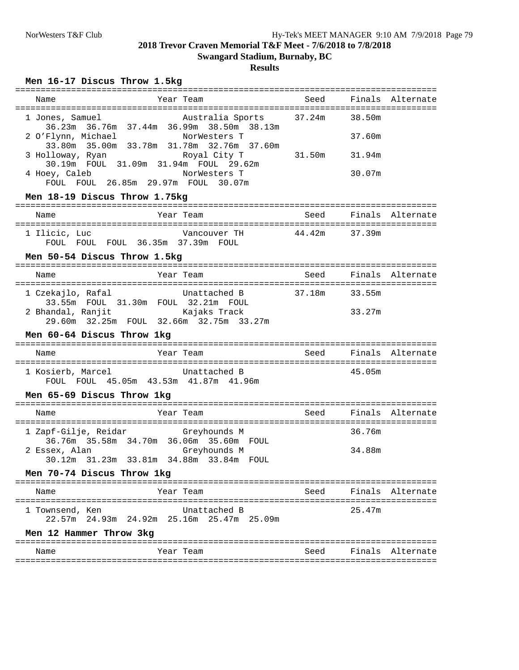#### **Swangard Stadium, Burnaby, BC**

#### **Results**

## **Men 16-17 Discus Throw 1.5kg**

| Name                                                                    | Year Team                                                                                          |               |        | Seed Finals Alternate |
|-------------------------------------------------------------------------|----------------------------------------------------------------------------------------------------|---------------|--------|-----------------------|
| 1 Jones, Samuel                                                         | Australia Sports 37.24m 38.50m<br>36.23m 36.76m 37.44m 36.99m 38.50m 38.13m                        |               |        |                       |
| 2 O'Flynn, Michael MorWesters T                                         | 33.80m 35.00m 33.78m 31.78m 32.76m 37.60m                                                          |               | 37.60m |                       |
| 3 Holloway, Ryan Noyal City T<br>30.19m FOUL 31.09m 31.94m FOUL 29.62m  |                                                                                                    | 31.50m 31.94m |        |                       |
| 4 Hoey, Caleb<br>FOUL FOUL 26.85m 29.97m FOUL 30.07m                    | NorWesters T                                                                                       |               | 30.07m |                       |
| Men 18-19 Discus Throw 1.75kg                                           |                                                                                                    |               |        |                       |
| Name                                                                    | Year Team                                                                                          |               |        | Seed Finals Alternate |
| 1 Ilicic, Luc<br>FOUL FOUL FOUL 36.35m 37.39m FOUL                      | Vancouver TH $44.42$ m 37.39m                                                                      |               |        |                       |
| Men 50-54 Discus Throw 1.5kg                                            |                                                                                                    |               |        |                       |
| Name                                                                    | Year Team                                                                                          |               |        | Seed Finals Alternate |
| 1 Czekajlo, Rafal                                                       | Unattached B 37.18m 33.55m<br>ekajlo, kalal<br>33.55m FOUL 31.30m FOUL 32.21m FOUL<br>Esiaks Track |               |        |                       |
| 2 Bhandal, Ranjit<br>Kajaks Track                                       |                                                                                                    |               | 33.27m |                       |
| 29.60m 32.25m FOUL 32.66m 32.75m 33.27m                                 |                                                                                                    |               |        |                       |
| Men 60-64 Discus Throw 1kg                                              |                                                                                                    |               |        |                       |
| Name                                                                    | Year Team                                                                                          |               |        | Seed Finals Alternate |
| 1 Kosierb, Marcel Chattached B<br>FOUL FOUL 45.05m 43.53m 41.87m 41.96m |                                                                                                    |               | 45.05m |                       |
| Men 65-69 Discus Throw 1kg                                              |                                                                                                    |               |        |                       |
| Name                                                                    | Year Team Need Finals Alternate                                                                    |               |        |                       |
| 1 Zapf-Gilje, Reidar     Greyhounds M                                   |                                                                                                    |               | 36.76m |                       |
| 36.76m 35.58m 34.70m 36.06m 35.60m FOUL                                 |                                                                                                    |               | 34.88m |                       |
| Men 70-74 Discus Throw 1kg                                              |                                                                                                    |               |        |                       |
| Name                                                                    | Year Team                                                                                          |               |        | Seed Finals Alternate |
| 1 Townsend, Ken                                                         | Unattached B<br>22.57m 24.93m 24.92m 25.16m 25.47m 25.09m                                          |               | 25.47m |                       |
| Men 12 Hammer Throw 3kg                                                 |                                                                                                    |               |        |                       |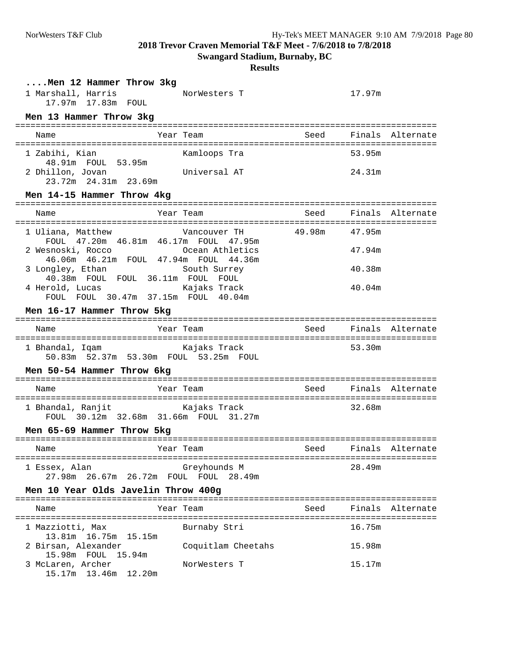**Swangard Stadium, Burnaby, BC**

#### **Results**

| Men 12 Hammer Throw 3kg<br>1 Marshall, Harris<br>17.97m 17.83m FOUL<br>Men 13 Hammer Throw 3kg | NorWesters T       |        | 17.97m           |
|------------------------------------------------------------------------------------------------|--------------------|--------|------------------|
| Name                                                                                           | Year Team          | Seed   | Finals Alternate |
| 1 Zabihi, Kian<br>48.91m FOUL 53.95m                                                           | Kamloops Tra       |        | 53.95m           |
| 2 Dhillon, Jovan<br>23.72m 24.31m 23.69m                                                       | Universal AT       |        | 24.31m           |
| Men 14-15 Hammer Throw 4kg                                                                     |                    |        |                  |
| Name                                                                                           | Year Team          | Seed   | Finals Alternate |
| 1 Uliana, Matthew<br>FOUL 47.20m 46.81m 46.17m FOUL 47.95m                                     | Vancouver TH       | 49.98m | 47.95m           |
| 2 Wesnoski, Rocco<br>46.06m  46.21m  FOUL  47.94m  FOUL  44.36m                                | Ocean Athletics    |        | 47.94m           |
| 3 Longley, Ethan<br>40.38m FOUL FOUL 36.11m FOUL FOUL                                          | South Surrey       |        | 40.38m           |
| 4 Herold, Lucas<br>FOUL FOUL 30.47m 37.15m FOUL 40.04m                                         | Kajaks Track       |        | 40.04m           |
| Men 16-17 Hammer Throw 5kg                                                                     |                    |        |                  |
| Name                                                                                           | Year Team          | Seed   | Finals Alternate |
| 1 Bhandal, Iqam<br>50.83m  52.37m  53.30m  FOUL  53.25m  FOUL                                  | Kajaks Track       |        | 53.30m           |
| Men 50-54 Hammer Throw 6kg                                                                     |                    |        |                  |
| Name                                                                                           | Year Team          | Seed   | Finals Alternate |
| 1 Bhandal, Ranjit<br>FOUL 30.12m 32.68m 31.66m FOUL 31.27m                                     | Kajaks Track       |        | 32.68m           |
| Men 65-69 Hammer Throw 5kg                                                                     |                    |        |                  |
| Name<br>===========                                                                            | Year Team          | Seed   | Finals Alternate |
| 1 Essex, Alan<br>27.98m  26.67m  26.72m  FOUL  FOUL  28.49m                                    | Greyhounds M       |        | 28.49m           |
| Men 10 Year Olds Javelin Throw 400g                                                            |                    |        |                  |
| Name                                                                                           | Year Team          | Seed   | Finals Alternate |
| 1 Mazziotti, Max<br>13.81m 16.75m 15.15m                                                       | Burnaby Stri       |        | 16.75m           |
| 2 Birsan, Alexander<br>15.98m FOUL<br>15.94m                                                   | Coquitlam Cheetahs |        | 15.98m           |
| 3 McLaren, Archer<br>12.20m<br>15.17m   13.46m                                                 | NorWesters T       |        | 15.17m           |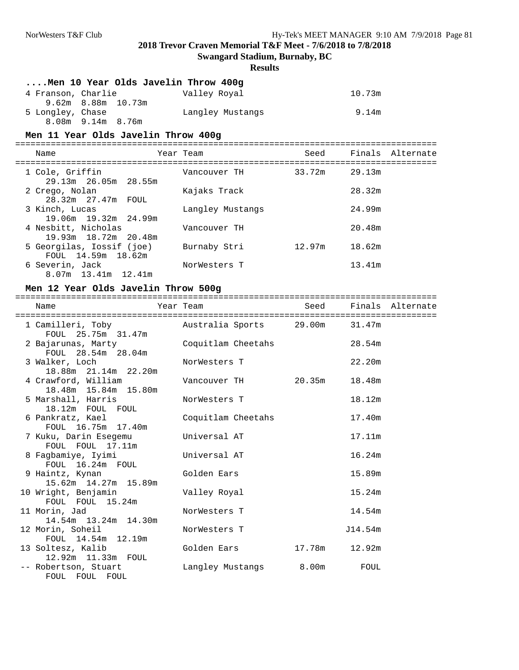**Swangard Stadium, Burnaby, BC**

#### **Results**

#### **....Men 10 Year Olds Javelin Throw 400g**

| 4 Franson, Charlie |                    | Valley Royal     | 10.73m |
|--------------------|--------------------|------------------|--------|
|                    | 9.62m 8.88m 10.73m |                  |        |
| 5 Longley, Chase   |                    | Langley Mustangs | 9.14m  |
|                    | 8.08m 9.14m 8.76m  |                  |        |

#### **Men 11 Year Olds Javelin Throw 400g**

===================================================================================

| Name                        | Year Team        | Seed   |        | Finals Alternate |
|-----------------------------|------------------|--------|--------|------------------|
| 1 Cole, Griffin             | Vancouver TH     | 33.72m | 29.13m |                  |
| 29.13m 26.05m 28.55m        |                  |        |        |                  |
| 2 Crego, Nolan              | Kajaks Track     |        | 28.32m |                  |
| 28.32m 27.47m FOUL          |                  |        |        |                  |
| 3 Kinch, Lucas              | Langley Mustangs |        | 24.99m |                  |
| 19.06m 19.32m 24.99m        |                  |        |        |                  |
| 4 Nesbitt, Nicholas         | Vancouver TH     |        | 20.48m |                  |
| 19.93m 18.72m 20.48m        |                  |        |        |                  |
| 5 Georgilas, Iossif (joe)   | Burnaby Stri     | 12.97m | 18.62m |                  |
| FOUL 14.59m 18.62m          |                  |        |        |                  |
| 6 Severin, Jack             | NorWesters T     |        | 13.41m |                  |
| $8.07m$ 13.41 $m$ 12.41 $m$ |                  |        |        |                  |

#### **Men 12 Year Olds Javelin Throw 500g**

=================================================================================== Name Year Team Seed Finals Alternate =================================================================================== Australia Sports 29.00m FOUL 25.75m 31.47m<br>ajarunas, Marty Coquitlam Cheetahs 2 Bajarunas, Marty Coquitlam Cheetahs 28.54m FOUL 28.54m 28.04m<br>3 Walker, Loch NorWesters T 22.20m 18.88m 21.14m 22.20m Vancouver TH 20.35m 18.48m 18.48m 15.84m 15.80m 5 Marshall, Harris 6 NorWesters T 18.12m 18.12m FOUL FOUL<br>6 Pankratz, Kael Coquitlam Cheetahs 17.40m FOUL 16.75m 17.40m<br>uku, Darin Esegemu Universal AT 7 Kuku, Darin Esegemu Universal AT 17.11m FOUL FOUL 17.11m 8 Fagbamiye, Iyimi Universal AT 16.24m FOUL 16.24m FOUL 9 Haintz, Kynan Golden Ears 15.89m 15.62m 14.27m 15.89m 10 Wright, Benjamin Valley Royal 15.24m FOUL FOUL 15.24m 11 Morin, Jad NorWesters T 14.54m 14.54m 13.24m 14.30m 12 Morin, Soheil NorWesters T 314.54m FOUL 14.54m 12.19m<br>13 Soltesz, Kalib Golden Ears 17.78m 12.92m 12.92m 11.33m FOUL<br>-- Robertson, Stuart Langley Mustangs 8.00m FOUL FOUL FOUL FOUL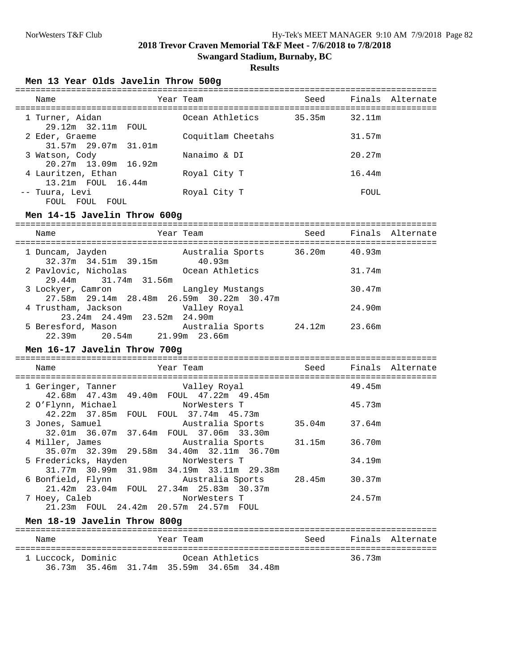**Swangard Stadium, Burnaby, BC**

# **Results**

#### **Men 13 Year Olds Javelin Throw 500g**

| Name                                     | Year Team          | Seed          | Finals Alternate |
|------------------------------------------|--------------------|---------------|------------------|
| 1 Turner, Aidan<br>29.12m 32.11m FOUL    | Ocean Athletics    | 35.35m 32.11m |                  |
| 2 Eder, Graeme<br>31.57m 29.07m 31.01m   | Coquitlam Cheetahs |               | 31.57m           |
| 3 Watson, Cody<br>$20.27m$ 13.09m 16.92m | Nanaimo & DI       |               | 20.27m           |
| 4 Lauritzen, Ethan<br>13.21m FOUL 16.44m | Royal City T       |               | 16.44m           |
| -- Tuura, Levi<br>FOUL FOUL FOUL         | Royal City T       |               | FOUL             |

#### **Men 14-15 Javelin Throw 600g**

| Name                                                            | Year Team        | Seed          | Finals Alternate |
|-----------------------------------------------------------------|------------------|---------------|------------------|
| 1 Duncam, Jayden<br>$32.37m$ $34.51m$ $39.15m$ $40.93m$         | Australia Sports | 36.20m 40.93m |                  |
| 2 Pavlovic, Nicholas<br>29.44m 31.74m 31.56m                    | Ocean Athletics  |               | 31.74m           |
| 3 Lockyer, Camron<br>27.58m 29.14m 28.48m 26.59m 30.22m 30.47m  | Langley Mustangs |               | 30.47m           |
| 4 Trustham, Jackson Walley Royal<br>23.24m 24.49m 23.52m 24.90m |                  |               | 24.90m           |
| 5 Beresford, Mason<br>22.39m 20.54m 21.99m 23.66m               | Australia Sports | 24.12m        | 23.66m           |

#### **Men 16-17 Javelin Throw 700g**

| Name          | Year Team                                                                                                                      |        | Seed Finals Alternate |
|---------------|--------------------------------------------------------------------------------------------------------------------------------|--------|-----------------------|
|               | --------------------------<br>1 Geringer, Tanner (Valley Royal<br>42.68m  47.43m  49.40m  FOUL  47.22m  49.45m                 | 49.45m |                       |
|               | 2 O'Flynn, Michael NorWesters T<br>42.22m 37.85m FOUL FOUL 37.74m 45.73m                                                       | 45.73m |                       |
|               | 3 Jones, Samuel <b>Material Australia</b> Sports 35.04m 37.64m<br>32.01m 36.07m 37.64m FOUL 37.06m 33.30m                      |        |                       |
|               | 4 Miller, James             Australia Sports     31.15m     36.70m<br>35.07m    32.39m    29.58m    34.40m    32.11m    36.70m |        |                       |
|               | 5 Fredericks, Hayden NorWesters T<br>31.77m 30.99m 31.98m 34.19m 33.11m 29.38m                                                 | 34.19m |                       |
|               | 6 Bonfield, Flynn Mustralia Sports 28.45m 30.37m<br>21.42m 23.04m FOUL 27.34m 25.83m 30.37m                                    |        |                       |
| 7 Hoey, Caleb | NorWesters T<br>21.23m FOUL 24.42m 20.57m 24.57m<br>FOUL                                                                       | 24.57m |                       |

#### **Men 18-19 Javelin Throw 800g**

| Name               |                                           | Year Team |                 | Seed |        | Finals Alternate |
|--------------------|-------------------------------------------|-----------|-----------------|------|--------|------------------|
| 1 Luccock, Dominic | 36.73m 35.46m 31.74m 35.59m 34.65m 34.48m |           | Ocean Athletics |      | 36.73m |                  |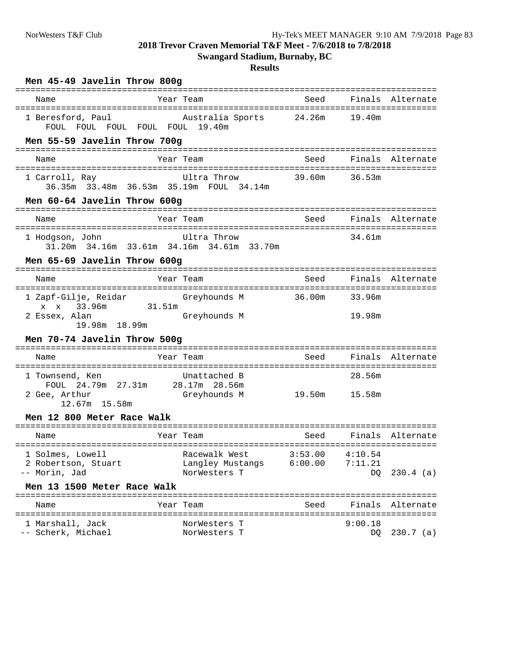**Swangard Stadium, Burnaby, BC**

#### **Results**

| Men 45-49 Javelin Throw 800g                                   |                                                          |                 |                  |                  |
|----------------------------------------------------------------|----------------------------------------------------------|-----------------|------------------|------------------|
| Name                                                           | Year Team                                                | Seed            | Finals Alternate |                  |
| 1 Beresford, Paul<br>FOUL FOUL FOUL FOUL FOUL 19.40m           | Australia Sports                                         | 24.26m          | 19.40m           |                  |
| Men 55-59 Javelin Throw 700g                                   |                                                          |                 |                  |                  |
| Name                                                           | Year Team                                                | Seed            | Finals Alternate |                  |
| 1 Carroll, Ray                                                 | Ultra Throw<br>36.35m 33.48m 36.53m 35.19m FOUL 34.14m   | 39.60m          | 36.53m           |                  |
| Men 60-64 Javelin Throw 600g                                   |                                                          |                 |                  |                  |
| Name                                                           | Year Team                                                | Seed            |                  | Finals Alternate |
| 1 Hodgson, John                                                | Ultra Throw<br>31.20m 34.16m 33.61m 34.16m 34.61m 33.70m |                 | 34.61m           |                  |
| Men 65-69 Javelin Throw 600g                                   |                                                          |                 |                  |                  |
| Name                                                           | Year Team                                                | Seed            |                  | Finals Alternate |
| 1 Zapf-Gilje, Reidar<br>apr-Gilje, Reidar<br>x x 33.96m 31.51m | Greyhounds M                                             | 36.00m          | 33.96m           |                  |
| 2 Essex, Alan<br>19.98m 18.99m                                 | Greyhounds M                                             |                 | 19.98m           |                  |
| Men 70-74 Javelin Throw 500g                                   |                                                          |                 |                  |                  |
| Name                                                           | Year Team                                                | Seed            | Finals Alternate |                  |
| 1 Townsend, Ken                                                | Unattached B                                             |                 | 28.56m           |                  |
| FOUL<br>2 Gee, Arthur<br>12.67m 15.58m                         | 24.79m  27.31m  28.17m  28.56m<br>Greyhounds M           | 19.50m   15.58m |                  |                  |
| Men 12 800 Meter Race Walk                                     |                                                          |                 |                  |                  |
| Name                                                           | Year Team                                                | Seed            |                  | Finals Alternate |
| 2 Robertson, Stuart<br>-- Morin, Jad                           | Langley Mustangs<br>NorWesters T                         | 6:00.00         | 7:11.21<br>DQ    | $230.4$ (a)      |
| Men 13 1500 Meter Race Walk                                    |                                                          |                 |                  |                  |
| Name                                                           | Year Team                                                | Seed            |                  | Finals Alternate |
| 1 Marshall, Jack<br>-- Scherk, Michael                         | NorWesters T<br>NorWesters T                             |                 | 9:00.18<br>DQ    | $230.7$ (a)      |
|                                                                |                                                          |                 |                  |                  |